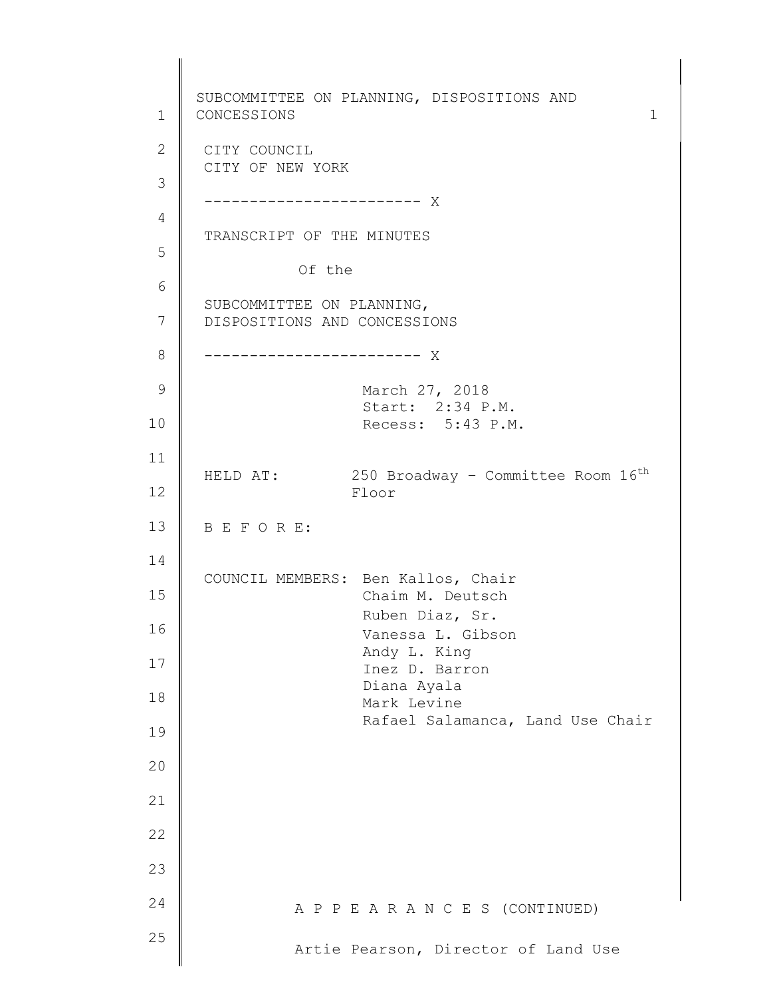1 2 3 4 5 6 7 8 9 10 11 12 13 14 15 16 17 18 19 20 21 22 23 24 25 SUBCOMMITTEE ON PLANNING, DISPOSITIONS AND CONCESSIONS 1 CITY COUNCIL CITY OF NEW YORK ------------------------ X TRANSCRIPT OF THE MINUTES Of the SUBCOMMITTEE ON PLANNING, DISPOSITIONS AND CONCESSIONS ------------------------ X March 27, 2018 Start: 2:34 P.M. Recess: 5:43 P.M. HELD AT:  $250$  Broadway - Committee Room  $16^{th}$ Floor B E F O R E: COUNCIL MEMBERS: Ben Kallos, Chair Chaim M. Deutsch Ruben Diaz, Sr. Vanessa L. Gibson Andy L. King Inez D. Barron Diana Ayala Mark Levine Rafael Salamanca, Land Use Chair A P P E A R A N C E S (CONTINUED) Artie Pearson, Director of Land Use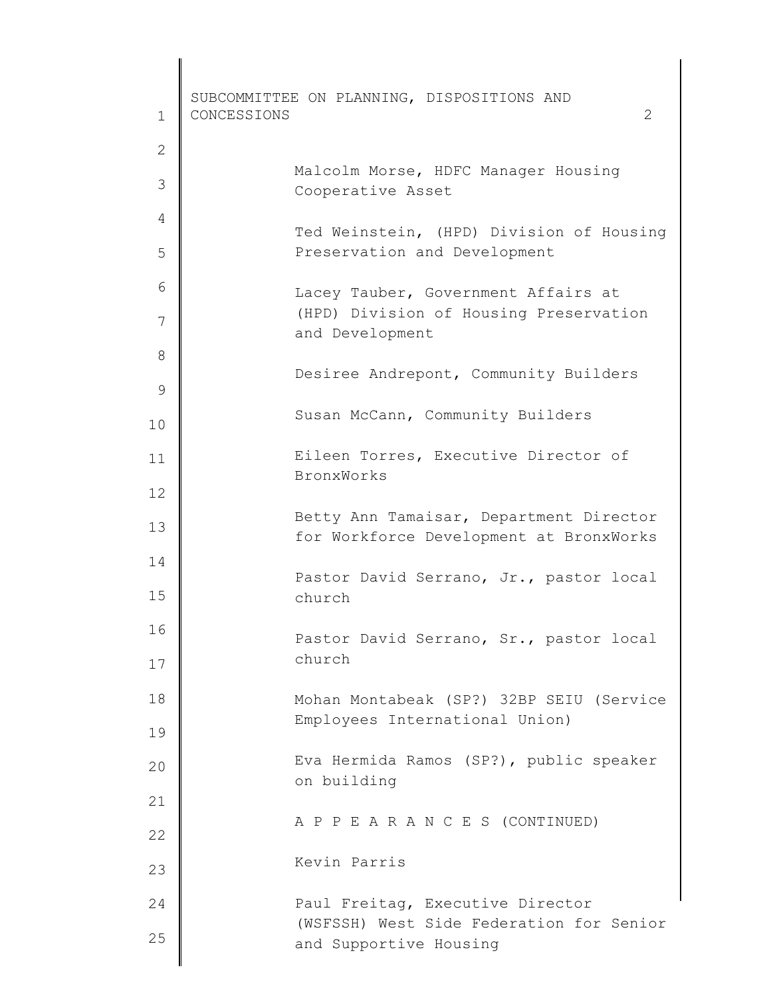| 1              | SUBCOMMITTEE ON PLANNING, DISPOSITIONS AND<br>$\mathbf{2}$<br>CONCESSIONS          |
|----------------|------------------------------------------------------------------------------------|
| $\overline{2}$ |                                                                                    |
| 3              | Malcolm Morse, HDFC Manager Housing<br>Cooperative Asset                           |
| 4              | Ted Weinstein, (HPD) Division of Housing                                           |
| 5              | Preservation and Development                                                       |
| 6              | Lacey Tauber, Government Affairs at                                                |
| 7              | (HPD) Division of Housing Preservation<br>and Development                          |
| 8              |                                                                                    |
| 9              | Desiree Andrepont, Community Builders                                              |
| 10             | Susan McCann, Community Builders                                                   |
| 11             | Eileen Torres, Executive Director of                                               |
| 12             | BronxWorks                                                                         |
| 13             | Betty Ann Tamaisar, Department Director<br>for Workforce Development at BronxWorks |
| 14             | Pastor David Serrano, Jr., pastor local                                            |
| 15             | church                                                                             |
| 16             | Pastor David Serrano, Sr., pastor local                                            |
| 17             | church                                                                             |
| 18             | Mohan Montabeak (SP?) 32BP SEIU (Service<br>Employees International Union)         |
| 19             |                                                                                    |
| 20             | Eva Hermida Ramos (SP?), public speaker<br>on building                             |
| 21             |                                                                                    |
| 22             | A P P E A R A N C E S (CONTINUED)                                                  |
| 23             | Kevin Parris                                                                       |
| 24             | Paul Freitag, Executive Director<br>(WSFSSH) West Side Federation for Senior       |
| 25             | and Supportive Housing                                                             |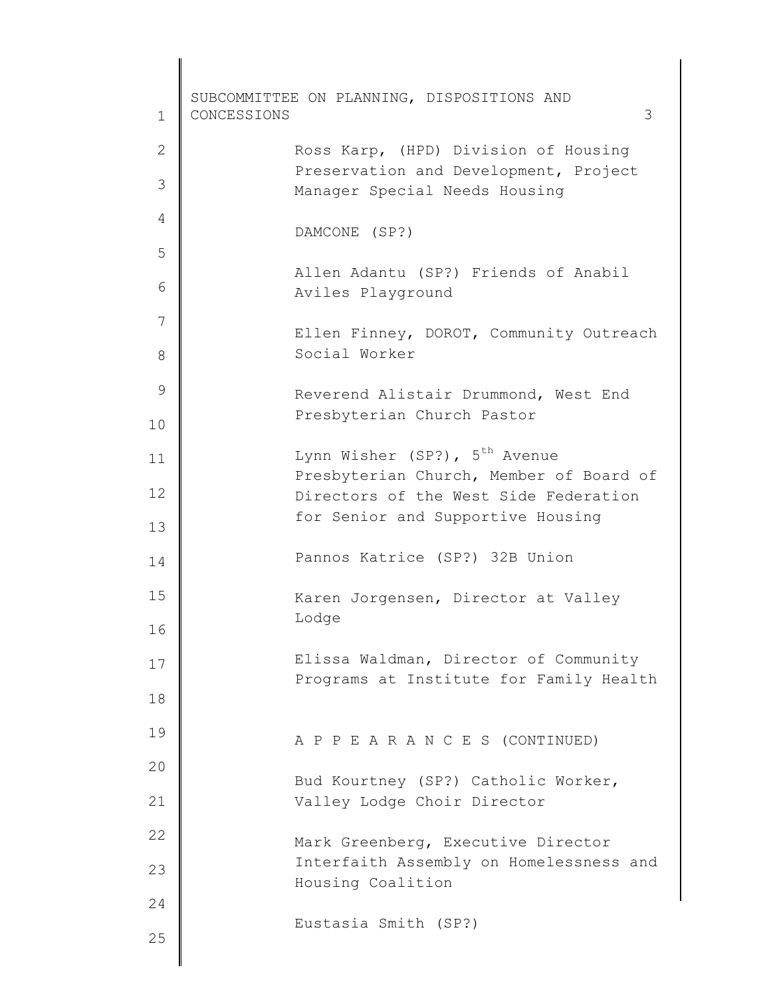| $\mathbf{1}$   | SUBCOMMITTEE ON PLANNING, DISPOSITIONS AND<br>3<br>CONCESSIONS                   |
|----------------|----------------------------------------------------------------------------------|
| $\mathbf{2}$   | Ross Karp, (HPD) Division of Housing                                             |
| 3              | Preservation and Development, Project<br>Manager Special Needs Housing           |
| $\overline{4}$ | DAMCONE (SP?)                                                                    |
| 5              |                                                                                  |
| 6              | Allen Adantu (SP?) Friends of Anabil<br>Aviles Playground                        |
| $7\phantom{.}$ | Ellen Finney, DOROT, Community Outreach                                          |
| 8              | Social Worker                                                                    |
| $\mathsf 9$    | Reverend Alistair Drummond, West End                                             |
| 10             | Presbyterian Church Pastor                                                       |
| 11             | Lynn Wisher (SP?), 5 <sup>th</sup> Avenue                                        |
| 12             | Presbyterian Church, Member of Board of<br>Directors of the West Side Federation |
| 13             | for Senior and Supportive Housing                                                |
| 14             | Pannos Katrice (SP?) 32B Union                                                   |
| 15             | Karen Jorgensen, Director at Valley                                              |
| 16             | Lodge                                                                            |
| 17             | Elissa Waldman, Director of Community<br>Programs at Institute for Family Health |
| 18             |                                                                                  |
| 19             | A P P E A R A N C E S (CONTINUED)                                                |
| 20             | Bud Kourtney (SP?) Catholic Worker,                                              |
| 21             | Valley Lodge Choir Director                                                      |
| 22             | Mark Greenberg, Executive Director                                               |
| 23             | Interfaith Assembly on Homelessness and<br>Housing Coalition                     |
| 24             |                                                                                  |
| 25             | Eustasia Smith (SP?)                                                             |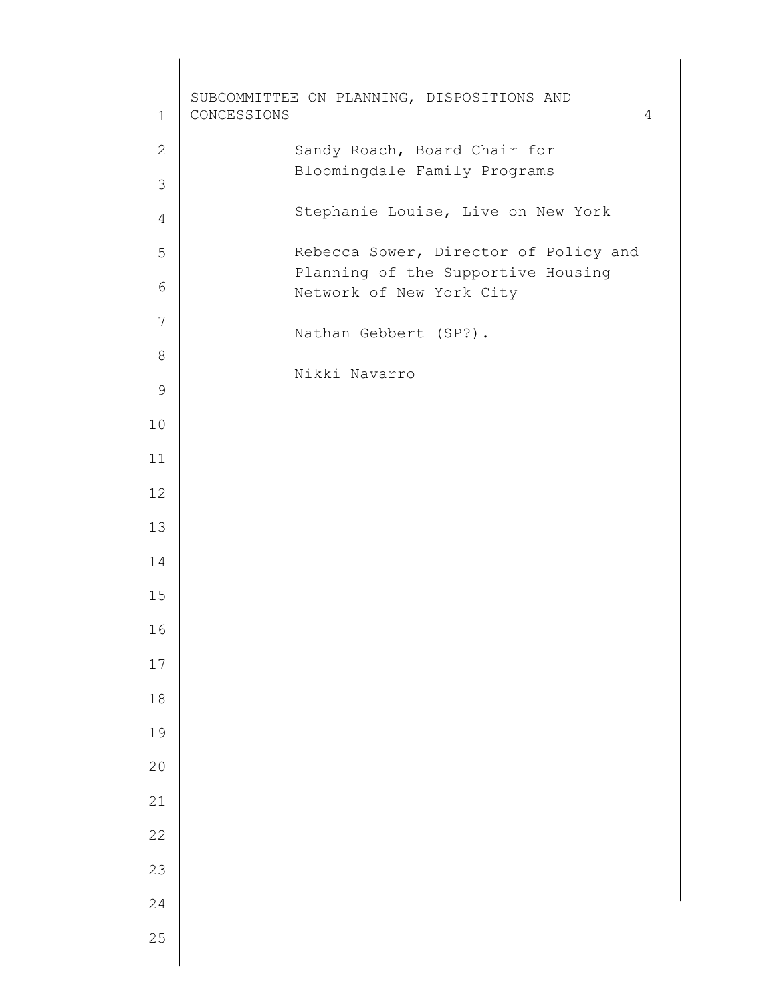| $\mathbf 1$    | SUBCOMMITTEE ON PLANNING, DISPOSITIONS AND<br>CONCESSIONS<br>4 |
|----------------|----------------------------------------------------------------|
| $\sqrt{2}$     | Sandy Roach, Board Chair for                                   |
| 3              | Bloomingdale Family Programs                                   |
| $\overline{4}$ | Stephanie Louise, Live on New York                             |
| 5              | Rebecca Sower, Director of Policy and                          |
| 6              | Planning of the Supportive Housing<br>Network of New York City |
| 7              |                                                                |
| $\,8\,$        | Nathan Gebbert (SP?).                                          |
| $\mathcal{G}$  | Nikki Navarro                                                  |
| 10             |                                                                |
| 11             |                                                                |
| 12             |                                                                |
| 13             |                                                                |
| 14             |                                                                |
| 15             |                                                                |
| 16             |                                                                |
| 17             |                                                                |
| $1\,8$         |                                                                |
| 19             |                                                                |
| 20             |                                                                |
| 21             |                                                                |
| 22             |                                                                |
| 23             |                                                                |
| 24             |                                                                |
| 25             |                                                                |
|                |                                                                |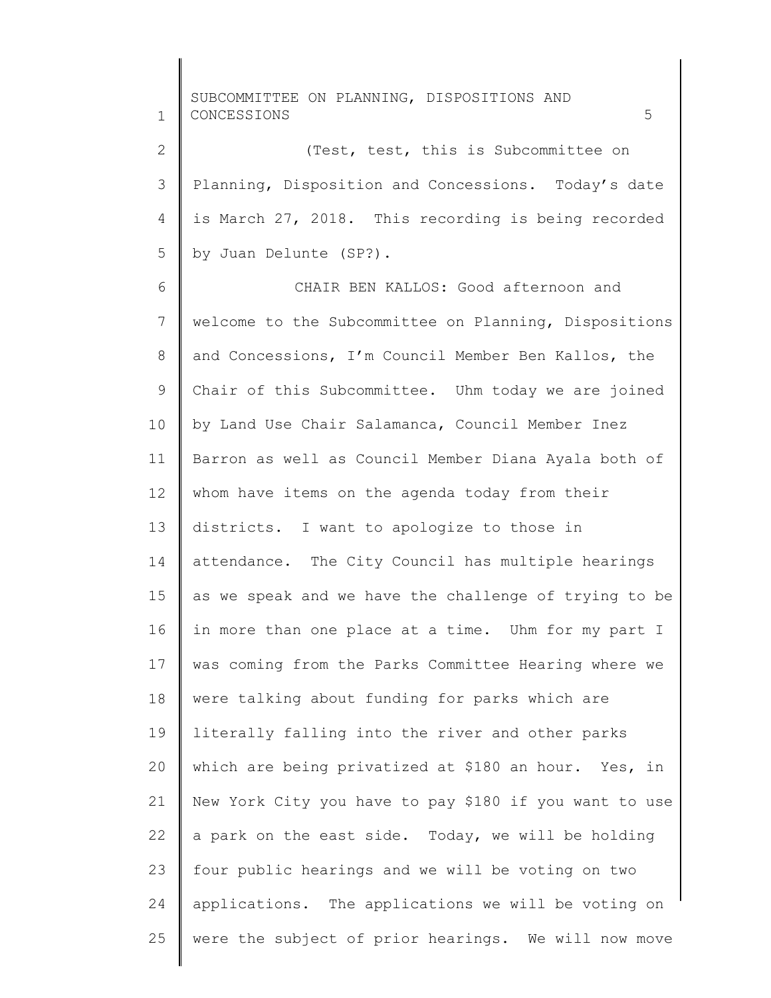1

2 3 4 5 (Test, test, this is Subcommittee on Planning, Disposition and Concessions. Today's date is March 27, 2018. This recording is being recorded by Juan Delunte (SP?).

6 7 8 9 10 11 12 13 14 15 16 17 18 19 20 21 22 23 24 25 CHAIR BEN KALLOS: Good afternoon and welcome to the Subcommittee on Planning, Dispositions and Concessions, I'm Council Member Ben Kallos, the Chair of this Subcommittee. Uhm today we are joined by Land Use Chair Salamanca, Council Member Inez Barron as well as Council Member Diana Ayala both of whom have items on the agenda today from their districts. I want to apologize to those in attendance. The City Council has multiple hearings as we speak and we have the challenge of trying to be in more than one place at a time. Uhm for my part I was coming from the Parks Committee Hearing where we were talking about funding for parks which are literally falling into the river and other parks which are being privatized at \$180 an hour. Yes, in New York City you have to pay \$180 if you want to use a park on the east side. Today, we will be holding four public hearings and we will be voting on two applications. The applications we will be voting on were the subject of prior hearings. We will now move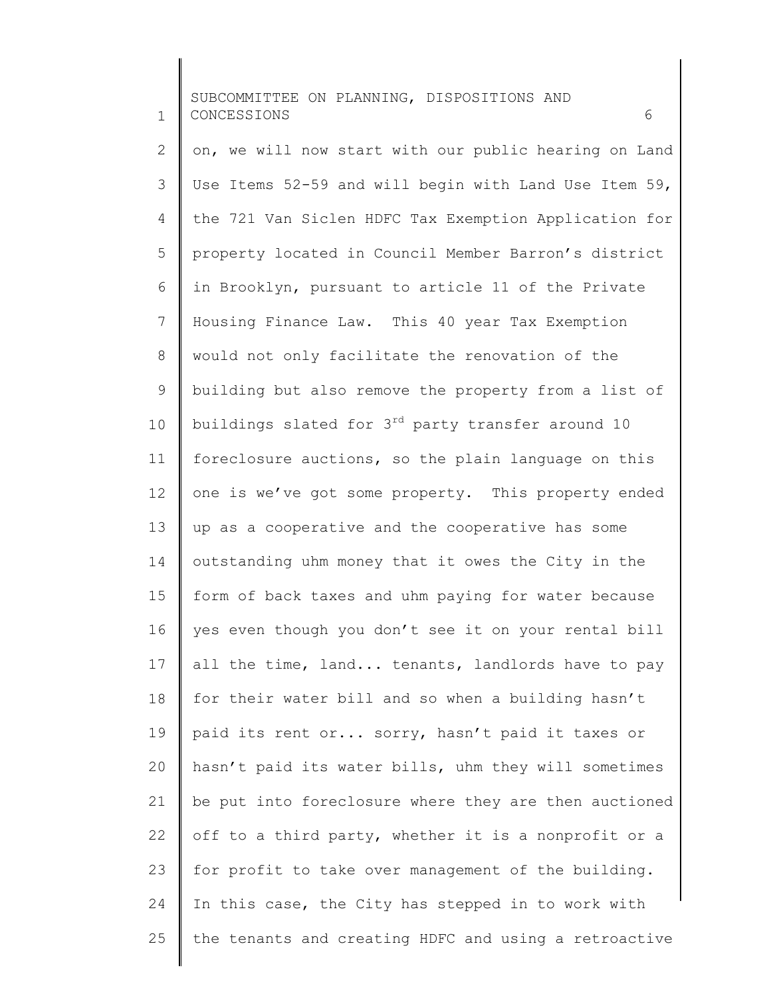1

2 3 4 5 6 7 8 9 10 11 12 13 14 15 16 17 18 19 20 21 22 23 24 25 on, we will now start with our public hearing on Land Use Items 52-59 and will begin with Land Use Item 59, the 721 Van Siclen HDFC Tax Exemption Application for property located in Council Member Barron's district in Brooklyn, pursuant to article 11 of the Private Housing Finance Law. This 40 year Tax Exemption would not only facilitate the renovation of the building but also remove the property from a list of buildings slated for  $3^{rd}$  party transfer around 10 foreclosure auctions, so the plain language on this one is we've got some property. This property ended up as a cooperative and the cooperative has some outstanding uhm money that it owes the City in the form of back taxes and uhm paying for water because yes even though you don't see it on your rental bill all the time, land... tenants, landlords have to pay for their water bill and so when a building hasn't paid its rent or... sorry, hasn't paid it taxes or hasn't paid its water bills, uhm they will sometimes be put into foreclosure where they are then auctioned off to a third party, whether it is a nonprofit or a for profit to take over management of the building. In this case, the City has stepped in to work with the tenants and creating HDFC and using a retroactive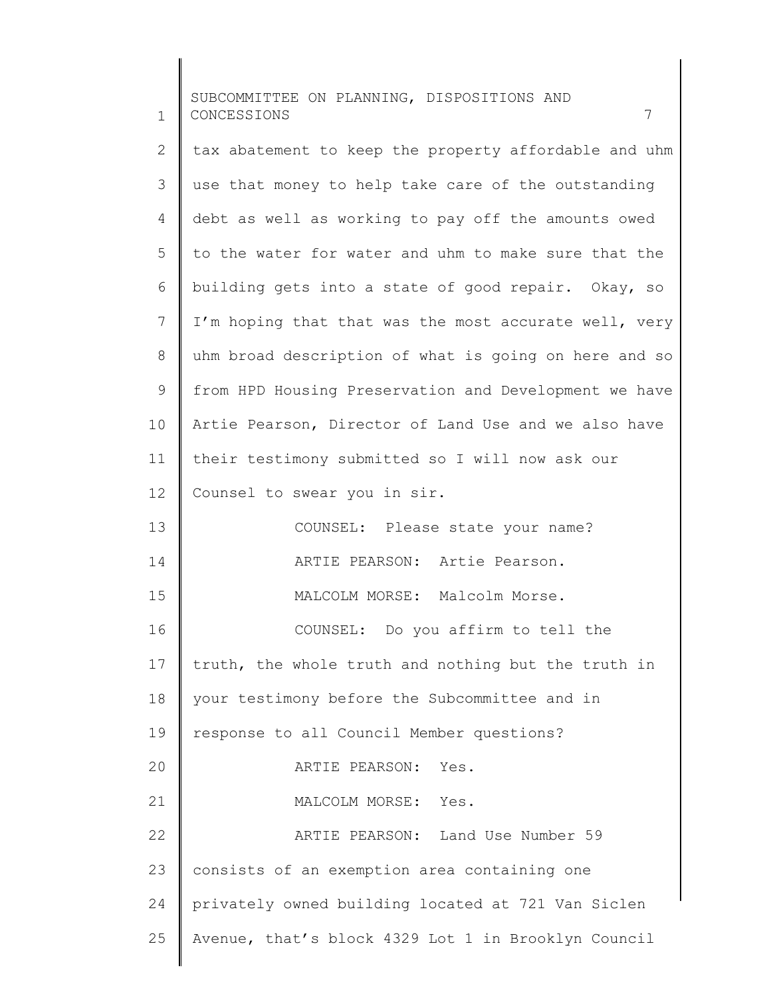1

2 3 4 5 6 7 8 9 10 11 12 13 14 15 16 17 18 19 20 21 22 23 24 25 tax abatement to keep the property affordable and uhm use that money to help take care of the outstanding debt as well as working to pay off the amounts owed to the water for water and uhm to make sure that the building gets into a state of good repair. Okay, so I'm hoping that that was the most accurate well, very uhm broad description of what is going on here and so from HPD Housing Preservation and Development we have Artie Pearson, Director of Land Use and we also have their testimony submitted so I will now ask our Counsel to swear you in sir. COUNSEL: Please state your name? ARTIE PEARSON: Artie Pearson. MALCOLM MORSE: Malcolm Morse. COUNSEL: Do you affirm to tell the truth, the whole truth and nothing but the truth in your testimony before the Subcommittee and in response to all Council Member questions? ARTIE PEARSON: Yes. MALCOLM MORSE: Yes. ARTIE PEARSON: Land Use Number 59 consists of an exemption area containing one privately owned building located at 721 Van Siclen Avenue, that's block 4329 Lot 1 in Brooklyn Council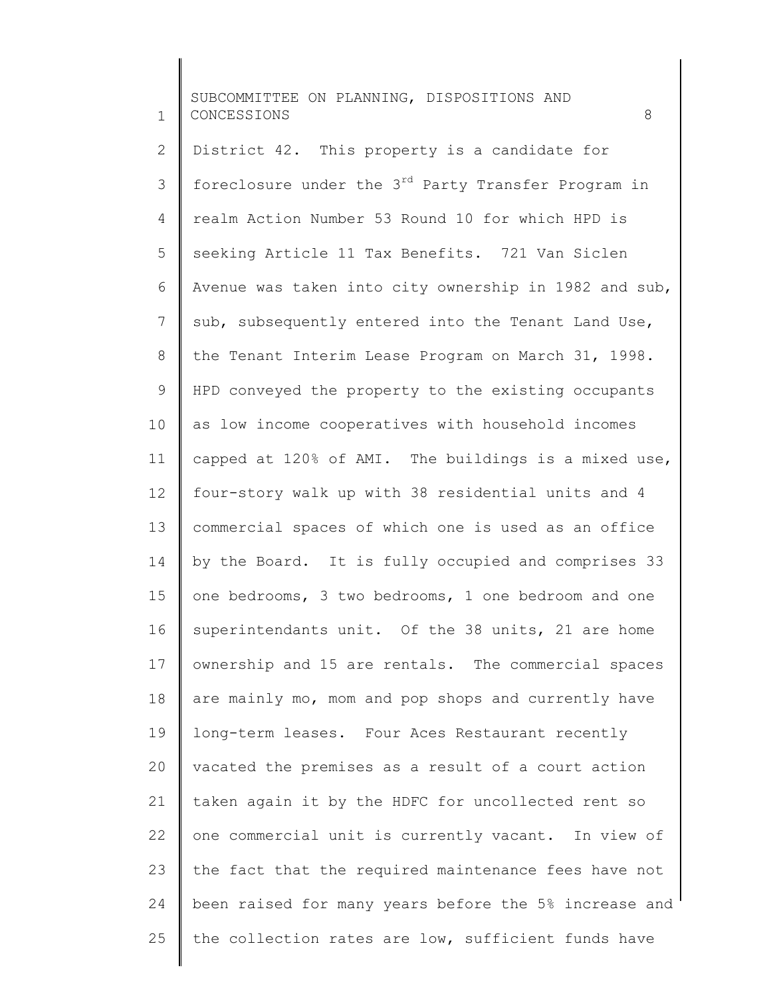1

2 3 4 5 6 7 8 9 10 11 12 13 14 15 16 17 18 19 20 21 22 23 24 25 District 42. This property is a candidate for foreclosure under the 3<sup>rd</sup> Party Transfer Program in realm Action Number 53 Round 10 for which HPD is seeking Article 11 Tax Benefits. 721 Van Siclen Avenue was taken into city ownership in 1982 and sub, sub, subsequently entered into the Tenant Land Use, the Tenant Interim Lease Program on March 31, 1998. HPD conveyed the property to the existing occupants as low income cooperatives with household incomes capped at 120% of AMI. The buildings is a mixed use, four-story walk up with 38 residential units and 4 commercial spaces of which one is used as an office by the Board. It is fully occupied and comprises 33 one bedrooms, 3 two bedrooms, 1 one bedroom and one superintendants unit. Of the 38 units, 21 are home ownership and 15 are rentals. The commercial spaces are mainly mo, mom and pop shops and currently have long-term leases. Four Aces Restaurant recently vacated the premises as a result of a court action taken again it by the HDFC for uncollected rent so one commercial unit is currently vacant. In view of the fact that the required maintenance fees have not been raised for many years before the 5% increase and the collection rates are low, sufficient funds have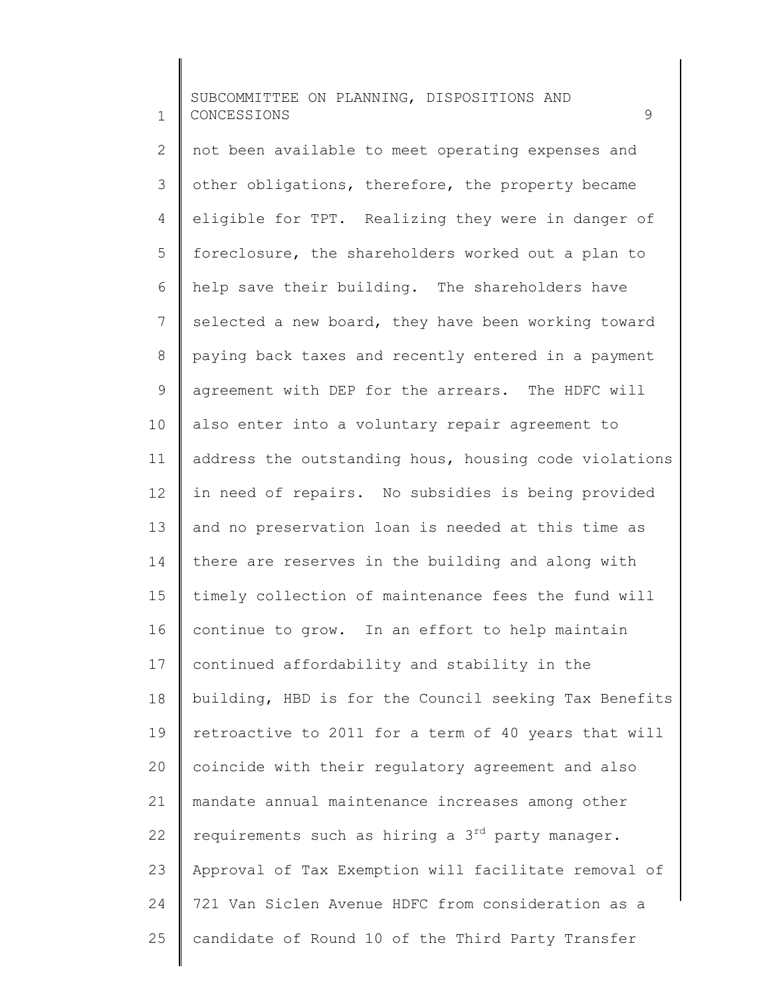1

2 3 4 5 6 7 8 9 10 11 12 13 14 15 16 17 18 19 20 21 22 23 24 25 not been available to meet operating expenses and other obligations, therefore, the property became eligible for TPT. Realizing they were in danger of foreclosure, the shareholders worked out a plan to help save their building. The shareholders have selected a new board, they have been working toward paying back taxes and recently entered in a payment agreement with DEP for the arrears. The HDFC will also enter into a voluntary repair agreement to address the outstanding hous, housing code violations in need of repairs. No subsidies is being provided and no preservation loan is needed at this time as there are reserves in the building and along with timely collection of maintenance fees the fund will continue to grow. In an effort to help maintain continued affordability and stability in the building, HBD is for the Council seeking Tax Benefits retroactive to 2011 for a term of 40 years that will coincide with their regulatory agreement and also mandate annual maintenance increases among other requirements such as hiring a  $3<sup>rd</sup>$  party manager. Approval of Tax Exemption will facilitate removal of 721 Van Siclen Avenue HDFC from consideration as a candidate of Round 10 of the Third Party Transfer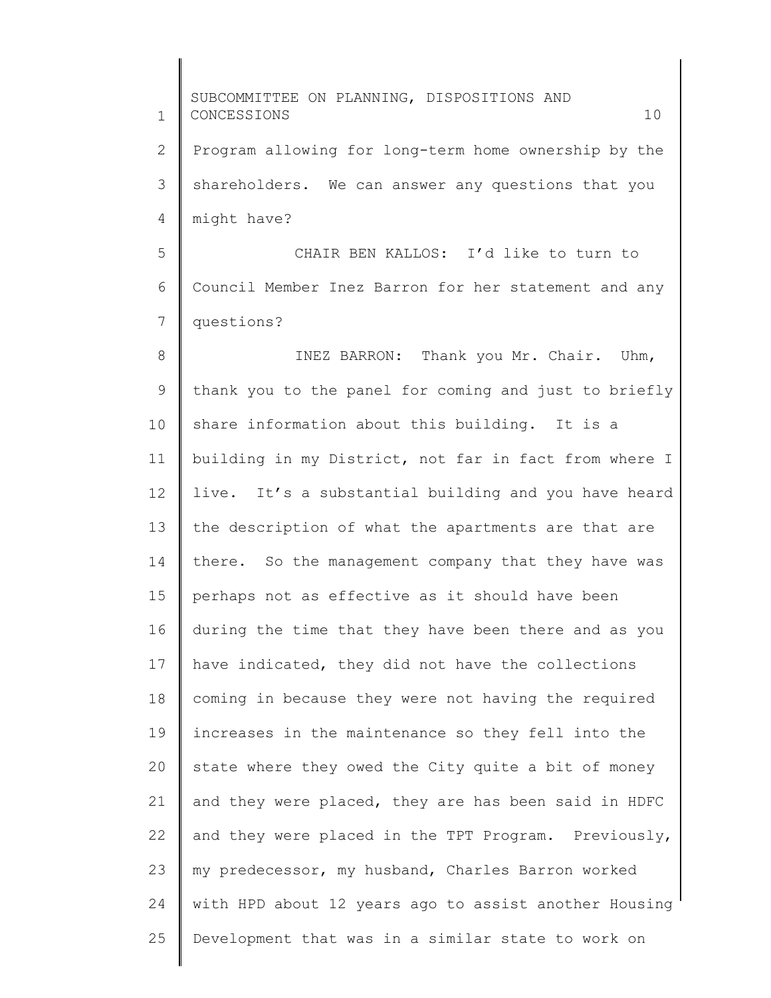1 2 3 4 5 6 7 8 9 10 11 12 13 14 15 16 17 18 19 20 21 22 23 24 25 SUBCOMMITTEE ON PLANNING, DISPOSITIONS AND CONCESSIONS 10 Program allowing for long-term home ownership by the shareholders. We can answer any questions that you might have? CHAIR BEN KALLOS: I'd like to turn to Council Member Inez Barron for her statement and any questions? INEZ BARRON: Thank you Mr. Chair. Uhm, thank you to the panel for coming and just to briefly share information about this building. It is a building in my District, not far in fact from where I live. It's a substantial building and you have heard the description of what the apartments are that are there. So the management company that they have was perhaps not as effective as it should have been during the time that they have been there and as you have indicated, they did not have the collections coming in because they were not having the required increases in the maintenance so they fell into the state where they owed the City quite a bit of money and they were placed, they are has been said in HDFC and they were placed in the TPT Program. Previously, my predecessor, my husband, Charles Barron worked with HPD about 12 years ago to assist another Housing Development that was in a similar state to work on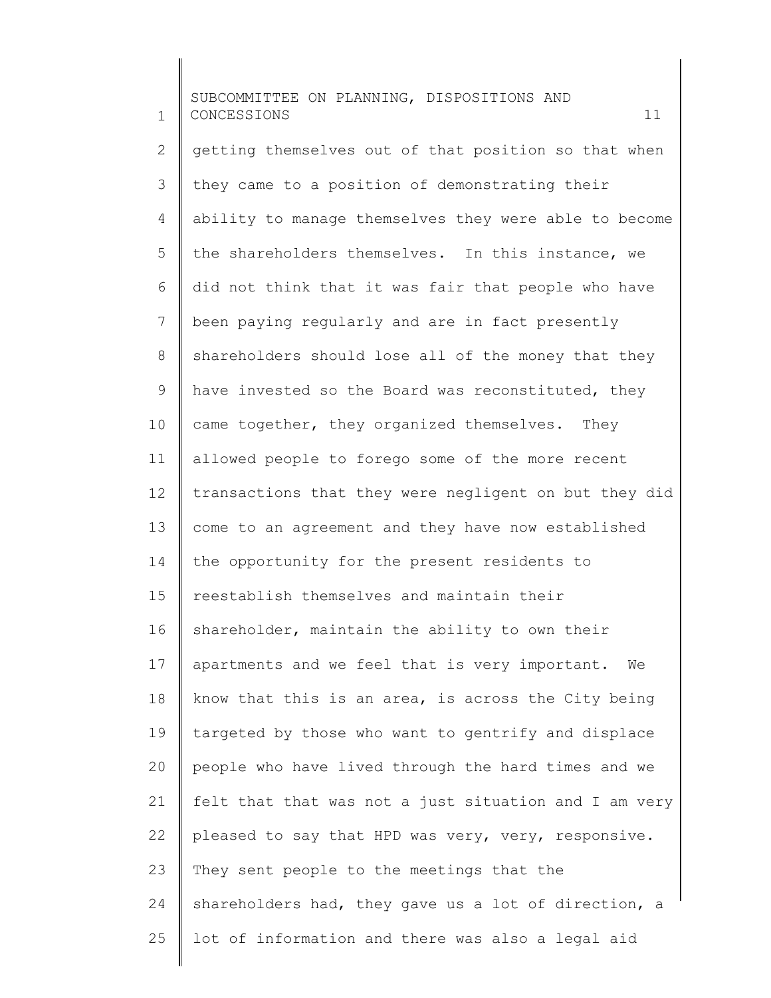1

2 3 4 5 6 7 8 9 10 11 12 13 14 15 16 17 18 19 20 21 22 23 24 25 getting themselves out of that position so that when they came to a position of demonstrating their ability to manage themselves they were able to become the shareholders themselves. In this instance, we did not think that it was fair that people who have been paying regularly and are in fact presently shareholders should lose all of the money that they have invested so the Board was reconstituted, they came together, they organized themselves. They allowed people to forego some of the more recent transactions that they were negligent on but they did come to an agreement and they have now established the opportunity for the present residents to reestablish themselves and maintain their shareholder, maintain the ability to own their apartments and we feel that is very important. We know that this is an area, is across the City being targeted by those who want to gentrify and displace people who have lived through the hard times and we felt that that was not a just situation and I am very pleased to say that HPD was very, very, responsive. They sent people to the meetings that the shareholders had, they gave us a lot of direction, a lot of information and there was also a legal aid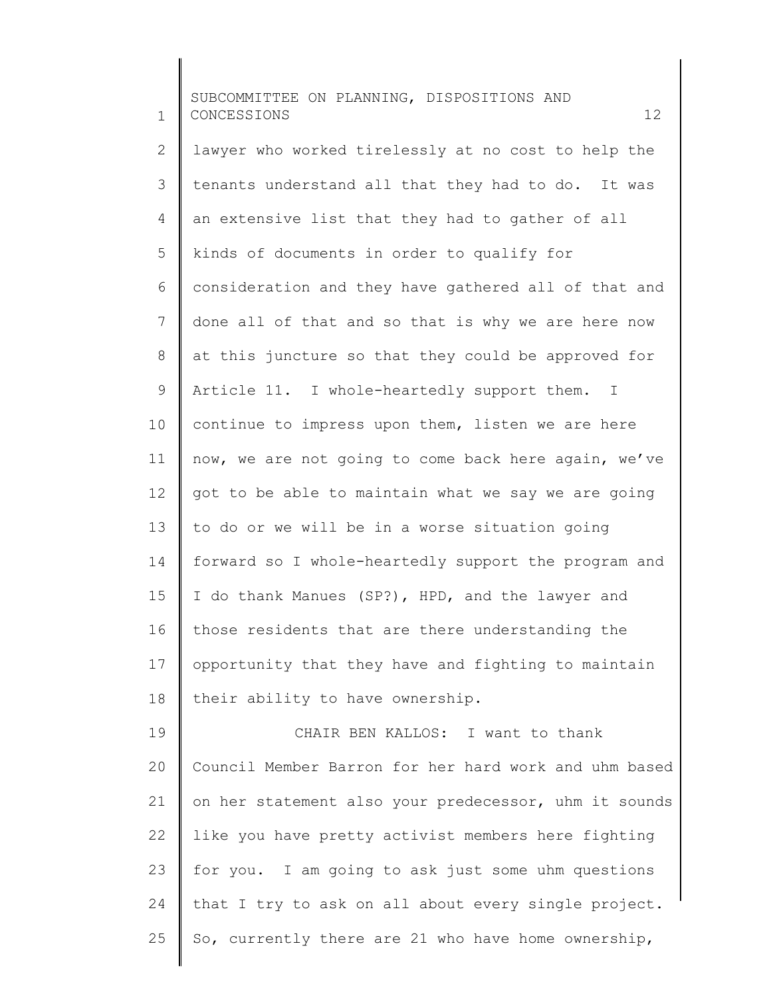1

2 3 4 5 6 7 8 9 10 11 12 13 14 15 16 17 18 lawyer who worked tirelessly at no cost to help the tenants understand all that they had to do. It was an extensive list that they had to gather of all kinds of documents in order to qualify for consideration and they have gathered all of that and done all of that and so that is why we are here now at this juncture so that they could be approved for Article 11. I whole-heartedly support them. I continue to impress upon them, listen we are here now, we are not going to come back here again, we've got to be able to maintain what we say we are going to do or we will be in a worse situation going forward so I whole-heartedly support the program and I do thank Manues (SP?), HPD, and the lawyer and those residents that are there understanding the opportunity that they have and fighting to maintain their ability to have ownership.

19 20 21 22 23 24 25 CHAIR BEN KALLOS: I want to thank Council Member Barron for her hard work and uhm based on her statement also your predecessor, uhm it sounds like you have pretty activist members here fighting for you. I am going to ask just some uhm questions that I try to ask on all about every single project. So, currently there are 21 who have home ownership,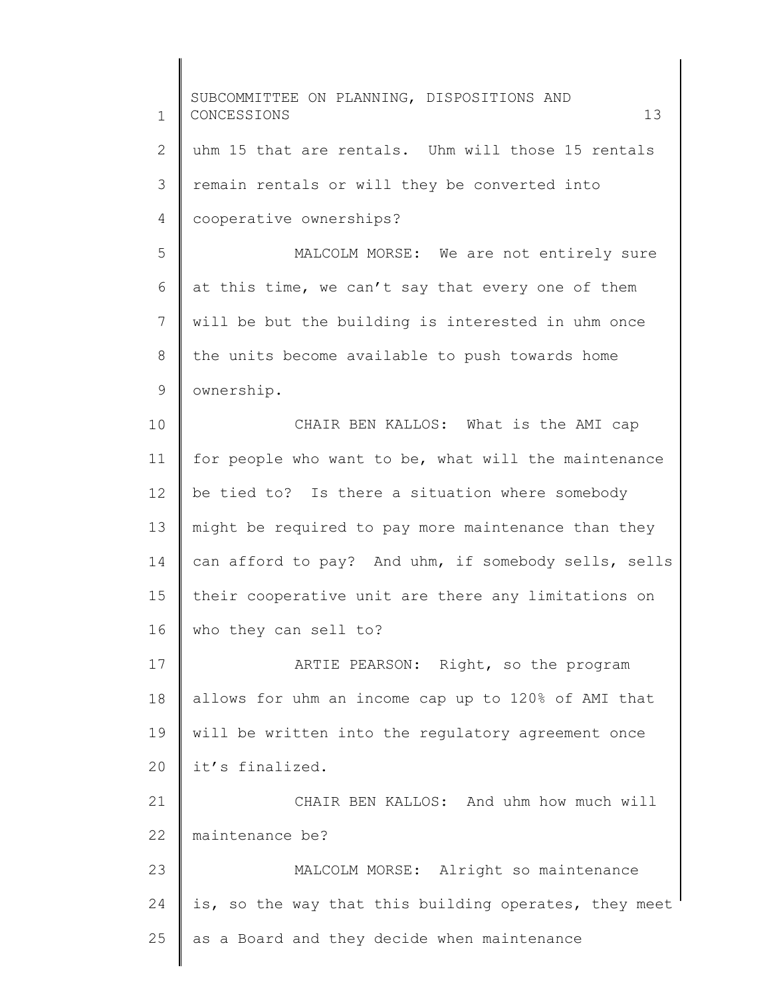1 2 3 4 5 6 7 8 9 10 11 12 13 14 15 16 17 18 19 20 21 22 23 24 25 SUBCOMMITTEE ON PLANNING, DISPOSITIONS AND CONCESSIONS 13 uhm 15 that are rentals. Uhm will those 15 rentals remain rentals or will they be converted into cooperative ownerships? MALCOLM MORSE: We are not entirely sure at this time, we can't say that every one of them will be but the building is interested in uhm once the units become available to push towards home ownership. CHAIR BEN KALLOS: What is the AMI cap for people who want to be, what will the maintenance be tied to? Is there a situation where somebody might be required to pay more maintenance than they can afford to pay? And uhm, if somebody sells, sells their cooperative unit are there any limitations on who they can sell to? ARTIE PEARSON: Right, so the program allows for uhm an income cap up to 120% of AMI that will be written into the regulatory agreement once it's finalized. CHAIR BEN KALLOS: And uhm how much will maintenance be? MALCOLM MORSE: Alright so maintenance is, so the way that this building operates, they meet as a Board and they decide when maintenance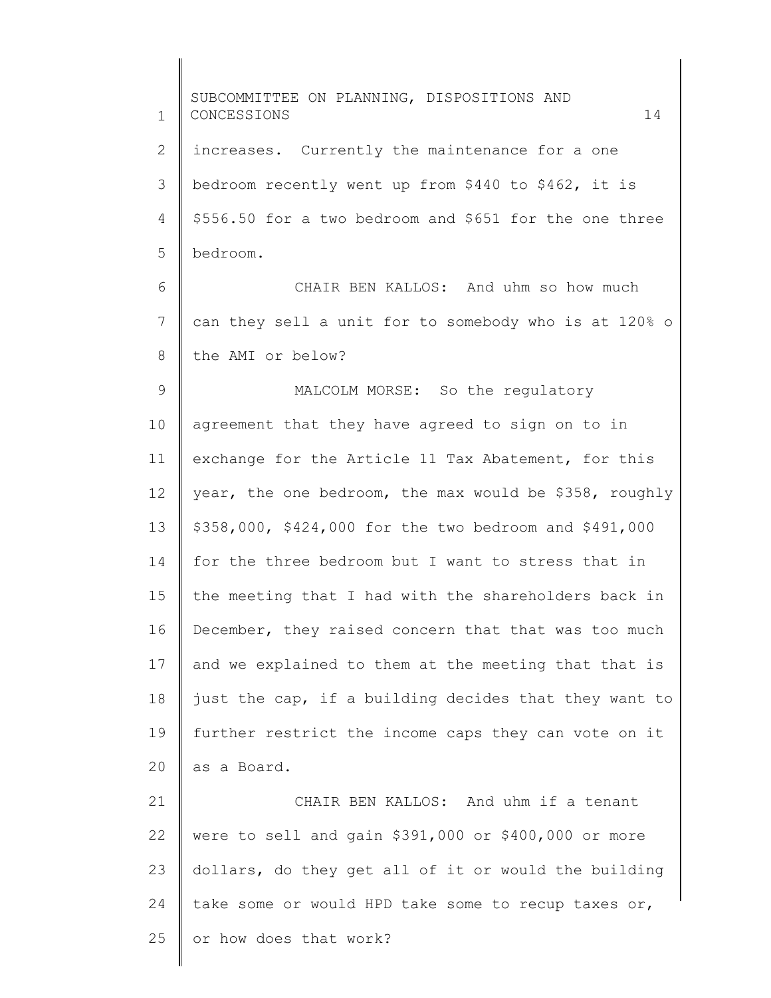1 2 3 4 5 6 7 8 9 10 11 12 13 14 15 16 17 18 19 20 21 22 23 24 25 SUBCOMMITTEE ON PLANNING, DISPOSITIONS AND CONCESSIONS 14 increases. Currently the maintenance for a one bedroom recently went up from \$440 to \$462, it is \$556.50 for a two bedroom and \$651 for the one three bedroom. CHAIR BEN KALLOS: And uhm so how much can they sell a unit for to somebody who is at 120% o the AMI or below? MALCOLM MORSE: So the regulatory agreement that they have agreed to sign on to in exchange for the Article 11 Tax Abatement, for this year, the one bedroom, the max would be \$358, roughly \$358,000, \$424,000 for the two bedroom and \$491,000 for the three bedroom but I want to stress that in the meeting that I had with the shareholders back in December, they raised concern that that was too much and we explained to them at the meeting that that is just the cap, if a building decides that they want to further restrict the income caps they can vote on it as a Board. CHAIR BEN KALLOS: And uhm if a tenant were to sell and gain \$391,000 or \$400,000 or more dollars, do they get all of it or would the building take some or would HPD take some to recup taxes or, or how does that work?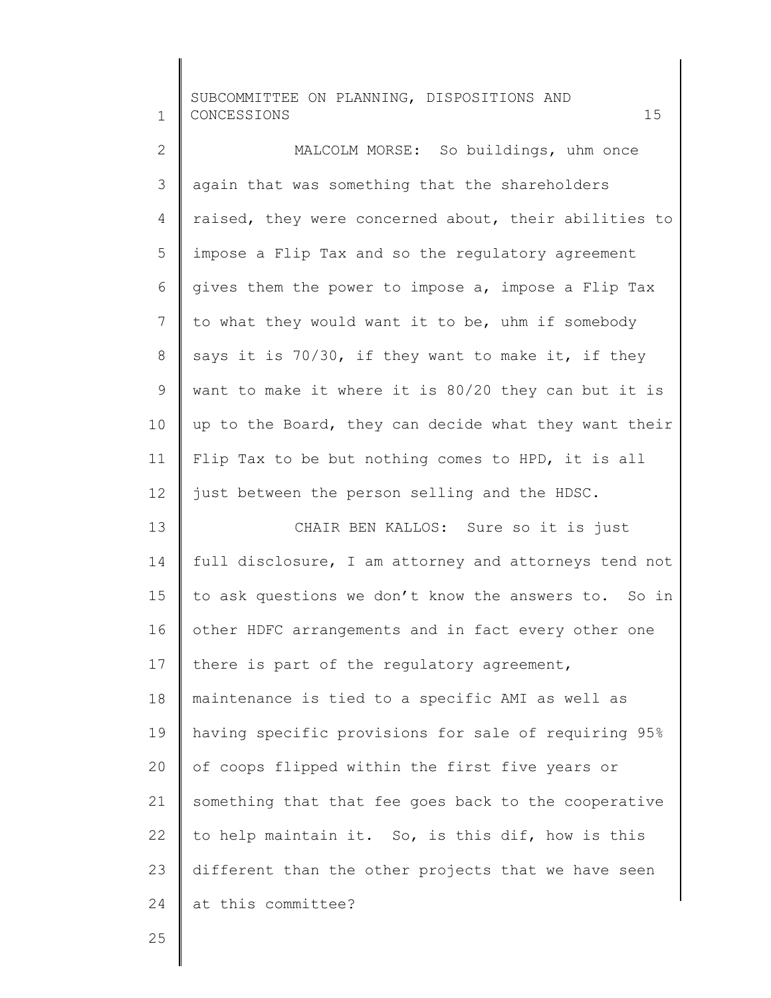2 3 4 5 6 7 8 9 10 11 12 13 MALCOLM MORSE: So buildings, uhm once again that was something that the shareholders raised, they were concerned about, their abilities to impose a Flip Tax and so the regulatory agreement gives them the power to impose a, impose a Flip Tax to what they would want it to be, uhm if somebody says it is 70/30, if they want to make it, if they want to make it where it is 80/20 they can but it is up to the Board, they can decide what they want their Flip Tax to be but nothing comes to HPD, it is all just between the person selling and the HDSC. CHAIR BEN KALLOS: Sure so it is just

14 15 16 17 18 19 20 21 22 23 24 full disclosure, I am attorney and attorneys tend not to ask questions we don't know the answers to. So in other HDFC arrangements and in fact every other one there is part of the regulatory agreement, maintenance is tied to a specific AMI as well as having specific provisions for sale of requiring 95% of coops flipped within the first five years or something that that fee goes back to the cooperative to help maintain it. So, is this dif, how is this different than the other projects that we have seen at this committee?

25

1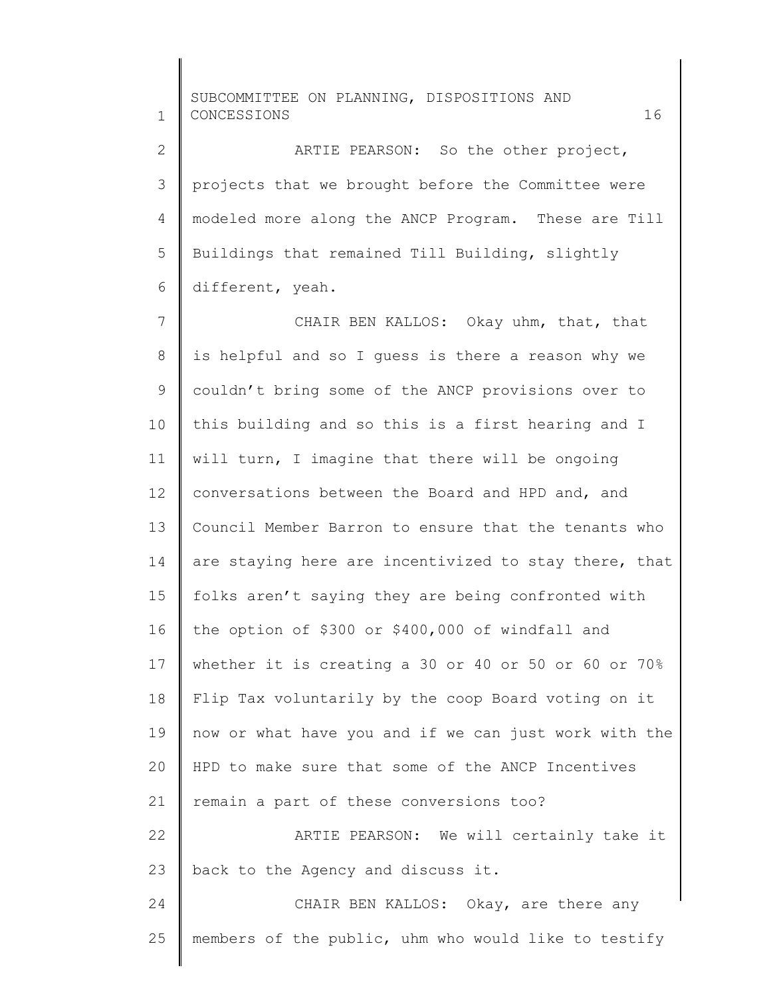1

2 3 4 5 6 ARTIE PEARSON: So the other project, projects that we brought before the Committee were modeled more along the ANCP Program. These are Till Buildings that remained Till Building, slightly different, yeah.

7 8 9 10 11 12 13 14 15 16 17 18 19 20 21 22 23 24 25 CHAIR BEN KALLOS: Okay uhm, that, that is helpful and so I guess is there a reason why we couldn't bring some of the ANCP provisions over to this building and so this is a first hearing and I will turn, I imagine that there will be ongoing conversations between the Board and HPD and, and Council Member Barron to ensure that the tenants who are staying here are incentivized to stay there, that folks aren't saying they are being confronted with the option of \$300 or \$400,000 of windfall and whether it is creating a 30 or 40 or 50 or 60 or 70% Flip Tax voluntarily by the coop Board voting on it now or what have you and if we can just work with the HPD to make sure that some of the ANCP Incentives remain a part of these conversions too? ARTIE PEARSON: We will certainly take it back to the Agency and discuss it. CHAIR BEN KALLOS: Okay, are there any members of the public, uhm who would like to testify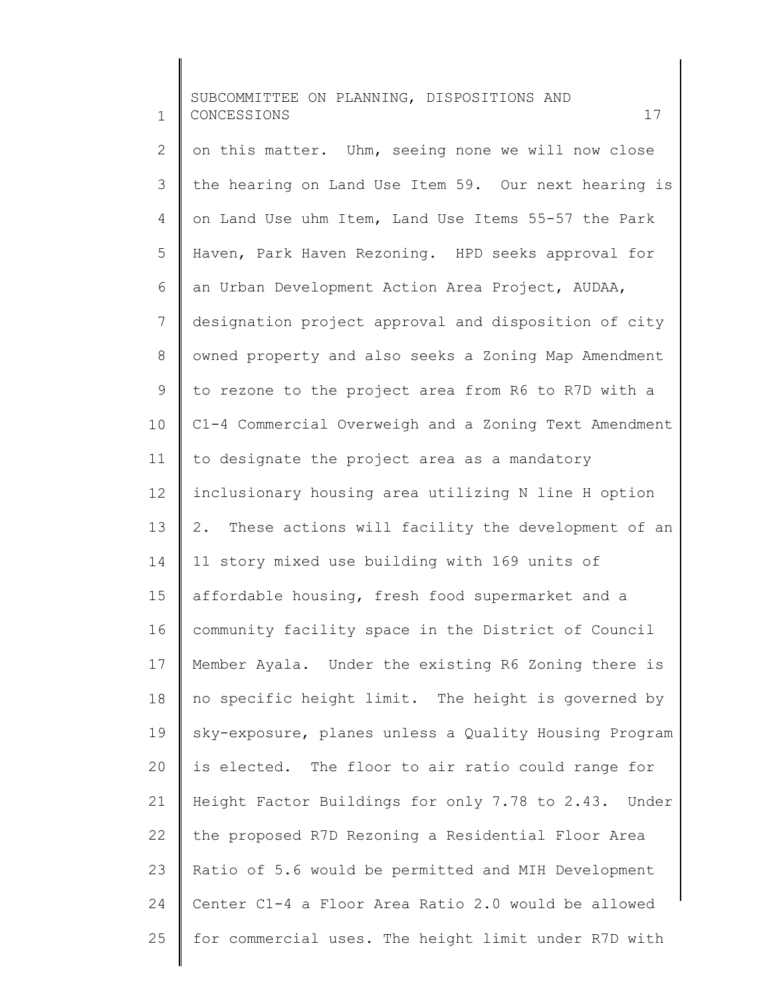1 2 SUBCOMMITTEE ON PLANNING, DISPOSITIONS AND CONCESSIONS 17 on this matter. Uhm, seeing none we will now close

3 4 5 6 7 8 9 10 11 12 13 14 15 16 17 18 19 20 21 22 23 24 25 the hearing on Land Use Item 59. Our next hearing is on Land Use uhm Item, Land Use Items 55-57 the Park Haven, Park Haven Rezoning. HPD seeks approval for an Urban Development Action Area Project, AUDAA, designation project approval and disposition of city owned property and also seeks a Zoning Map Amendment to rezone to the project area from R6 to R7D with a C1-4 Commercial Overweigh and a Zoning Text Amendment to designate the project area as a mandatory inclusionary housing area utilizing N line H option 2. These actions will facility the development of an 11 story mixed use building with 169 units of affordable housing, fresh food supermarket and a community facility space in the District of Council Member Ayala. Under the existing R6 Zoning there is no specific height limit. The height is governed by sky-exposure, planes unless a Quality Housing Program is elected. The floor to air ratio could range for Height Factor Buildings for only 7.78 to 2.43. Under the proposed R7D Rezoning a Residential Floor Area Ratio of 5.6 would be permitted and MIH Development Center C1-4 a Floor Area Ratio 2.0 would be allowed for commercial uses. The height limit under R7D with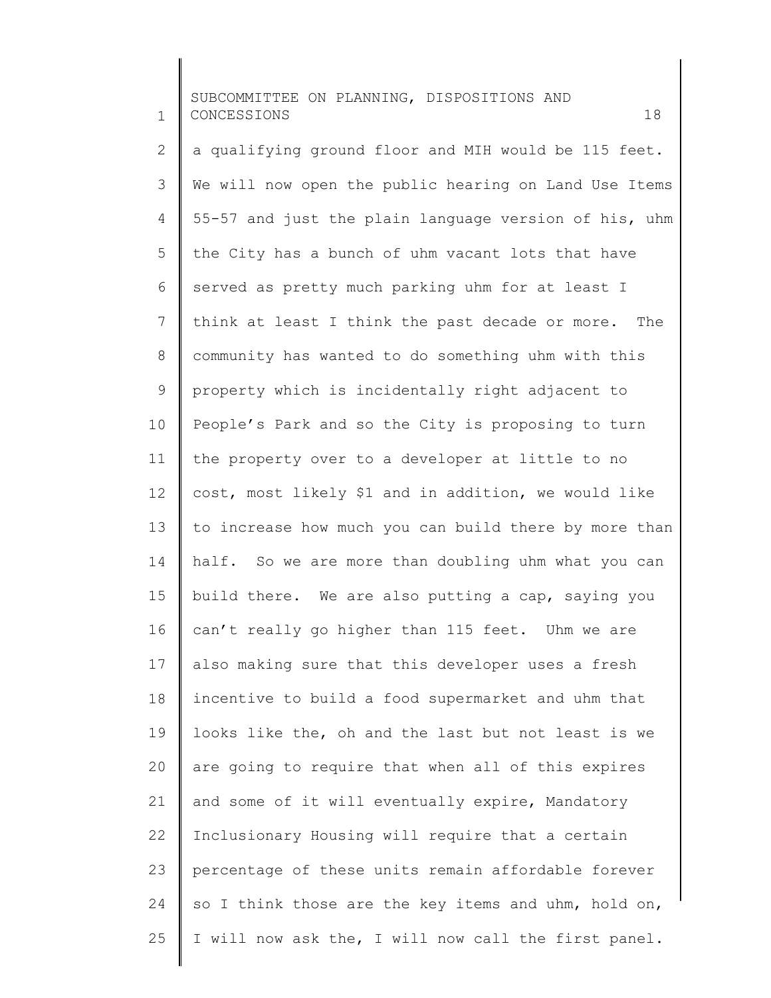1

2 3 4 5 6 7 8 9 10 11 12 13 14 15 16 17 18 19 20 21 22 23 24 25 a qualifying ground floor and MIH would be 115 feet. We will now open the public hearing on Land Use Items 55-57 and just the plain language version of his, uhm the City has a bunch of uhm vacant lots that have served as pretty much parking uhm for at least I think at least I think the past decade or more. The community has wanted to do something uhm with this property which is incidentally right adjacent to People's Park and so the City is proposing to turn the property over to a developer at little to no cost, most likely \$1 and in addition, we would like to increase how much you can build there by more than half. So we are more than doubling uhm what you can build there. We are also putting a cap, saying you can't really go higher than 115 feet. Uhm we are also making sure that this developer uses a fresh incentive to build a food supermarket and uhm that looks like the, oh and the last but not least is we are going to require that when all of this expires and some of it will eventually expire, Mandatory Inclusionary Housing will require that a certain percentage of these units remain affordable forever so I think those are the key items and uhm, hold on, I will now ask the, I will now call the first panel.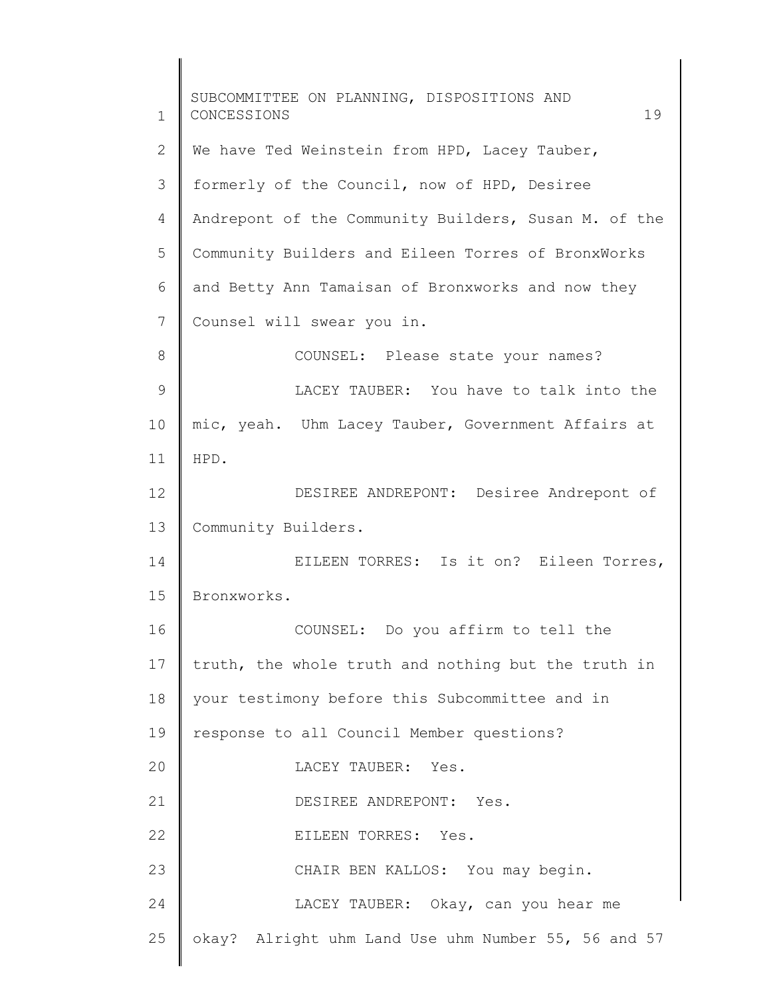1 2 3 4 5 6 7 8 9 10 11 12 13 14 15 16 17 18 19 20 21 22 23 24 25 SUBCOMMITTEE ON PLANNING, DISPOSITIONS AND CONCESSIONS 19 We have Ted Weinstein from HPD, Lacey Tauber, formerly of the Council, now of HPD, Desiree Andrepont of the Community Builders, Susan M. of the Community Builders and Eileen Torres of BronxWorks and Betty Ann Tamaisan of Bronxworks and now they Counsel will swear you in. COUNSEL: Please state your names? LACEY TAUBER: You have to talk into the mic, yeah. Uhm Lacey Tauber, Government Affairs at HPD. DESIREE ANDREPONT: Desiree Andrepont of Community Builders. EILEEN TORRES: Is it on? Eileen Torres, Bronxworks. COUNSEL: Do you affirm to tell the truth, the whole truth and nothing but the truth in your testimony before this Subcommittee and in response to all Council Member questions? LACEY TAUBER: Yes. DESIREE ANDREPONT: Yes. EILEEN TORRES: Yes. CHAIR BEN KALLOS: You may begin. LACEY TAUBER: Okay, can you hear me okay? Alright uhm Land Use uhm Number 55, 56 and 57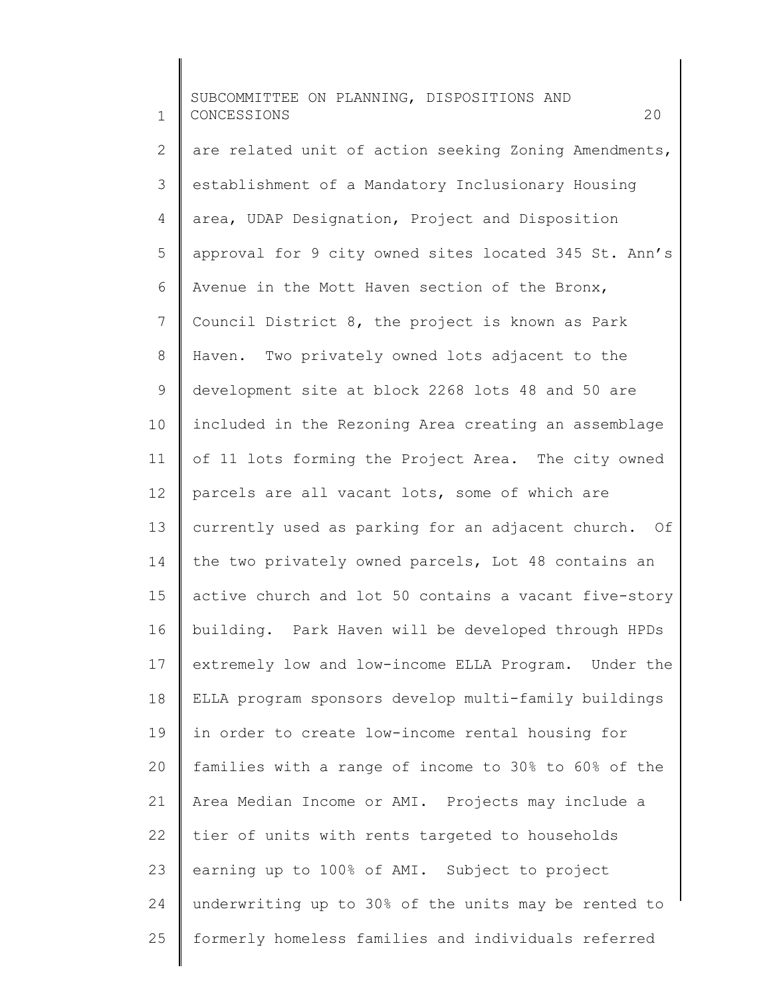1

2 3 4 5 6 7 8 9 10 11 12 13 14 15 16 17 18 19 20 21 22 23 24 25 are related unit of action seeking Zoning Amendments, establishment of a Mandatory Inclusionary Housing area, UDAP Designation, Project and Disposition approval for 9 city owned sites located 345 St. Ann's Avenue in the Mott Haven section of the Bronx, Council District 8, the project is known as Park Haven. Two privately owned lots adjacent to the development site at block 2268 lots 48 and 50 are included in the Rezoning Area creating an assemblage of 11 lots forming the Project Area. The city owned parcels are all vacant lots, some of which are currently used as parking for an adjacent church. Of the two privately owned parcels, Lot 48 contains an active church and lot 50 contains a vacant five-story building. Park Haven will be developed through HPDs extremely low and low-income ELLA Program. Under the ELLA program sponsors develop multi-family buildings in order to create low-income rental housing for families with a range of income to 30% to 60% of the Area Median Income or AMI. Projects may include a tier of units with rents targeted to households earning up to 100% of AMI. Subject to project underwriting up to 30% of the units may be rented to formerly homeless families and individuals referred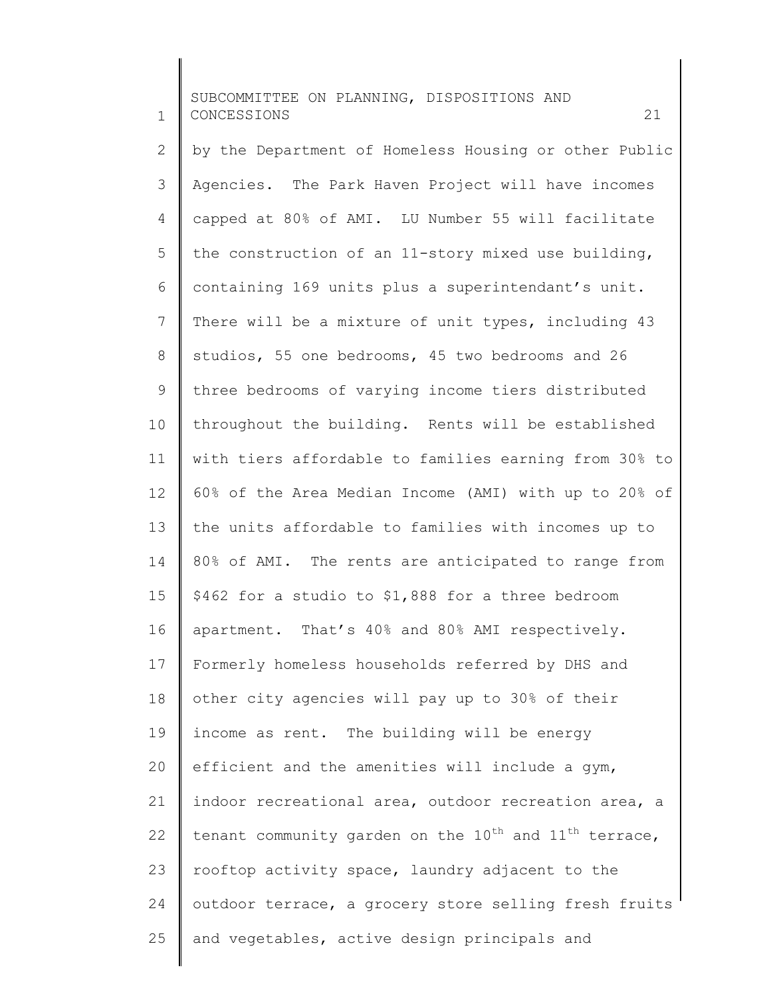1

2 3 4 5 6 7 8 9 10 11 12 13 14 15 16 17 18 19 20 21 22 23 24 25 by the Department of Homeless Housing or other Public Agencies. The Park Haven Project will have incomes capped at 80% of AMI. LU Number 55 will facilitate the construction of an 11-story mixed use building, containing 169 units plus a superintendant's unit. There will be a mixture of unit types, including 43 studios, 55 one bedrooms, 45 two bedrooms and 26 three bedrooms of varying income tiers distributed throughout the building. Rents will be established with tiers affordable to families earning from 30% to 60% of the Area Median Income (AMI) with up to 20% of the units affordable to families with incomes up to 80% of AMI. The rents are anticipated to range from \$462 for a studio to \$1,888 for a three bedroom apartment. That's 40% and 80% AMI respectively. Formerly homeless households referred by DHS and other city agencies will pay up to 30% of their income as rent. The building will be energy efficient and the amenities will include a gym, indoor recreational area, outdoor recreation area, a tenant community garden on the  $10^{th}$  and  $11^{th}$  terrace, rooftop activity space, laundry adjacent to the outdoor terrace, a grocery store selling fresh fruits and vegetables, active design principals and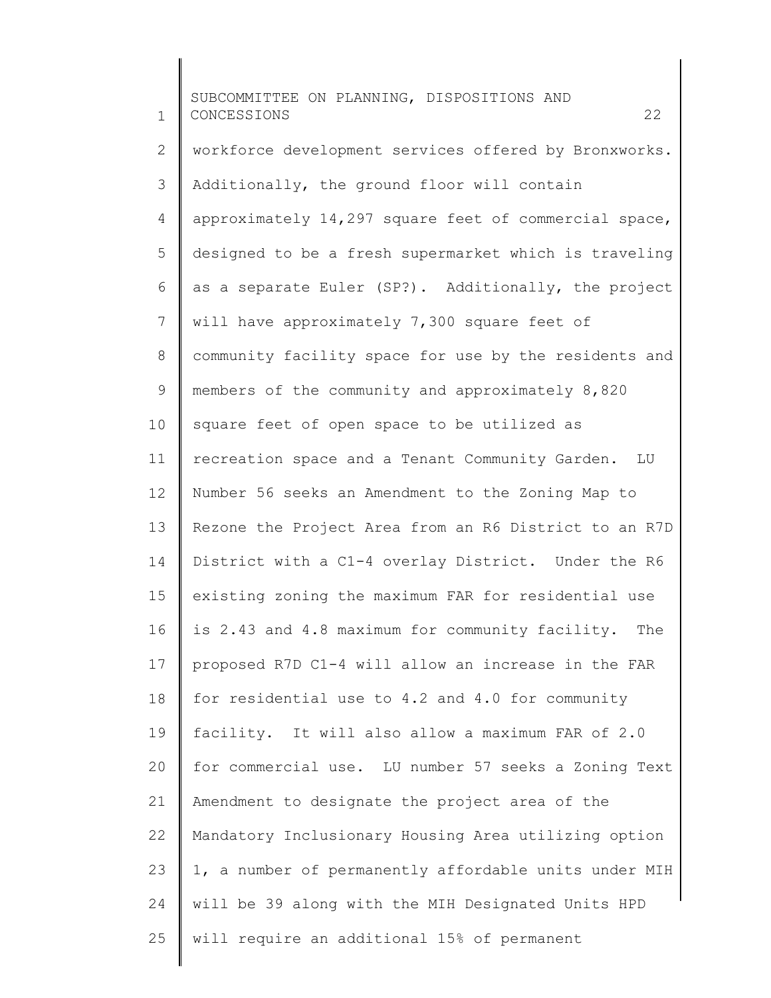1 2 3 4 5 6 7 8 9 10 11 12 13 14 15 16 17 18 19 20 21 22 23 24 25 SUBCOMMITTEE ON PLANNING, DISPOSITIONS AND CONCESSIONS 22 workforce development services offered by Bronxworks. Additionally, the ground floor will contain approximately 14,297 square feet of commercial space, designed to be a fresh supermarket which is traveling as a separate Euler (SP?). Additionally, the project will have approximately 7,300 square feet of community facility space for use by the residents and members of the community and approximately 8,820 square feet of open space to be utilized as recreation space and a Tenant Community Garden. LU Number 56 seeks an Amendment to the Zoning Map to Rezone the Project Area from an R6 District to an R7D District with a C1-4 overlay District. Under the R6 existing zoning the maximum FAR for residential use is 2.43 and 4.8 maximum for community facility. The proposed R7D C1-4 will allow an increase in the FAR for residential use to 4.2 and 4.0 for community facility. It will also allow a maximum FAR of 2.0 for commercial use. LU number 57 seeks a Zoning Text Amendment to designate the project area of the Mandatory Inclusionary Housing Area utilizing option 1, a number of permanently affordable units under MIH will be 39 along with the MIH Designated Units HPD will require an additional 15% of permanent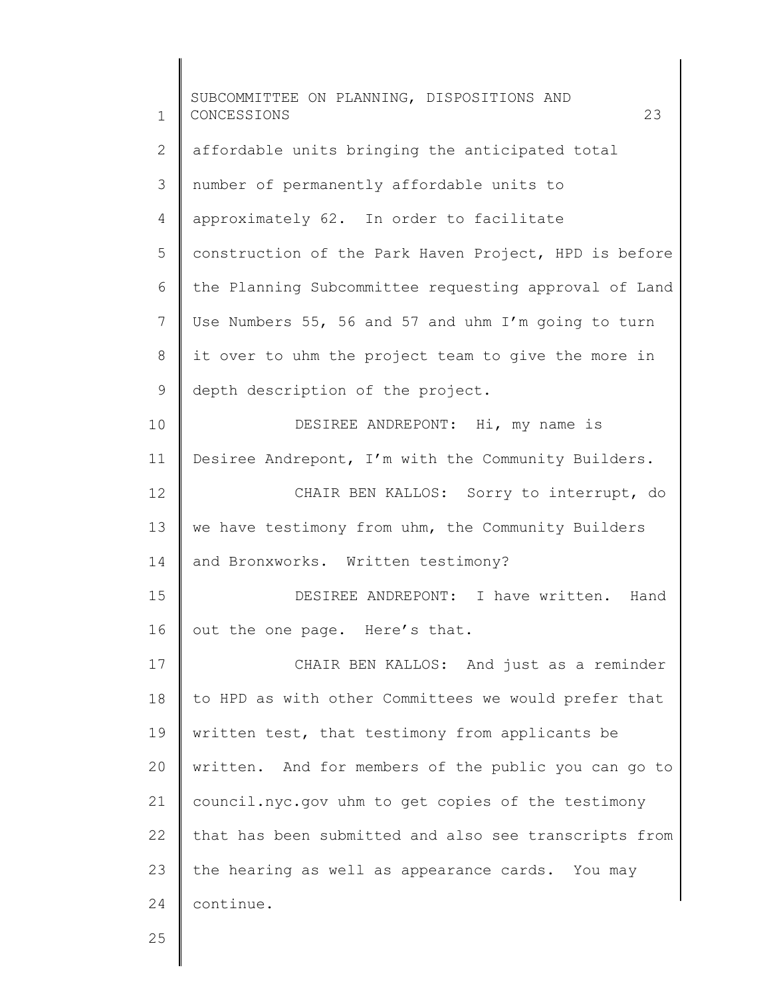1 2 3 4 5 6 7 8 9 10 11 12 13 14 15 16 17 18 19 20 21 22 23 24 25 SUBCOMMITTEE ON PLANNING, DISPOSITIONS AND CONCESSIONS 23 affordable units bringing the anticipated total number of permanently affordable units to approximately 62. In order to facilitate construction of the Park Haven Project, HPD is before the Planning Subcommittee requesting approval of Land Use Numbers 55, 56 and 57 and uhm I'm going to turn it over to uhm the project team to give the more in depth description of the project. DESIREE ANDREPONT: Hi, my name is Desiree Andrepont, I'm with the Community Builders. CHAIR BEN KALLOS: Sorry to interrupt, do we have testimony from uhm, the Community Builders and Bronxworks. Written testimony? DESIREE ANDREPONT: I have written. Hand out the one page. Here's that. CHAIR BEN KALLOS: And just as a reminder to HPD as with other Committees we would prefer that written test, that testimony from applicants be written. And for members of the public you can go to council.nyc.gov uhm to get copies of the testimony that has been submitted and also see transcripts from the hearing as well as appearance cards. You may continue.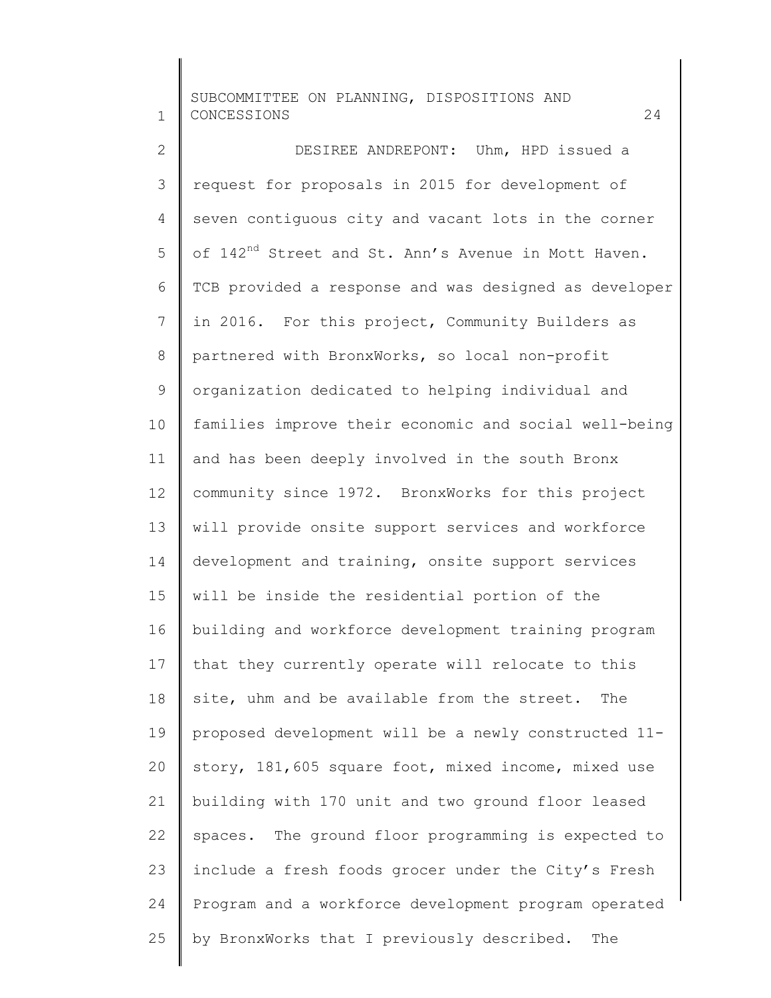1

2 3 4 5 6 7 8 9 10 11 12 13 14 15 16 17 18 19 20 21 22 23 24 25 DESIREE ANDREPONT: Uhm, HPD issued a request for proposals in 2015 for development of seven contiguous city and vacant lots in the corner of 142<sup>nd</sup> Street and St. Ann's Avenue in Mott Haven. TCB provided a response and was designed as developer in 2016. For this project, Community Builders as partnered with BronxWorks, so local non-profit organization dedicated to helping individual and families improve their economic and social well-being and has been deeply involved in the south Bronx community since 1972. BronxWorks for this project will provide onsite support services and workforce development and training, onsite support services will be inside the residential portion of the building and workforce development training program that they currently operate will relocate to this site, uhm and be available from the street. The proposed development will be a newly constructed 11 story, 181,605 square foot, mixed income, mixed use building with 170 unit and two ground floor leased spaces. The ground floor programming is expected to include a fresh foods grocer under the City's Fresh Program and a workforce development program operated by BronxWorks that I previously described. The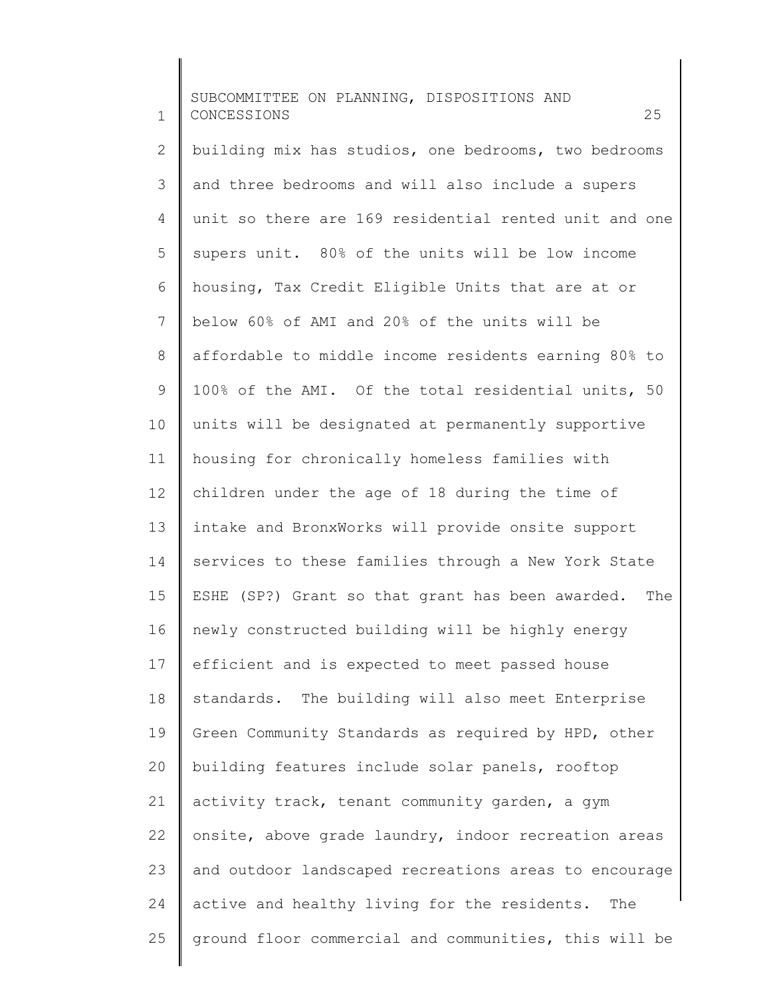1

2 3 4 5 6 7 8 9 10 11 12 13 14 15 16 17 18 19 20 21 22 23 24 25 building mix has studios, one bedrooms, two bedrooms and three bedrooms and will also include a supers unit so there are 169 residential rented unit and one supers unit. 80% of the units will be low income housing, Tax Credit Eligible Units that are at or below 60% of AMI and 20% of the units will be affordable to middle income residents earning 80% to 100% of the AMI. Of the total residential units, 50 units will be designated at permanently supportive housing for chronically homeless families with children under the age of 18 during the time of intake and BronxWorks will provide onsite support services to these families through a New York State ESHE (SP?) Grant so that grant has been awarded. The newly constructed building will be highly energy efficient and is expected to meet passed house standards. The building will also meet Enterprise Green Community Standards as required by HPD, other building features include solar panels, rooftop activity track, tenant community garden, a gym onsite, above grade laundry, indoor recreation areas and outdoor landscaped recreations areas to encourage active and healthy living for the residents. The ground floor commercial and communities, this will be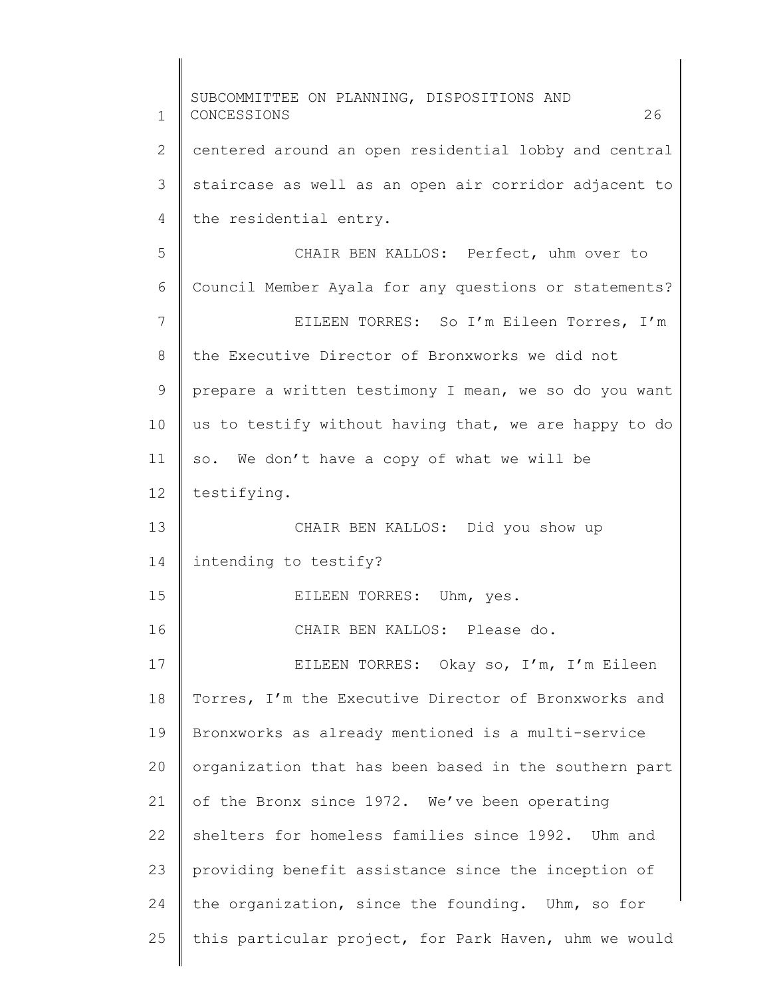1 2 3 4 5 6 7 8 9 10 11 12 13 14 15 16 17 18 19 20 21 22 23 24 25 SUBCOMMITTEE ON PLANNING, DISPOSITIONS AND CONCESSIONS 26 centered around an open residential lobby and central staircase as well as an open air corridor adjacent to the residential entry. CHAIR BEN KALLOS: Perfect, uhm over to Council Member Ayala for any questions or statements? EILEEN TORRES: So I'm Eileen Torres, I'm the Executive Director of Bronxworks we did not prepare a written testimony I mean, we so do you want us to testify without having that, we are happy to do so. We don't have a copy of what we will be testifying. CHAIR BEN KALLOS: Did you show up intending to testify? EILEEN TORRES: Uhm, yes. CHAIR BEN KALLOS: Please do. EILEEN TORRES: Okay so, I'm, I'm Eileen Torres, I'm the Executive Director of Bronxworks and Bronxworks as already mentioned is a multi-service organization that has been based in the southern part of the Bronx since 1972. We've been operating shelters for homeless families since 1992. Uhm and providing benefit assistance since the inception of the organization, since the founding. Uhm, so for this particular project, for Park Haven, uhm we would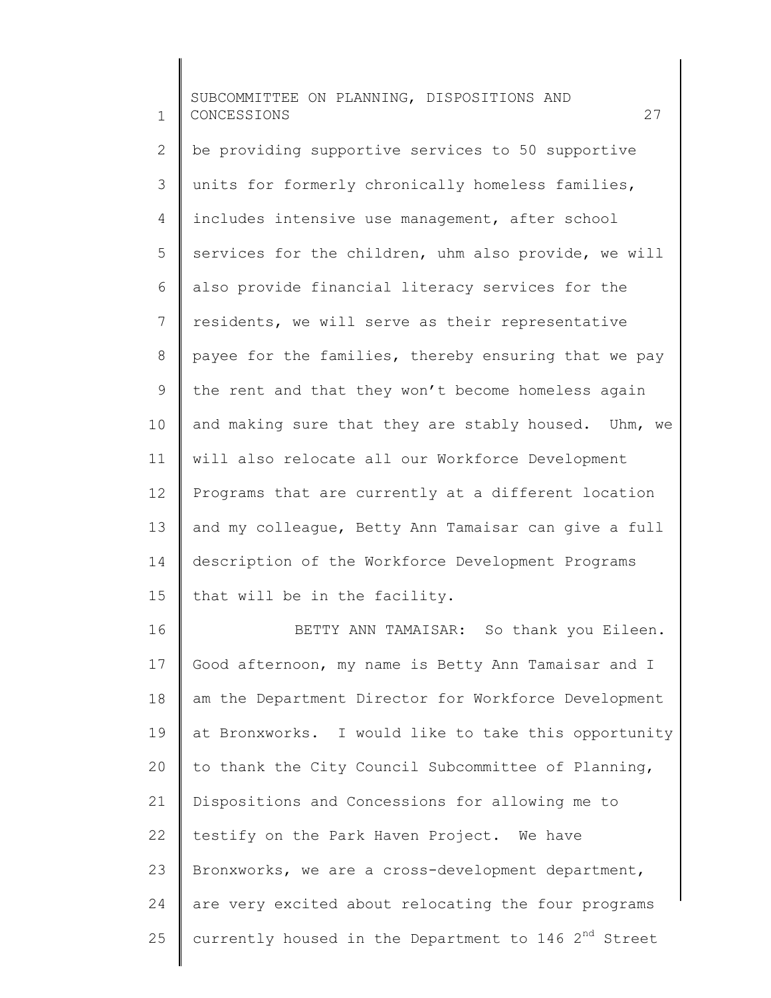1

2 3 4 5 6 7 8 9 10 11 12 13 14 15 be providing supportive services to 50 supportive units for formerly chronically homeless families, includes intensive use management, after school services for the children, uhm also provide, we will also provide financial literacy services for the residents, we will serve as their representative payee for the families, thereby ensuring that we pay the rent and that they won't become homeless again and making sure that they are stably housed. Uhm, we will also relocate all our Workforce Development Programs that are currently at a different location and my colleague, Betty Ann Tamaisar can give a full description of the Workforce Development Programs that will be in the facility.

16 17 18 19 20 21 22 23 24 25 BETTY ANN TAMAISAR: So thank you Eileen. Good afternoon, my name is Betty Ann Tamaisar and I am the Department Director for Workforce Development at Bronxworks. I would like to take this opportunity to thank the City Council Subcommittee of Planning, Dispositions and Concessions for allowing me to testify on the Park Haven Project. We have Bronxworks, we are a cross-development department, are very excited about relocating the four programs currently housed in the Department to 146 2<sup>nd</sup> Street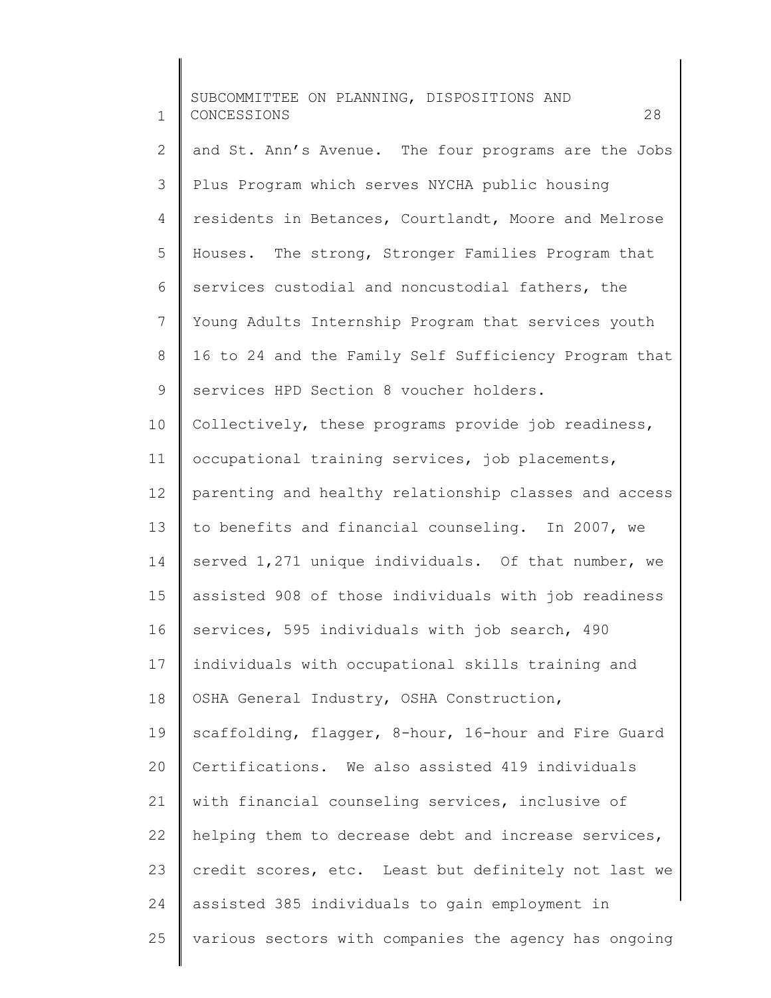1 2 3 4 5 6 7 8 9 10 11 12 13 14 15 16 17 18 19 20 21 22 23 24 25 SUBCOMMITTEE ON PLANNING, DISPOSITIONS AND CONCESSIONS 28 and St. Ann's Avenue. The four programs are the Jobs Plus Program which serves NYCHA public housing residents in Betances, Courtlandt, Moore and Melrose Houses. The strong, Stronger Families Program that services custodial and noncustodial fathers, the Young Adults Internship Program that services youth 16 to 24 and the Family Self Sufficiency Program that services HPD Section 8 voucher holders. Collectively, these programs provide job readiness, occupational training services, job placements, parenting and healthy relationship classes and access to benefits and financial counseling. In 2007, we served 1,271 unique individuals. Of that number, we assisted 908 of those individuals with job readiness services, 595 individuals with job search, 490 individuals with occupational skills training and OSHA General Industry, OSHA Construction, scaffolding, flagger, 8-hour, 16-hour and Fire Guard Certifications. We also assisted 419 individuals with financial counseling services, inclusive of helping them to decrease debt and increase services, credit scores, etc. Least but definitely not last we assisted 385 individuals to gain employment in various sectors with companies the agency has ongoing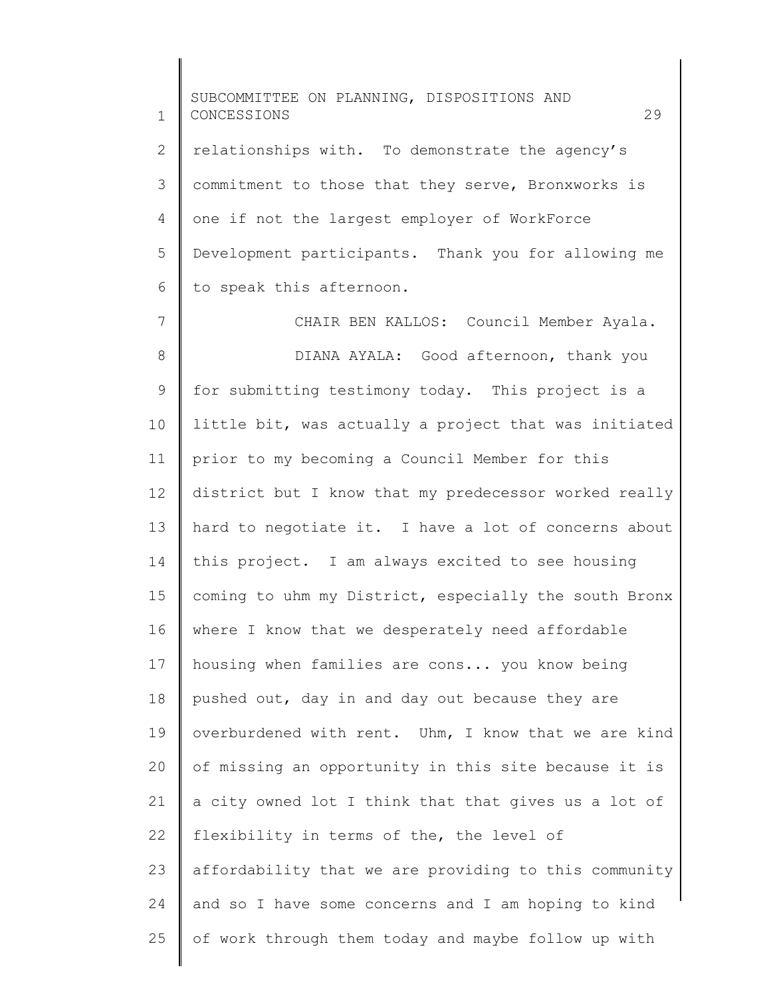1

2 3 4 5 6 relationships with. To demonstrate the agency's commitment to those that they serve, Bronxworks is one if not the largest employer of WorkForce Development participants. Thank you for allowing me to speak this afternoon.

7 8 9 10 11 12 13 14 15 16 17 18 19 20 21 22 23 24 25 CHAIR BEN KALLOS: Council Member Ayala. DIANA AYALA: Good afternoon, thank you for submitting testimony today. This project is a little bit, was actually a project that was initiated prior to my becoming a Council Member for this district but I know that my predecessor worked really hard to negotiate it. I have a lot of concerns about this project. I am always excited to see housing coming to uhm my District, especially the south Bronx where I know that we desperately need affordable housing when families are cons... you know being pushed out, day in and day out because they are overburdened with rent. Uhm, I know that we are kind of missing an opportunity in this site because it is a city owned lot I think that that gives us a lot of flexibility in terms of the, the level of affordability that we are providing to this community and so I have some concerns and I am hoping to kind of work through them today and maybe follow up with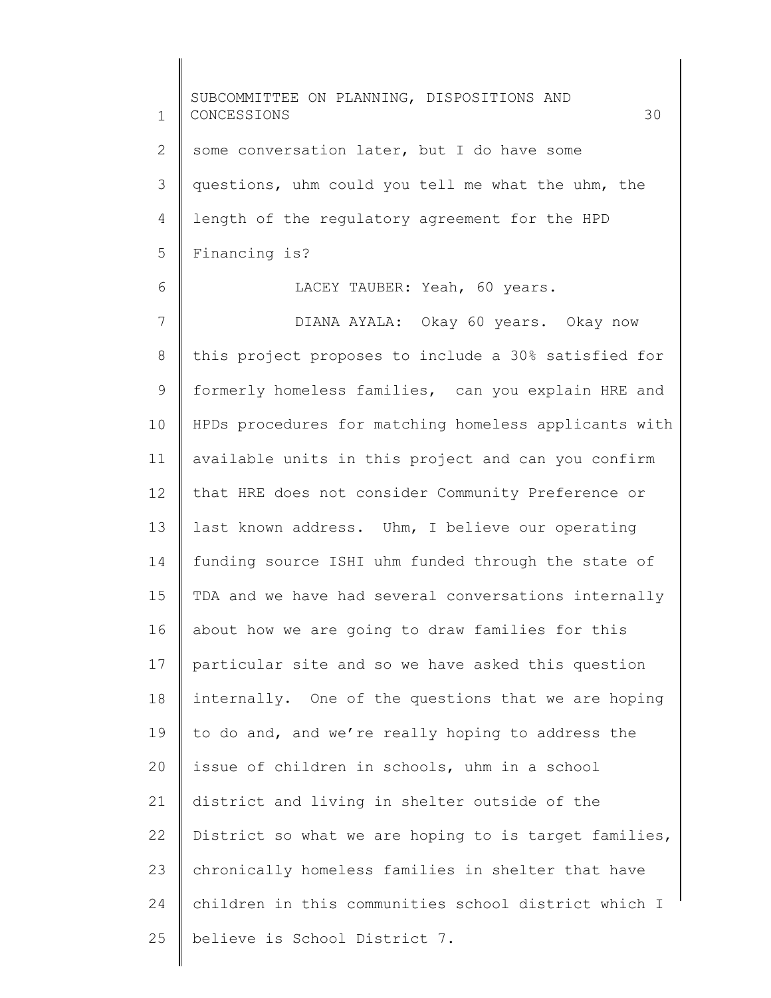1 2 3 4 5 6 7 8 9 10 11 12 13 14 15 16 17 18 19 20 21 22 23 24 25 SUBCOMMITTEE ON PLANNING, DISPOSITIONS AND CONCESSIONS 30 some conversation later, but I do have some questions, uhm could you tell me what the uhm, the length of the regulatory agreement for the HPD Financing is? LACEY TAUBER: Yeah, 60 years. DIANA AYALA: Okay 60 years. Okay now this project proposes to include a 30% satisfied for formerly homeless families, can you explain HRE and HPDs procedures for matching homeless applicants with available units in this project and can you confirm that HRE does not consider Community Preference or last known address. Uhm, I believe our operating funding source ISHI uhm funded through the state of TDA and we have had several conversations internally about how we are going to draw families for this particular site and so we have asked this question internally. One of the questions that we are hoping to do and, and we're really hoping to address the issue of children in schools, uhm in a school district and living in shelter outside of the District so what we are hoping to is target families, chronically homeless families in shelter that have children in this communities school district which I believe is School District 7.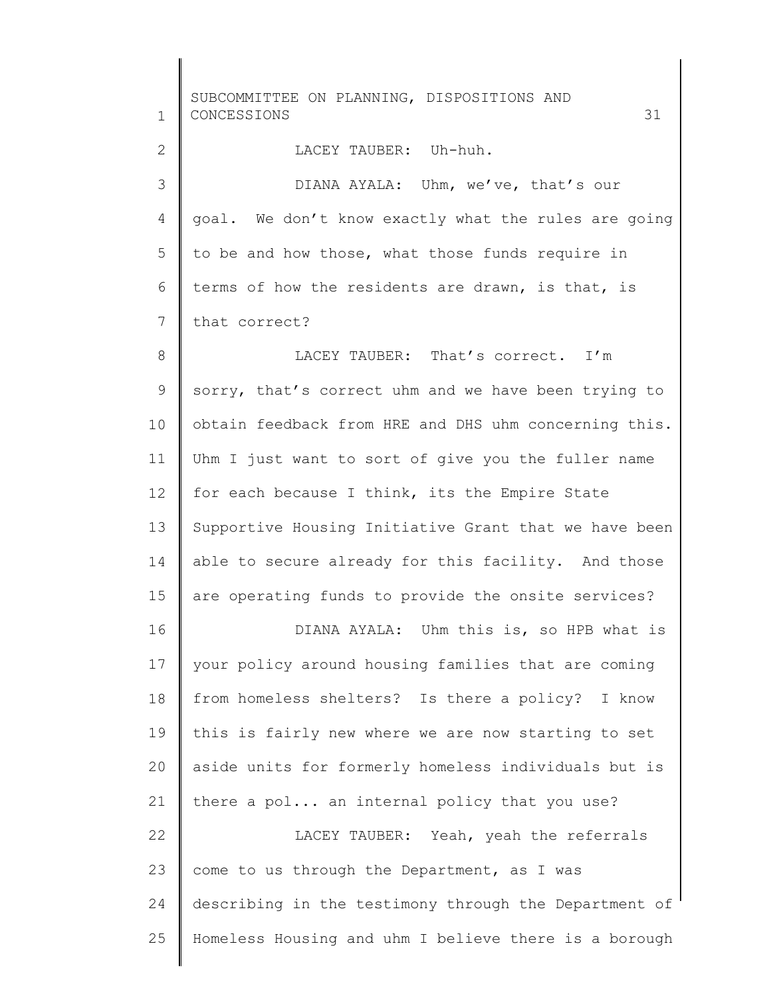1 2 3 4 5 6 7 8 9 10 11 12 13 14 15 16 17 18 19 20 21 22 23 24 25 SUBCOMMITTEE ON PLANNING, DISPOSITIONS AND CONCESSIONS 31 LACEY TAUBER: Uh-huh. DIANA AYALA: Uhm, we've, that's our goal. We don't know exactly what the rules are going to be and how those, what those funds require in terms of how the residents are drawn, is that, is that correct? LACEY TAUBER: That's correct. I'm sorry, that's correct uhm and we have been trying to obtain feedback from HRE and DHS uhm concerning this. Uhm I just want to sort of give you the fuller name for each because I think, its the Empire State Supportive Housing Initiative Grant that we have been able to secure already for this facility. And those are operating funds to provide the onsite services? DIANA AYALA: Uhm this is, so HPB what is your policy around housing families that are coming from homeless shelters? Is there a policy? I know this is fairly new where we are now starting to set aside units for formerly homeless individuals but is there a pol... an internal policy that you use? LACEY TAUBER: Yeah, yeah the referrals come to us through the Department, as I was describing in the testimony through the Department of Homeless Housing and uhm I believe there is a borough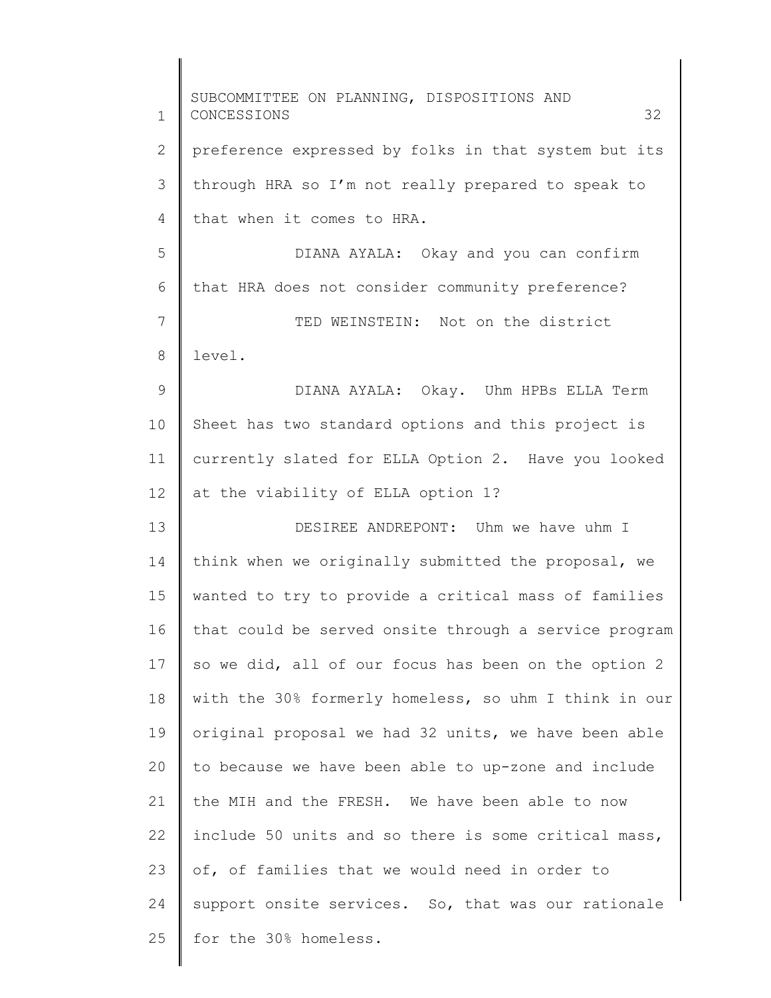1 2 3 4 5 6 7 8 9 10 11 12 13 14 15 16 17 18 19 20 21 22 23 24 25 SUBCOMMITTEE ON PLANNING, DISPOSITIONS AND CONCESSIONS 32 preference expressed by folks in that system but its through HRA so I'm not really prepared to speak to that when it comes to HRA. DIANA AYALA: Okay and you can confirm that HRA does not consider community preference? TED WEINSTEIN: Not on the district level. DIANA AYALA: Okay. Uhm HPBs ELLA Term Sheet has two standard options and this project is currently slated for ELLA Option 2. Have you looked at the viability of ELLA option 1? DESIREE ANDREPONT: Uhm we have uhm I think when we originally submitted the proposal, we wanted to try to provide a critical mass of families that could be served onsite through a service program so we did, all of our focus has been on the option 2 with the 30% formerly homeless, so uhm I think in our original proposal we had 32 units, we have been able to because we have been able to up-zone and include the MIH and the FRESH. We have been able to now include 50 units and so there is some critical mass, of, of families that we would need in order to support onsite services. So, that was our rationale for the 30% homeless.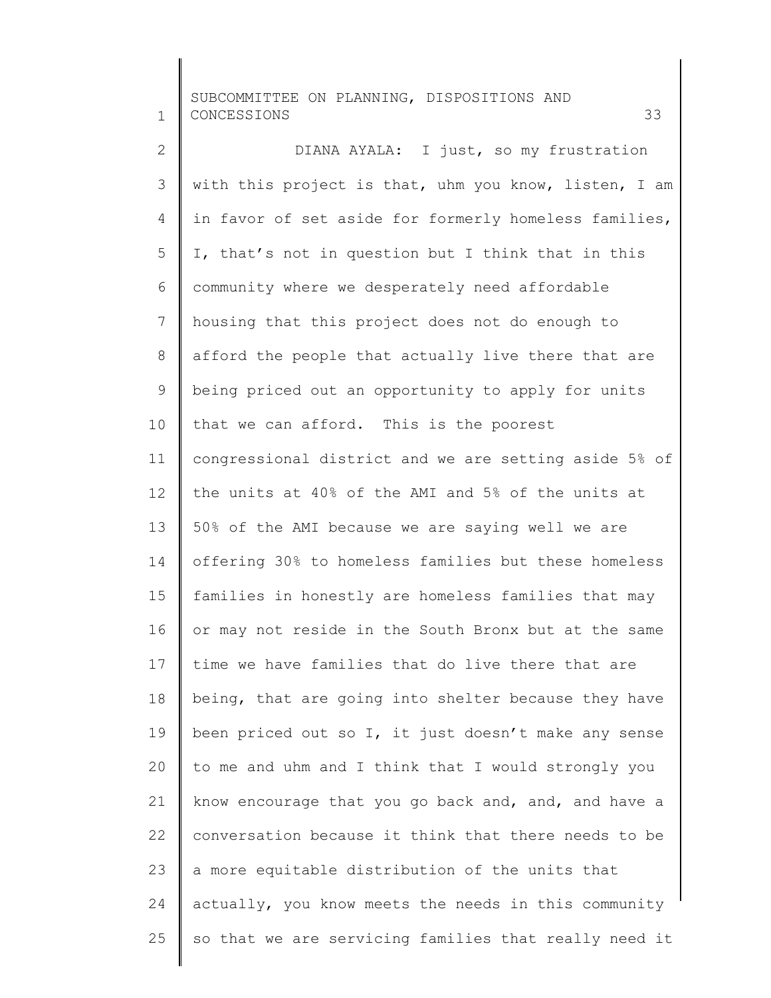1

2 3 4 5 6 7 8 9 10 11 12 13 14 15 16 17 18 19 20 21 22 23 24 25 DIANA AYALA: I just, so my frustration with this project is that, uhm you know, listen, I am in favor of set aside for formerly homeless families, I, that's not in question but I think that in this community where we desperately need affordable housing that this project does not do enough to afford the people that actually live there that are being priced out an opportunity to apply for units that we can afford. This is the poorest congressional district and we are setting aside 5% of the units at 40% of the AMI and 5% of the units at 50% of the AMI because we are saying well we are offering 30% to homeless families but these homeless families in honestly are homeless families that may or may not reside in the South Bronx but at the same time we have families that do live there that are being, that are going into shelter because they have been priced out so I, it just doesn't make any sense to me and uhm and I think that I would strongly you know encourage that you go back and, and, and have a conversation because it think that there needs to be a more equitable distribution of the units that actually, you know meets the needs in this community so that we are servicing families that really need it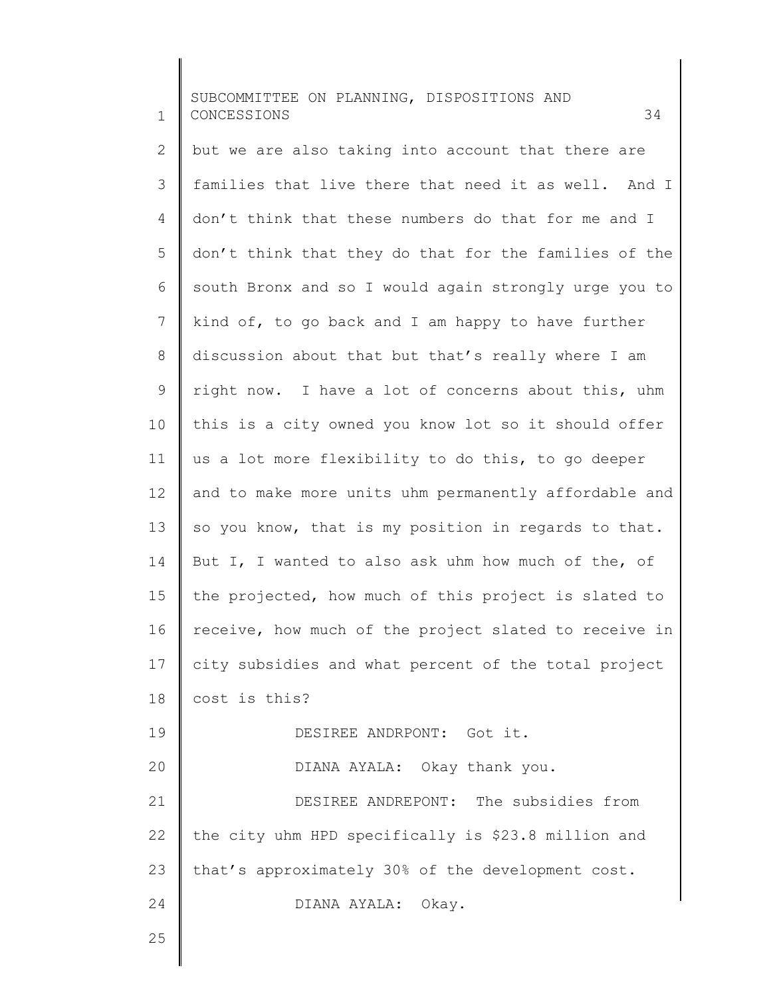2 3 4 5 6 7 8 9 10 11 12 13 14 15 16 17 18 19 20 21 22 23 24 but we are also taking into account that there are families that live there that need it as well. And I don't think that these numbers do that for me and I don't think that they do that for the families of the south Bronx and so I would again strongly urge you to kind of, to go back and I am happy to have further discussion about that but that's really where I am right now. I have a lot of concerns about this, uhm this is a city owned you know lot so it should offer us a lot more flexibility to do this, to go deeper and to make more units uhm permanently affordable and so you know, that is my position in regards to that. But I, I wanted to also ask uhm how much of the, of the projected, how much of this project is slated to receive, how much of the project slated to receive in city subsidies and what percent of the total project cost is this? DESIREE ANDRPONT: Got it. DIANA AYALA: Okay thank you. DESIREE ANDREPONT: The subsidies from the city uhm HPD specifically is \$23.8 million and that's approximately 30% of the development cost. DIANA AYALA: Okay.

1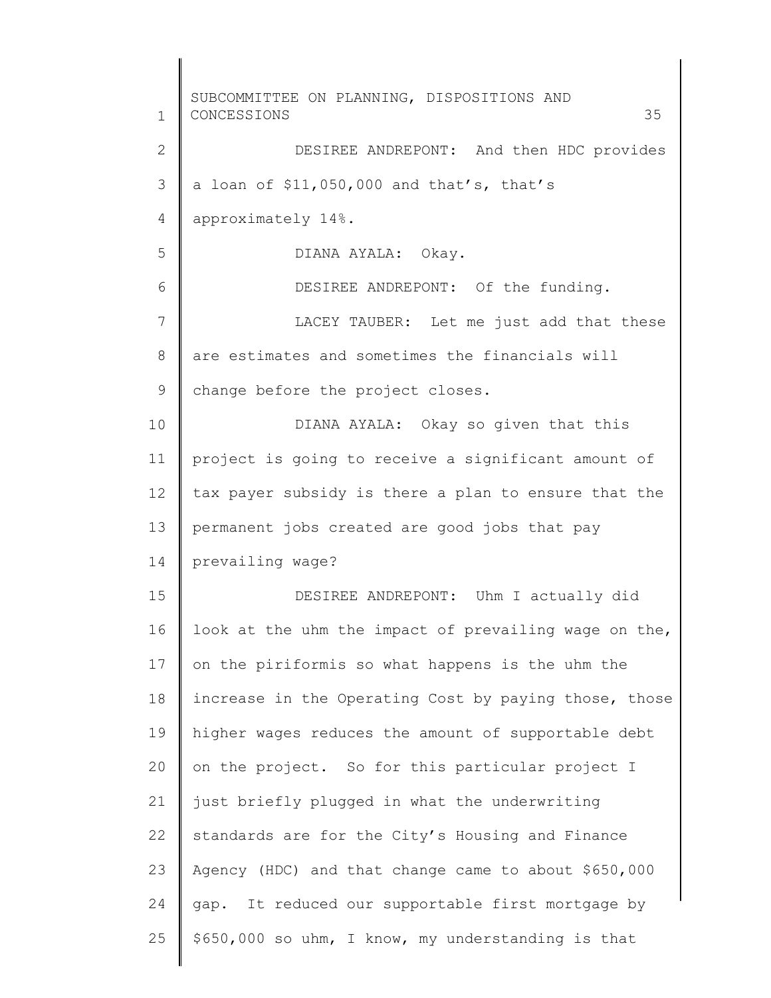1 2 3 4 5 6 7 8 9 10 11 12 13 14 15 16 17 18 19 20 21 22 23 24 25 SUBCOMMITTEE ON PLANNING, DISPOSITIONS AND CONCESSIONS 35 DESIREE ANDREPONT: And then HDC provides a loan of \$11,050,000 and that's, that's approximately 14%. DIANA AYALA: Okay. DESIREE ANDREPONT: Of the funding. LACEY TAUBER: Let me just add that these are estimates and sometimes the financials will change before the project closes. DIANA AYALA: Okay so given that this project is going to receive a significant amount of tax payer subsidy is there a plan to ensure that the permanent jobs created are good jobs that pay prevailing wage? DESIREE ANDREPONT: Uhm I actually did look at the uhm the impact of prevailing wage on the, on the piriformis so what happens is the uhm the increase in the Operating Cost by paying those, those higher wages reduces the amount of supportable debt on the project. So for this particular project I just briefly plugged in what the underwriting standards are for the City's Housing and Finance Agency (HDC) and that change came to about \$650,000 gap. It reduced our supportable first mortgage by \$650,000 so uhm, I know, my understanding is that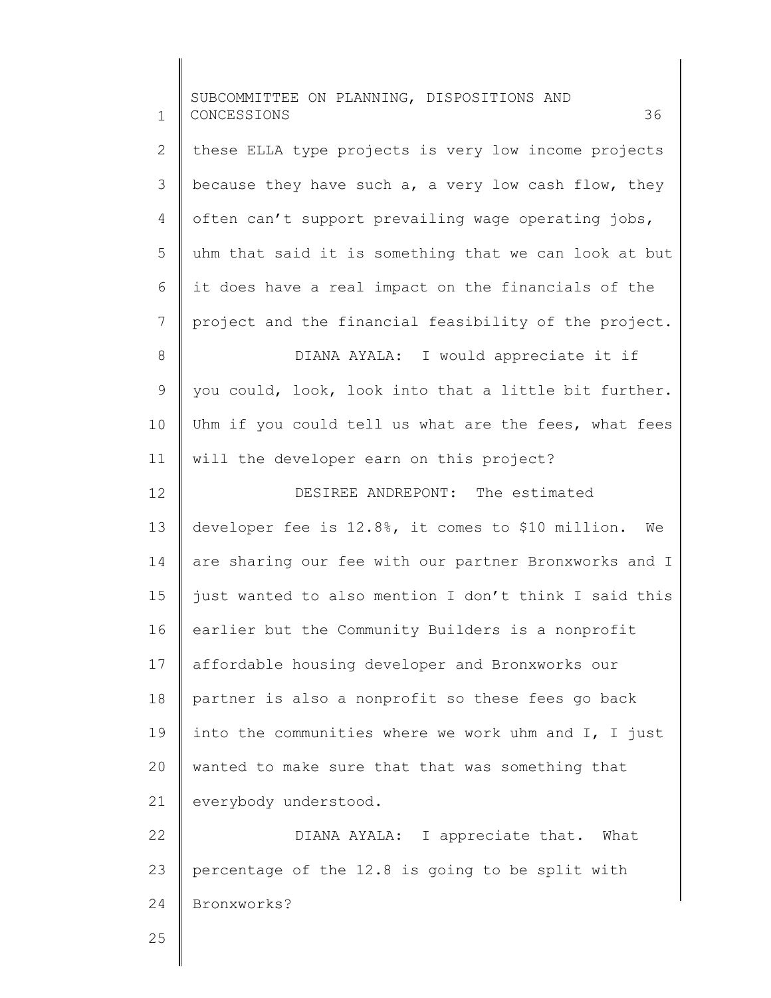1 2 3 4 5 6 7 8 9 10 11 12 13 14 15 16 17 18 19 20 21 22 23 24 SUBCOMMITTEE ON PLANNING, DISPOSITIONS AND CONCESSIONS 36 these ELLA type projects is very low income projects because they have such a, a very low cash flow, they often can't support prevailing wage operating jobs, uhm that said it is something that we can look at but it does have a real impact on the financials of the project and the financial feasibility of the project. DIANA AYALA: I would appreciate it if you could, look, look into that a little bit further. Uhm if you could tell us what are the fees, what fees will the developer earn on this project? DESIREE ANDREPONT: The estimated developer fee is 12.8%, it comes to \$10 million. We are sharing our fee with our partner Bronxworks and I just wanted to also mention I don't think I said this earlier but the Community Builders is a nonprofit affordable housing developer and Bronxworks our partner is also a nonprofit so these fees go back into the communities where we work uhm and I, I just wanted to make sure that that was something that everybody understood. DIANA AYALA: I appreciate that. What percentage of the 12.8 is going to be split with Bronxworks?

25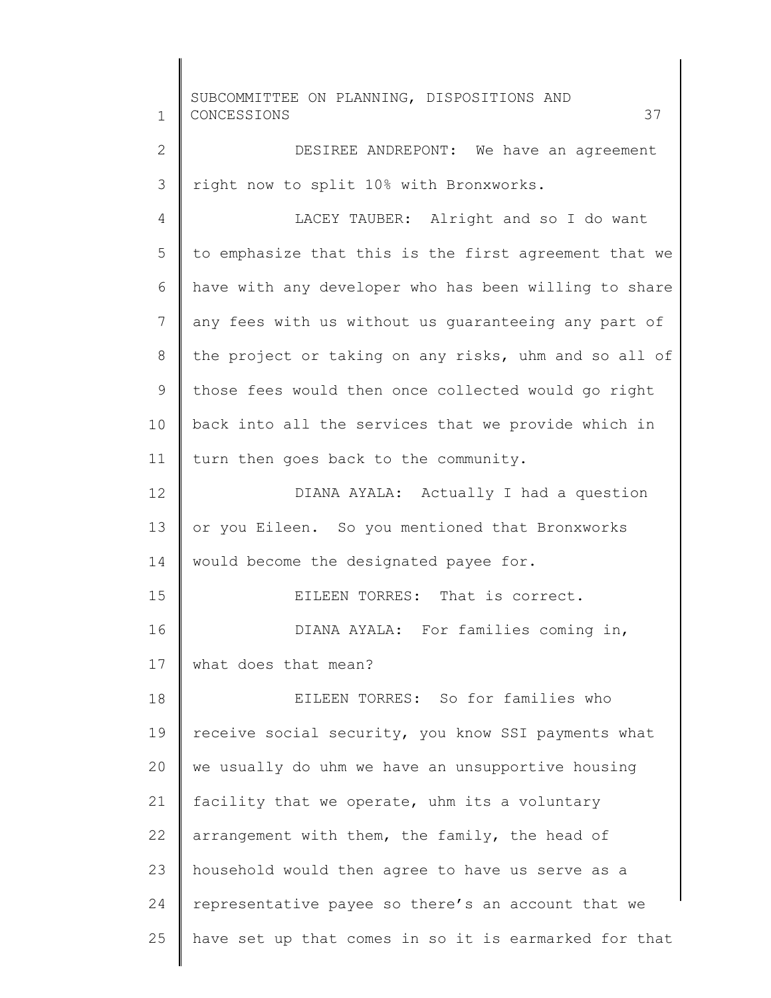1 2 3 4 5 6 7 8 9 10 11 12 13 14 15 16 17 18 19 20 21 22 23 24 25 SUBCOMMITTEE ON PLANNING, DISPOSITIONS AND CONCESSIONS 37 DESIREE ANDREPONT: We have an agreement right now to split 10% with Bronxworks. LACEY TAUBER: Alright and so I do want to emphasize that this is the first agreement that we have with any developer who has been willing to share any fees with us without us guaranteeing any part of the project or taking on any risks, uhm and so all of those fees would then once collected would go right back into all the services that we provide which in turn then goes back to the community. DIANA AYALA: Actually I had a question or you Eileen. So you mentioned that Bronxworks would become the designated payee for. EILEEN TORRES: That is correct. DIANA AYALA: For families coming in, what does that mean? EILEEN TORRES: So for families who receive social security, you know SSI payments what we usually do uhm we have an unsupportive housing facility that we operate, uhm its a voluntary arrangement with them, the family, the head of household would then agree to have us serve as a representative payee so there's an account that we have set up that comes in so it is earmarked for that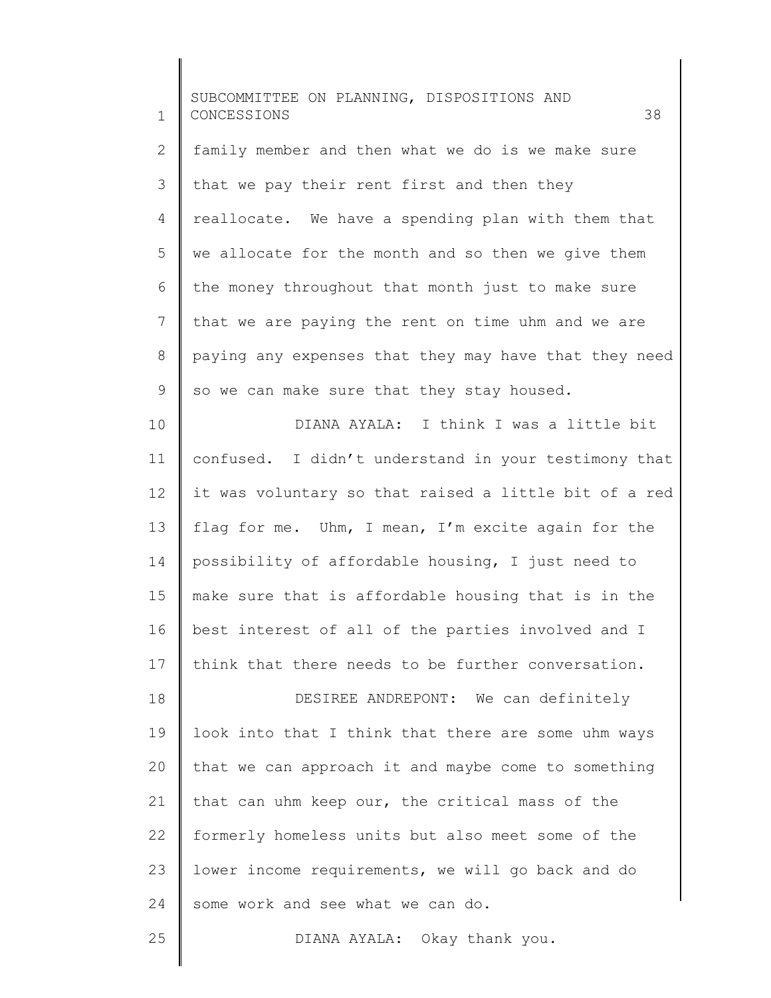1

25

2 3 4 5 6 7 8 9 family member and then what we do is we make sure that we pay their rent first and then they reallocate. We have a spending plan with them that we allocate for the month and so then we give them the money throughout that month just to make sure that we are paying the rent on time uhm and we are paying any expenses that they may have that they need so we can make sure that they stay housed.

10 11 12 13 14 15 16 17 DIANA AYALA: I think I was a little bit confused. I didn't understand in your testimony that it was voluntary so that raised a little bit of a red flag for me. Uhm, I mean, I'm excite again for the possibility of affordable housing, I just need to make sure that is affordable housing that is in the best interest of all of the parties involved and I think that there needs to be further conversation.

18 19 20 21 22 23 24 DESIREE ANDREPONT: We can definitely look into that I think that there are some uhm ways that we can approach it and maybe come to something that can uhm keep our, the critical mass of the formerly homeless units but also meet some of the lower income requirements, we will go back and do some work and see what we can do.

DIANA AYALA: Okay thank you.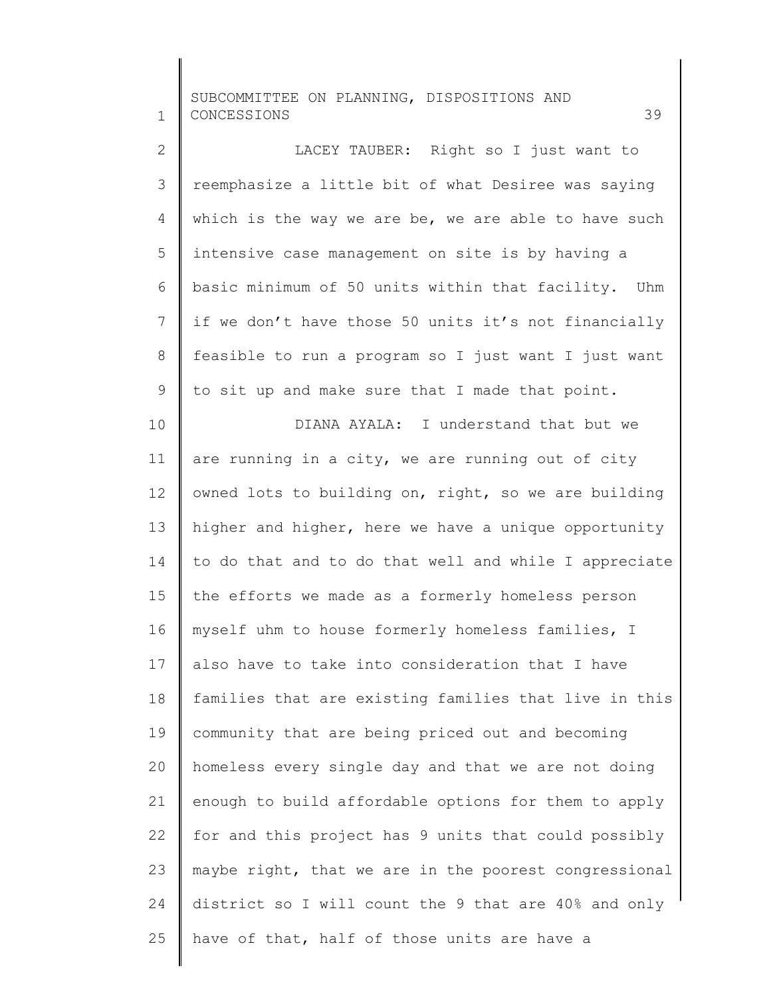1

2 3 4 5 6 7 8 9 10 11 12 13 14 15 16 17 18 19 20 21 22 23 24 25 LACEY TAUBER: Right so I just want to reemphasize a little bit of what Desiree was saying which is the way we are be, we are able to have such intensive case management on site is by having a basic minimum of 50 units within that facility. Uhm if we don't have those 50 units it's not financially feasible to run a program so I just want I just want to sit up and make sure that I made that point. DIANA AYALA: I understand that but we are running in a city, we are running out of city owned lots to building on, right, so we are building higher and higher, here we have a unique opportunity to do that and to do that well and while I appreciate the efforts we made as a formerly homeless person myself uhm to house formerly homeless families, I also have to take into consideration that I have families that are existing families that live in this community that are being priced out and becoming homeless every single day and that we are not doing enough to build affordable options for them to apply for and this project has 9 units that could possibly maybe right, that we are in the poorest congressional district so I will count the 9 that are 40% and only have of that, half of those units are have a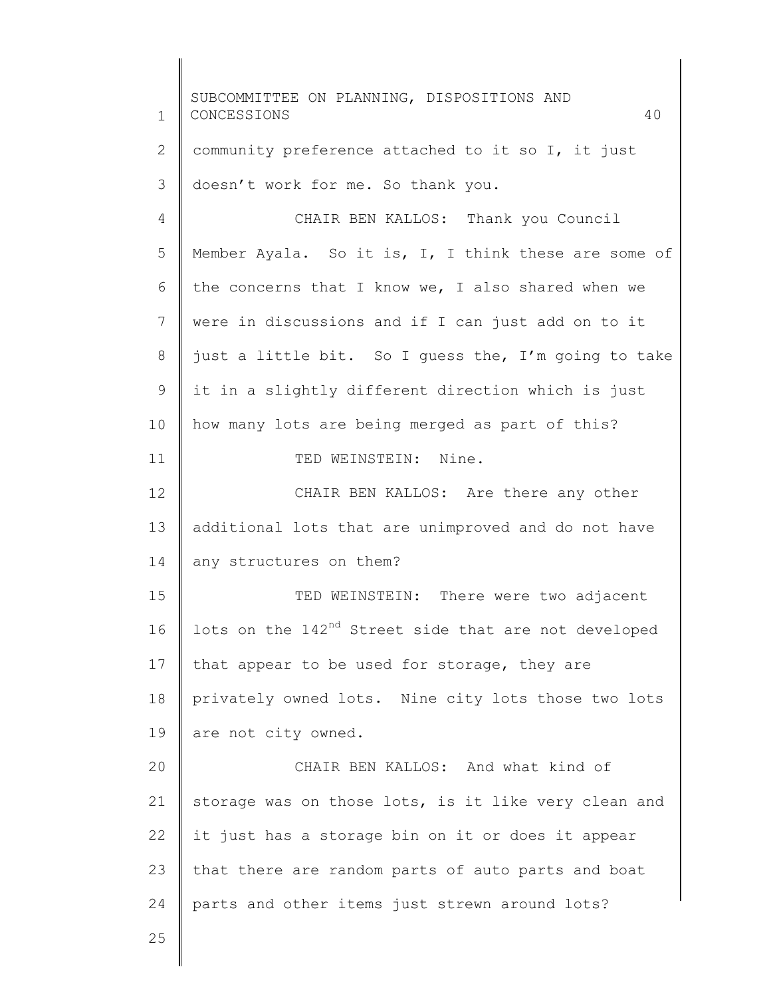1 2 3 4 5 6 7 8 9 10 11 12 13 14 15 16 17 18 19 20 21 22 23 24 25 SUBCOMMITTEE ON PLANNING, DISPOSITIONS AND CONCESSIONS 40 community preference attached to it so I, it just doesn't work for me. So thank you. CHAIR BEN KALLOS: Thank you Council Member Ayala. So it is, I, I think these are some of the concerns that I know we, I also shared when we were in discussions and if I can just add on to it just a little bit. So I guess the, I'm going to take it in a slightly different direction which is just how many lots are being merged as part of this? TED WEINSTEIN: Nine. CHAIR BEN KALLOS: Are there any other additional lots that are unimproved and do not have any structures on them? TED WEINSTEIN: There were two adjacent lots on the 142<sup>nd</sup> Street side that are not developed that appear to be used for storage, they are privately owned lots. Nine city lots those two lots are not city owned. CHAIR BEN KALLOS: And what kind of storage was on those lots, is it like very clean and it just has a storage bin on it or does it appear that there are random parts of auto parts and boat parts and other items just strewn around lots?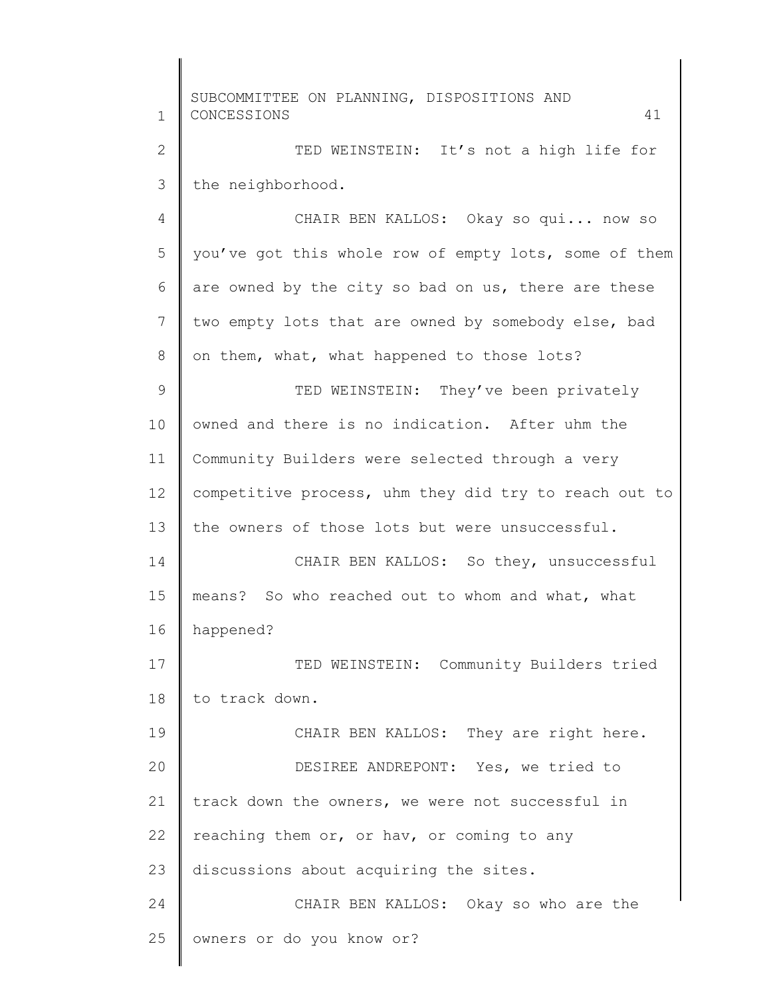| $\mathbf{1}$   | SUBCOMMITTEE ON PLANNING, DISPOSITIONS AND<br>41<br>CONCESSIONS |
|----------------|-----------------------------------------------------------------|
| $\mathbf{2}$   | TED WEINSTEIN: It's not a high life for                         |
| 3              | the neighborhood.                                               |
| $\overline{4}$ | CHAIR BEN KALLOS: Okay so qui now so                            |
| 5              | you've got this whole row of empty lots, some of them           |
| 6              | are owned by the city so bad on us, there are these             |
| 7              | two empty lots that are owned by somebody else, bad             |
| 8              | on them, what, what happened to those lots?                     |
| 9              | TED WEINSTEIN: They've been privately                           |
| 10             | owned and there is no indication. After uhm the                 |
| 11             | Community Builders were selected through a very                 |
| 12             | competitive process, uhm they did try to reach out to           |
| 13             | the owners of those lots but were unsuccessful.                 |
| 14             | CHAIR BEN KALLOS: So they, unsuccessful                         |
| 15             | means? So who reached out to whom and what, what                |
| 16             | happened?                                                       |
| 17             | TED WEINSTEIN: Community Builders tried                         |
| 18             | to track down.                                                  |
| 19             | CHAIR BEN KALLOS: They are right here.                          |
| 20             | DESIREE ANDREPONT: Yes, we tried to                             |
| 21             | track down the owners, we were not successful in                |
| 22             | reaching them or, or hav, or coming to any                      |
| 23             | discussions about acquiring the sites.                          |
| 24             | CHAIR BEN KALLOS: Okay so who are the                           |
| 25             | owners or do you know or?                                       |
|                |                                                                 |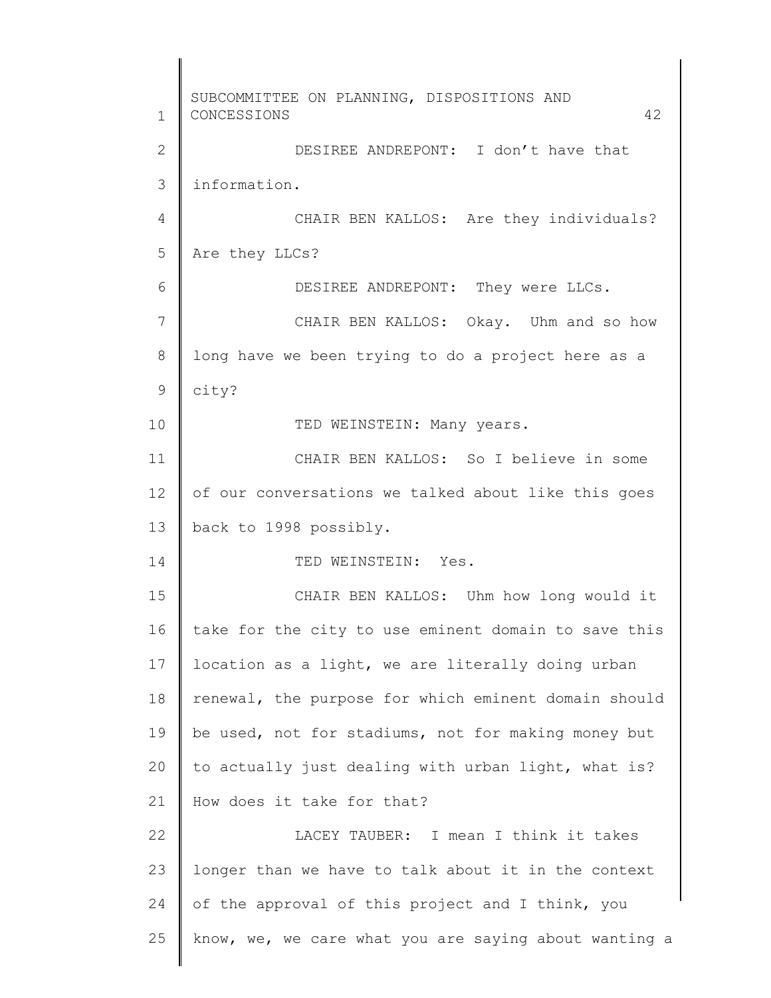1 2 3 4 5 6 7 8 9 10 11 12 13 14 15 16 17 18 19 20 21 22 23 24 25 SUBCOMMITTEE ON PLANNING, DISPOSITIONS AND CONCESSIONS 42 DESIREE ANDREPONT: I don't have that information. CHAIR BEN KALLOS: Are they individuals? Are they LLCs? DESIREE ANDREPONT: They were LLCs. CHAIR BEN KALLOS: Okay. Uhm and so how long have we been trying to do a project here as a city? TED WEINSTEIN: Many years. CHAIR BEN KALLOS: So I believe in some of our conversations we talked about like this goes back to 1998 possibly. TED WEINSTEIN: Yes. CHAIR BEN KALLOS: Uhm how long would it take for the city to use eminent domain to save this location as a light, we are literally doing urban renewal, the purpose for which eminent domain should be used, not for stadiums, not for making money but to actually just dealing with urban light, what is? How does it take for that? LACEY TAUBER: I mean I think it takes longer than we have to talk about it in the context of the approval of this project and I think, you know, we, we care what you are saying about wanting a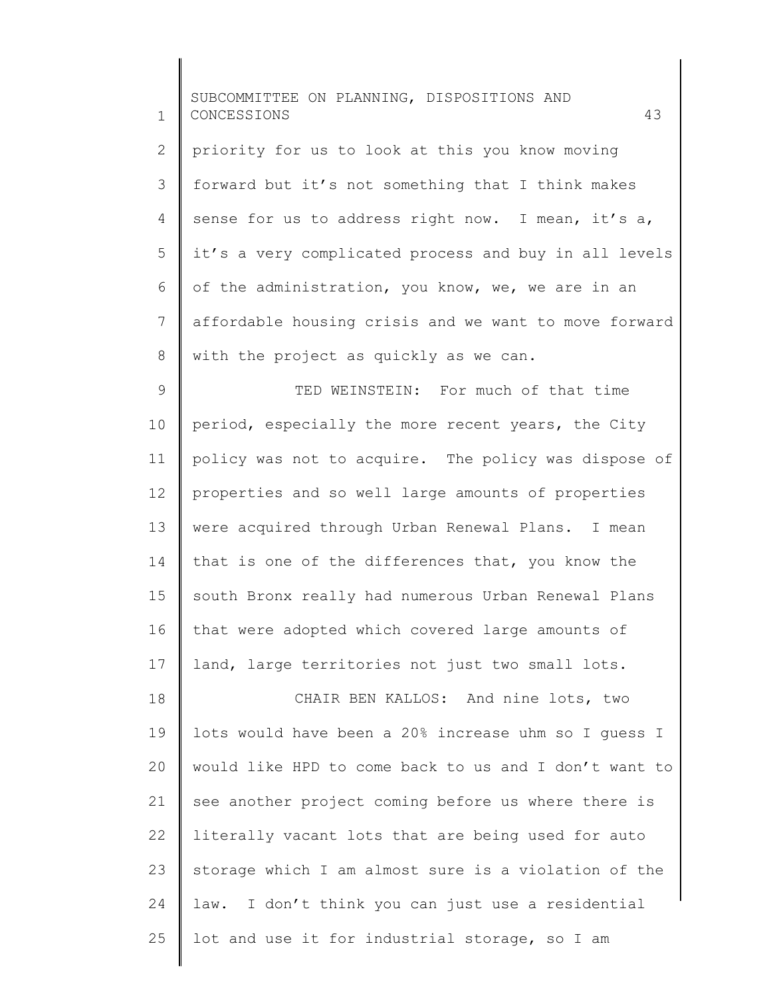1 2 3 4 5 6 7 8 9 SUBCOMMITTEE ON PLANNING, DISPOSITIONS AND CONCESSIONS 43 priority for us to look at this you know moving forward but it's not something that I think makes sense for us to address right now. I mean, it's a, it's a very complicated process and buy in all levels of the administration, you know, we, we are in an affordable housing crisis and we want to move forward with the project as quickly as we can. TED WEINSTEIN: For much of that time

10 11 12 13 14 15 16 17 period, especially the more recent years, the City policy was not to acquire. The policy was dispose of properties and so well large amounts of properties were acquired through Urban Renewal Plans. I mean that is one of the differences that, you know the south Bronx really had numerous Urban Renewal Plans that were adopted which covered large amounts of land, large territories not just two small lots.

18 19 20 21 22 23 24 25 CHAIR BEN KALLOS: And nine lots, two lots would have been a 20% increase uhm so I guess I would like HPD to come back to us and I don't want to see another project coming before us where there is literally vacant lots that are being used for auto storage which I am almost sure is a violation of the law. I don't think you can just use a residential lot and use it for industrial storage, so I am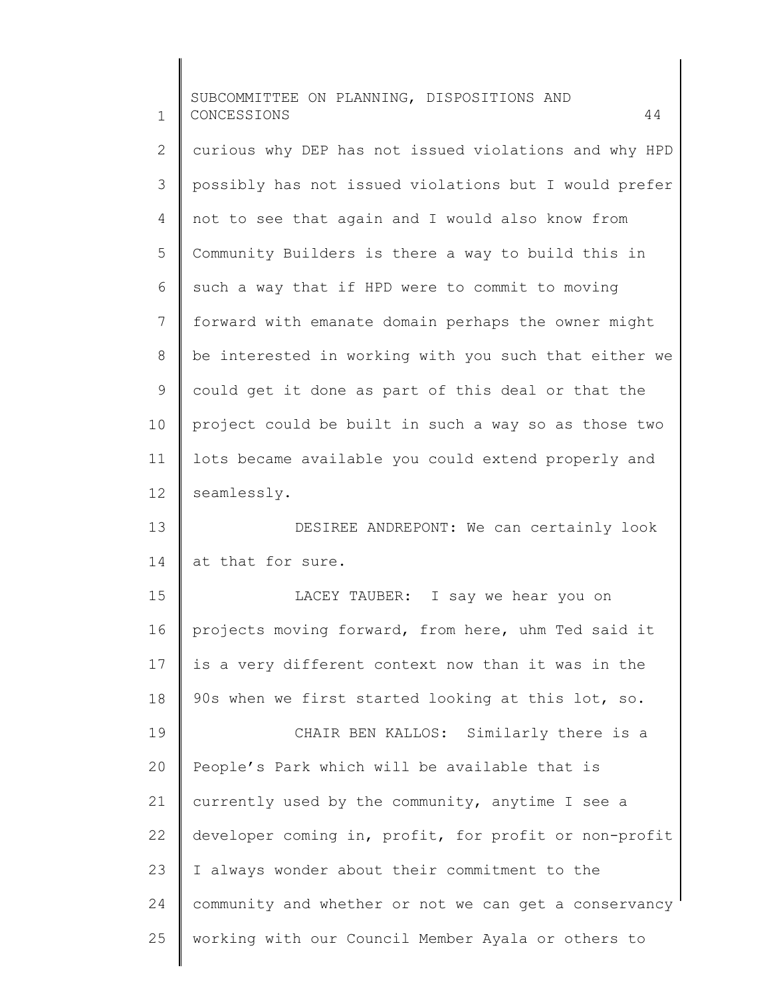1 2 3 4 5 6 7 8 9 10 11 12 13 14 15 16 17 18 19 20 21 22 23 24 25 SUBCOMMITTEE ON PLANNING, DISPOSITIONS AND CONCESSIONS 44 curious why DEP has not issued violations and why HPD possibly has not issued violations but I would prefer not to see that again and I would also know from Community Builders is there a way to build this in such a way that if HPD were to commit to moving forward with emanate domain perhaps the owner might be interested in working with you such that either we could get it done as part of this deal or that the project could be built in such a way so as those two lots became available you could extend properly and seamlessly. DESIREE ANDREPONT: We can certainly look at that for sure. LACEY TAUBER: I say we hear you on projects moving forward, from here, uhm Ted said it is a very different context now than it was in the 90s when we first started looking at this lot, so. CHAIR BEN KALLOS: Similarly there is a People's Park which will be available that is currently used by the community, anytime I see a developer coming in, profit, for profit or non-profit I always wonder about their commitment to the community and whether or not we can get a conservancy working with our Council Member Ayala or others to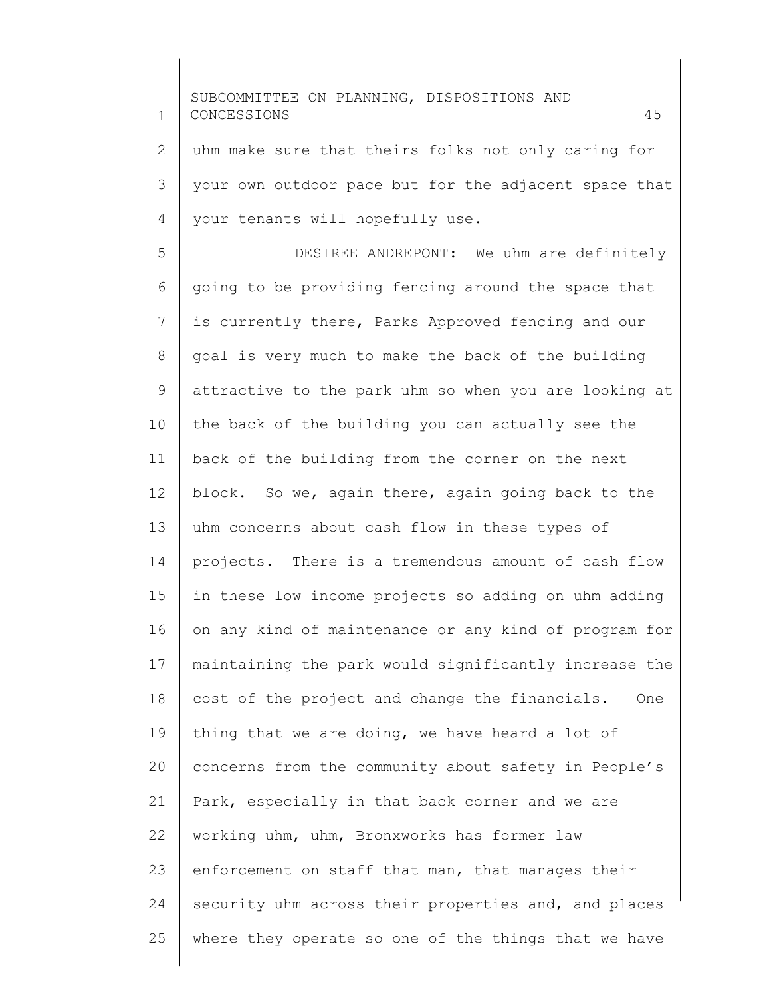1 2 3 4 5 6 7 8 9 10 11 12 13 14 15 16 17 18 19 20 21 22 23 24 25 SUBCOMMITTEE ON PLANNING, DISPOSITIONS AND CONCESSIONS 45 uhm make sure that theirs folks not only caring for your own outdoor pace but for the adjacent space that your tenants will hopefully use. DESIREE ANDREPONT: We uhm are definitely going to be providing fencing around the space that is currently there, Parks Approved fencing and our goal is very much to make the back of the building attractive to the park uhm so when you are looking at the back of the building you can actually see the back of the building from the corner on the next block. So we, again there, again going back to the uhm concerns about cash flow in these types of projects. There is a tremendous amount of cash flow in these low income projects so adding on uhm adding on any kind of maintenance or any kind of program for maintaining the park would significantly increase the cost of the project and change the financials. One thing that we are doing, we have heard a lot of concerns from the community about safety in People's Park, especially in that back corner and we are working uhm, uhm, Bronxworks has former law enforcement on staff that man, that manages their security uhm across their properties and, and places where they operate so one of the things that we have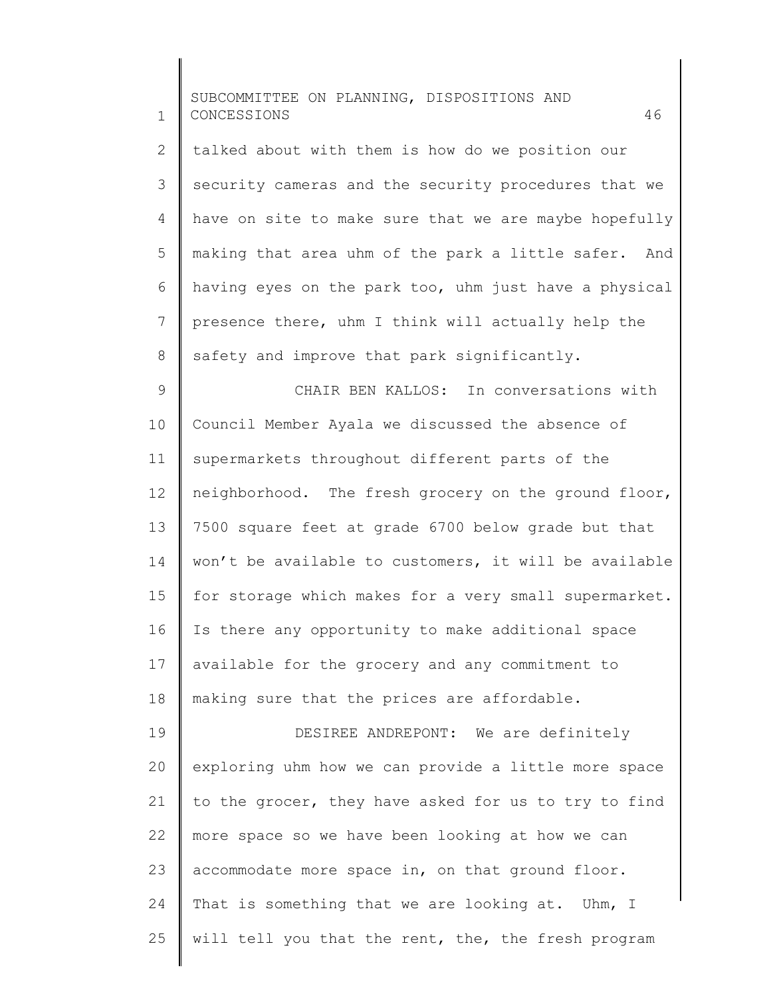1

2 3 4 5 6 7 8 talked about with them is how do we position our security cameras and the security procedures that we have on site to make sure that we are maybe hopefully making that area uhm of the park a little safer. And having eyes on the park too, uhm just have a physical presence there, uhm I think will actually help the safety and improve that park significantly.

9 10 11 12 13 14 15 16 17 18 CHAIR BEN KALLOS: In conversations with Council Member Ayala we discussed the absence of supermarkets throughout different parts of the neighborhood. The fresh grocery on the ground floor, 7500 square feet at grade 6700 below grade but that won't be available to customers, it will be available for storage which makes for a very small supermarket. Is there any opportunity to make additional space available for the grocery and any commitment to making sure that the prices are affordable.

19 20 21 22 23 24 25 DESIREE ANDREPONT: We are definitely exploring uhm how we can provide a little more space to the grocer, they have asked for us to try to find more space so we have been looking at how we can accommodate more space in, on that ground floor. That is something that we are looking at. Uhm, I will tell you that the rent, the, the fresh program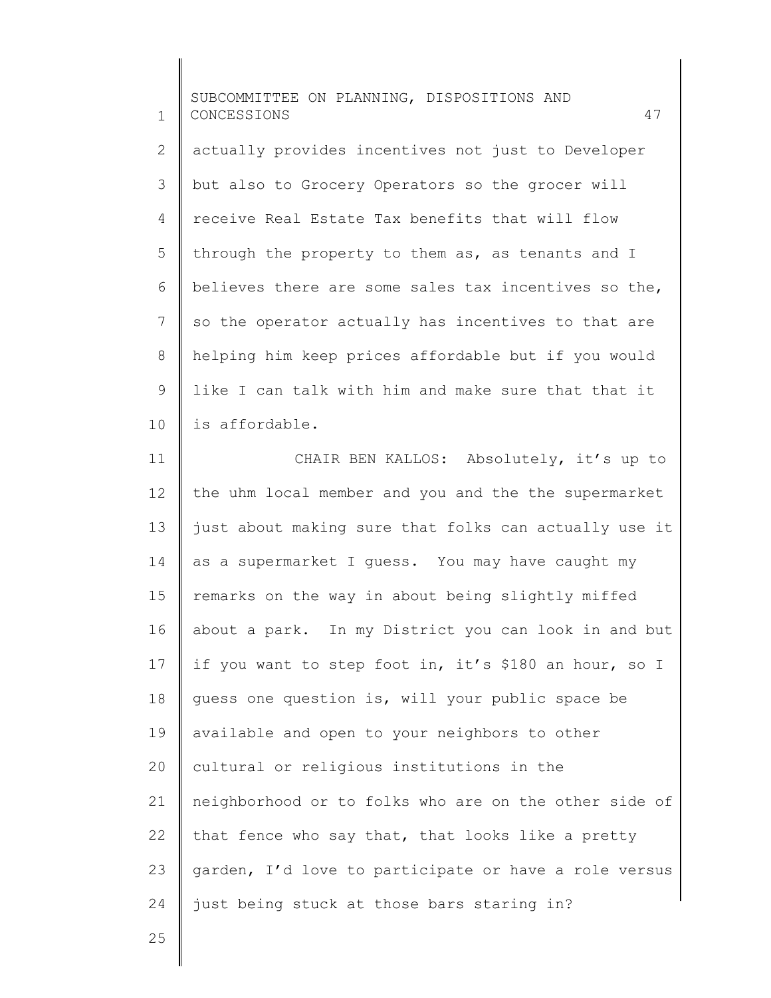2 3 4 5 6 7 8 9 10 actually provides incentives not just to Developer but also to Grocery Operators so the grocer will receive Real Estate Tax benefits that will flow through the property to them as, as tenants and I believes there are some sales tax incentives so the, so the operator actually has incentives to that are helping him keep prices affordable but if you would like I can talk with him and make sure that that it is affordable.

11 12 13 14 15 16 17 18 19 20 21 22 23 24 CHAIR BEN KALLOS: Absolutely, it's up to the uhm local member and you and the the supermarket just about making sure that folks can actually use it as a supermarket I guess. You may have caught my remarks on the way in about being slightly miffed about a park. In my District you can look in and but if you want to step foot in, it's \$180 an hour, so I guess one question is, will your public space be available and open to your neighbors to other cultural or religious institutions in the neighborhood or to folks who are on the other side of that fence who say that, that looks like a pretty garden, I'd love to participate or have a role versus just being stuck at those bars staring in?

25

1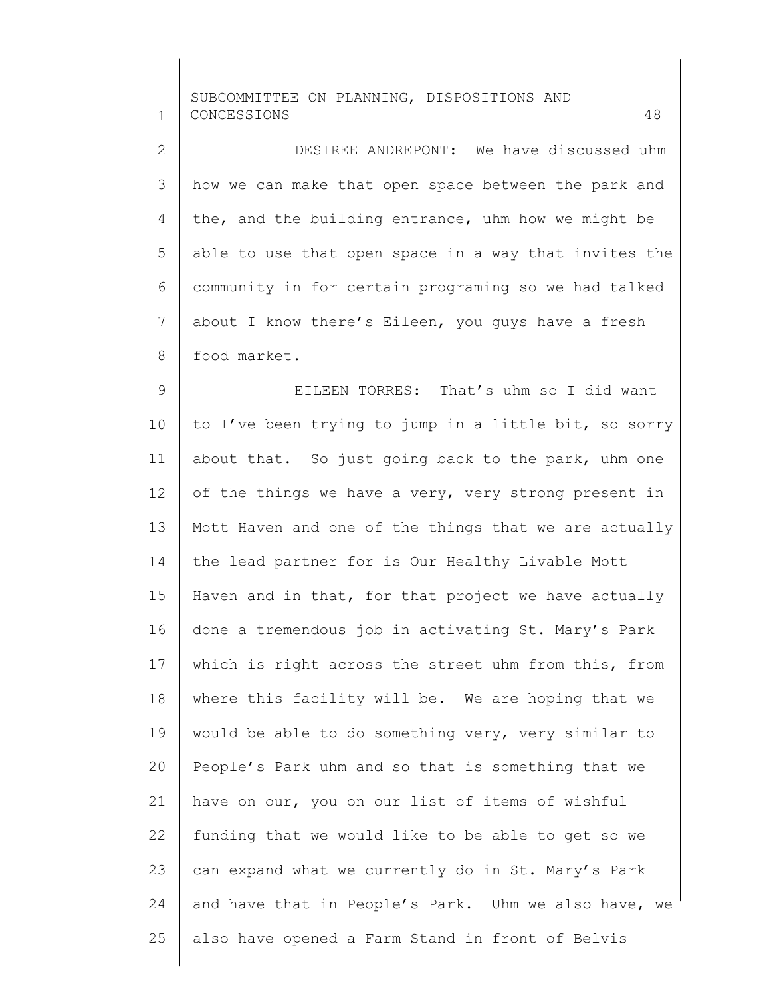1

2 3 4 5 6 7 8 DESIREE ANDREPONT: We have discussed uhm how we can make that open space between the park and the, and the building entrance, uhm how we might be able to use that open space in a way that invites the community in for certain programing so we had talked about I know there's Eileen, you guys have a fresh food market.

9 10 11 12 13 14 15 16 17 18 19 20 21 22 23 24 25 EILEEN TORRES: That's uhm so I did want to I've been trying to jump in a little bit, so sorry about that. So just going back to the park, uhm one of the things we have a very, very strong present in Mott Haven and one of the things that we are actually the lead partner for is Our Healthy Livable Mott Haven and in that, for that project we have actually done a tremendous job in activating St. Mary's Park which is right across the street uhm from this, from where this facility will be. We are hoping that we would be able to do something very, very similar to People's Park uhm and so that is something that we have on our, you on our list of items of wishful funding that we would like to be able to get so we can expand what we currently do in St. Mary's Park and have that in People's Park. Uhm we also have, we also have opened a Farm Stand in front of Belvis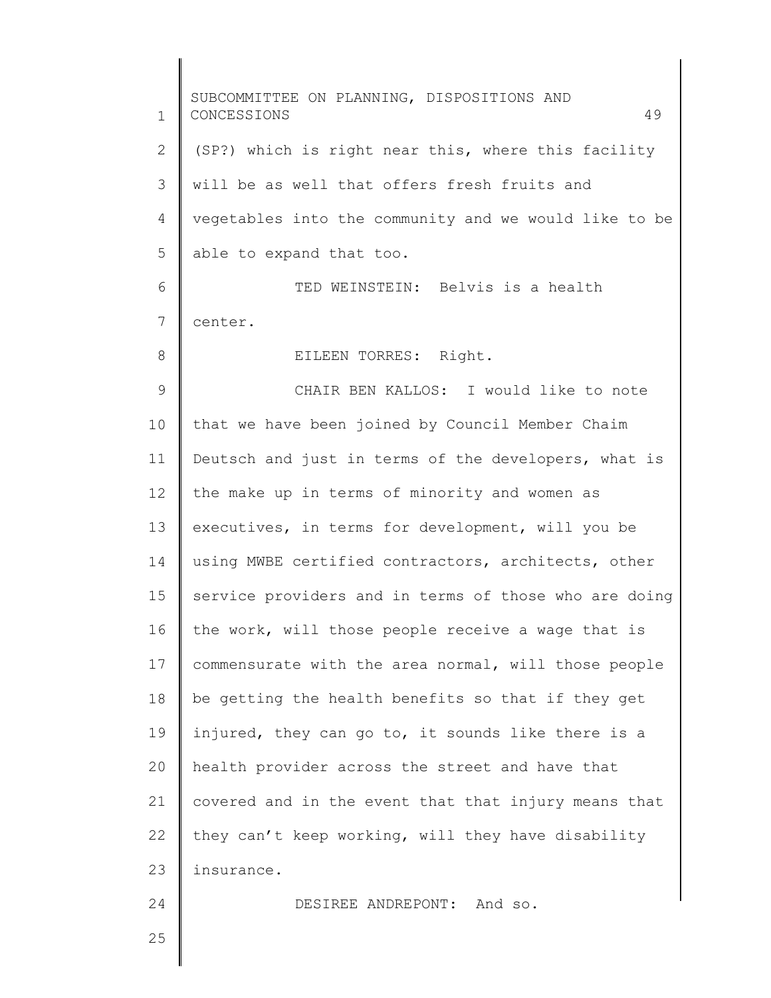1 2 3 4 5 6 7 8 9 10 11 12 13 14 15 16 17 18 19 20 21 22 23 24 25 SUBCOMMITTEE ON PLANNING, DISPOSITIONS AND CONCESSIONS 49 (SP?) which is right near this, where this facility will be as well that offers fresh fruits and vegetables into the community and we would like to be able to expand that too. TED WEINSTEIN: Belvis is a health center. EILEEN TORRES: Right. CHAIR BEN KALLOS: I would like to note that we have been joined by Council Member Chaim Deutsch and just in terms of the developers, what is the make up in terms of minority and women as executives, in terms for development, will you be using MWBE certified contractors, architects, other service providers and in terms of those who are doing the work, will those people receive a wage that is commensurate with the area normal, will those people be getting the health benefits so that if they get injured, they can go to, it sounds like there is a health provider across the street and have that covered and in the event that that injury means that they can't keep working, will they have disability insurance. DESIREE ANDREPONT: And so.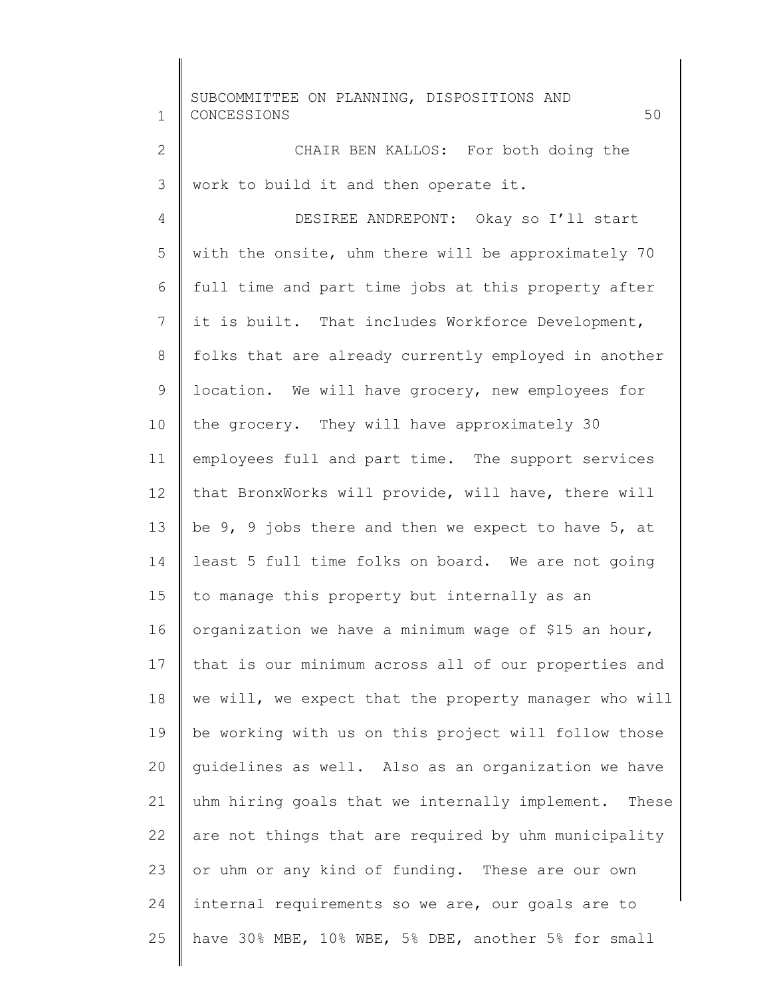1 2 3 4 5 6 7 8 9 10 11 12 13 14 15 16 17 18 19 20 21 22 23 24 25 SUBCOMMITTEE ON PLANNING, DISPOSITIONS AND CONCESSIONS 50 CHAIR BEN KALLOS: For both doing the work to build it and then operate it. DESIREE ANDREPONT: Okay so I'll start with the onsite, uhm there will be approximately 70 full time and part time jobs at this property after it is built. That includes Workforce Development, folks that are already currently employed in another location. We will have grocery, new employees for the grocery. They will have approximately 30 employees full and part time. The support services that BronxWorks will provide, will have, there will be 9, 9 jobs there and then we expect to have 5, at least 5 full time folks on board. We are not going to manage this property but internally as an organization we have a minimum wage of \$15 an hour, that is our minimum across all of our properties and we will, we expect that the property manager who will be working with us on this project will follow those guidelines as well. Also as an organization we have uhm hiring goals that we internally implement. These are not things that are required by uhm municipality or uhm or any kind of funding. These are our own internal requirements so we are, our goals are to have 30% MBE, 10% WBE, 5% DBE, another 5% for small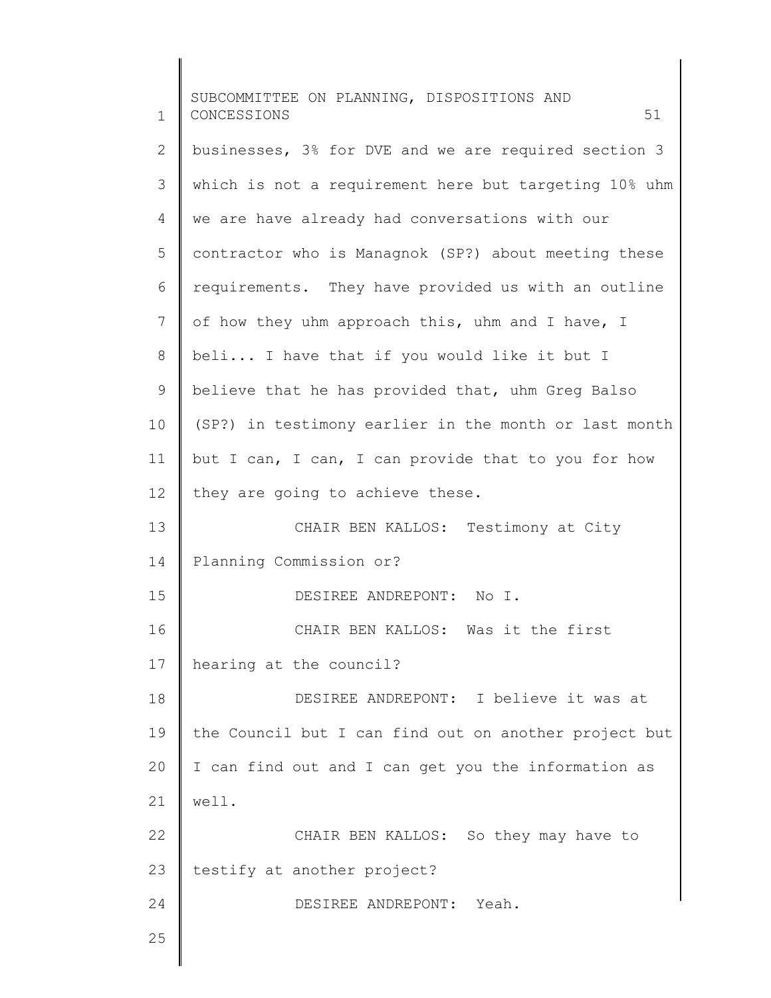1 2 3 4 5 6 7 8 9 10 11 12 13 14 15 16 17 18 19 20 21 22 23 24 25 SUBCOMMITTEE ON PLANNING, DISPOSITIONS AND CONCESSIONS 51 businesses, 3% for DVE and we are required section 3 which is not a requirement here but targeting 10% uhm we are have already had conversations with our contractor who is Managnok (SP?) about meeting these requirements. They have provided us with an outline of how they uhm approach this, uhm and I have, I beli... I have that if you would like it but I believe that he has provided that, uhm Greg Balso (SP?) in testimony earlier in the month or last month but I can, I can, I can provide that to you for how they are going to achieve these. CHAIR BEN KALLOS: Testimony at City Planning Commission or? DESIREE ANDREPONT: No I. CHAIR BEN KALLOS: Was it the first hearing at the council? DESIREE ANDREPONT: I believe it was at the Council but I can find out on another project but I can find out and I can get you the information as well. CHAIR BEN KALLOS: So they may have to testify at another project? DESIREE ANDREPONT: Yeah.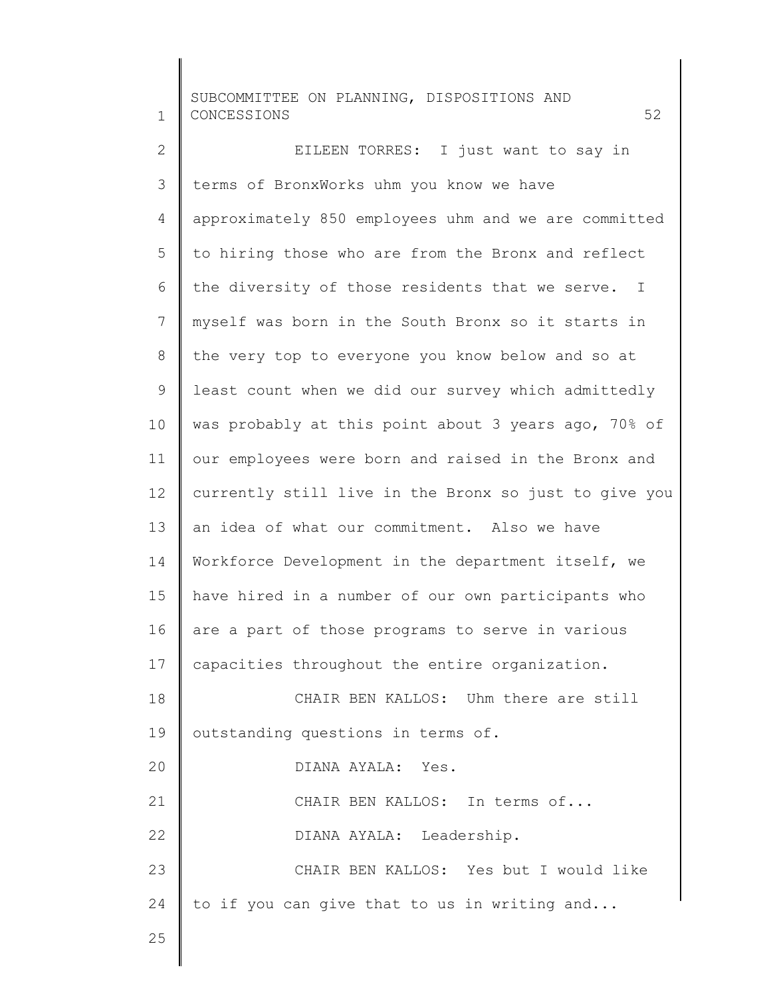1

2 3 4 5 6 7 8 9 10 11 12 13 14 15 16 17 18 19 20 21 22 23 24 25 EILEEN TORRES: I just want to say in terms of BronxWorks uhm you know we have approximately 850 employees uhm and we are committed to hiring those who are from the Bronx and reflect the diversity of those residents that we serve. I myself was born in the South Bronx so it starts in the very top to everyone you know below and so at least count when we did our survey which admittedly was probably at this point about 3 years ago, 70% of our employees were born and raised in the Bronx and currently still live in the Bronx so just to give you an idea of what our commitment. Also we have Workforce Development in the department itself, we have hired in a number of our own participants who are a part of those programs to serve in various capacities throughout the entire organization. CHAIR BEN KALLOS: Uhm there are still outstanding questions in terms of. DIANA AYALA: Yes. CHAIR BEN KALLOS: In terms of... DIANA AYALA: Leadership. CHAIR BEN KALLOS: Yes but I would like to if you can give that to us in writing and...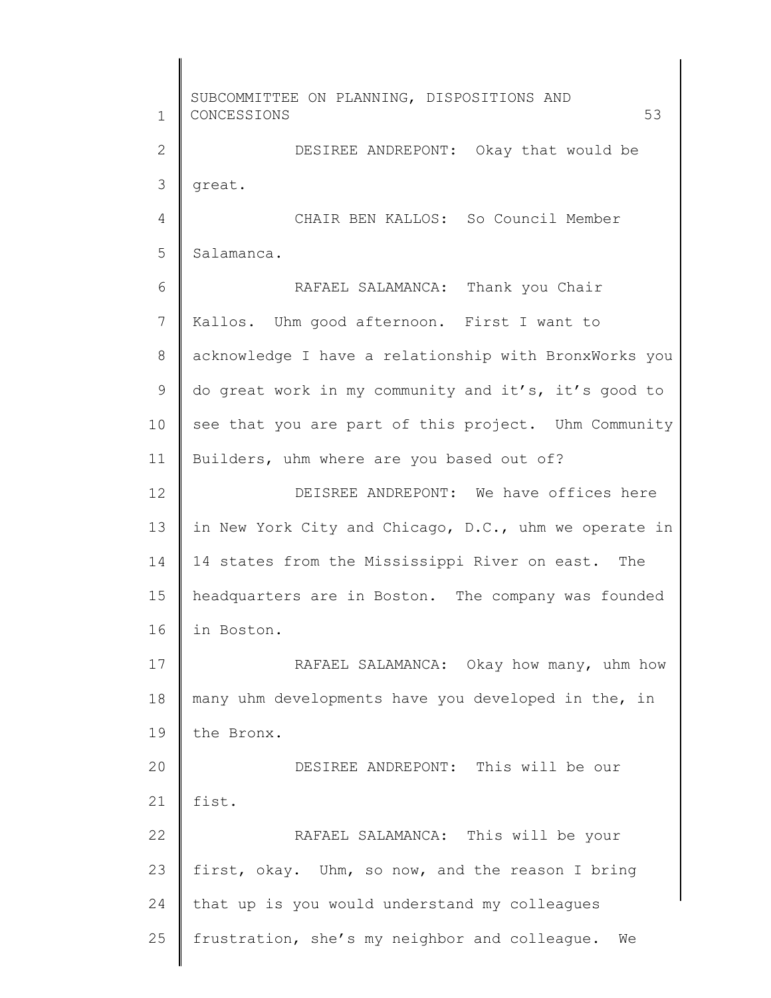1 2 3 4 5 6 7 8 9 10 11 12 13 14 15 16 17 18 19 20 21 22 23 24 25 SUBCOMMITTEE ON PLANNING, DISPOSITIONS AND CONCESSIONS 53 DESIREE ANDREPONT: Okay that would be great. CHAIR BEN KALLOS: So Council Member Salamanca. RAFAEL SALAMANCA: Thank you Chair Kallos. Uhm good afternoon. First I want to acknowledge I have a relationship with BronxWorks you do great work in my community and it's, it's good to see that you are part of this project. Uhm Community Builders, uhm where are you based out of? DEISREE ANDREPONT: We have offices here in New York City and Chicago, D.C., uhm we operate in 14 states from the Mississippi River on east. The headquarters are in Boston. The company was founded in Boston. RAFAEL SALAMANCA: Okay how many, uhm how many uhm developments have you developed in the, in the Bronx. DESIREE ANDREPONT: This will be our fist. RAFAEL SALAMANCA: This will be your first, okay. Uhm, so now, and the reason I bring that up is you would understand my colleagues frustration, she's my neighbor and colleague. We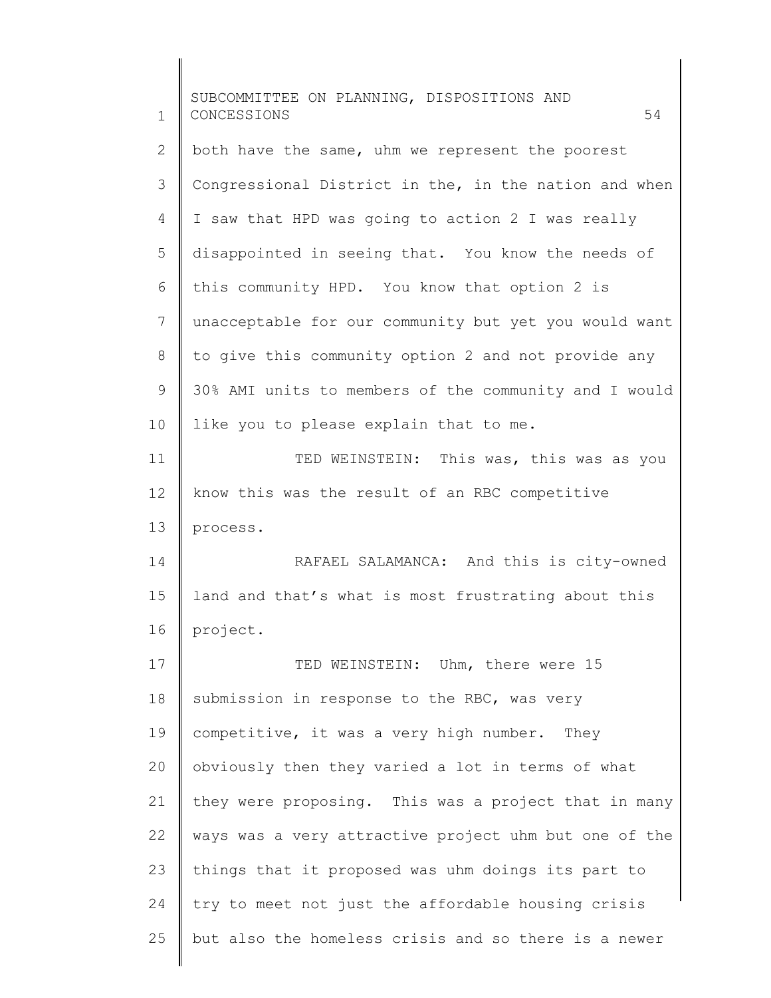1 2 3 4 5 6 7 8 9 10 11 12 13 14 15 16 17 18 19 20 21 22 23 24 25 SUBCOMMITTEE ON PLANNING, DISPOSITIONS AND CONCESSIONS 54 both have the same, uhm we represent the poorest Congressional District in the, in the nation and when I saw that HPD was going to action 2 I was really disappointed in seeing that. You know the needs of this community HPD. You know that option 2 is unacceptable for our community but yet you would want to give this community option 2 and not provide any 30% AMI units to members of the community and I would like you to please explain that to me. TED WEINSTEIN: This was, this was as you know this was the result of an RBC competitive process. RAFAEL SALAMANCA: And this is city-owned land and that's what is most frustrating about this project. TED WEINSTEIN: Uhm, there were 15 submission in response to the RBC, was very competitive, it was a very high number. They obviously then they varied a lot in terms of what they were proposing. This was a project that in many ways was a very attractive project uhm but one of the things that it proposed was uhm doings its part to try to meet not just the affordable housing crisis but also the homeless crisis and so there is a newer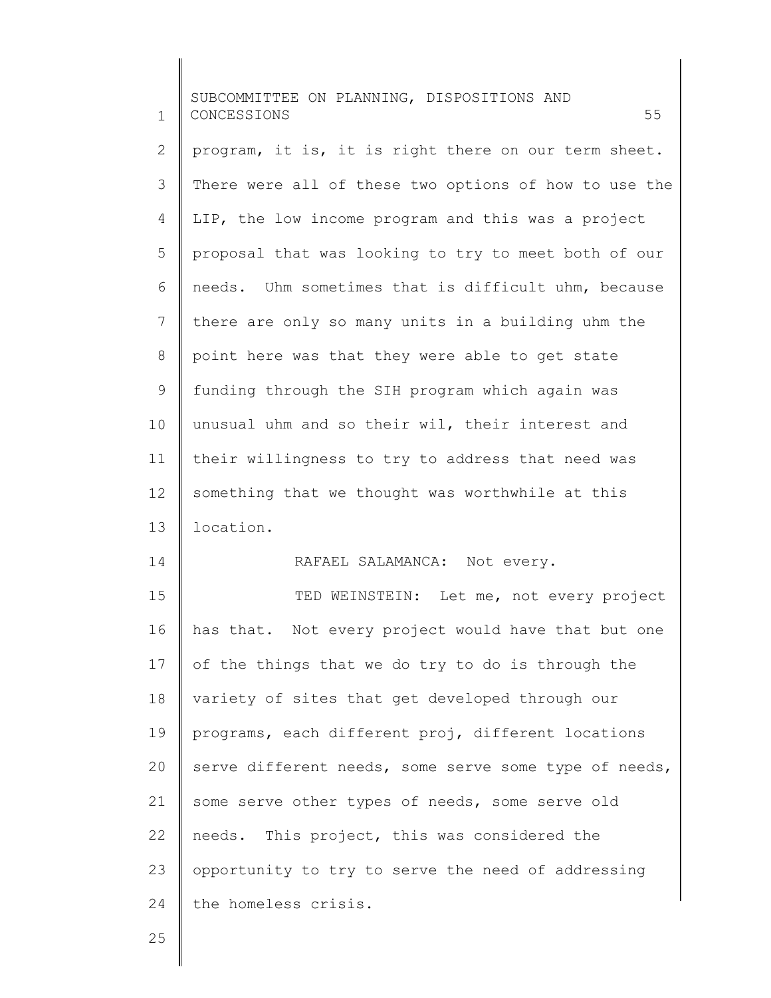2 3 4 5 6 7 8 9 10 11 12 13 program, it is, it is right there on our term sheet. There were all of these two options of how to use the LIP, the low income program and this was a project proposal that was looking to try to meet both of our needs. Uhm sometimes that is difficult uhm, because there are only so many units in a building uhm the point here was that they were able to get state funding through the SIH program which again was unusual uhm and so their wil, their interest and their willingness to try to address that need was something that we thought was worthwhile at this location.

## RAFAEL SALAMANCA: Not every.

15 16 17 18 19 20 21 22 23 24 TED WEINSTEIN: Let me, not every project has that. Not every project would have that but one of the things that we do try to do is through the variety of sites that get developed through our programs, each different proj, different locations serve different needs, some serve some type of needs, some serve other types of needs, some serve old needs. This project, this was considered the opportunity to try to serve the need of addressing the homeless crisis.

25

14

1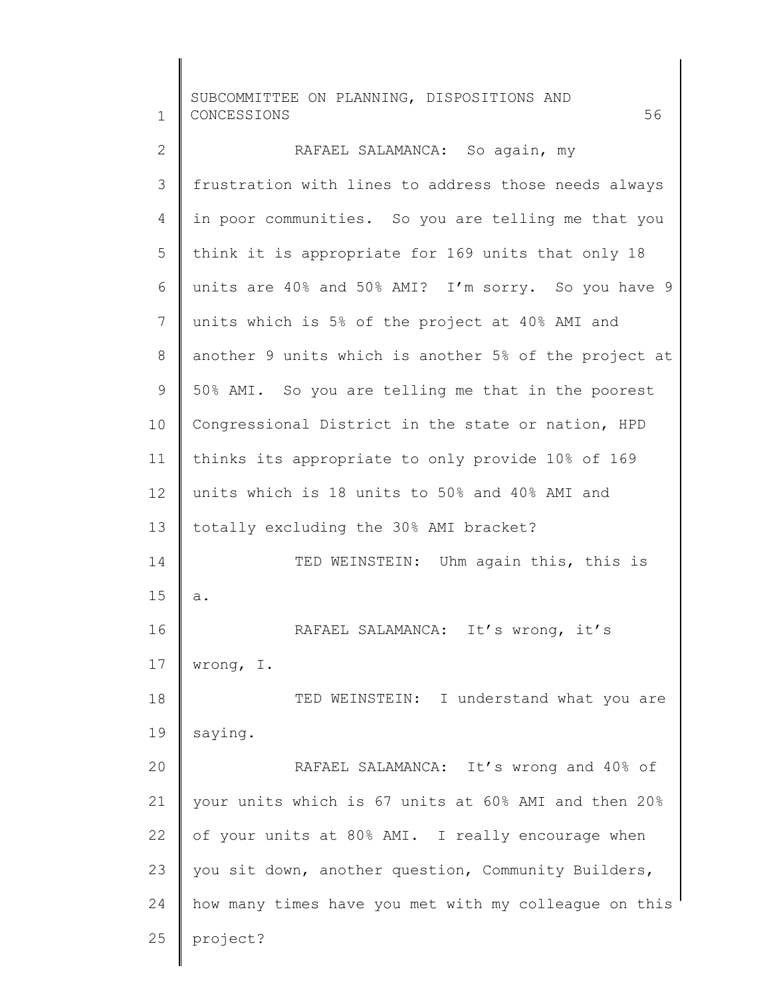1

2 3 4 5 6 7 8 9 10 11 12 13 14 15 16 17 18 19 20 21 22 23 24 25 RAFAEL SALAMANCA: So again, my frustration with lines to address those needs always in poor communities. So you are telling me that you think it is appropriate for 169 units that only 18 units are 40% and 50% AMI? I'm sorry. So you have 9 units which is 5% of the project at 40% AMI and another 9 units which is another 5% of the project at 50% AMI. So you are telling me that in the poorest Congressional District in the state or nation, HPD thinks its appropriate to only provide 10% of 169 units which is 18 units to 50% and 40% AMI and totally excluding the 30% AMI bracket? TED WEINSTEIN: Uhm again this, this is a. RAFAEL SALAMANCA: It's wrong, it's wrong, I. TED WEINSTEIN: I understand what you are saying. RAFAEL SALAMANCA: It's wrong and 40% of your units which is 67 units at 60% AMI and then 20% of your units at 80% AMI. I really encourage when you sit down, another question, Community Builders, how many times have you met with my colleague on this project?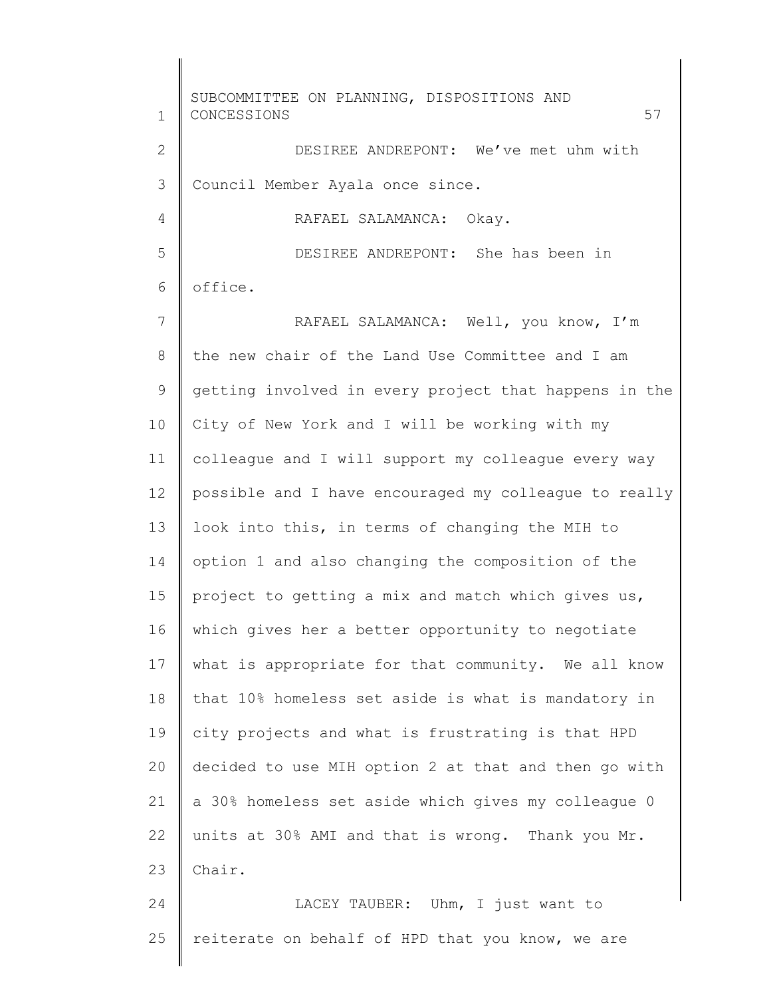1 2 3 4 5 6 7 8 9 10 11 12 13 14 15 16 17 18 19 20 21 22 23 24 25 SUBCOMMITTEE ON PLANNING, DISPOSITIONS AND CONCESSIONS 57 DESIREE ANDREPONT: We've met uhm with Council Member Ayala once since. RAFAEL SALAMANCA: Okay. DESIREE ANDREPONT: She has been in office. RAFAEL SALAMANCA: Well, you know, I'm the new chair of the Land Use Committee and I am getting involved in every project that happens in the City of New York and I will be working with my colleague and I will support my colleague every way possible and I have encouraged my colleague to really look into this, in terms of changing the MIH to option 1 and also changing the composition of the project to getting a mix and match which gives us, which gives her a better opportunity to negotiate what is appropriate for that community. We all know that 10% homeless set aside is what is mandatory in city projects and what is frustrating is that HPD decided to use MIH option 2 at that and then go with a 30% homeless set aside which gives my colleague 0 units at 30% AMI and that is wrong. Thank you Mr. Chair. LACEY TAUBER: Uhm, I just want to reiterate on behalf of HPD that you know, we are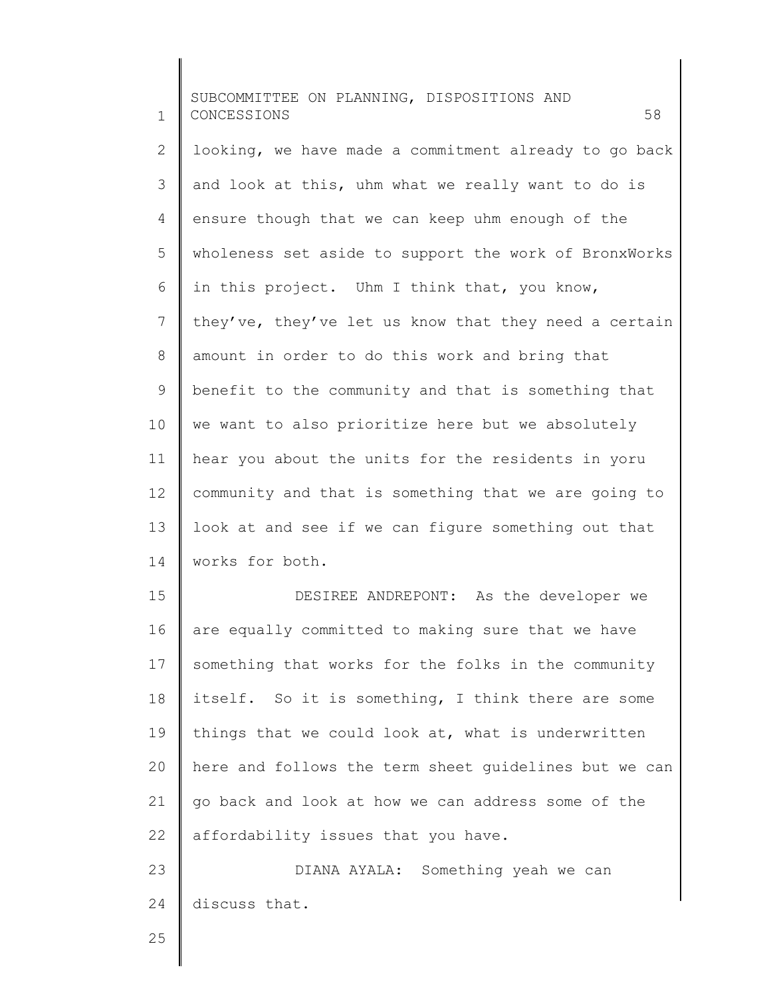2 3 4 5 6 7 8 9 10 11 12 13 14 looking, we have made a commitment already to go back and look at this, uhm what we really want to do is ensure though that we can keep uhm enough of the wholeness set aside to support the work of BronxWorks in this project. Uhm I think that, you know, they've, they've let us know that they need a certain amount in order to do this work and bring that benefit to the community and that is something that we want to also prioritize here but we absolutely hear you about the units for the residents in yoru community and that is something that we are going to look at and see if we can figure something out that works for both.

15 16 17 18 19 20 21 22 DESIREE ANDREPONT: As the developer we are equally committed to making sure that we have something that works for the folks in the community itself. So it is something, I think there are some things that we could look at, what is underwritten here and follows the term sheet guidelines but we can go back and look at how we can address some of the affordability issues that you have.

23 24 DIANA AYALA: Something yeah we can discuss that.

25

1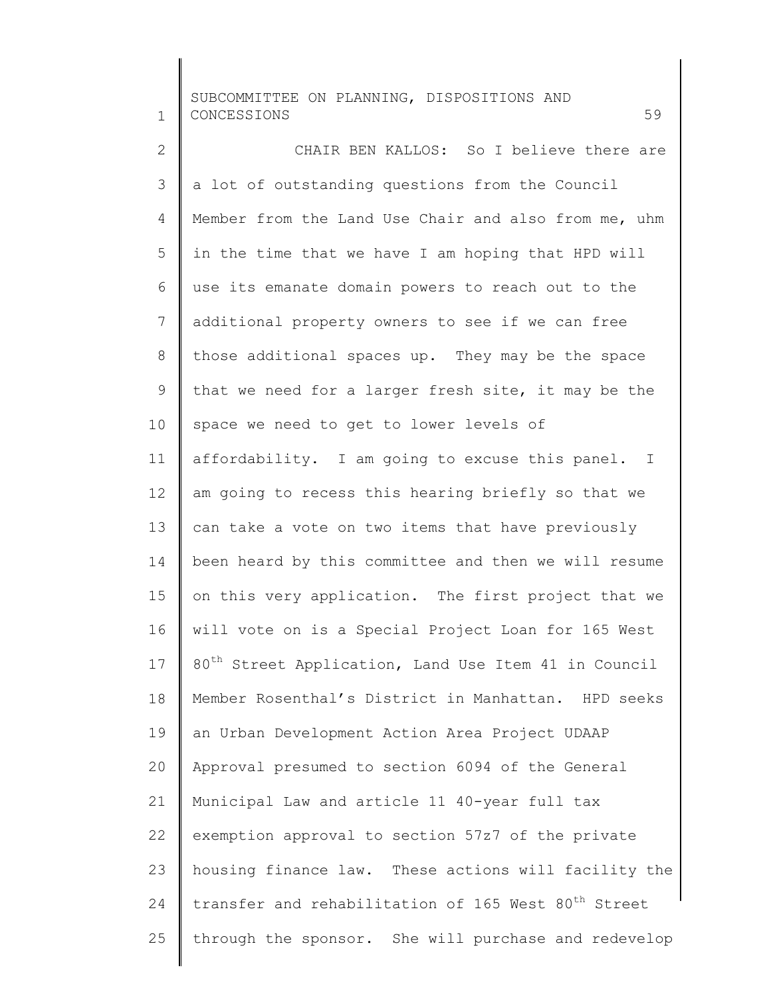1

2 3 4 5 6 7 8 9 10 11 12 13 14 15 16 17 18 19 20 21 22 23 24 25 CHAIR BEN KALLOS: So I believe there are a lot of outstanding questions from the Council Member from the Land Use Chair and also from me, uhm in the time that we have I am hoping that HPD will use its emanate domain powers to reach out to the additional property owners to see if we can free those additional spaces up. They may be the space that we need for a larger fresh site, it may be the space we need to get to lower levels of affordability. I am going to excuse this panel. I am going to recess this hearing briefly so that we can take a vote on two items that have previously been heard by this committee and then we will resume on this very application. The first project that we will vote on is a Special Project Loan for 165 West 80<sup>th</sup> Street Application, Land Use Item 41 in Council Member Rosenthal's District in Manhattan. HPD seeks an Urban Development Action Area Project UDAAP Approval presumed to section 6094 of the General Municipal Law and article 11 40-year full tax exemption approval to section 57z7 of the private housing finance law. These actions will facility the transfer and rehabilitation of 165 West 80<sup>th</sup> Street through the sponsor. She will purchase and redevelop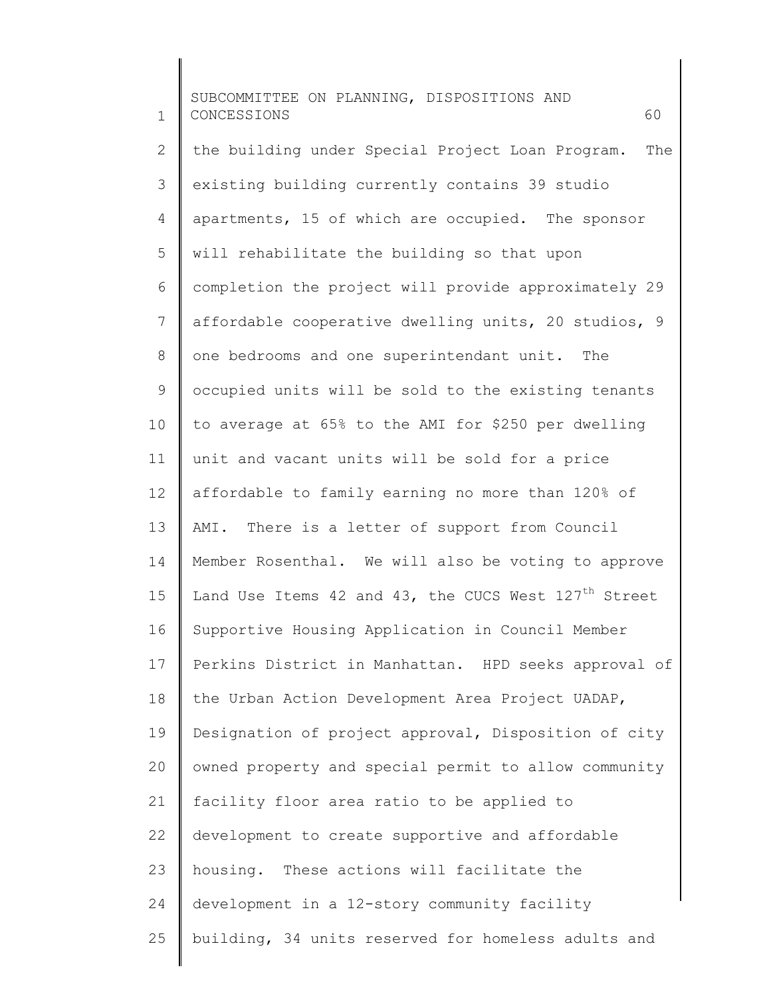1

2 3 4 5 6 7 8 9 10 11 12 13 14 15 16 17 18 19 20 21 22 23 24 25 the building under Special Project Loan Program. The existing building currently contains 39 studio apartments, 15 of which are occupied. The sponsor will rehabilitate the building so that upon completion the project will provide approximately 29 affordable cooperative dwelling units, 20 studios, 9 one bedrooms and one superintendant unit. The occupied units will be sold to the existing tenants to average at 65% to the AMI for \$250 per dwelling unit and vacant units will be sold for a price affordable to family earning no more than 120% of AMI. There is a letter of support from Council Member Rosenthal. We will also be voting to approve Land Use Items 42 and 43, the CUCS West  $127<sup>th</sup>$  Street Supportive Housing Application in Council Member Perkins District in Manhattan. HPD seeks approval of the Urban Action Development Area Project UADAP, Designation of project approval, Disposition of city owned property and special permit to allow community facility floor area ratio to be applied to development to create supportive and affordable housing. These actions will facilitate the development in a 12-story community facility building, 34 units reserved for homeless adults and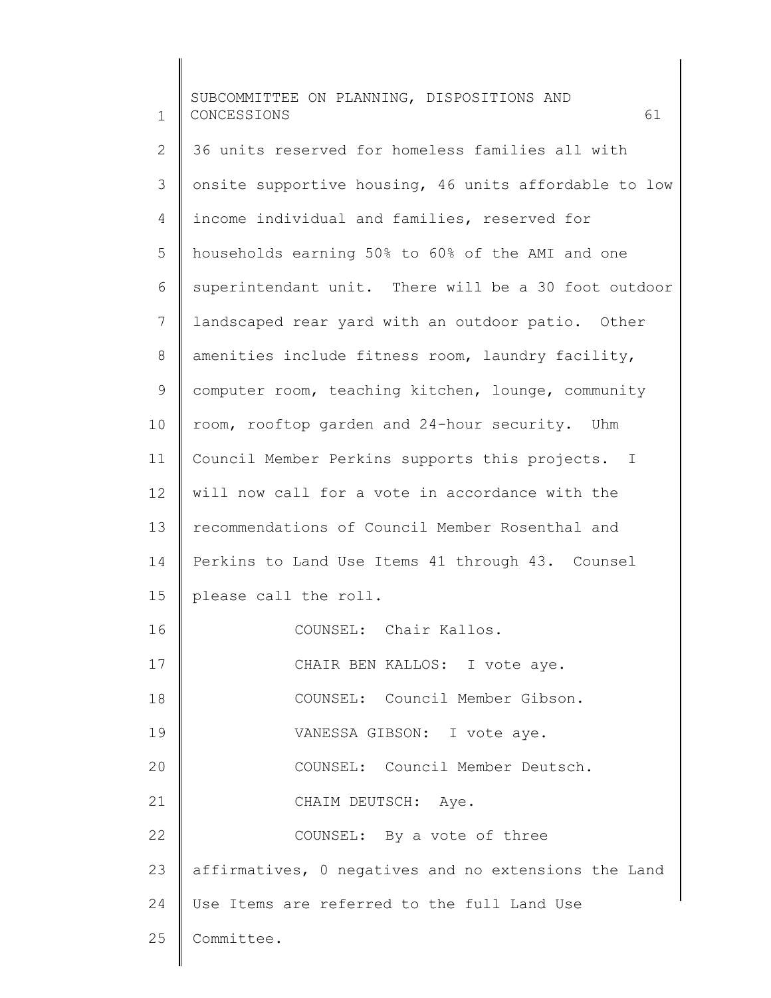1 2 3 4 5 6 7 8 9 10 11 12 13 14 15 16 17 18 19 20 21 22 23 24 25 SUBCOMMITTEE ON PLANNING, DISPOSITIONS AND CONCESSIONS 61 36 units reserved for homeless families all with onsite supportive housing, 46 units affordable to low income individual and families, reserved for households earning 50% to 60% of the AMI and one superintendant unit. There will be a 30 foot outdoor landscaped rear yard with an outdoor patio. Other amenities include fitness room, laundry facility, computer room, teaching kitchen, lounge, community room, rooftop garden and 24-hour security. Uhm Council Member Perkins supports this projects. I will now call for a vote in accordance with the recommendations of Council Member Rosenthal and Perkins to Land Use Items 41 through 43. Counsel please call the roll. COUNSEL: Chair Kallos. CHAIR BEN KALLOS: I vote aye. COUNSEL: Council Member Gibson. VANESSA GIBSON: I vote aye. COUNSEL: Council Member Deutsch. CHAIM DEUTSCH: Aye. COUNSEL: By a vote of three affirmatives, 0 negatives and no extensions the Land Use Items are referred to the full Land Use Committee.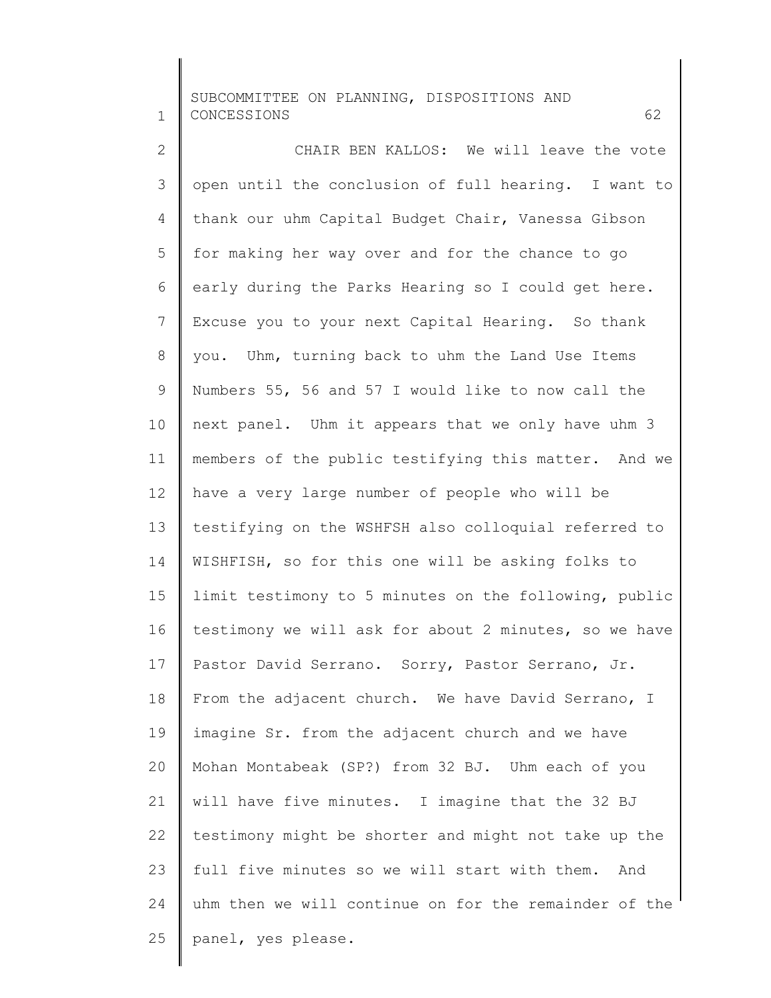1

2 3 4 5 6 7 8 9 10 11 12 13 14 15 16 17 18 19 20 21 22 23 24 25 CHAIR BEN KALLOS: We will leave the vote open until the conclusion of full hearing. I want to thank our uhm Capital Budget Chair, Vanessa Gibson for making her way over and for the chance to go early during the Parks Hearing so I could get here. Excuse you to your next Capital Hearing. So thank you. Uhm, turning back to uhm the Land Use Items Numbers 55, 56 and 57 I would like to now call the next panel. Uhm it appears that we only have uhm 3 members of the public testifying this matter. And we have a very large number of people who will be testifying on the WSHFSH also colloquial referred to WISHFISH, so for this one will be asking folks to limit testimony to 5 minutes on the following, public testimony we will ask for about 2 minutes, so we have Pastor David Serrano. Sorry, Pastor Serrano, Jr. From the adjacent church. We have David Serrano, I imagine Sr. from the adjacent church and we have Mohan Montabeak (SP?) from 32 BJ. Uhm each of you will have five minutes. I imagine that the 32 BJ testimony might be shorter and might not take up the full five minutes so we will start with them. And uhm then we will continue on for the remainder of the panel, yes please.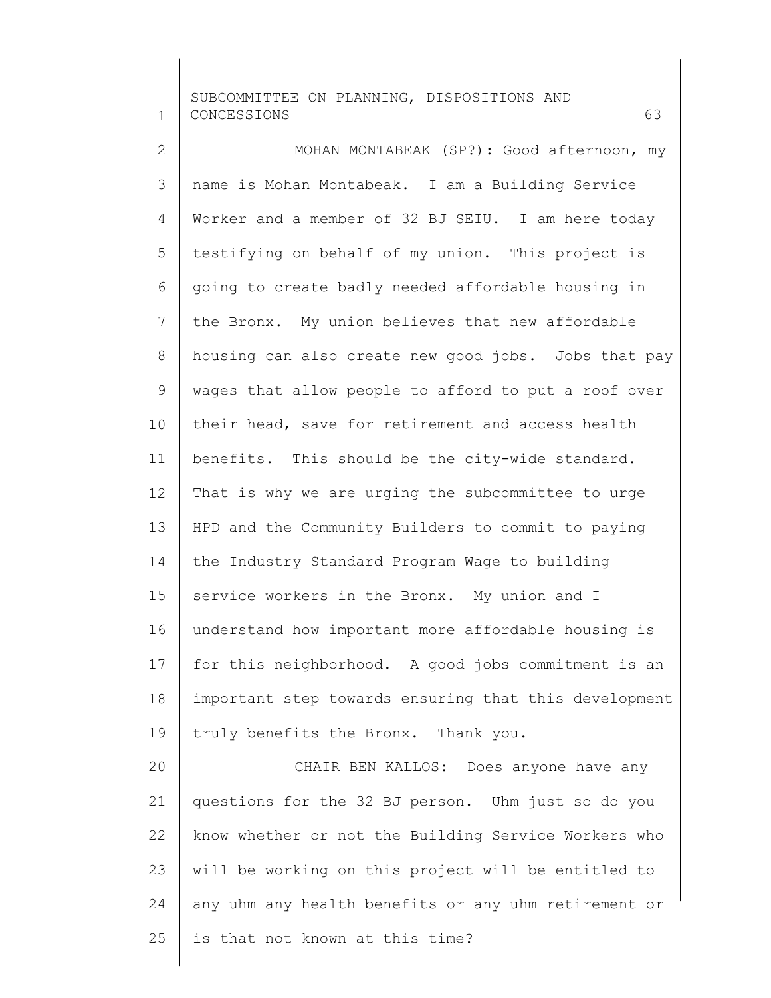1

2 3 4 5 6 7 8 9 10 11 12 13 14 15 16 17 18 19 MOHAN MONTABEAK (SP?): Good afternoon, my name is Mohan Montabeak. I am a Building Service Worker and a member of 32 BJ SEIU. I am here today testifying on behalf of my union. This project is going to create badly needed affordable housing in the Bronx. My union believes that new affordable housing can also create new good jobs. Jobs that pay wages that allow people to afford to put a roof over their head, save for retirement and access health benefits. This should be the city-wide standard. That is why we are urging the subcommittee to urge HPD and the Community Builders to commit to paying the Industry Standard Program Wage to building service workers in the Bronx. My union and I understand how important more affordable housing is for this neighborhood. A good jobs commitment is an important step towards ensuring that this development truly benefits the Bronx. Thank you.

20 21 22 23 24 25 CHAIR BEN KALLOS: Does anyone have any questions for the 32 BJ person. Uhm just so do you know whether or not the Building Service Workers who will be working on this project will be entitled to any uhm any health benefits or any uhm retirement or is that not known at this time?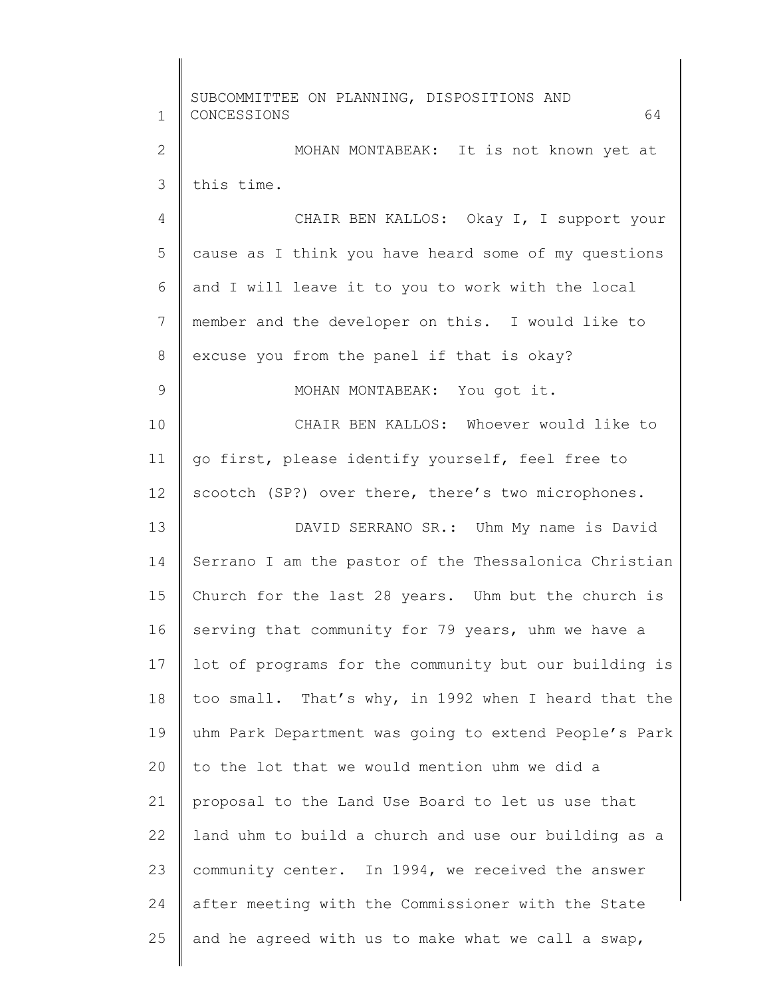| $\mathbf 1$    | SUBCOMMITTEE ON PLANNING, DISPOSITIONS AND<br>64<br>CONCESSIONS |
|----------------|-----------------------------------------------------------------|
| $\mathbf{2}$   | MOHAN MONTABEAK: It is not known yet at                         |
| 3              | this time.                                                      |
| $\overline{4}$ | CHAIR BEN KALLOS: Okay I, I support your                        |
| 5              | cause as I think you have heard some of my questions            |
| 6              | and I will leave it to you to work with the local               |
| 7              | member and the developer on this. I would like to               |
| 8              | excuse you from the panel if that is okay?                      |
| 9              | MOHAN MONTABEAK: You got it.                                    |
| 10             | CHAIR BEN KALLOS: Whoever would like to                         |
| 11             | go first, please identify yourself, feel free to                |
| 12             | scootch (SP?) over there, there's two microphones.              |
| 13             | DAVID SERRANO SR.: Uhm My name is David                         |
| 14             | Serrano I am the pastor of the Thessalonica Christian           |
| 15             | Church for the last 28 years. Uhm but the church is             |
| 16             | serving that community for 79 years, uhm we have a              |
| 17             | lot of programs for the community but our building is           |
| 18             | too small. That's why, in 1992 when I heard that the            |
| 19             | uhm Park Department was going to extend People's Park           |
| 20             | to the lot that we would mention uhm we did a                   |
| 21             | proposal to the Land Use Board to let us use that               |
| 22             | land uhm to build a church and use our building as a            |
| 23             | community center. In 1994, we received the answer               |
| 24             | after meeting with the Commissioner with the State              |
| 25             | and he agreed with us to make what we call a swap,              |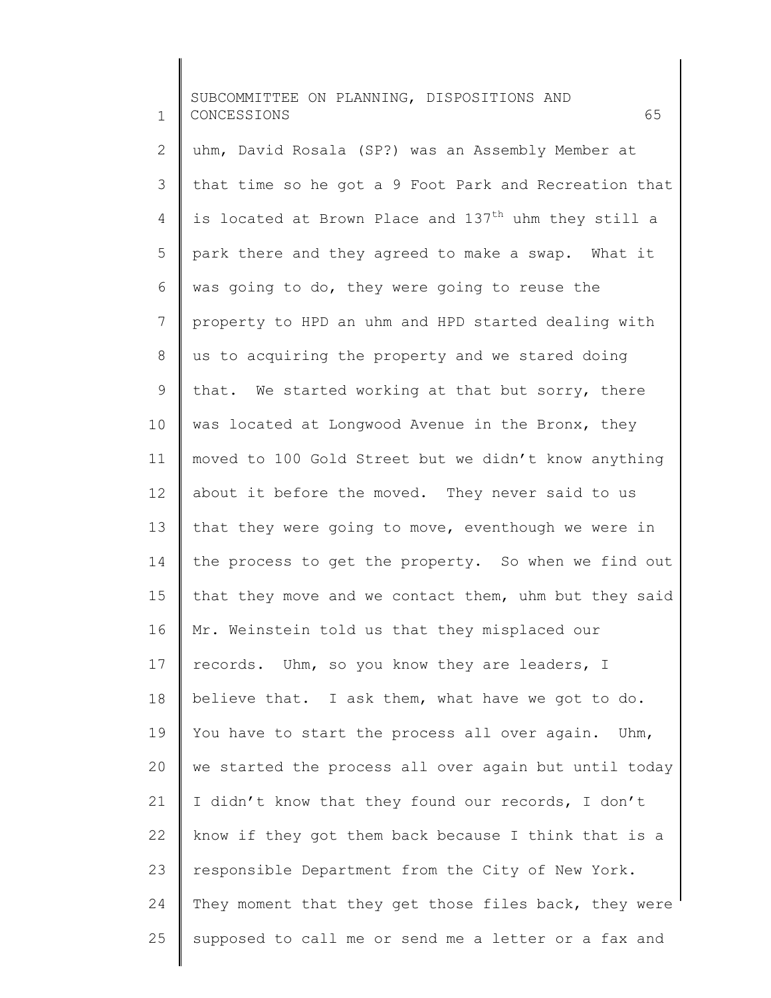1

2 3 4 5 6 7 8 9 10 11 12 13 14 15 16 17 18 19 20 21 22 23 24 25 uhm, David Rosala (SP?) was an Assembly Member at that time so he got a 9 Foot Park and Recreation that is located at Brown Place and 137<sup>th</sup> uhm they still a park there and they agreed to make a swap. What it was going to do, they were going to reuse the property to HPD an uhm and HPD started dealing with us to acquiring the property and we stared doing that. We started working at that but sorry, there was located at Longwood Avenue in the Bronx, they moved to 100 Gold Street but we didn't know anything about it before the moved. They never said to us that they were going to move, eventhough we were in the process to get the property. So when we find out that they move and we contact them, uhm but they said Mr. Weinstein told us that they misplaced our records. Uhm, so you know they are leaders, I believe that. I ask them, what have we got to do. You have to start the process all over again. Uhm, we started the process all over again but until today I didn't know that they found our records, I don't know if they got them back because I think that is a responsible Department from the City of New York. They moment that they get those files back, they were supposed to call me or send me a letter or a fax and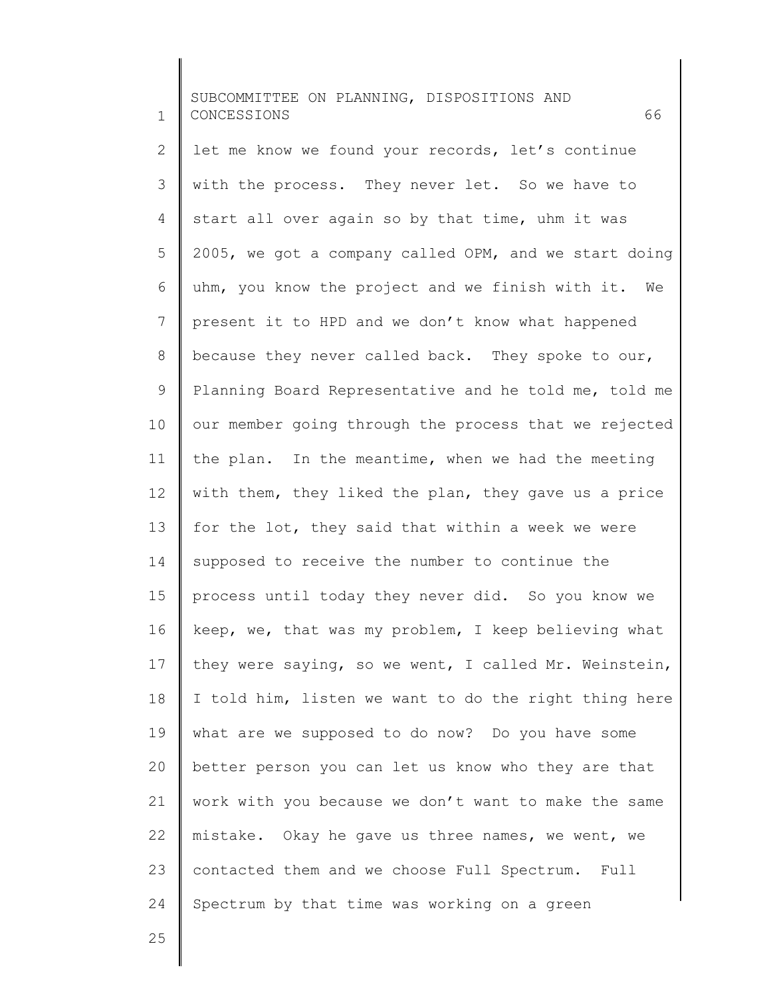2 3 4 5 6 7 8 9 10 11 12 13 14 15 16 17 18 19 20 21 22 23 24 let me know we found your records, let's continue with the process. They never let. So we have to start all over again so by that time, uhm it was 2005, we got a company called OPM, and we start doing uhm, you know the project and we finish with it. We present it to HPD and we don't know what happened because they never called back. They spoke to our, Planning Board Representative and he told me, told me our member going through the process that we rejected the plan. In the meantime, when we had the meeting with them, they liked the plan, they gave us a price for the lot, they said that within a week we were supposed to receive the number to continue the process until today they never did. So you know we keep, we, that was my problem, I keep believing what they were saying, so we went, I called Mr. Weinstein, I told him, listen we want to do the right thing here what are we supposed to do now? Do you have some better person you can let us know who they are that work with you because we don't want to make the same mistake. Okay he gave us three names, we went, we contacted them and we choose Full Spectrum. Full Spectrum by that time was working on a green

25

1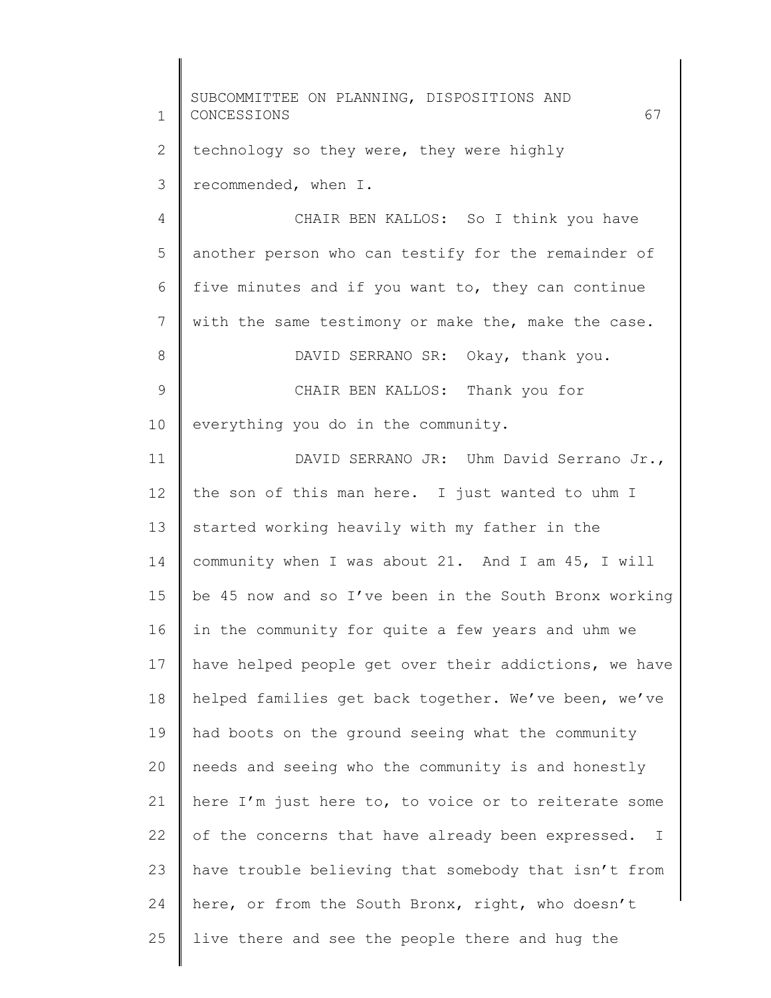1 2 3 4 5 6 7 8 9 10 11 12 13 14 15 16 17 18 19 20 21 22 23 24 25 SUBCOMMITTEE ON PLANNING, DISPOSITIONS AND CONCESSIONS 67 technology so they were, they were highly recommended, when I. CHAIR BEN KALLOS: So I think you have another person who can testify for the remainder of five minutes and if you want to, they can continue with the same testimony or make the, make the case. DAVID SERRANO SR: Okay, thank you. CHAIR BEN KALLOS: Thank you for everything you do in the community. DAVID SERRANO JR: Uhm David Serrano Jr., the son of this man here. I just wanted to uhm I started working heavily with my father in the community when I was about 21. And I am 45, I will be 45 now and so I've been in the South Bronx working in the community for quite a few years and uhm we have helped people get over their addictions, we have helped families get back together. We've been, we've had boots on the ground seeing what the community needs and seeing who the community is and honestly here I'm just here to, to voice or to reiterate some of the concerns that have already been expressed. I have trouble believing that somebody that isn't from here, or from the South Bronx, right, who doesn't live there and see the people there and hug the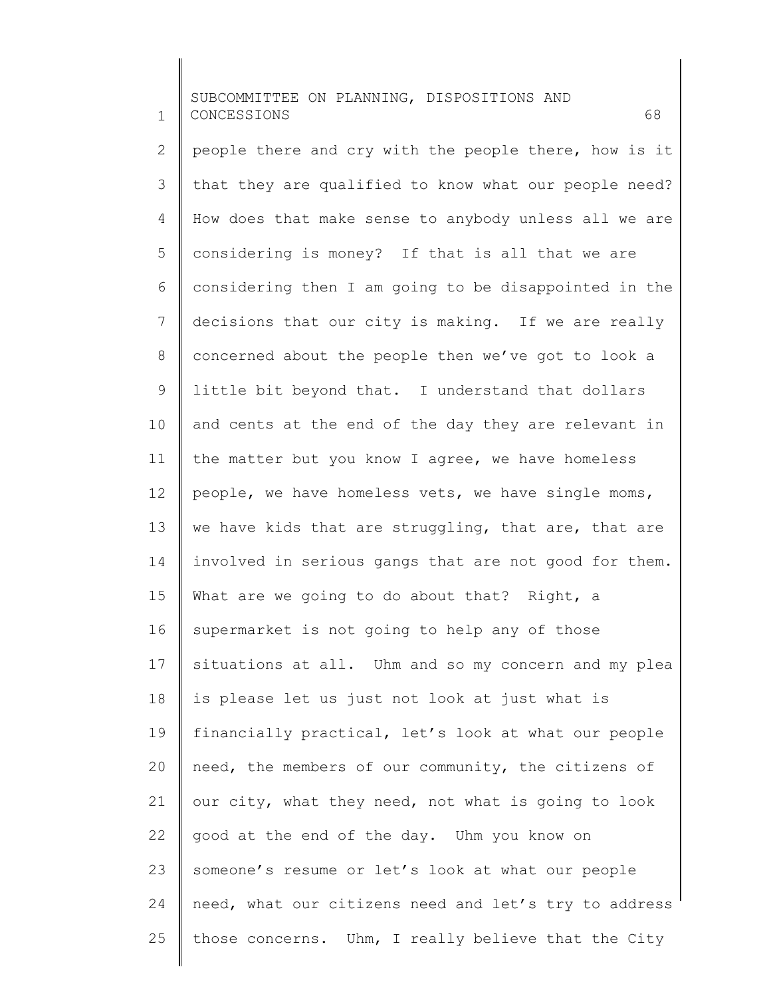1

2 3 4 5 6 7 8 9 10 11 12 13 14 15 16 17 18 19 20 21 22 23 24 25 people there and cry with the people there, how is it that they are qualified to know what our people need? How does that make sense to anybody unless all we are considering is money? If that is all that we are considering then I am going to be disappointed in the decisions that our city is making. If we are really concerned about the people then we've got to look a little bit beyond that. I understand that dollars and cents at the end of the day they are relevant in the matter but you know I agree, we have homeless people, we have homeless vets, we have single moms, we have kids that are struggling, that are, that are involved in serious gangs that are not good for them. What are we going to do about that? Right, a supermarket is not going to help any of those situations at all. Uhm and so my concern and my plea is please let us just not look at just what is financially practical, let's look at what our people need, the members of our community, the citizens of our city, what they need, not what is going to look good at the end of the day. Uhm you know on someone's resume or let's look at what our people need, what our citizens need and let's try to address those concerns. Uhm, I really believe that the City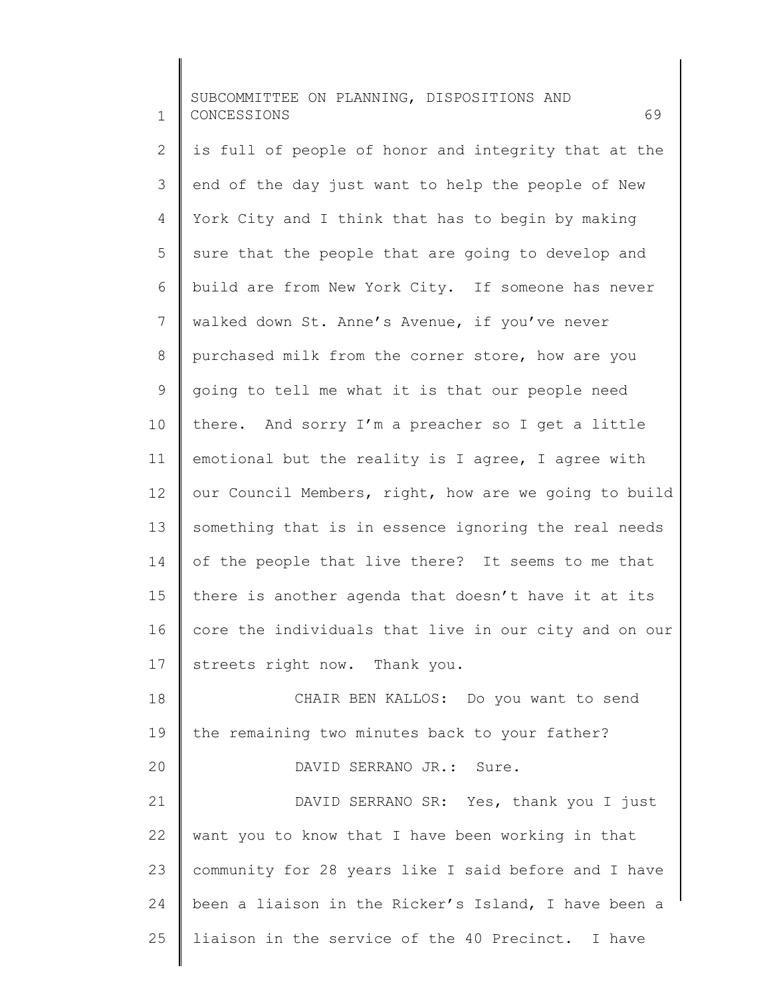1

20

2 3 4 5 6 7 8 9 10 11 12 13 14 15 16 17 18 19 is full of people of honor and integrity that at the end of the day just want to help the people of New York City and I think that has to begin by making sure that the people that are going to develop and build are from New York City. If someone has never walked down St. Anne's Avenue, if you've never purchased milk from the corner store, how are you going to tell me what it is that our people need there. And sorry I'm a preacher so I get a little emotional but the reality is I agree, I agree with our Council Members, right, how are we going to build something that is in essence ignoring the real needs of the people that live there? It seems to me that there is another agenda that doesn't have it at its core the individuals that live in our city and on our streets right now. Thank you. CHAIR BEN KALLOS: Do you want to send the remaining two minutes back to your father?

DAVID SERRANO JR.: Sure.

21 22 23 24 25 DAVID SERRANO SR: Yes, thank you I just want you to know that I have been working in that community for 28 years like I said before and I have been a liaison in the Ricker's Island, I have been a liaison in the service of the 40 Precinct. I have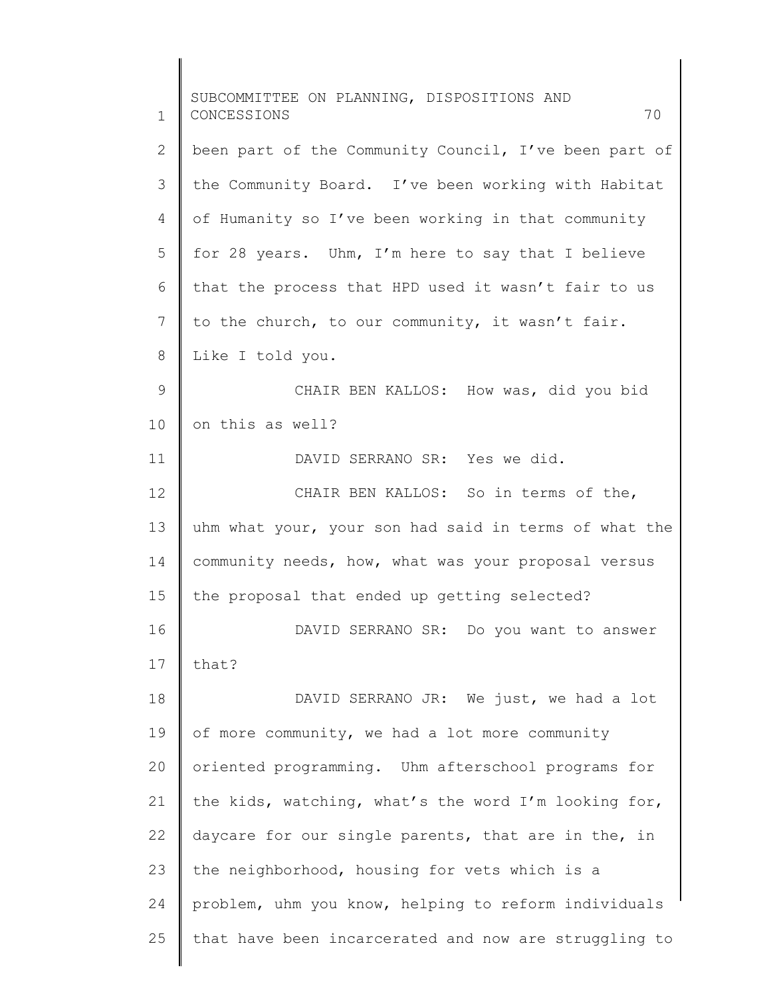1 2 3 4 5 6 7 8 9 10 11 12 13 14 15 16 17 18 19 20 21 22 23 24 25 SUBCOMMITTEE ON PLANNING, DISPOSITIONS AND CONCESSIONS 70 been part of the Community Council, I've been part of the Community Board. I've been working with Habitat of Humanity so I've been working in that community for 28 years. Uhm, I'm here to say that I believe that the process that HPD used it wasn't fair to us to the church, to our community, it wasn't fair. Like I told you. CHAIR BEN KALLOS: How was, did you bid on this as well? DAVID SERRANO SR: Yes we did. CHAIR BEN KALLOS: So in terms of the, uhm what your, your son had said in terms of what the community needs, how, what was your proposal versus the proposal that ended up getting selected? DAVID SERRANO SR: Do you want to answer that? DAVID SERRANO JR: We just, we had a lot of more community, we had a lot more community oriented programming. Uhm afterschool programs for the kids, watching, what's the word I'm looking for, daycare for our single parents, that are in the, in the neighborhood, housing for vets which is a problem, uhm you know, helping to reform individuals that have been incarcerated and now are struggling to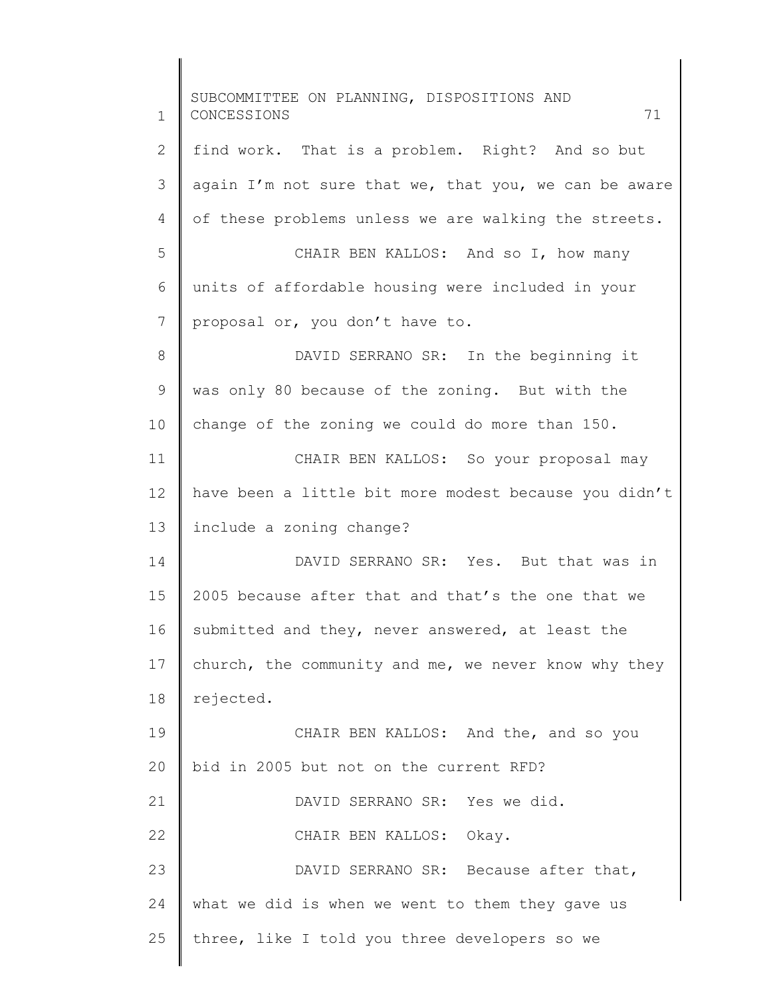1 2 3 4 5 6 7 8 9 10 11 12 13 14 15 16 17 18 19 20 21 22 23 24 25 SUBCOMMITTEE ON PLANNING, DISPOSITIONS AND CONCESSIONS 71 find work. That is a problem. Right? And so but again I'm not sure that we, that you, we can be aware of these problems unless we are walking the streets. CHAIR BEN KALLOS: And so I, how many units of affordable housing were included in your proposal or, you don't have to. DAVID SERRANO SR: In the beginning it was only 80 because of the zoning. But with the change of the zoning we could do more than 150. CHAIR BEN KALLOS: So your proposal may have been a little bit more modest because you didn't include a zoning change? DAVID SERRANO SR: Yes. But that was in 2005 because after that and that's the one that we submitted and they, never answered, at least the church, the community and me, we never know why they rejected. CHAIR BEN KALLOS: And the, and so you bid in 2005 but not on the current RFD? DAVID SERRANO SR: Yes we did. CHAIR BEN KALLOS: Okay. DAVID SERRANO SR: Because after that, what we did is when we went to them they gave us three, like I told you three developers so we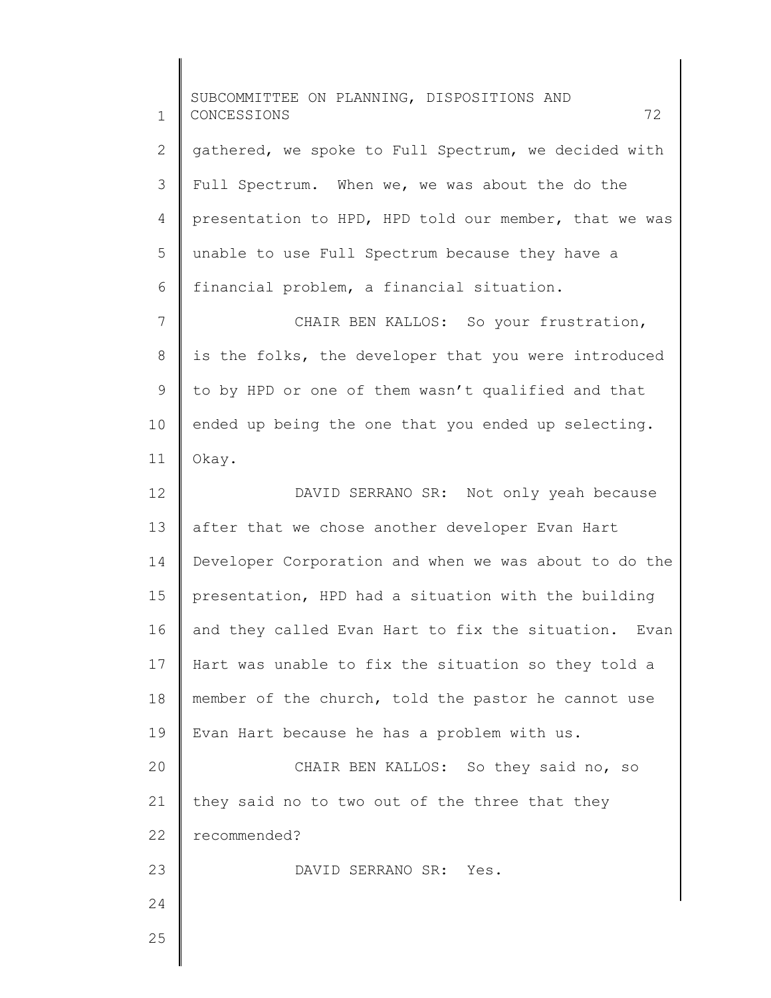1 2 3 4 5 6 7 8 9 10 11 12 13 14 15 16 17 18 19 20 21 22 23 24 25 SUBCOMMITTEE ON PLANNING, DISPOSITIONS AND CONCESSIONS 72 gathered, we spoke to Full Spectrum, we decided with Full Spectrum. When we, we was about the do the presentation to HPD, HPD told our member, that we was unable to use Full Spectrum because they have a financial problem, a financial situation. CHAIR BEN KALLOS: So your frustration, is the folks, the developer that you were introduced to by HPD or one of them wasn't qualified and that ended up being the one that you ended up selecting. Okay. DAVID SERRANO SR: Not only yeah because after that we chose another developer Evan Hart Developer Corporation and when we was about to do the presentation, HPD had a situation with the building and they called Evan Hart to fix the situation. Evan Hart was unable to fix the situation so they told a member of the church, told the pastor he cannot use Evan Hart because he has a problem with us. CHAIR BEN KALLOS: So they said no, so they said no to two out of the three that they recommended? DAVID SERRANO SR: Yes.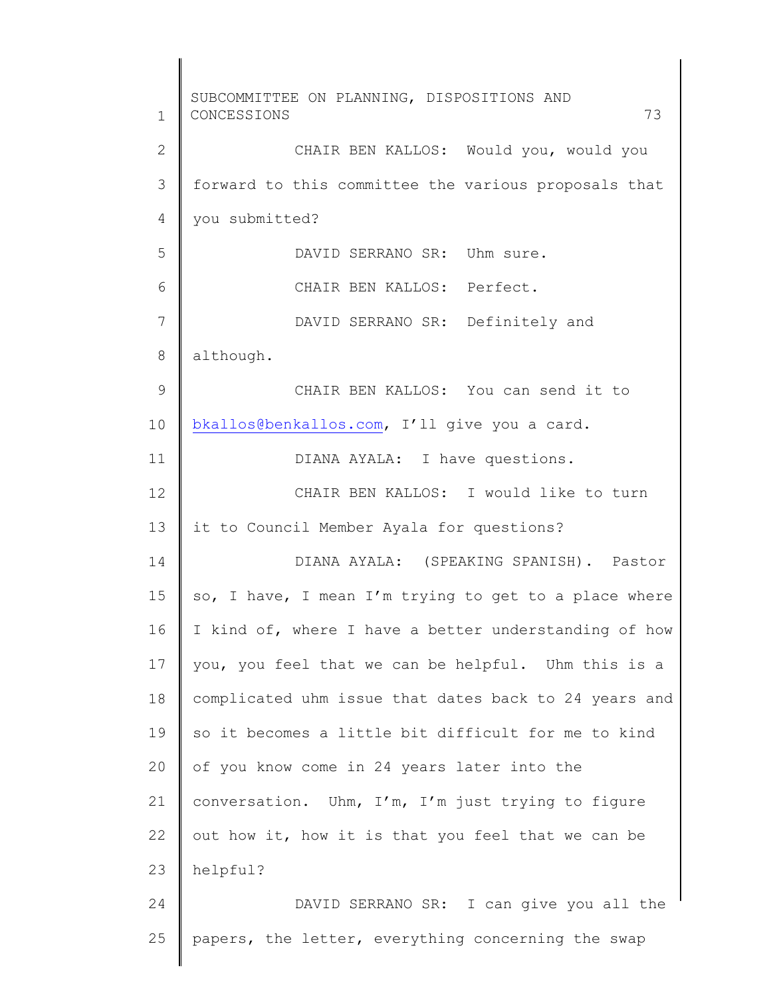1 2 3 4 5 6 7 8 9 10 11 12 13 14 15 16 17 18 19 20 21 22 23 24 25 SUBCOMMITTEE ON PLANNING, DISPOSITIONS AND CONCESSIONS 73 CHAIR BEN KALLOS: Would you, would you forward to this committee the various proposals that you submitted? DAVID SERRANO SR: Uhm sure. CHAIR BEN KALLOS: Perfect. DAVID SERRANO SR: Definitely and although. CHAIR BEN KALLOS: You can send it to [bkallos@benkallos.com](mailto:bkallos@benkallos.com), I'll give you a card. DIANA AYALA: I have questions. CHAIR BEN KALLOS: I would like to turn it to Council Member Ayala for questions? DIANA AYALA: (SPEAKING SPANISH). Pastor so, I have, I mean I'm trying to get to a place where I kind of, where I have a better understanding of how you, you feel that we can be helpful. Uhm this is a complicated uhm issue that dates back to 24 years and so it becomes a little bit difficult for me to kind of you know come in 24 years later into the conversation. Uhm, I'm, I'm just trying to figure out how it, how it is that you feel that we can be helpful? DAVID SERRANO SR: I can give you all the papers, the letter, everything concerning the swap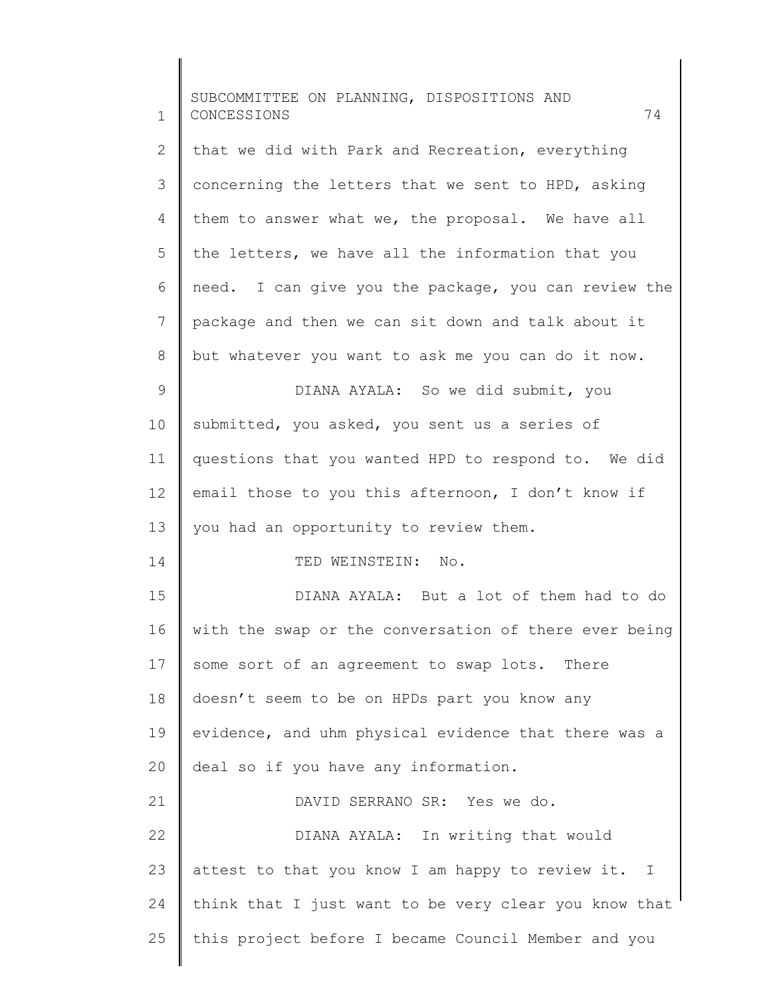| $\mathbf 1$     | SUBCOMMITTEE ON PLANNING, DISPOSITIONS AND<br>74<br>CONCESSIONS |
|-----------------|-----------------------------------------------------------------|
| 2               | that we did with Park and Recreation, everything                |
| 3               | concerning the letters that we sent to HPD, asking              |
| 4               | them to answer what we, the proposal. We have all               |
| 5               | the letters, we have all the information that you               |
| 6               | need. I can give you the package, you can review the            |
| 7               | package and then we can sit down and talk about it              |
| 8               | but whatever you want to ask me you can do it now.              |
| 9               | DIANA AYALA: So we did submit, you                              |
| 10              | submitted, you asked, you sent us a series of                   |
| 11              | questions that you wanted HPD to respond to. We did             |
| 12 <sup>°</sup> | email those to you this afternoon, I don't know if              |
| 13              | you had an opportunity to review them.                          |
| 14              | TED WEINSTEIN: No.                                              |
| 15              | DIANA AYALA: But a lot of them had to do                        |
| 16              | with the swap or the conversation of there ever being           |
| 17              | some sort of an agreement to swap lots. There                   |
| 18              | doesn't seem to be on HPDs part you know any                    |
| 19              | evidence, and uhm physical evidence that there was a            |
| 20              | deal so if you have any information.                            |
| 21              | DAVID SERRANO SR: Yes we do.                                    |
| 22              | DIANA AYALA: In writing that would                              |
| 23              | attest to that you know I am happy to review it. I              |
| 24              | think that I just want to be very clear you know that           |
| 25              | this project before I became Council Member and you             |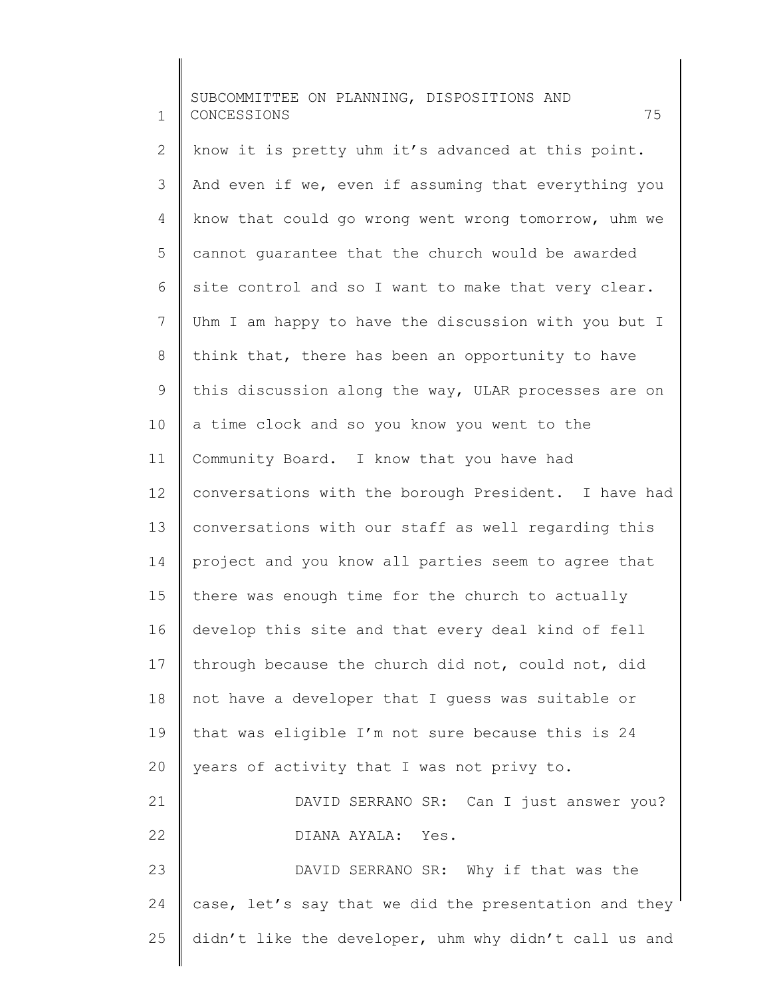1

25

2 3 4 5 6 7 8 9 10 11 12 13 14 15 16 17 18 19 20 21 22 23 24 know it is pretty uhm it's advanced at this point. And even if we, even if assuming that everything you know that could go wrong went wrong tomorrow, uhm we cannot guarantee that the church would be awarded site control and so I want to make that very clear. Uhm I am happy to have the discussion with you but I think that, there has been an opportunity to have this discussion along the way, ULAR processes are on a time clock and so you know you went to the Community Board. I know that you have had conversations with the borough President. I have had conversations with our staff as well regarding this project and you know all parties seem to agree that there was enough time for the church to actually develop this site and that every deal kind of fell through because the church did not, could not, did not have a developer that I guess was suitable or that was eligible I'm not sure because this is 24 years of activity that I was not privy to. DAVID SERRANO SR: Can I just answer you? DIANA AYALA: Yes. DAVID SERRANO SR: Why if that was the case, let's say that we did the presentation and they

didn't like the developer, uhm why didn't call us and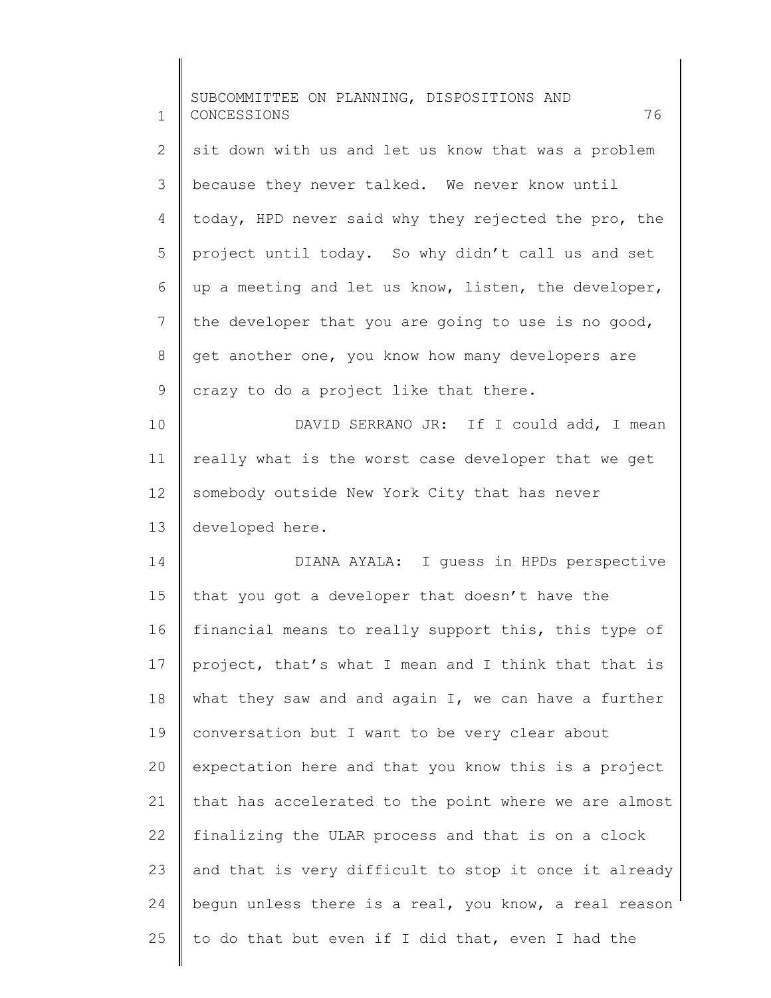1 2 3 4 5 6 7 8 9 10 11 12 13 14 15 16 17 18 19 20 21 22 23 24 25 SUBCOMMITTEE ON PLANNING, DISPOSITIONS AND CONCESSIONS 76 sit down with us and let us know that was a problem because they never talked. We never know until today, HPD never said why they rejected the pro, the project until today. So why didn't call us and set up a meeting and let us know, listen, the developer, the developer that you are going to use is no good, get another one, you know how many developers are crazy to do a project like that there. DAVID SERRANO JR: If I could add, I mean really what is the worst case developer that we get somebody outside New York City that has never developed here. DIANA AYALA: I guess in HPDs perspective that you got a developer that doesn't have the financial means to really support this, this type of project, that's what I mean and I think that that is what they saw and and again  $I$ , we can have a further conversation but I want to be very clear about expectation here and that you know this is a project that has accelerated to the point where we are almost finalizing the ULAR process and that is on a clock and that is very difficult to stop it once it already begun unless there is a real, you know, a real reason to do that but even if I did that, even I had the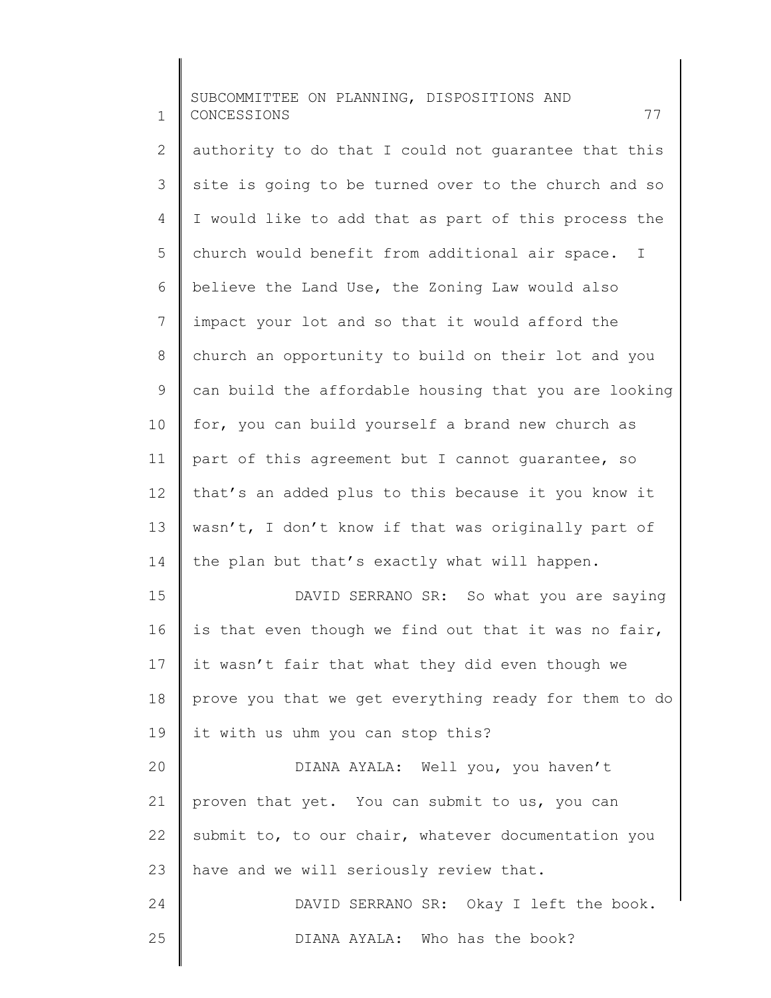1

2 3 4 5 6 7 8 9 10 11 12 13 14 15 authority to do that I could not guarantee that this site is going to be turned over to the church and so I would like to add that as part of this process the church would benefit from additional air space. I believe the Land Use, the Zoning Law would also impact your lot and so that it would afford the church an opportunity to build on their lot and you can build the affordable housing that you are looking for, you can build yourself a brand new church as part of this agreement but I cannot guarantee, so that's an added plus to this because it you know it wasn't, I don't know if that was originally part of the plan but that's exactly what will happen. DAVID SERRANO SR: So what you are saying

16 17 18 19 is that even though we find out that it was no fair, it wasn't fair that what they did even though we prove you that we get everything ready for them to do it with us uhm you can stop this?

20 21 22 23 DIANA AYALA: Well you, you haven't proven that yet. You can submit to us, you can submit to, to our chair, whatever documentation you have and we will seriously review that.

24 25 DAVID SERRANO SR: Okay I left the book. DIANA AYALA: Who has the book?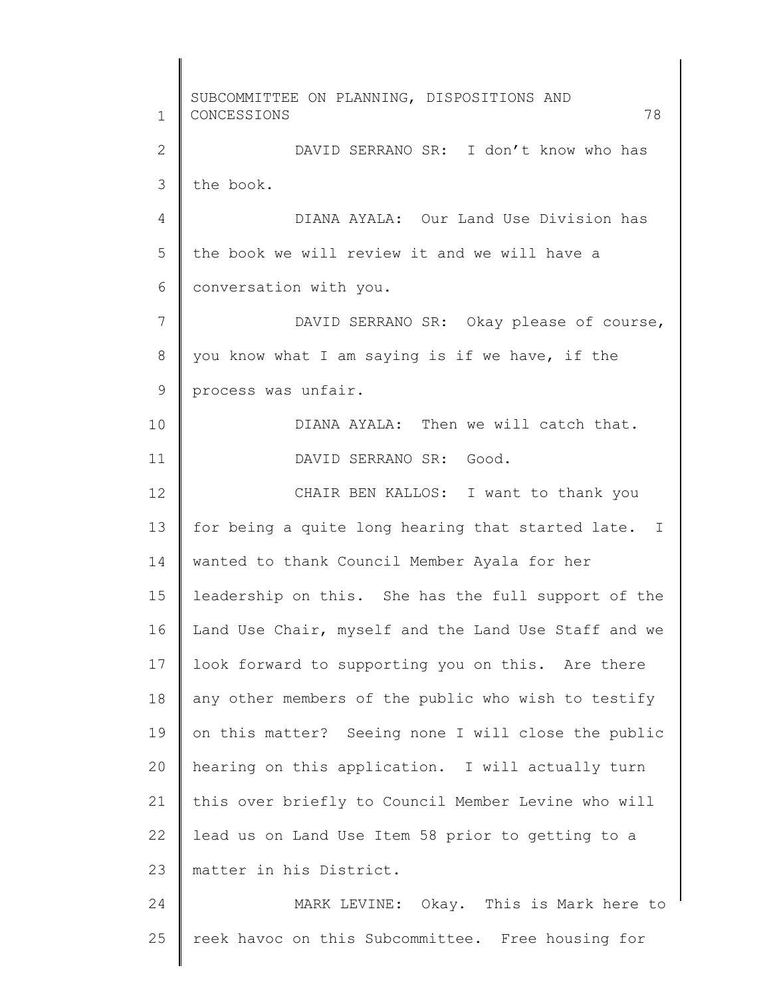1 2 3 4 5 6 7 8 9 10 11 12 13 14 15 16 17 18 19 20 21 22 23 24 25 SUBCOMMITTEE ON PLANNING, DISPOSITIONS AND CONCESSIONS 78 DAVID SERRANO SR: I don't know who has the book. DIANA AYALA: Our Land Use Division has the book we will review it and we will have a conversation with you. DAVID SERRANO SR: Okay please of course, you know what I am saying is if we have, if the process was unfair. DIANA AYALA: Then we will catch that. DAVID SERRANO SR: Good. CHAIR BEN KALLOS: I want to thank you for being a quite long hearing that started late. I wanted to thank Council Member Ayala for her leadership on this. She has the full support of the Land Use Chair, myself and the Land Use Staff and we look forward to supporting you on this. Are there any other members of the public who wish to testify on this matter? Seeing none I will close the public hearing on this application. I will actually turn this over briefly to Council Member Levine who will lead us on Land Use Item 58 prior to getting to a matter in his District. MARK LEVINE: Okay. This is Mark here to reek havoc on this Subcommittee. Free housing for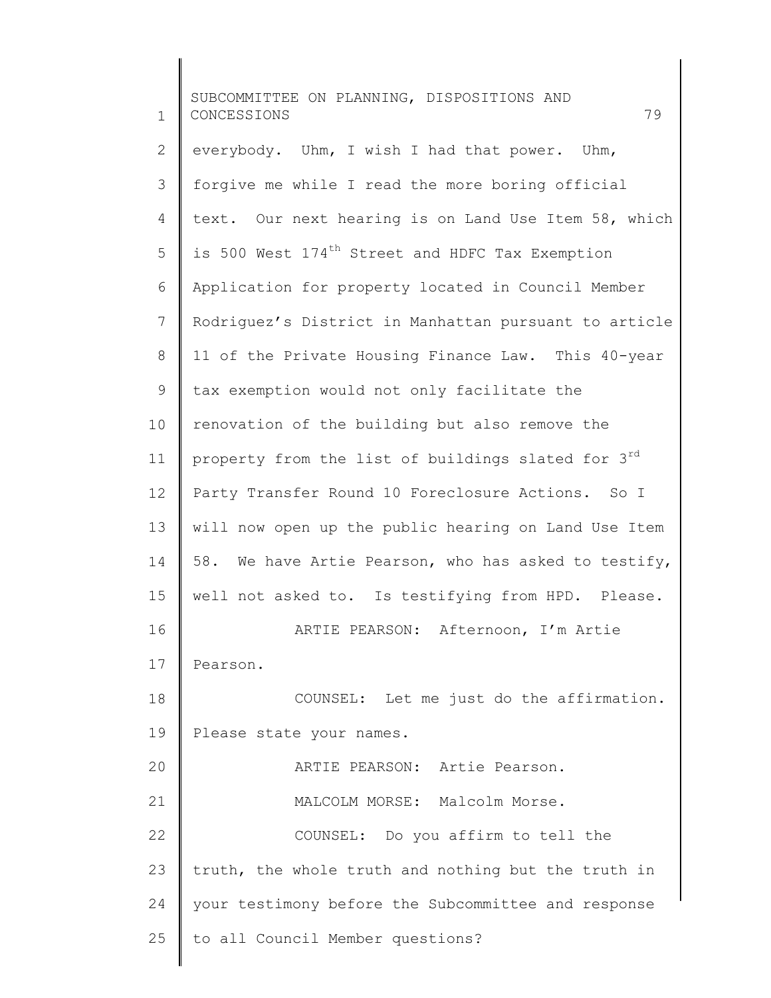1 2 3 4 5 6 7 8 9 10 11 12 13 14 15 16 17 18 19 20 21 22 23 24 25 SUBCOMMITTEE ON PLANNING, DISPOSITIONS AND CONCESSIONS 79 everybody. Uhm, I wish I had that power. Uhm, forgive me while I read the more boring official text. Our next hearing is on Land Use Item 58, which is 500 West 174<sup>th</sup> Street and HDFC Tax Exemption Application for property located in Council Member Rodriguez's District in Manhattan pursuant to article 11 of the Private Housing Finance Law. This 40-year tax exemption would not only facilitate the renovation of the building but also remove the property from the list of buildings slated for  $3^{rd}$ Party Transfer Round 10 Foreclosure Actions. So I will now open up the public hearing on Land Use Item 58. We have Artie Pearson, who has asked to testify, well not asked to. Is testifying from HPD. Please. ARTIE PEARSON: Afternoon, I'm Artie Pearson. COUNSEL: Let me just do the affirmation. Please state your names. ARTIE PEARSON: Artie Pearson. MALCOLM MORSE: Malcolm Morse. COUNSEL: Do you affirm to tell the truth, the whole truth and nothing but the truth in your testimony before the Subcommittee and response to all Council Member questions?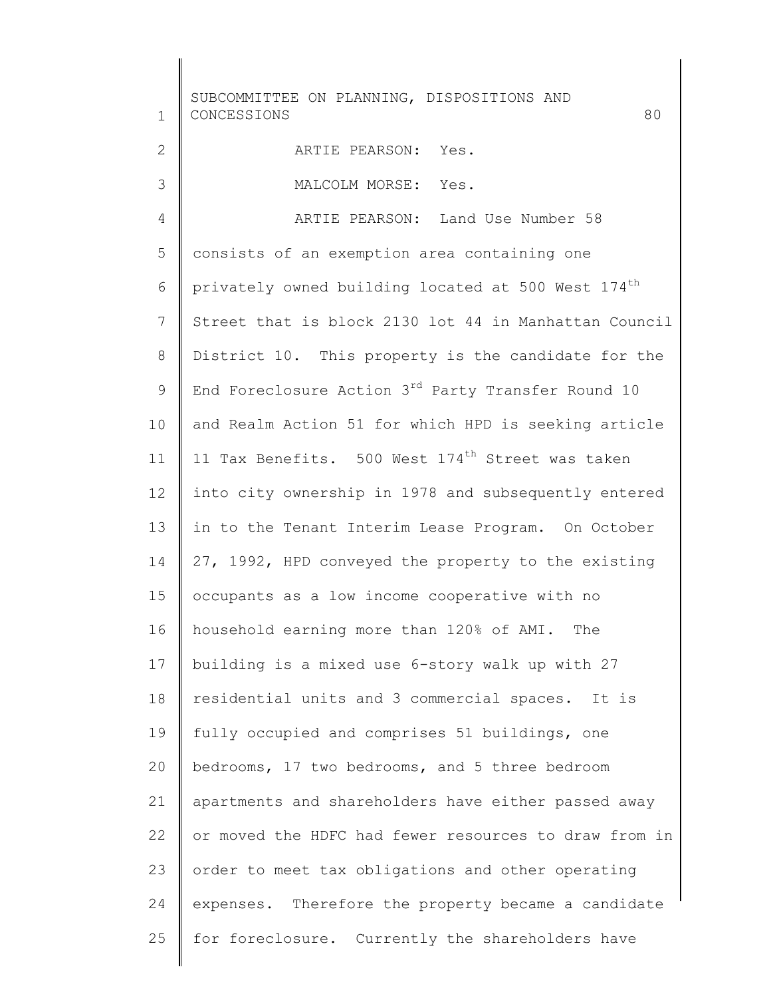1 2 3 4 5 6 7 8 9 10 11 12 13 14 15 16 17 18 19 20 21 22 23 24 25 SUBCOMMITTEE ON PLANNING, DISPOSITIONS AND CONCESSIONS 80 ARTIE PEARSON: Yes. MALCOLM MORSE: Yes. ARTIE PEARSON: Land Use Number 58 consists of an exemption area containing one privately owned building located at 500 West 174<sup>th</sup> Street that is block 2130 lot 44 in Manhattan Council District 10. This property is the candidate for the End Foreclosure Action 3<sup>rd</sup> Party Transfer Round 10 and Realm Action 51 for which HPD is seeking article 11 Tax Benefits. 500 West 174<sup>th</sup> Street was taken into city ownership in 1978 and subsequently entered in to the Tenant Interim Lease Program. On October 27, 1992, HPD conveyed the property to the existing occupants as a low income cooperative with no household earning more than 120% of AMI. The building is a mixed use 6-story walk up with 27 residential units and 3 commercial spaces. It is fully occupied and comprises 51 buildings, one bedrooms, 17 two bedrooms, and 5 three bedroom apartments and shareholders have either passed away or moved the HDFC had fewer resources to draw from in order to meet tax obligations and other operating expenses. Therefore the property became a candidate for foreclosure. Currently the shareholders have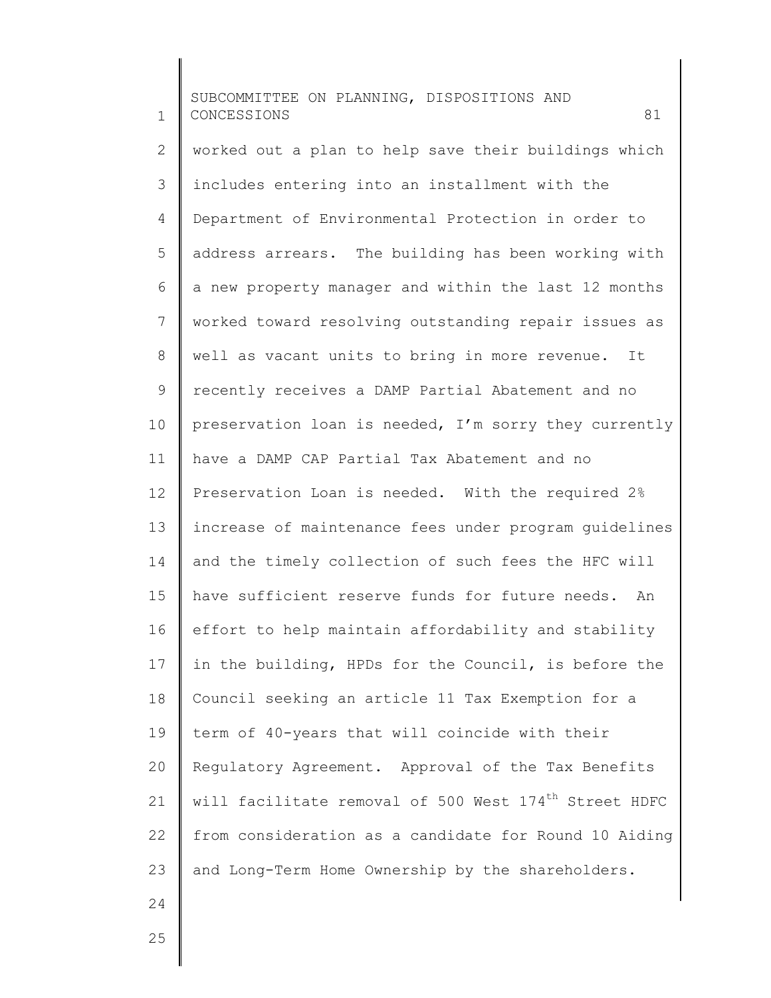2 3 4 5 6 7 8 9 10 11 12 13 14 15 16 17 18 19 20 21 22 23 worked out a plan to help save their buildings which includes entering into an installment with the Department of Environmental Protection in order to address arrears. The building has been working with a new property manager and within the last 12 months worked toward resolving outstanding repair issues as well as vacant units to bring in more revenue. It recently receives a DAMP Partial Abatement and no preservation loan is needed, I'm sorry they currently have a DAMP CAP Partial Tax Abatement and no Preservation Loan is needed. With the required 2% increase of maintenance fees under program guidelines and the timely collection of such fees the HFC will have sufficient reserve funds for future needs. An effort to help maintain affordability and stability in the building, HPDs for the Council, is before the Council seeking an article 11 Tax Exemption for a term of 40-years that will coincide with their Regulatory Agreement. Approval of the Tax Benefits will facilitate removal of 500 West 174<sup>th</sup> Street HDFC from consideration as a candidate for Round 10 Aiding and Long-Term Home Ownership by the shareholders.

24 25

1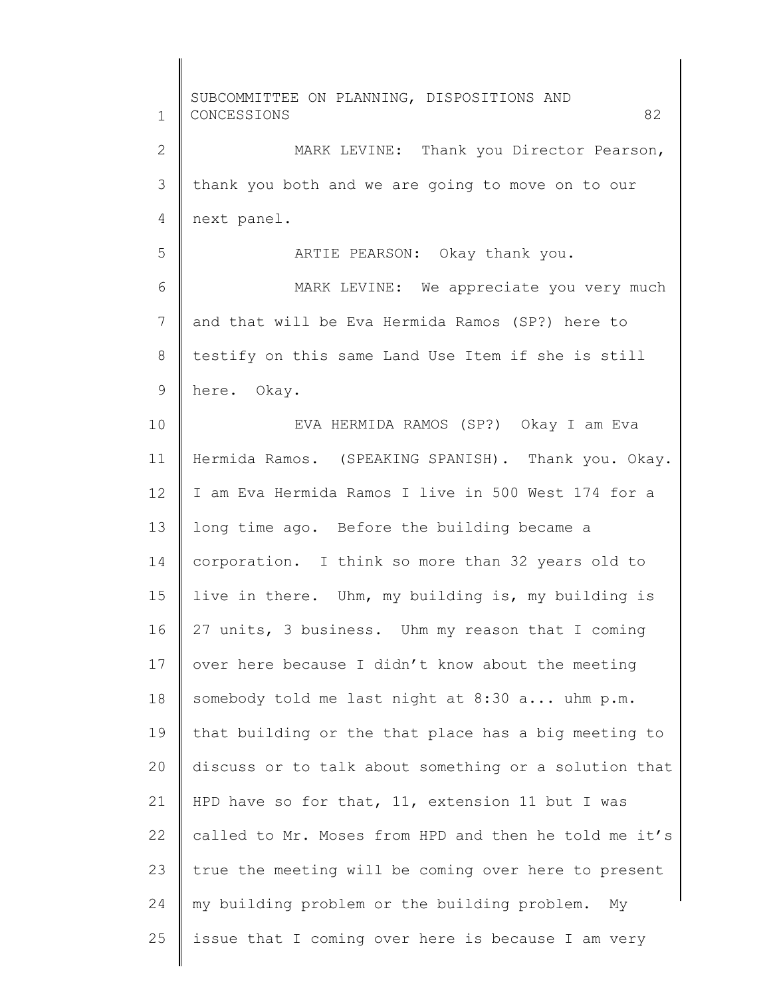1 2 3 4 5 6 7 8 9 10 11 12 13 14 15 16 17 18 19 20 21 22 23 24 25 SUBCOMMITTEE ON PLANNING, DISPOSITIONS AND CONCESSIONS 82 MARK LEVINE: Thank you Director Pearson, thank you both and we are going to move on to our next panel. ARTIE PEARSON: Okay thank you. MARK LEVINE: We appreciate you very much and that will be Eva Hermida Ramos (SP?) here to testify on this same Land Use Item if she is still here. Okay. EVA HERMIDA RAMOS (SP?) Okay I am Eva Hermida Ramos. (SPEAKING SPANISH). Thank you. Okay. I am Eva Hermida Ramos I live in 500 West 174 for a long time ago. Before the building became a corporation. I think so more than 32 years old to live in there. Uhm, my building is, my building is 27 units, 3 business. Uhm my reason that I coming over here because I didn't know about the meeting somebody told me last night at 8:30 a... uhm p.m. that building or the that place has a big meeting to discuss or to talk about something or a solution that HPD have so for that, 11, extension 11 but I was called to Mr. Moses from HPD and then he told me it's true the meeting will be coming over here to present my building problem or the building problem. My issue that I coming over here is because I am very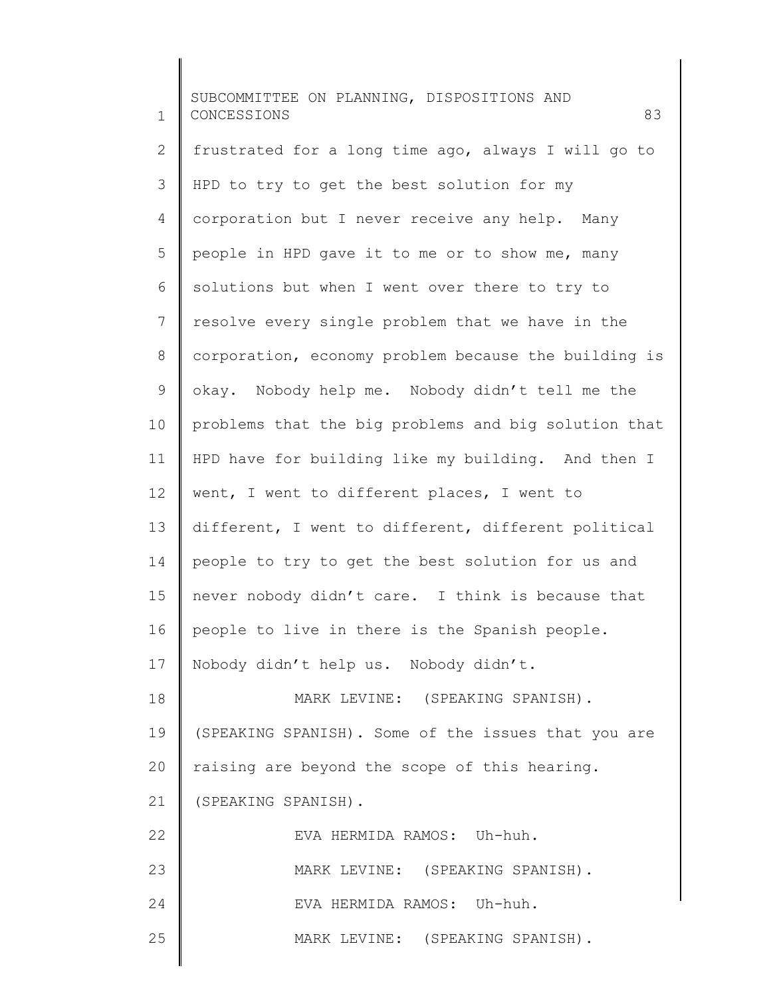1 2 3 4 5 6 7 8 9 10 11 12 13 14 15 16 17 18 19 20 21 22 23 24 25 SUBCOMMITTEE ON PLANNING, DISPOSITIONS AND CONCESSIONS 83 frustrated for a long time ago, always I will go to HPD to try to get the best solution for my corporation but I never receive any help. Many people in HPD gave it to me or to show me, many solutions but when I went over there to try to resolve every single problem that we have in the corporation, economy problem because the building is okay. Nobody help me. Nobody didn't tell me the problems that the big problems and big solution that HPD have for building like my building. And then I went, I went to different places, I went to different, I went to different, different political people to try to get the best solution for us and never nobody didn't care. I think is because that people to live in there is the Spanish people. Nobody didn't help us. Nobody didn't. MARK LEVINE: (SPEAKING SPANISH). (SPEAKING SPANISH). Some of the issues that you are raising are beyond the scope of this hearing. (SPEAKING SPANISH). EVA HERMIDA RAMOS: Uh-huh. MARK LEVINE: (SPEAKING SPANISH). EVA HERMIDA RAMOS: Uh-huh. MARK LEVINE: (SPEAKING SPANISH).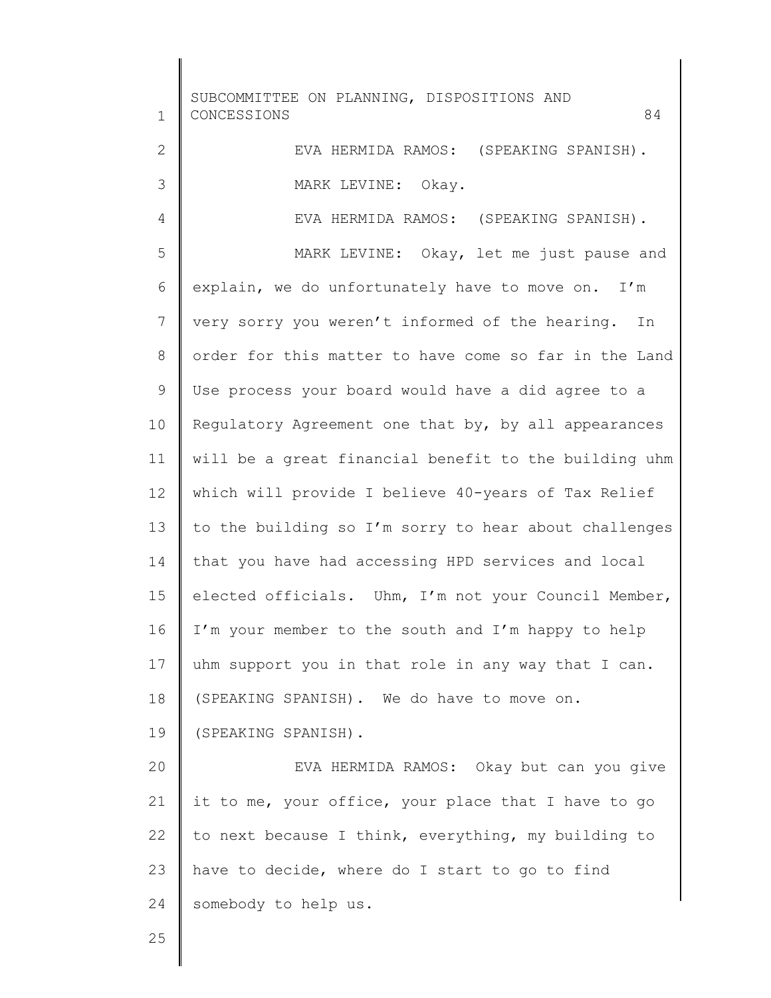1 2 3 4 5 6 7 8 9 10 11 12 13 14 15 16 17 18 19 20 21 22 23 24 25 SUBCOMMITTEE ON PLANNING, DISPOSITIONS AND CONCESSIONS 84 EVA HERMIDA RAMOS: (SPEAKING SPANISH). MARK LEVINE: Okay. EVA HERMIDA RAMOS: (SPEAKING SPANISH). MARK LEVINE: Okay, let me just pause and explain, we do unfortunately have to move on. I'm very sorry you weren't informed of the hearing. In order for this matter to have come so far in the Land Use process your board would have a did agree to a Regulatory Agreement one that by, by all appearances will be a great financial benefit to the building uhm which will provide I believe 40-years of Tax Relief to the building so I'm sorry to hear about challenges that you have had accessing HPD services and local elected officials. Uhm, I'm not your Council Member, I'm your member to the south and I'm happy to help uhm support you in that role in any way that I can. (SPEAKING SPANISH). We do have to move on. (SPEAKING SPANISH). EVA HERMIDA RAMOS: Okay but can you give it to me, your office, your place that I have to go to next because I think, everything, my building to have to decide, where do I start to go to find somebody to help us.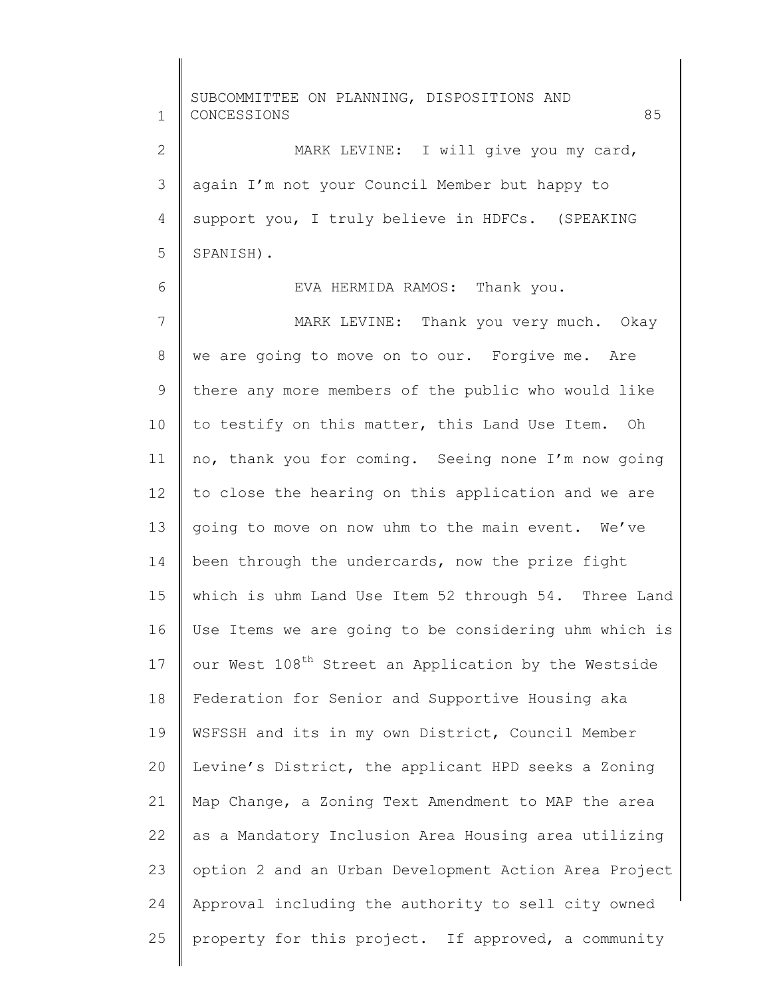1

6

2 3 4 5 MARK LEVINE: I will give you my card, again I'm not your Council Member but happy to support you, I truly believe in HDFCs. (SPEAKING SPANISH).

EVA HERMIDA RAMOS: Thank you.

7 8 9 10 11 12 13 14 15 16 17 18 19 20 21 22 23 24 25 MARK LEVINE: Thank you very much. Okay we are going to move on to our. Forgive me. Are there any more members of the public who would like to testify on this matter, this Land Use Item. Oh no, thank you for coming. Seeing none I'm now going to close the hearing on this application and we are going to move on now uhm to the main event. We've been through the undercards, now the prize fight which is uhm Land Use Item 52 through 54. Three Land Use Items we are going to be considering uhm which is our West 108<sup>th</sup> Street an Application by the Westside Federation for Senior and Supportive Housing aka WSFSSH and its in my own District, Council Member Levine's District, the applicant HPD seeks a Zoning Map Change, a Zoning Text Amendment to MAP the area as a Mandatory Inclusion Area Housing area utilizing option 2 and an Urban Development Action Area Project Approval including the authority to sell city owned property for this project. If approved, a community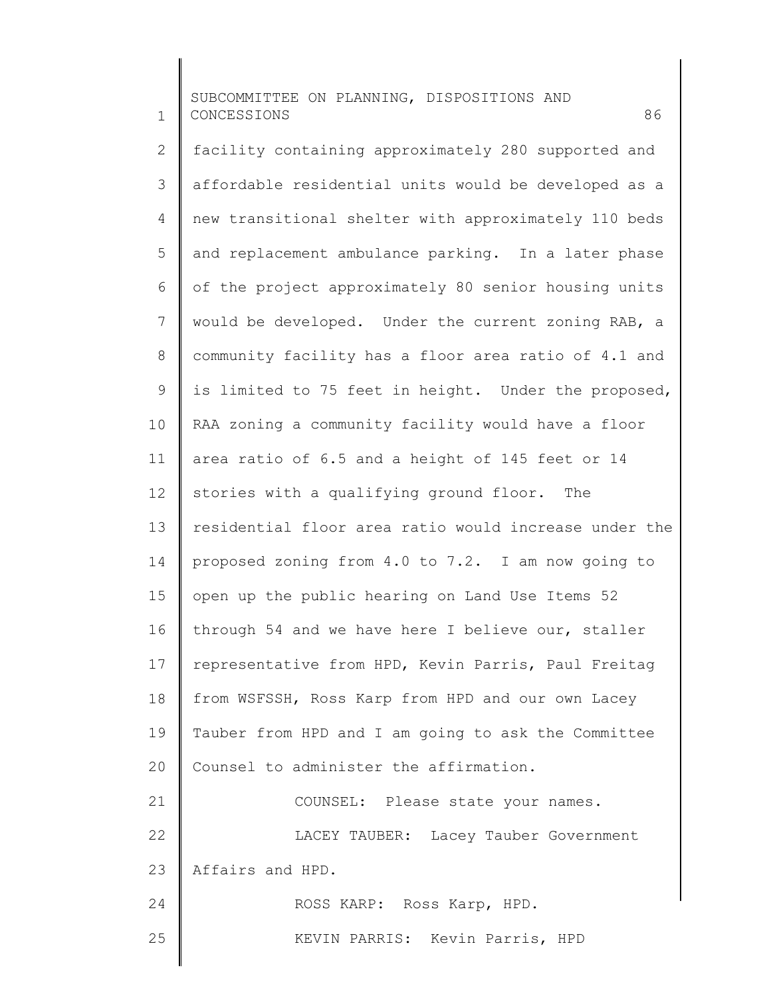1

25

2 3 4 5 6 7 8 9 10 11 12 13 14 15 16 17 18 19 20 21 22 23 24 facility containing approximately 280 supported and affordable residential units would be developed as a new transitional shelter with approximately 110 beds and replacement ambulance parking. In a later phase of the project approximately 80 senior housing units would be developed. Under the current zoning RAB, a community facility has a floor area ratio of 4.1 and is limited to 75 feet in height. Under the proposed, RAA zoning a community facility would have a floor area ratio of 6.5 and a height of 145 feet or 14 stories with a qualifying ground floor. The residential floor area ratio would increase under the proposed zoning from 4.0 to 7.2. I am now going to open up the public hearing on Land Use Items 52 through 54 and we have here I believe our, staller representative from HPD, Kevin Parris, Paul Freitag from WSFSSH, Ross Karp from HPD and our own Lacey Tauber from HPD and I am going to ask the Committee Counsel to administer the affirmation. COUNSEL: Please state your names. LACEY TAUBER: Lacey Tauber Government Affairs and HPD. ROSS KARP: Ross Karp, HPD.

KEVIN PARRIS: Kevin Parris, HPD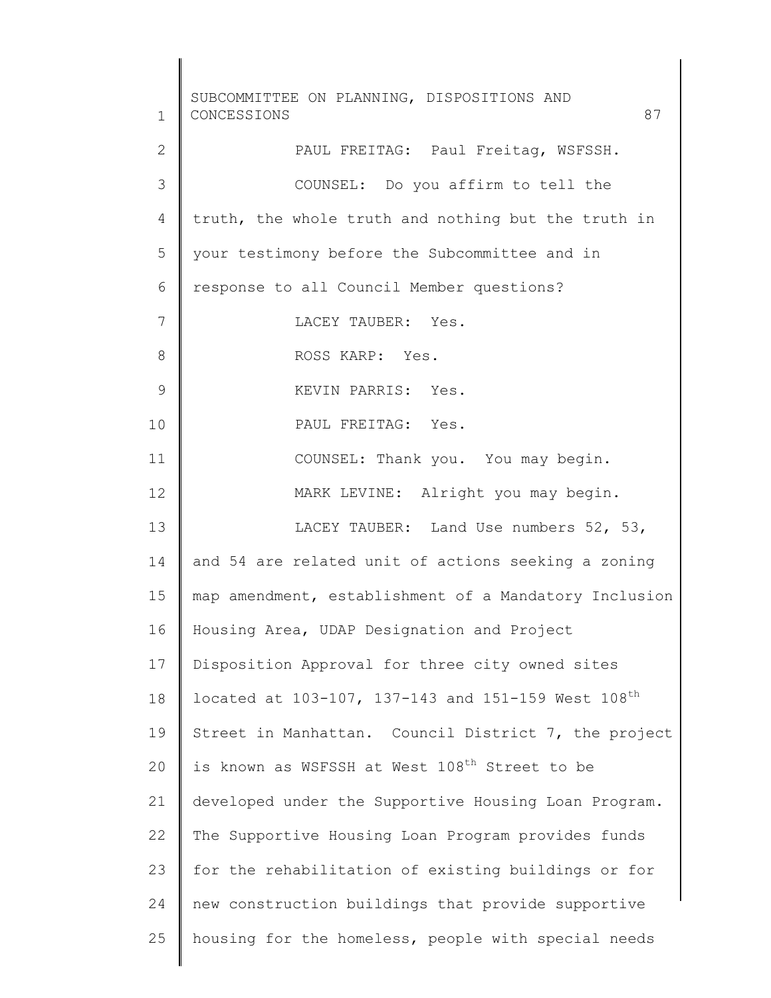1 2 3 4 5 6 7 8 9 10 11 12 13 14 15 16 17 18 19 20 21 22 23 24 25 SUBCOMMITTEE ON PLANNING, DISPOSITIONS AND CONCESSIONS 87 PAUL FREITAG: Paul Freitag, WSFSSH. COUNSEL: Do you affirm to tell the truth, the whole truth and nothing but the truth in your testimony before the Subcommittee and in response to all Council Member questions? LACEY TAUBER: Yes. ROSS KARP: Yes. KEVIN PARRIS: Yes. PAUL FREITAG: Yes. COUNSEL: Thank you. You may begin. MARK LEVINE: Alright you may begin. LACEY TAUBER: Land Use numbers 52, 53, and 54 are related unit of actions seeking a zoning map amendment, establishment of a Mandatory Inclusion Housing Area, UDAP Designation and Project Disposition Approval for three city owned sites located at 103-107, 137-143 and 151-159 West 108<sup>th</sup> Street in Manhattan. Council District 7, the project is known as WSFSSH at West 108<sup>th</sup> Street to be developed under the Supportive Housing Loan Program. The Supportive Housing Loan Program provides funds for the rehabilitation of existing buildings or for new construction buildings that provide supportive housing for the homeless, people with special needs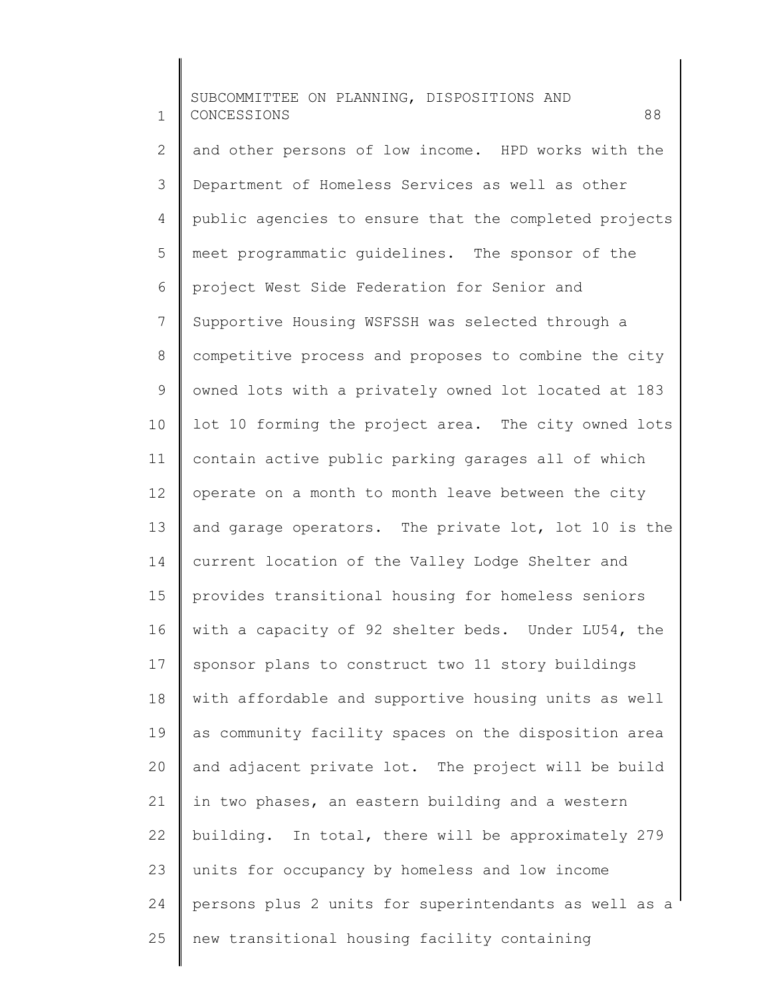1

2 3 4 5 6 7 8 9 10 11 12 13 14 15 16 17 18 19 20 21 22 23 24 25 and other persons of low income. HPD works with the Department of Homeless Services as well as other public agencies to ensure that the completed projects meet programmatic guidelines. The sponsor of the project West Side Federation for Senior and Supportive Housing WSFSSH was selected through a competitive process and proposes to combine the city owned lots with a privately owned lot located at 183 lot 10 forming the project area. The city owned lots contain active public parking garages all of which operate on a month to month leave between the city and garage operators. The private lot, lot 10 is the current location of the Valley Lodge Shelter and provides transitional housing for homeless seniors with a capacity of 92 shelter beds. Under LU54, the sponsor plans to construct two 11 story buildings with affordable and supportive housing units as well as community facility spaces on the disposition area and adjacent private lot. The project will be build in two phases, an eastern building and a western building. In total, there will be approximately 279 units for occupancy by homeless and low income persons plus 2 units for superintendants as well as a new transitional housing facility containing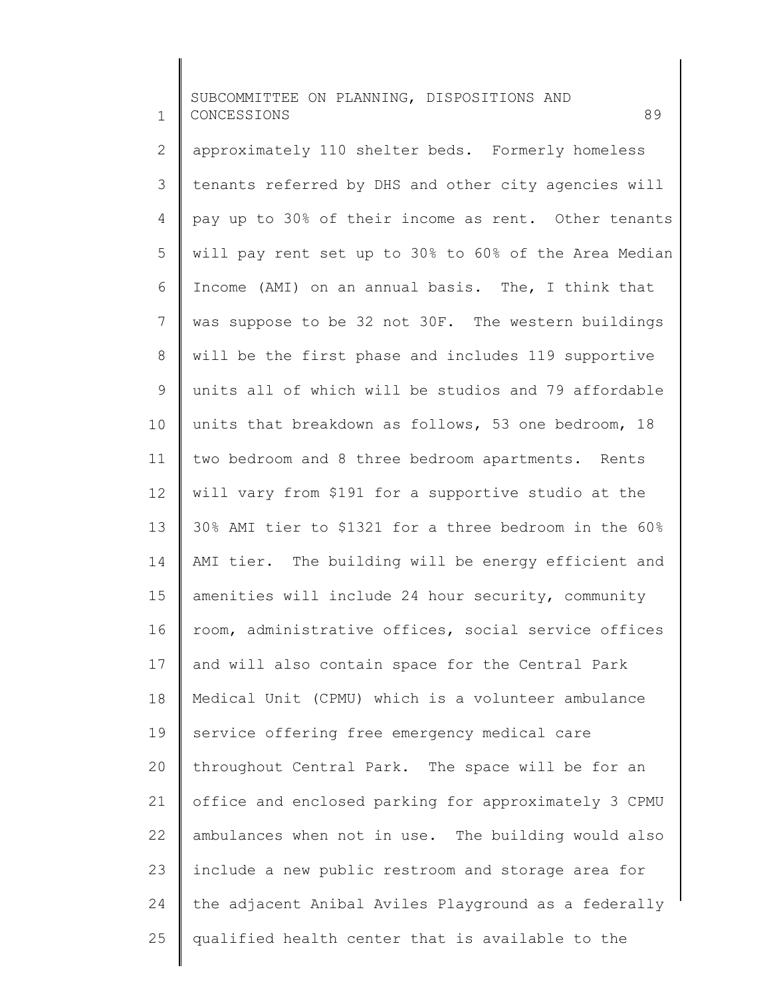1

2 3 4 5 6 7 8 9 10 11 12 13 14 15 16 17 18 19 20 21 22 23 24 25 approximately 110 shelter beds. Formerly homeless tenants referred by DHS and other city agencies will pay up to 30% of their income as rent. Other tenants will pay rent set up to 30% to 60% of the Area Median Income (AMI) on an annual basis. The, I think that was suppose to be 32 not 30F. The western buildings will be the first phase and includes 119 supportive units all of which will be studios and 79 affordable units that breakdown as follows, 53 one bedroom, 18 two bedroom and 8 three bedroom apartments. Rents will vary from \$191 for a supportive studio at the 30% AMI tier to \$1321 for a three bedroom in the 60% AMI tier. The building will be energy efficient and amenities will include 24 hour security, community room, administrative offices, social service offices and will also contain space for the Central Park Medical Unit (CPMU) which is a volunteer ambulance service offering free emergency medical care throughout Central Park. The space will be for an office and enclosed parking for approximately 3 CPMU ambulances when not in use. The building would also include a new public restroom and storage area for the adjacent Anibal Aviles Playground as a federally qualified health center that is available to the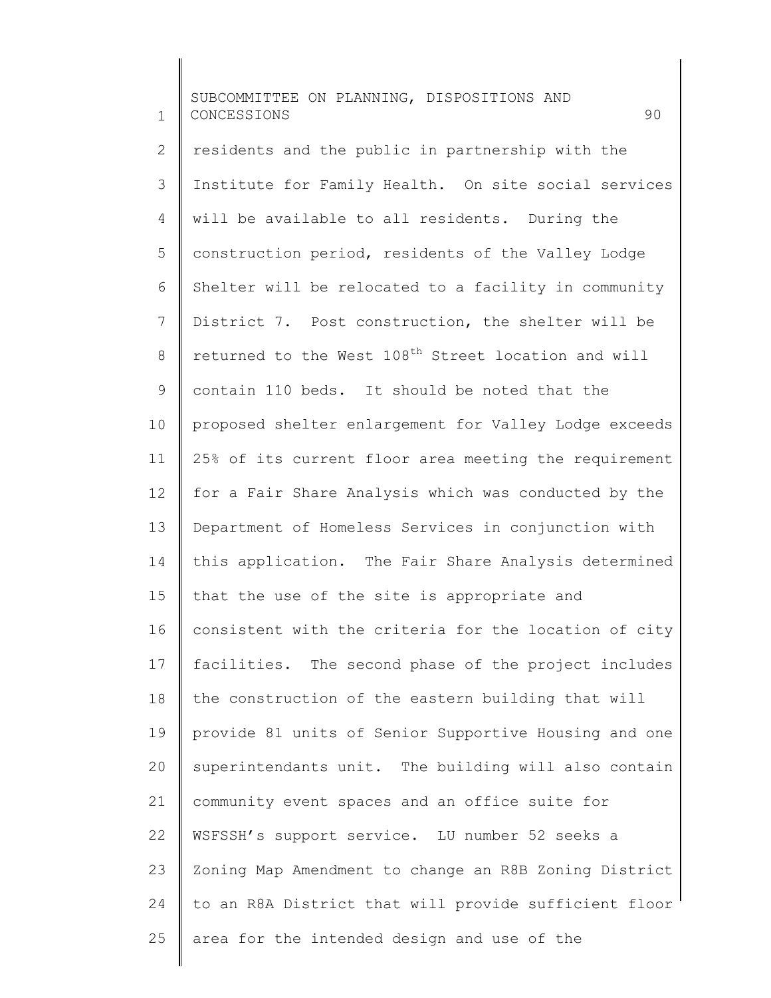1

2 3 4 5 6 7 8 9 10 11 12 13 14 15 16 17 18 19 20 21 22 23 24 25 residents and the public in partnership with the Institute for Family Health. On site social services will be available to all residents. During the construction period, residents of the Valley Lodge Shelter will be relocated to a facility in community District 7. Post construction, the shelter will be returned to the West 108<sup>th</sup> Street location and will contain 110 beds. It should be noted that the proposed shelter enlargement for Valley Lodge exceeds 25% of its current floor area meeting the requirement for a Fair Share Analysis which was conducted by the Department of Homeless Services in conjunction with this application. The Fair Share Analysis determined that the use of the site is appropriate and consistent with the criteria for the location of city facilities. The second phase of the project includes the construction of the eastern building that will provide 81 units of Senior Supportive Housing and one superintendants unit. The building will also contain community event spaces and an office suite for WSFSSH's support service. LU number 52 seeks a Zoning Map Amendment to change an R8B Zoning District to an R8A District that will provide sufficient floor area for the intended design and use of the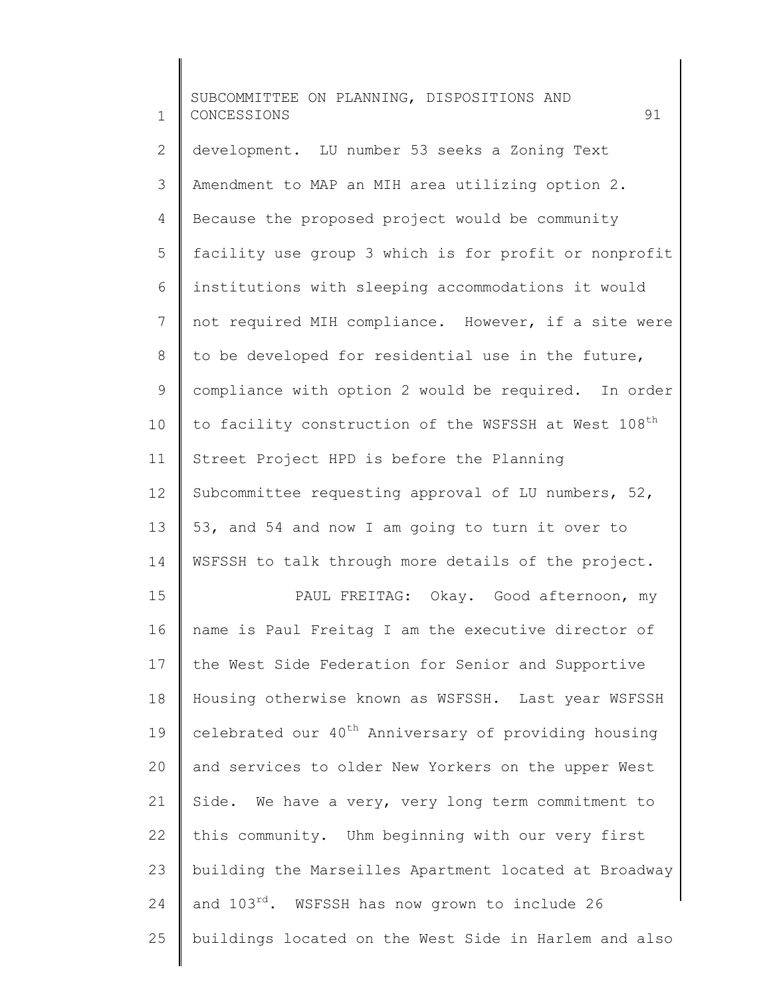1 2 3 4 5 6 7 8 9 10 11 12 13 14 15 16 17 18 SUBCOMMITTEE ON PLANNING, DISPOSITIONS AND CONCESSIONS 91 development. LU number 53 seeks a Zoning Text Amendment to MAP an MIH area utilizing option 2. Because the proposed project would be community facility use group 3 which is for profit or nonprofit institutions with sleeping accommodations it would not required MIH compliance. However, if a site were to be developed for residential use in the future, compliance with option 2 would be required. In order to facility construction of the WSFSSH at West  $108^{\text{th}}$ Street Project HPD is before the Planning Subcommittee requesting approval of LU numbers, 52, 53, and 54 and now I am going to turn it over to WSFSSH to talk through more details of the project. PAUL FREITAG: Okay. Good afternoon, my name is Paul Freitag I am the executive director of the West Side Federation for Senior and Supportive Housing otherwise known as WSFSSH. Last year WSFSSH

19 20 21 22 23 24 25 celebrated our 40<sup>th</sup> Anniversary of providing housing and services to older New Yorkers on the upper West Side. We have a very, very long term commitment to this community. Uhm beginning with our very first building the Marseilles Apartment located at Broadway and 103<sup>rd</sup>. WSFSSH has now grown to include 26 buildings located on the West Side in Harlem and also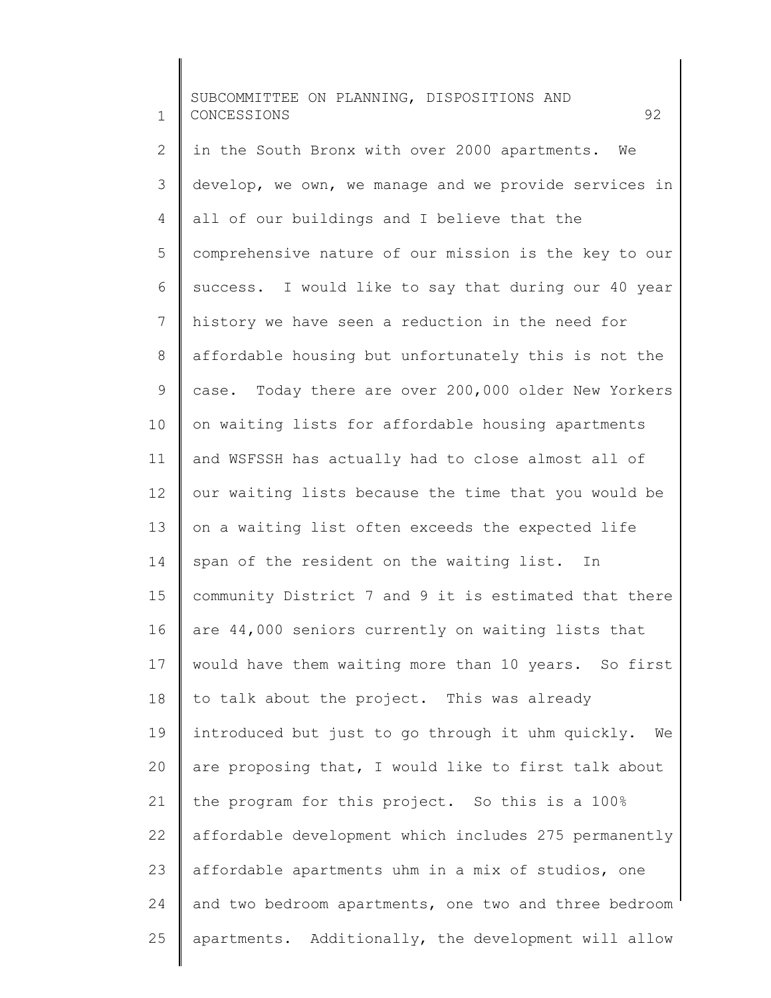1

2 3 4 5 6 7 8 9 10 11 12 13 14 15 16 17 18 19 20 21 22 23 24 25 in the South Bronx with over 2000 apartments. We develop, we own, we manage and we provide services in all of our buildings and I believe that the comprehensive nature of our mission is the key to our success. I would like to say that during our 40 year history we have seen a reduction in the need for affordable housing but unfortunately this is not the case. Today there are over 200,000 older New Yorkers on waiting lists for affordable housing apartments and WSFSSH has actually had to close almost all of our waiting lists because the time that you would be on a waiting list often exceeds the expected life span of the resident on the waiting list. In community District 7 and 9 it is estimated that there are 44,000 seniors currently on waiting lists that would have them waiting more than 10 years. So first to talk about the project. This was already introduced but just to go through it uhm quickly. We are proposing that, I would like to first talk about the program for this project. So this is a 100% affordable development which includes 275 permanently affordable apartments uhm in a mix of studios, one and two bedroom apartments, one two and three bedroom apartments. Additionally, the development will allow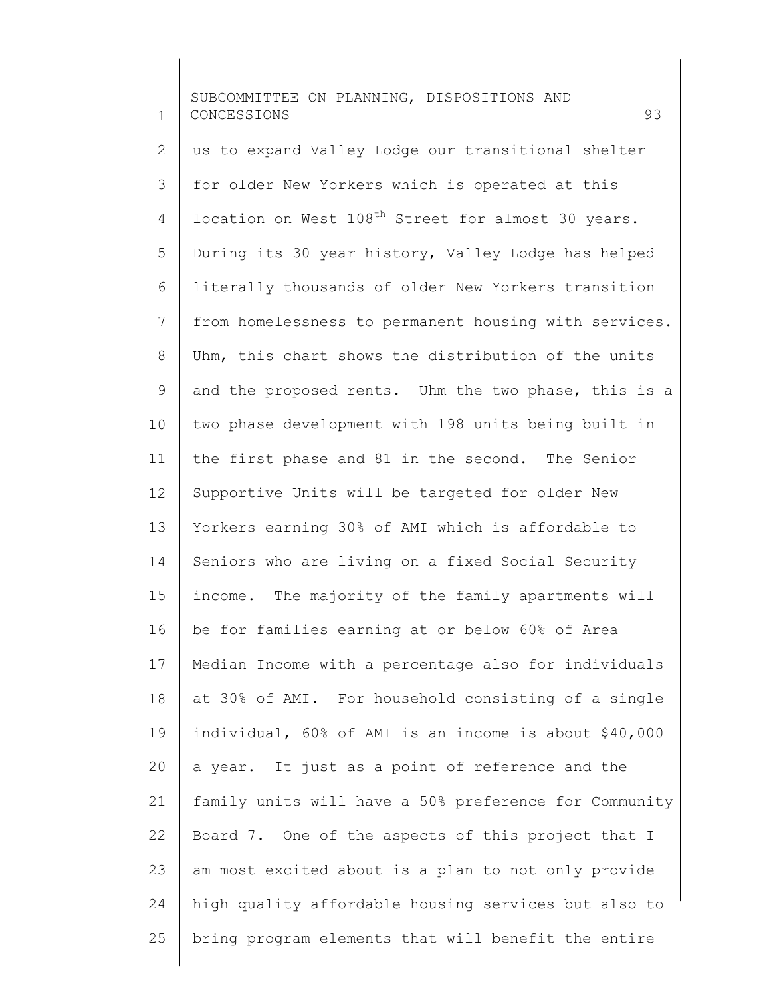1

2 3 4 5 6 7 8 9 10 11 12 13 14 15 16 17 18 19 20 21 22 23 24 25 us to expand Valley Lodge our transitional shelter for older New Yorkers which is operated at this location on West 108<sup>th</sup> Street for almost 30 years. During its 30 year history, Valley Lodge has helped literally thousands of older New Yorkers transition from homelessness to permanent housing with services. Uhm, this chart shows the distribution of the units and the proposed rents. Uhm the two phase, this is a two phase development with 198 units being built in the first phase and 81 in the second. The Senior Supportive Units will be targeted for older New Yorkers earning 30% of AMI which is affordable to Seniors who are living on a fixed Social Security income. The majority of the family apartments will be for families earning at or below 60% of Area Median Income with a percentage also for individuals at 30% of AMI. For household consisting of a single individual, 60% of AMI is an income is about \$40,000 a year. It just as a point of reference and the family units will have a 50% preference for Community Board 7. One of the aspects of this project that I am most excited about is a plan to not only provide high quality affordable housing services but also to bring program elements that will benefit the entire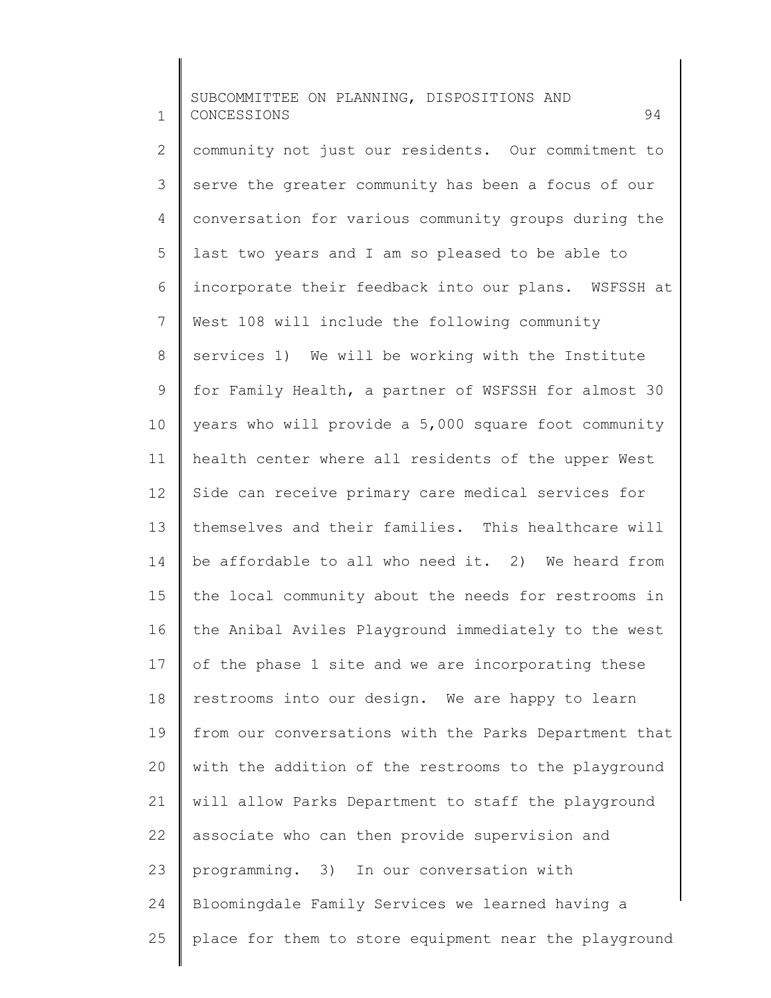1

2 3 4 5 6 7 8 9 10 11 12 13 14 15 16 17 18 19 20 21 22 23 24 25 community not just our residents. Our commitment to serve the greater community has been a focus of our conversation for various community groups during the last two years and I am so pleased to be able to incorporate their feedback into our plans. WSFSSH at West 108 will include the following community services 1) We will be working with the Institute for Family Health, a partner of WSFSSH for almost 30 years who will provide a 5,000 square foot community health center where all residents of the upper West Side can receive primary care medical services for themselves and their families. This healthcare will be affordable to all who need it. 2) We heard from the local community about the needs for restrooms in the Anibal Aviles Playground immediately to the west of the phase 1 site and we are incorporating these restrooms into our design. We are happy to learn from our conversations with the Parks Department that with the addition of the restrooms to the playground will allow Parks Department to staff the playground associate who can then provide supervision and programming. 3) In our conversation with Bloomingdale Family Services we learned having a place for them to store equipment near the playground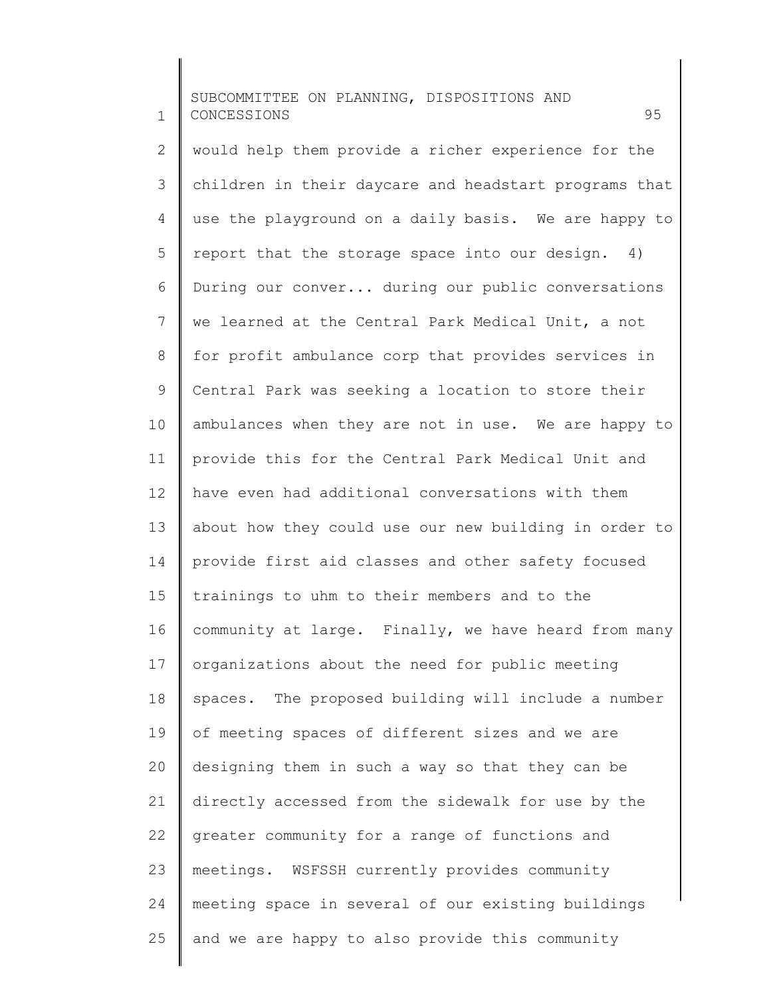1

2 3 4 5 6 7 8 9 10 11 12 13 14 15 16 17 18 19 20 21 22 23 24 25 would help them provide a richer experience for the children in their daycare and headstart programs that use the playground on a daily basis. We are happy to report that the storage space into our design. 4) During our conver... during our public conversations we learned at the Central Park Medical Unit, a not for profit ambulance corp that provides services in Central Park was seeking a location to store their ambulances when they are not in use. We are happy to provide this for the Central Park Medical Unit and have even had additional conversations with them about how they could use our new building in order to provide first aid classes and other safety focused trainings to uhm to their members and to the community at large. Finally, we have heard from many organizations about the need for public meeting spaces. The proposed building will include a number of meeting spaces of different sizes and we are designing them in such a way so that they can be directly accessed from the sidewalk for use by the greater community for a range of functions and meetings. WSFSSH currently provides community meeting space in several of our existing buildings and we are happy to also provide this community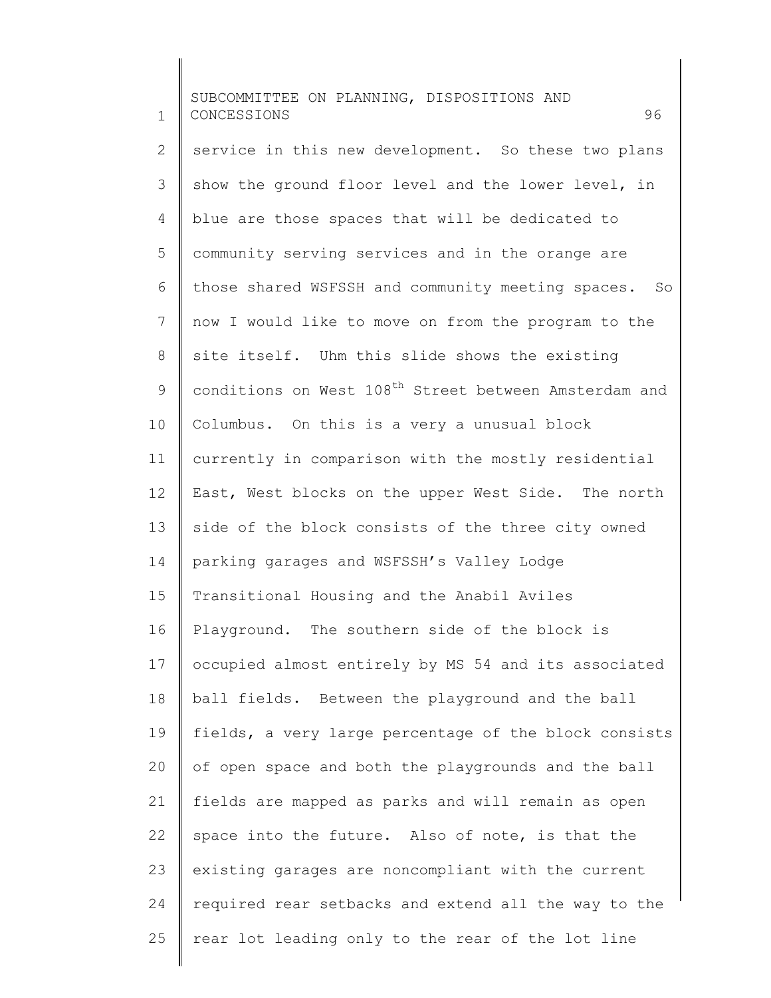1

2 3 4 5 6 7 8 9 10 11 12 13 14 15 16 17 18 19 20 21 22 23 24 25 service in this new development. So these two plans show the ground floor level and the lower level, in blue are those spaces that will be dedicated to community serving services and in the orange are those shared WSFSSH and community meeting spaces. So now I would like to move on from the program to the site itself. Uhm this slide shows the existing conditions on West 108<sup>th</sup> Street between Amsterdam and Columbus. On this is a very a unusual block currently in comparison with the mostly residential East, West blocks on the upper West Side. The north side of the block consists of the three city owned parking garages and WSFSSH's Valley Lodge Transitional Housing and the Anabil Aviles Playground. The southern side of the block is occupied almost entirely by MS 54 and its associated ball fields. Between the playground and the ball fields, a very large percentage of the block consists of open space and both the playgrounds and the ball fields are mapped as parks and will remain as open space into the future. Also of note, is that the existing garages are noncompliant with the current required rear setbacks and extend all the way to the rear lot leading only to the rear of the lot line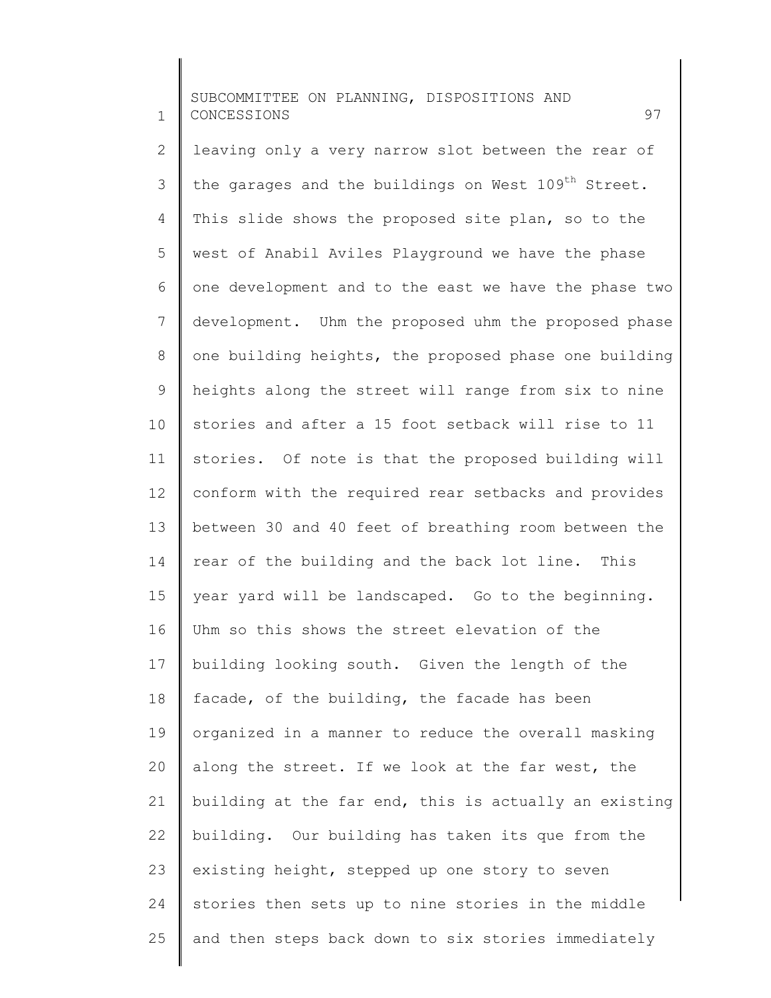1

2 3 4 5 6 7 8 9 10 11 12 13 14 15 16 17 18 19 20 21 22 23 24 25 leaving only a very narrow slot between the rear of the garages and the buildings on West 109<sup>th</sup> Street. This slide shows the proposed site plan, so to the west of Anabil Aviles Playground we have the phase one development and to the east we have the phase two development. Uhm the proposed uhm the proposed phase one building heights, the proposed phase one building heights along the street will range from six to nine stories and after a 15 foot setback will rise to 11 stories. Of note is that the proposed building will conform with the required rear setbacks and provides between 30 and 40 feet of breathing room between the rear of the building and the back lot line. This year yard will be landscaped. Go to the beginning. Uhm so this shows the street elevation of the building looking south. Given the length of the facade, of the building, the facade has been organized in a manner to reduce the overall masking along the street. If we look at the far west, the building at the far end, this is actually an existing building. Our building has taken its que from the existing height, stepped up one story to seven stories then sets up to nine stories in the middle and then steps back down to six stories immediately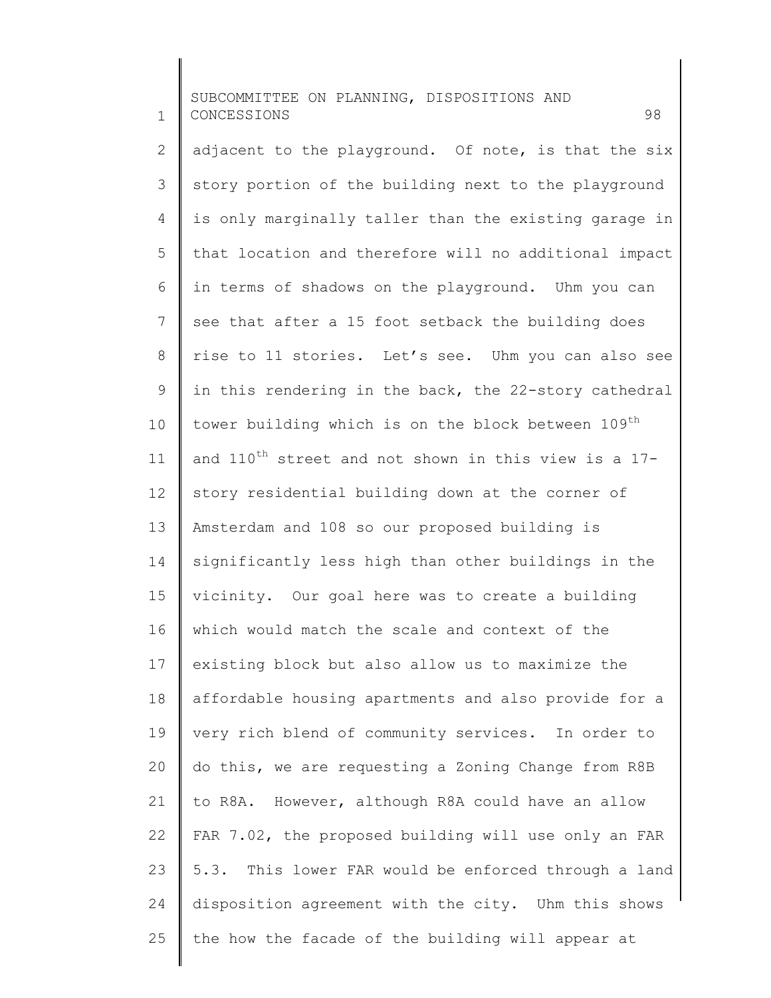1

2 3 4 5 6 7 8 9 10 11 12 13 14 15 16 17 18 19 20 21 22 23 24 25 adjacent to the playground. Of note, is that the six story portion of the building next to the playground is only marginally taller than the existing garage in that location and therefore will no additional impact in terms of shadows on the playground. Uhm you can see that after a 15 foot setback the building does rise to 11 stories. Let's see. Uhm you can also see in this rendering in the back, the 22-story cathedral tower building which is on the block between 109<sup>th</sup> and 110<sup>th</sup> street and not shown in this view is a 17story residential building down at the corner of Amsterdam and 108 so our proposed building is significantly less high than other buildings in the vicinity. Our goal here was to create a building which would match the scale and context of the existing block but also allow us to maximize the affordable housing apartments and also provide for a very rich blend of community services. In order to do this, we are requesting a Zoning Change from R8B to R8A. However, although R8A could have an allow FAR 7.02, the proposed building will use only an FAR 5.3. This lower FAR would be enforced through a land disposition agreement with the city. Uhm this shows the how the facade of the building will appear at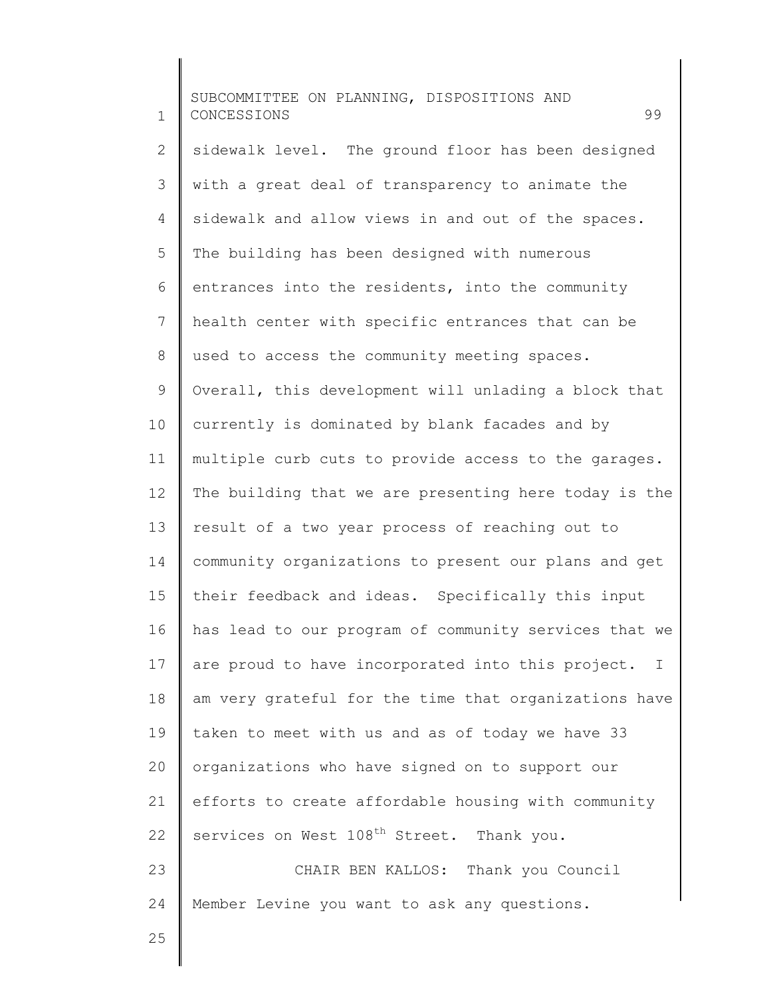1 2 3 4 5 6 7 8 9 10 11 12 13 14 15 16 17 18 19 20 21 22 23 24 SUBCOMMITTEE ON PLANNING, DISPOSITIONS AND CONCESSIONS 99 sidewalk level. The ground floor has been designed with a great deal of transparency to animate the sidewalk and allow views in and out of the spaces. The building has been designed with numerous entrances into the residents, into the community health center with specific entrances that can be used to access the community meeting spaces. Overall, this development will unlading a block that currently is dominated by blank facades and by multiple curb cuts to provide access to the garages. The building that we are presenting here today is the result of a two year process of reaching out to community organizations to present our plans and get their feedback and ideas. Specifically this input has lead to our program of community services that we are proud to have incorporated into this project. I am very grateful for the time that organizations have taken to meet with us and as of today we have 33 organizations who have signed on to support our efforts to create affordable housing with community services on West 108<sup>th</sup> Street. Thank you. CHAIR BEN KALLOS: Thank you Council Member Levine you want to ask any questions.

25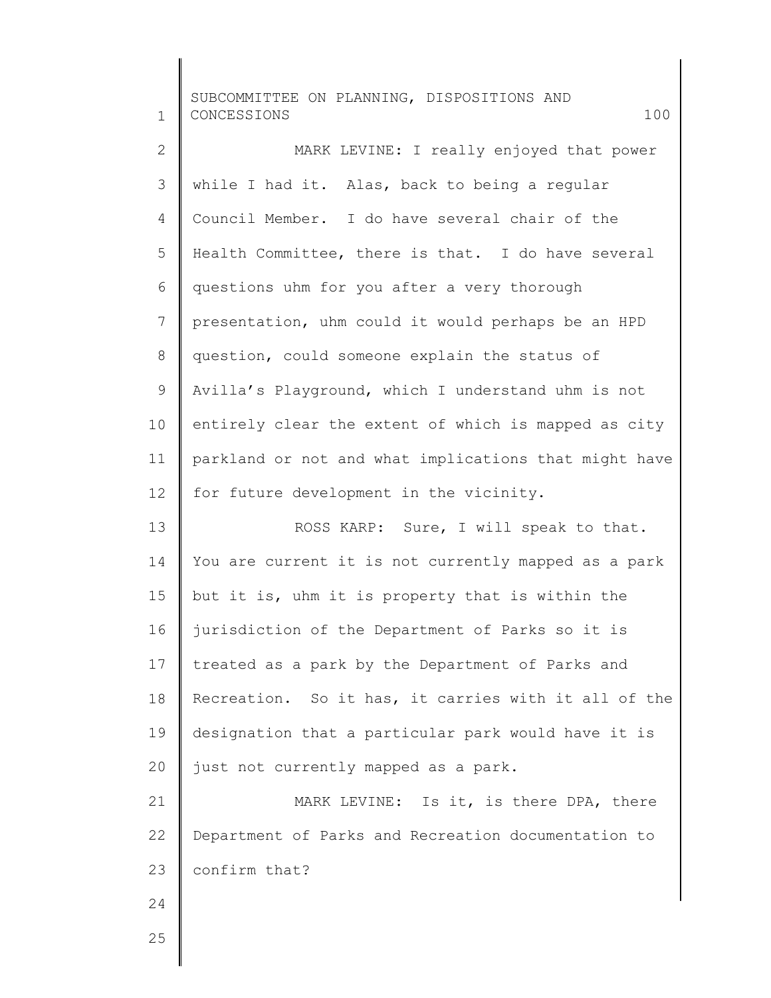2 3 4 5 6 7 8 9 10 11 12 13 14 15 16 17 18 19 20 MARK LEVINE: I really enjoyed that power while I had it. Alas, back to being a regular Council Member. I do have several chair of the Health Committee, there is that. I do have several questions uhm for you after a very thorough presentation, uhm could it would perhaps be an HPD question, could someone explain the status of Avilla's Playground, which I understand uhm is not entirely clear the extent of which is mapped as city parkland or not and what implications that might have for future development in the vicinity. ROSS KARP: Sure, I will speak to that. You are current it is not currently mapped as a park but it is, uhm it is property that is within the jurisdiction of the Department of Parks so it is treated as a park by the Department of Parks and Recreation. So it has, it carries with it all of the designation that a particular park would have it is just not currently mapped as a park.

21 22 23 MARK LEVINE: Is it, is there DPA, there Department of Parks and Recreation documentation to confirm that?

25

24

1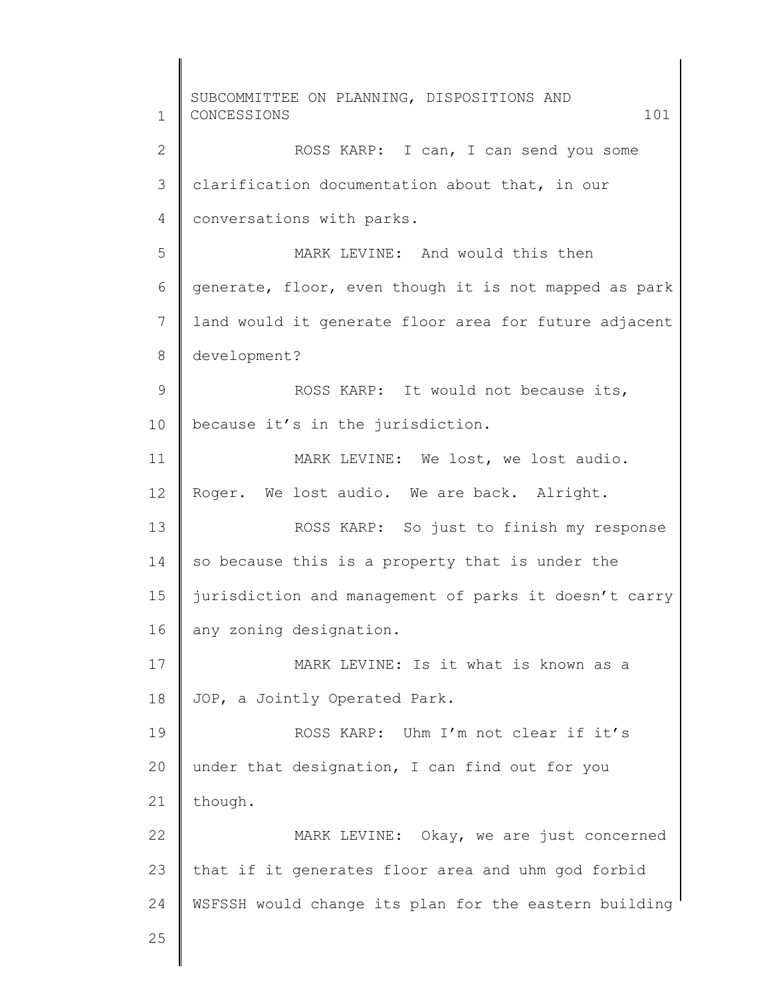1 2 3 4 5 6 7 8 9 10 11 12 13 14 15 16 17 18 19 20 21 22 23 24 25 SUBCOMMITTEE ON PLANNING, DISPOSITIONS AND CONCESSIONS 101 ROSS KARP: I can, I can send you some clarification documentation about that, in our conversations with parks. MARK LEVINE: And would this then generate, floor, even though it is not mapped as park land would it generate floor area for future adjacent development? ROSS KARP: It would not because its, because it's in the jurisdiction. MARK LEVINE: We lost, we lost audio. Roger. We lost audio. We are back. Alright. ROSS KARP: So just to finish my response so because this is a property that is under the jurisdiction and management of parks it doesn't carry any zoning designation. MARK LEVINE: Is it what is known as a JOP, a Jointly Operated Park. ROSS KARP: Uhm I'm not clear if it's under that designation, I can find out for you though. MARK LEVINE: Okay, we are just concerned that if it generates floor area and uhm god forbid WSFSSH would change its plan for the eastern building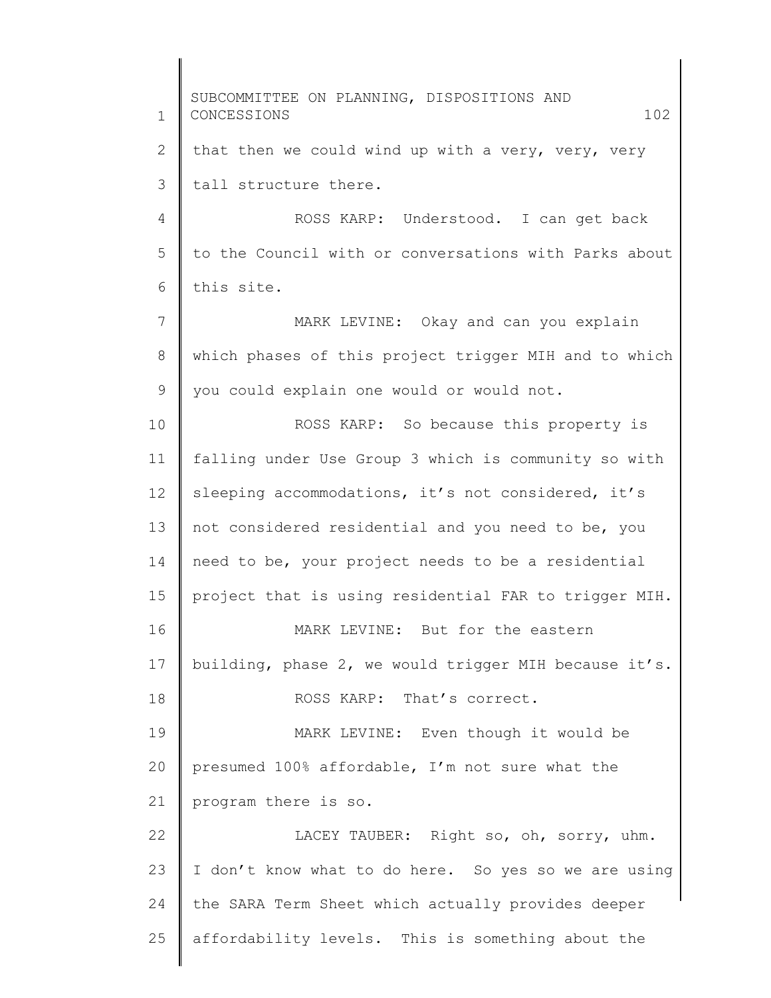1 2 3 4 5 6 7 8 9 10 11 12 13 14 15 16 17 18 19 20 21 22 23 24 25 SUBCOMMITTEE ON PLANNING, DISPOSITIONS AND CONCESSIONS 102 that then we could wind up with a very, very, very tall structure there. ROSS KARP: Understood. I can get back to the Council with or conversations with Parks about this site. MARK LEVINE: Okay and can you explain which phases of this project trigger MIH and to which you could explain one would or would not. ROSS KARP: So because this property is falling under Use Group 3 which is community so with sleeping accommodations, it's not considered, it's not considered residential and you need to be, you need to be, your project needs to be a residential project that is using residential FAR to trigger MIH. MARK LEVINE: But for the eastern building, phase 2, we would trigger MIH because it's. ROSS KARP: That's correct. MARK LEVINE: Even though it would be presumed 100% affordable, I'm not sure what the program there is so. LACEY TAUBER: Right so, oh, sorry, uhm. I don't know what to do here. So yes so we are using the SARA Term Sheet which actually provides deeper affordability levels. This is something about the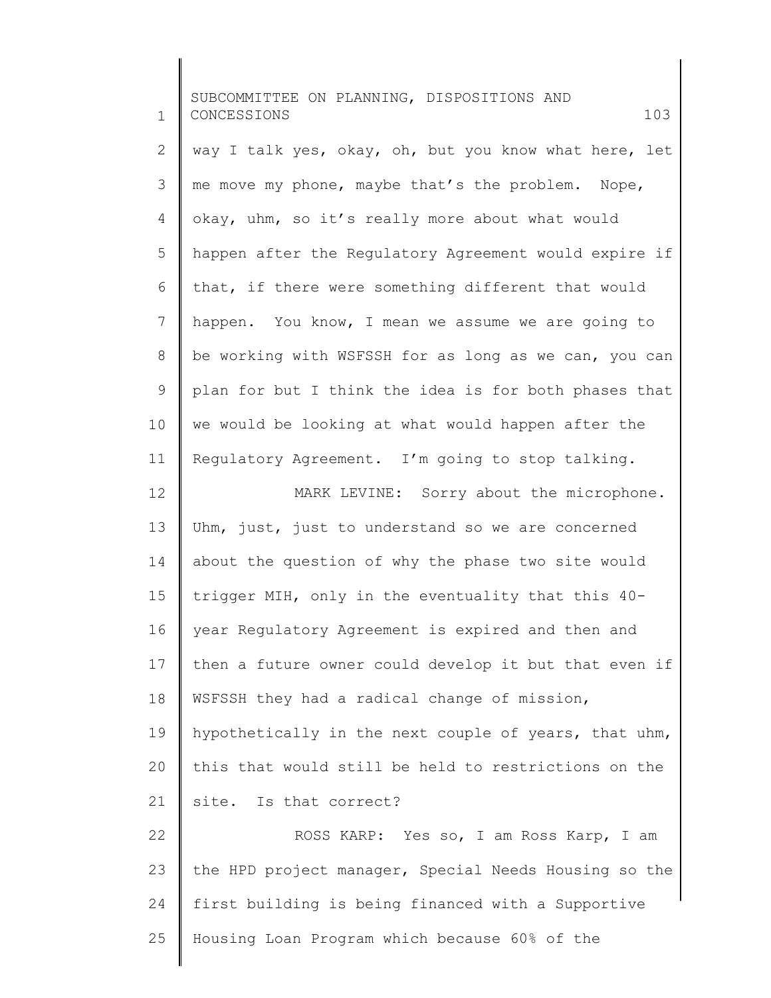1 2 3 4 5 6 7 8 9 10 11 12 13 14 15 16 17 18 19 20 21 22 23 24 25 SUBCOMMITTEE ON PLANNING, DISPOSITIONS AND CONCESSIONS 103 way I talk yes, okay, oh, but you know what here, let me move my phone, maybe that's the problem. Nope, okay, uhm, so it's really more about what would happen after the Regulatory Agreement would expire if that, if there were something different that would happen. You know, I mean we assume we are going to be working with WSFSSH for as long as we can, you can plan for but I think the idea is for both phases that we would be looking at what would happen after the Regulatory Agreement. I'm going to stop talking. MARK LEVINE: Sorry about the microphone. Uhm, just, just to understand so we are concerned about the question of why the phase two site would trigger MIH, only in the eventuality that this 40 year Regulatory Agreement is expired and then and then a future owner could develop it but that even if WSFSSH they had a radical change of mission, hypothetically in the next couple of years, that uhm, this that would still be held to restrictions on the site. Is that correct? ROSS KARP: Yes so, I am Ross Karp, I am the HPD project manager, Special Needs Housing so the first building is being financed with a Supportive Housing Loan Program which because 60% of the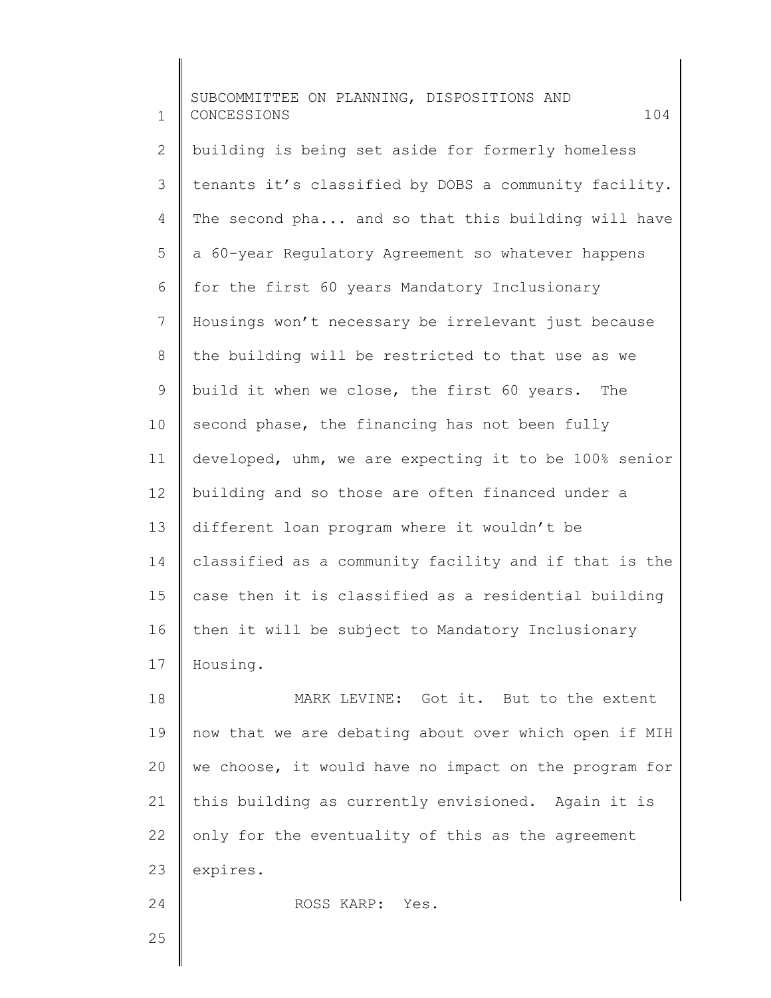1 2 3 4 5 6 7 8 9 10 11 12 13 14 15 16 17 SUBCOMMITTEE ON PLANNING, DISPOSITIONS AND CONCESSIONS 104 building is being set aside for formerly homeless tenants it's classified by DOBS a community facility. The second pha... and so that this building will have a 60-year Regulatory Agreement so whatever happens for the first 60 years Mandatory Inclusionary Housings won't necessary be irrelevant just because the building will be restricted to that use as we build it when we close, the first 60 years. The second phase, the financing has not been fully developed, uhm, we are expecting it to be 100% senior building and so those are often financed under a different loan program where it wouldn't be classified as a community facility and if that is the case then it is classified as a residential building then it will be subject to Mandatory Inclusionary Housing.

18 19 20 21 22 23 24 MARK LEVINE: Got it. But to the extent now that we are debating about over which open if MIH we choose, it would have no impact on the program for this building as currently envisioned. Again it is only for the eventuality of this as the agreement expires. ROSS KARP: Yes.

25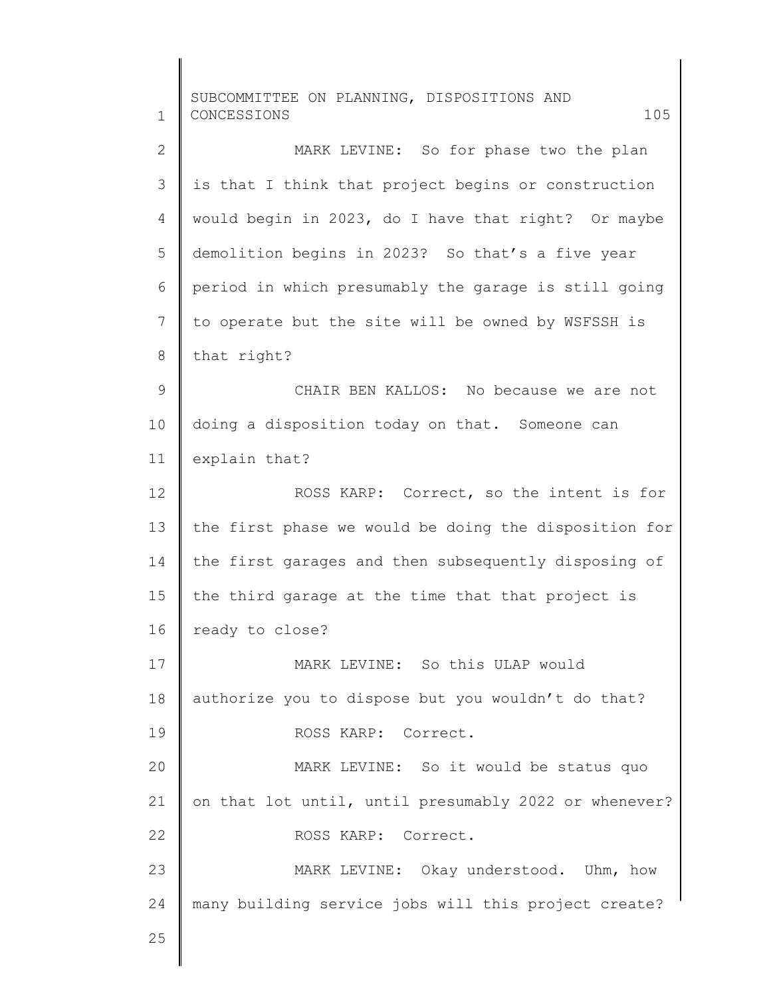1 2 3 4 5 6 7 8 9 10 11 12 13 14 15 16 17 18 19 20 21 22 23 24 25 SUBCOMMITTEE ON PLANNING, DISPOSITIONS AND CONCESSIONS 105 MARK LEVINE: So for phase two the plan is that I think that project begins or construction would begin in 2023, do I have that right? Or maybe demolition begins in 2023? So that's a five year period in which presumably the garage is still going to operate but the site will be owned by WSFSSH is that right? CHAIR BEN KALLOS: No because we are not doing a disposition today on that. Someone can explain that? ROSS KARP: Correct, so the intent is for the first phase we would be doing the disposition for the first garages and then subsequently disposing of the third garage at the time that that project is ready to close? MARK LEVINE: So this ULAP would authorize you to dispose but you wouldn't do that? ROSS KARP: Correct. MARK LEVINE: So it would be status quo on that lot until, until presumably 2022 or whenever? ROSS KARP: Correct. MARK LEVINE: Okay understood. Uhm, how many building service jobs will this project create?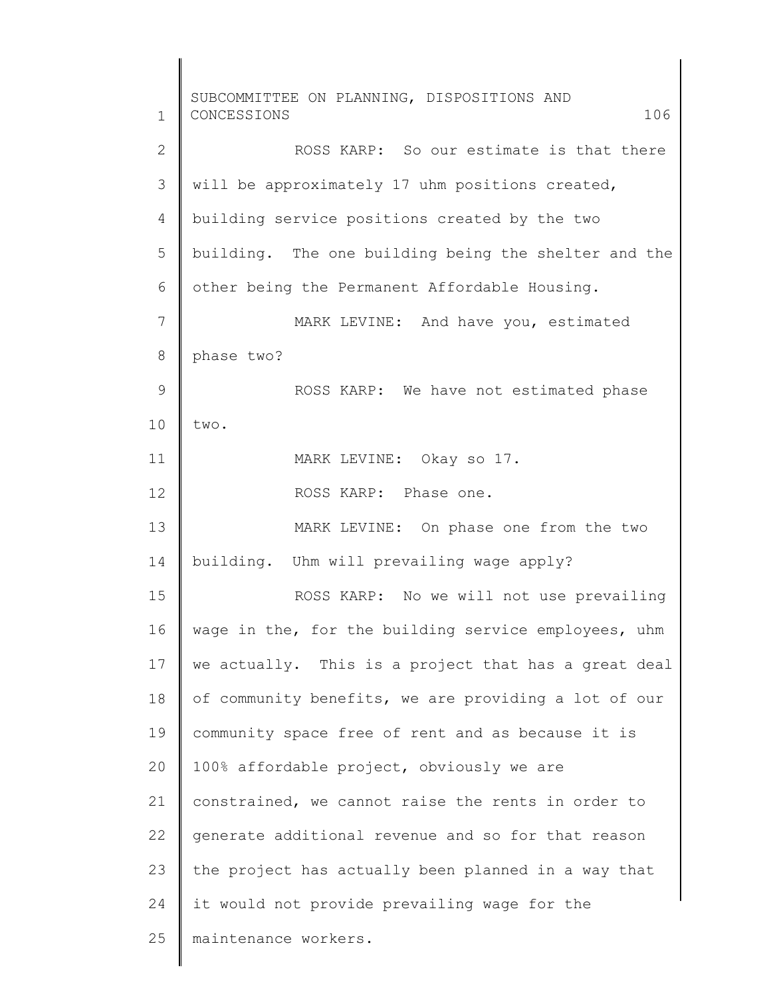1 2 3 4 5 6 7 8 9 10 11 12 13 14 15 16 17 18 19 20 21 22 23 24 25 SUBCOMMITTEE ON PLANNING, DISPOSITIONS AND CONCESSIONS 106 ROSS KARP: So our estimate is that there will be approximately 17 uhm positions created, building service positions created by the two building. The one building being the shelter and the other being the Permanent Affordable Housing. MARK LEVINE: And have you, estimated phase two? ROSS KARP: We have not estimated phase two. MARK LEVINE: Okay so 17. ROSS KARP: Phase one. MARK LEVINE: On phase one from the two building. Uhm will prevailing wage apply? ROSS KARP: No we will not use prevailing wage in the, for the building service employees, uhm we actually. This is a project that has a great deal of community benefits, we are providing a lot of our community space free of rent and as because it is 100% affordable project, obviously we are constrained, we cannot raise the rents in order to generate additional revenue and so for that reason the project has actually been planned in a way that it would not provide prevailing wage for the maintenance workers.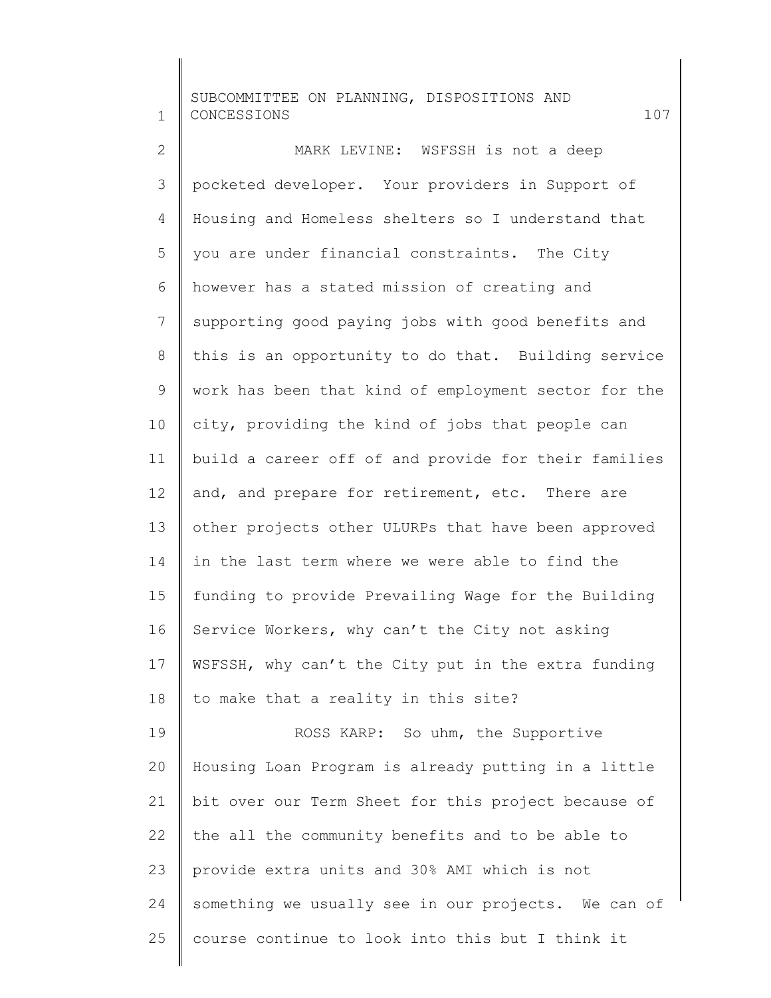1

24

25

2 3 4 5 6 7 8 9 10 11 12 13 14 15 16 17 18 19 20 21 22 23 MARK LEVINE: WSFSSH is not a deep pocketed developer. Your providers in Support of Housing and Homeless shelters so I understand that you are under financial constraints. The City however has a stated mission of creating and supporting good paying jobs with good benefits and this is an opportunity to do that. Building service work has been that kind of employment sector for the city, providing the kind of jobs that people can build a career off of and provide for their families and, and prepare for retirement, etc. There are other projects other ULURPs that have been approved in the last term where we were able to find the funding to provide Prevailing Wage for the Building Service Workers, why can't the City not asking WSFSSH, why can't the City put in the extra funding to make that a reality in this site? ROSS KARP: So uhm, the Supportive Housing Loan Program is already putting in a little bit over our Term Sheet for this project because of the all the community benefits and to be able to provide extra units and 30% AMI which is not

something we usually see in our projects. We can of

course continue to look into this but I think it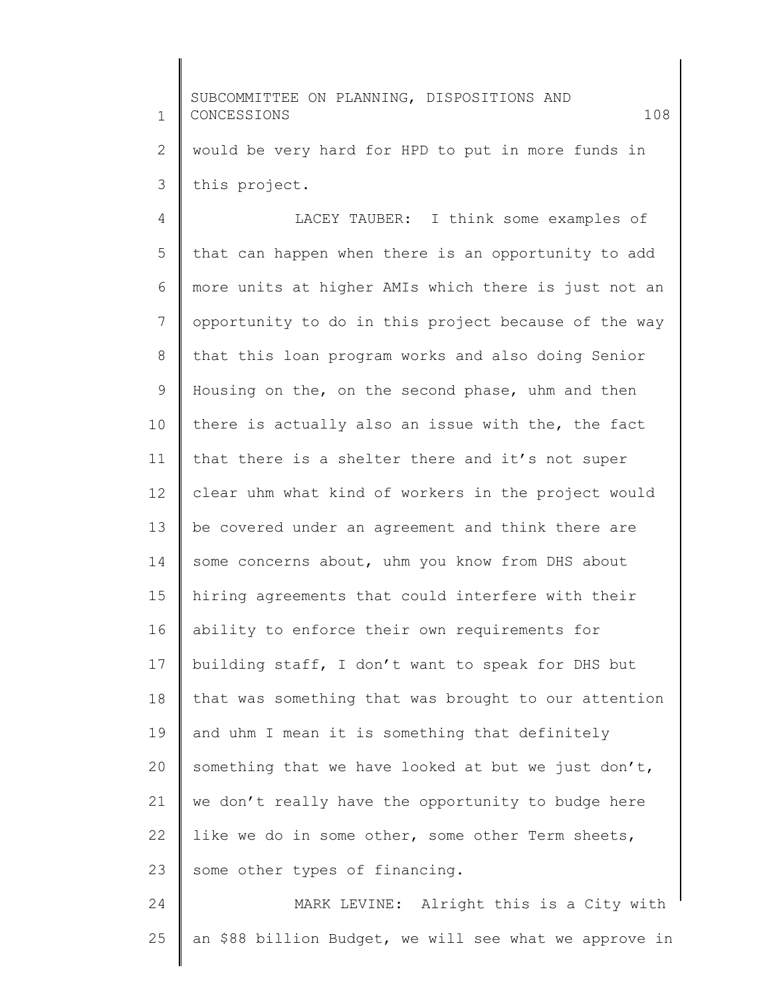1 2 3 4 5 6 7 8 9 10 11 12 13 14 15 16 17 18 19 20 21 22 23 SUBCOMMITTEE ON PLANNING, DISPOSITIONS AND CONCESSIONS 108 would be very hard for HPD to put in more funds in this project. LACEY TAUBER: I think some examples of that can happen when there is an opportunity to add more units at higher AMIs which there is just not an opportunity to do in this project because of the way that this loan program works and also doing Senior Housing on the, on the second phase, uhm and then there is actually also an issue with the, the fact that there is a shelter there and it's not super clear uhm what kind of workers in the project would be covered under an agreement and think there are some concerns about, uhm you know from DHS about hiring agreements that could interfere with their ability to enforce their own requirements for building staff, I don't want to speak for DHS but that was something that was brought to our attention and uhm I mean it is something that definitely something that we have looked at but we just don't, we don't really have the opportunity to budge here like we do in some other, some other Term sheets, some other types of financing.

24 25 MARK LEVINE: Alright this is a City with an \$88 billion Budget, we will see what we approve in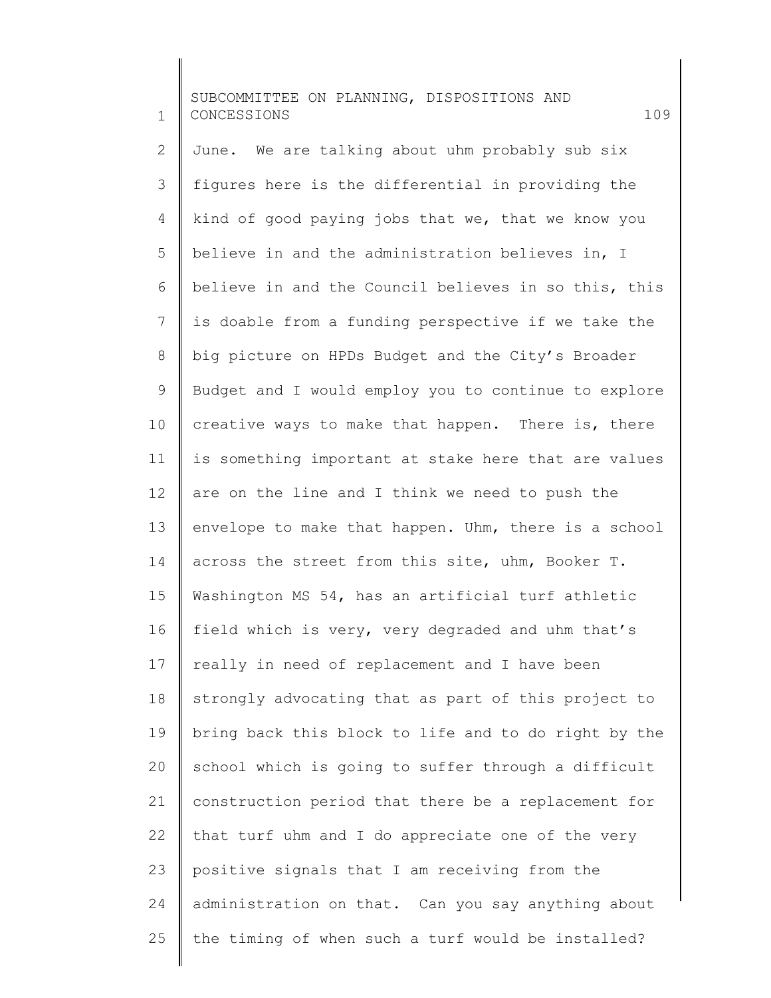1

2 3 4 5 6 7 8 9 10 11 12 13 14 15 16 17 18 19 20 21 22 23 24 25 June. We are talking about uhm probably sub six figures here is the differential in providing the kind of good paying jobs that we, that we know you believe in and the administration believes in, I believe in and the Council believes in so this, this is doable from a funding perspective if we take the big picture on HPDs Budget and the City's Broader Budget and I would employ you to continue to explore creative ways to make that happen. There is, there is something important at stake here that are values are on the line and I think we need to push the envelope to make that happen. Uhm, there is a school across the street from this site, uhm, Booker T. Washington MS 54, has an artificial turf athletic field which is very, very degraded and uhm that's really in need of replacement and I have been strongly advocating that as part of this project to bring back this block to life and to do right by the school which is going to suffer through a difficult construction period that there be a replacement for that turf uhm and I do appreciate one of the very positive signals that I am receiving from the administration on that. Can you say anything about the timing of when such a turf would be installed?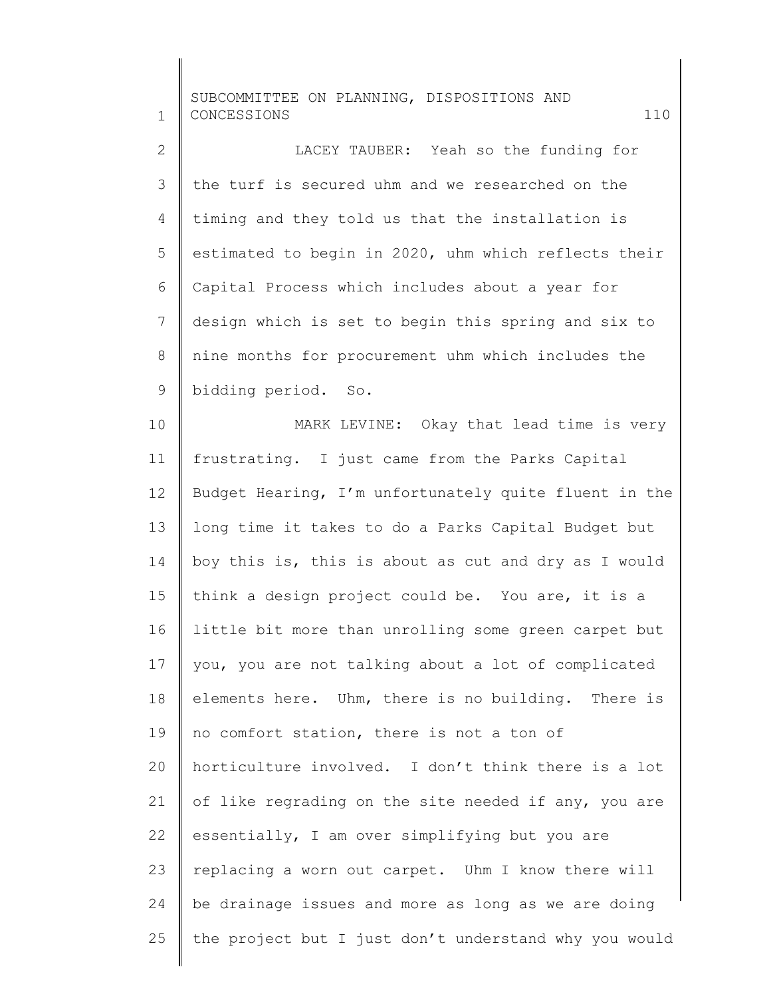2 3 4 5 6 7 8 9 LACEY TAUBER: Yeah so the funding for the turf is secured uhm and we researched on the timing and they told us that the installation is estimated to begin in 2020, uhm which reflects their Capital Process which includes about a year for design which is set to begin this spring and six to nine months for procurement uhm which includes the bidding period. So.

10 11 12 13 14 15 16 17 18 19 20 21 22 23 24 25 MARK LEVINE: Okay that lead time is very frustrating. I just came from the Parks Capital Budget Hearing, I'm unfortunately quite fluent in the long time it takes to do a Parks Capital Budget but boy this is, this is about as cut and dry as I would think a design project could be. You are, it is a little bit more than unrolling some green carpet but you, you are not talking about a lot of complicated elements here. Uhm, there is no building. There is no comfort station, there is not a ton of horticulture involved. I don't think there is a lot of like regrading on the site needed if any, you are essentially, I am over simplifying but you are replacing a worn out carpet. Uhm I know there will be drainage issues and more as long as we are doing the project but I just don't understand why you would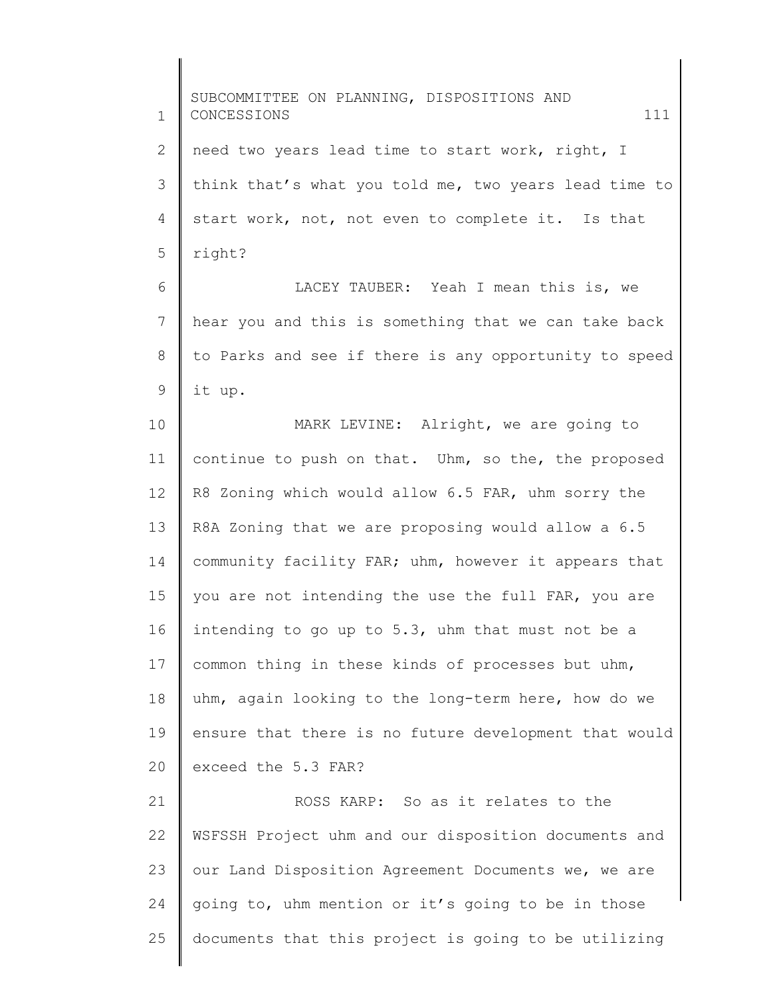1 2 3 4 5 6 7 8 9 10 11 12 13 14 15 16 17 18 19 20 21 22 23 24 25 SUBCOMMITTEE ON PLANNING, DISPOSITIONS AND CONCESSIONS 111 need two years lead time to start work, right, I think that's what you told me, two years lead time to start work, not, not even to complete it. Is that right? LACEY TAUBER: Yeah I mean this is, we hear you and this is something that we can take back to Parks and see if there is any opportunity to speed it up. MARK LEVINE: Alright, we are going to continue to push on that. Uhm, so the, the proposed R8 Zoning which would allow 6.5 FAR, uhm sorry the R8A Zoning that we are proposing would allow a 6.5 community facility FAR; uhm, however it appears that you are not intending the use the full FAR, you are intending to go up to 5.3, uhm that must not be a common thing in these kinds of processes but uhm, uhm, again looking to the long-term here, how do we ensure that there is no future development that would exceed the 5.3 FAR? ROSS KARP: So as it relates to the WSFSSH Project uhm and our disposition documents and our Land Disposition Agreement Documents we, we are going to, uhm mention or it's going to be in those documents that this project is going to be utilizing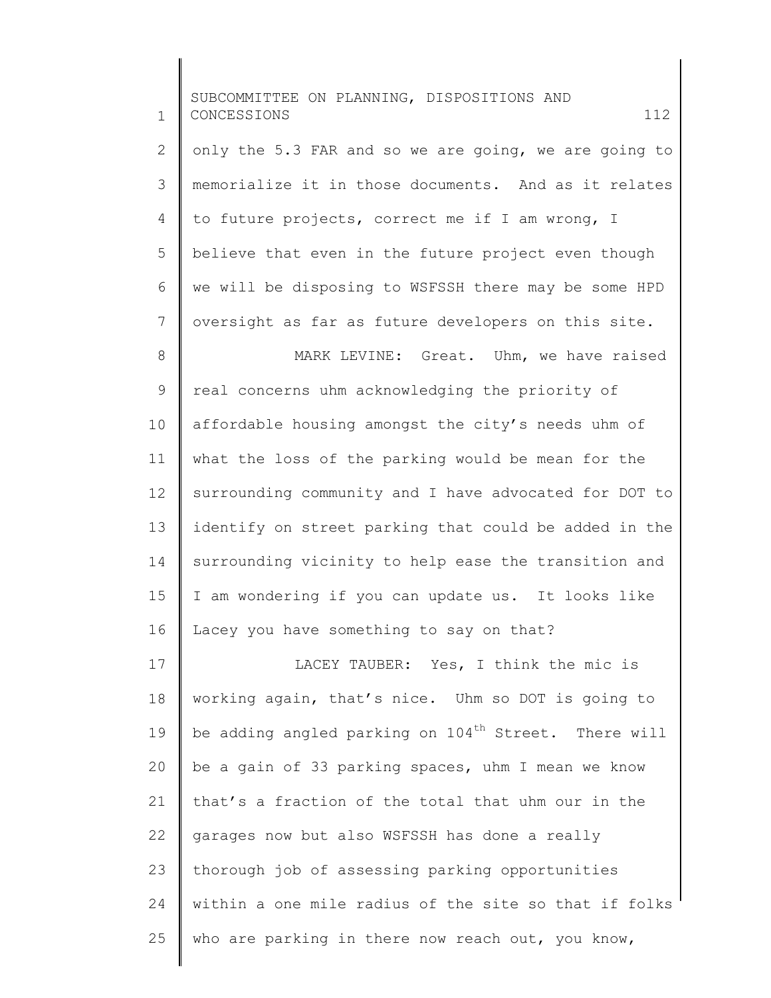1 2 3 4 5 6 7 8 9 10 11 12 13 14 15 16 17 18 19 20 21 22 23 24 25 SUBCOMMITTEE ON PLANNING, DISPOSITIONS AND CONCESSIONS 112 only the 5.3 FAR and so we are going, we are going to memorialize it in those documents. And as it relates to future projects, correct me if I am wrong, I believe that even in the future project even though we will be disposing to WSFSSH there may be some HPD oversight as far as future developers on this site. MARK LEVINE: Great. Uhm, we have raised real concerns uhm acknowledging the priority of affordable housing amongst the city's needs uhm of what the loss of the parking would be mean for the surrounding community and I have advocated for DOT to identify on street parking that could be added in the surrounding vicinity to help ease the transition and I am wondering if you can update us. It looks like Lacey you have something to say on that? LACEY TAUBER: Yes, I think the mic is working again, that's nice. Uhm so DOT is going to be adding angled parking on 104<sup>th</sup> Street. There will be a gain of 33 parking spaces, uhm I mean we know that's a fraction of the total that uhm our in the garages now but also WSFSSH has done a really thorough job of assessing parking opportunities within a one mile radius of the site so that if folks who are parking in there now reach out, you know,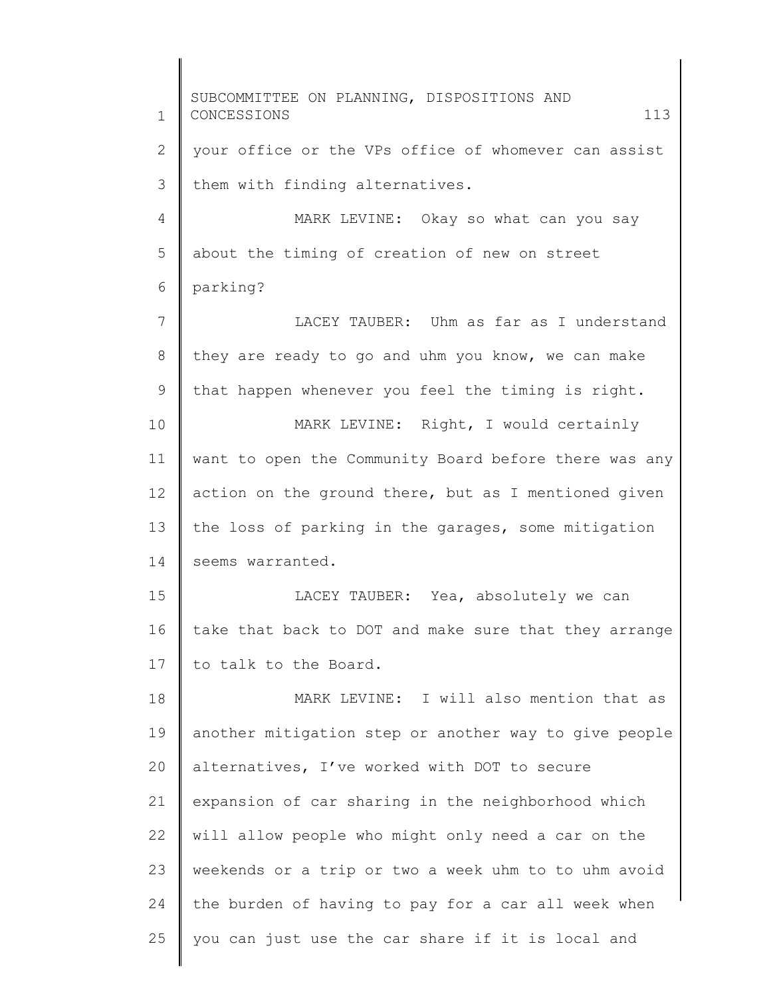1 2 3 4 5 6 7 8 9 10 11 12 13 14 15 16 17 18 19 20 21 22 23 24 25 SUBCOMMITTEE ON PLANNING, DISPOSITIONS AND CONCESSIONS 113 your office or the VPs office of whomever can assist them with finding alternatives. MARK LEVINE: Okay so what can you say about the timing of creation of new on street parking? LACEY TAUBER: Uhm as far as I understand they are ready to go and uhm you know, we can make that happen whenever you feel the timing is right. MARK LEVINE: Right, I would certainly want to open the Community Board before there was any action on the ground there, but as I mentioned given the loss of parking in the garages, some mitigation seems warranted. LACEY TAUBER: Yea, absolutely we can take that back to DOT and make sure that they arrange to talk to the Board. MARK LEVINE: I will also mention that as another mitigation step or another way to give people alternatives, I've worked with DOT to secure expansion of car sharing in the neighborhood which will allow people who might only need a car on the weekends or a trip or two a week uhm to to uhm avoid the burden of having to pay for a car all week when you can just use the car share if it is local and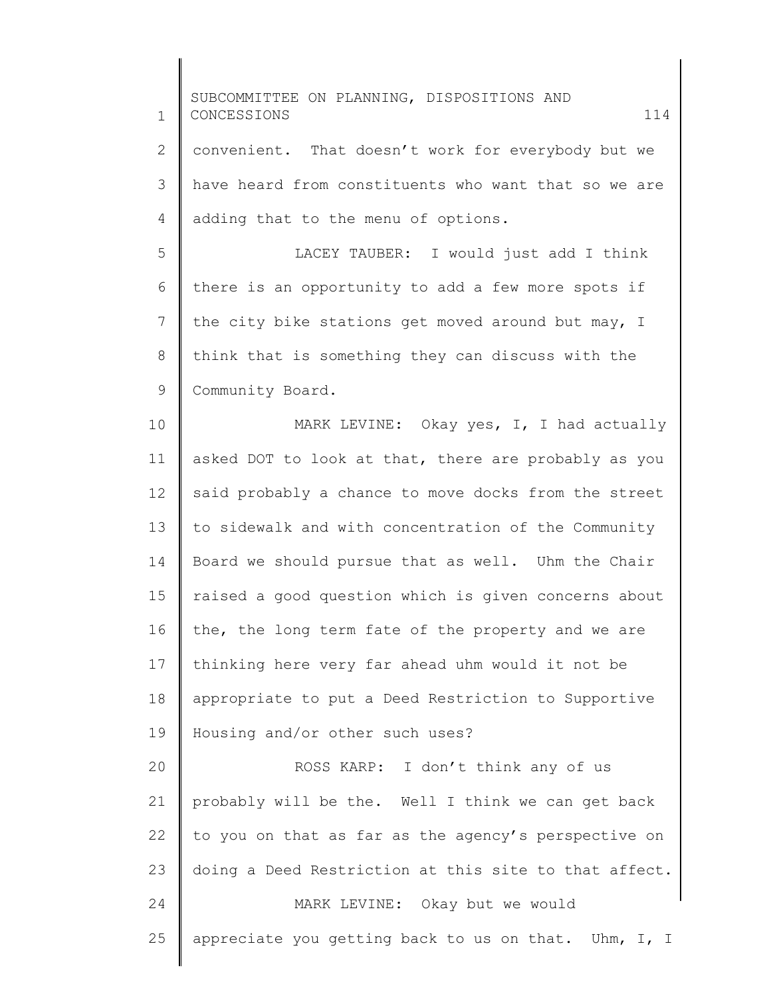1 2 3 4 5 6 7 8 9 10 11 12 13 14 15 16 17 18 19 20 21 22 23 24 25 SUBCOMMITTEE ON PLANNING, DISPOSITIONS AND CONCESSIONS 114 convenient. That doesn't work for everybody but we have heard from constituents who want that so we are adding that to the menu of options. LACEY TAUBER: I would just add I think there is an opportunity to add a few more spots if the city bike stations get moved around but may, I think that is something they can discuss with the Community Board. MARK LEVINE: Okay yes, I, I had actually asked DOT to look at that, there are probably as you said probably a chance to move docks from the street to sidewalk and with concentration of the Community Board we should pursue that as well. Uhm the Chair raised a good question which is given concerns about the, the long term fate of the property and we are thinking here very far ahead uhm would it not be appropriate to put a Deed Restriction to Supportive Housing and/or other such uses? ROSS KARP: I don't think any of us probably will be the. Well I think we can get back to you on that as far as the agency's perspective on doing a Deed Restriction at this site to that affect. MARK LEVINE: Okay but we would appreciate you getting back to us on that. Uhm, I, I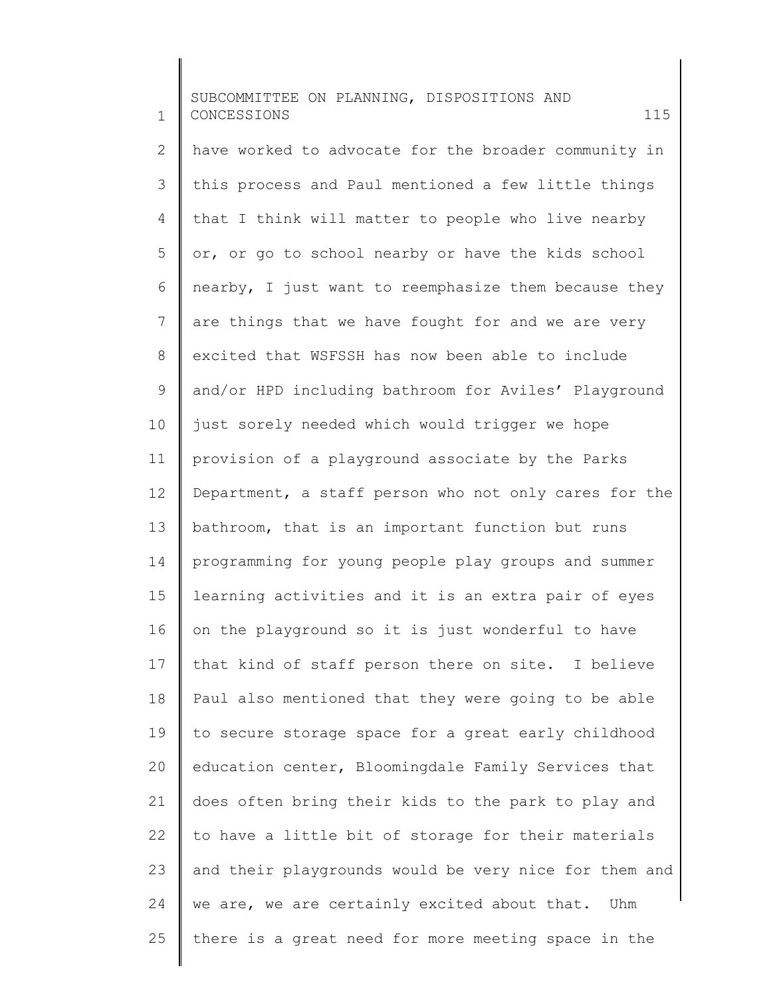1

2 3 4 5 6 7 8 9 10 11 12 13 14 15 16 17 18 19 20 21 22 23 24 25 have worked to advocate for the broader community in this process and Paul mentioned a few little things that I think will matter to people who live nearby or, or go to school nearby or have the kids school nearby, I just want to reemphasize them because they are things that we have fought for and we are very excited that WSFSSH has now been able to include and/or HPD including bathroom for Aviles' Playground just sorely needed which would trigger we hope provision of a playground associate by the Parks Department, a staff person who not only cares for the bathroom, that is an important function but runs programming for young people play groups and summer learning activities and it is an extra pair of eyes on the playground so it is just wonderful to have that kind of staff person there on site. I believe Paul also mentioned that they were going to be able to secure storage space for a great early childhood education center, Bloomingdale Family Services that does often bring their kids to the park to play and to have a little bit of storage for their materials and their playgrounds would be very nice for them and we are, we are certainly excited about that. Uhm there is a great need for more meeting space in the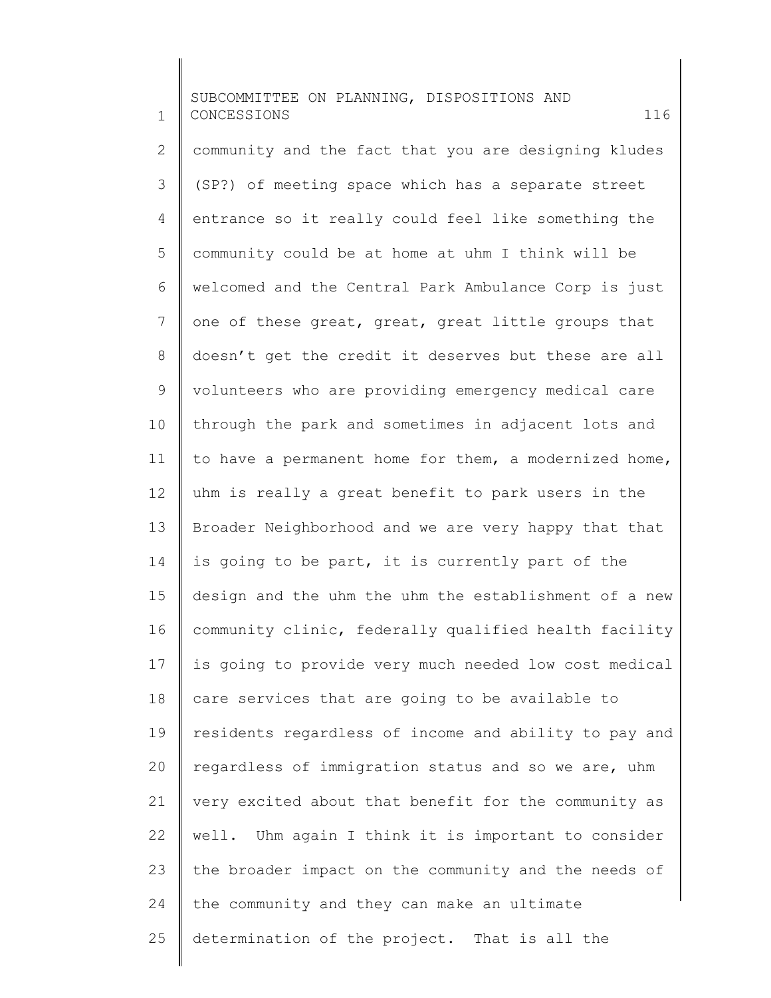1

2 3 4 5 6 7 8 9 10 11 12 13 14 15 16 17 18 19 20 21 22 23 24 25 community and the fact that you are designing kludes (SP?) of meeting space which has a separate street entrance so it really could feel like something the community could be at home at uhm I think will be welcomed and the Central Park Ambulance Corp is just one of these great, great, great little groups that doesn't get the credit it deserves but these are all volunteers who are providing emergency medical care through the park and sometimes in adjacent lots and to have a permanent home for them, a modernized home, uhm is really a great benefit to park users in the Broader Neighborhood and we are very happy that that is going to be part, it is currently part of the design and the uhm the uhm the establishment of a new community clinic, federally qualified health facility is going to provide very much needed low cost medical care services that are going to be available to residents regardless of income and ability to pay and regardless of immigration status and so we are, uhm very excited about that benefit for the community as well. Uhm again I think it is important to consider the broader impact on the community and the needs of the community and they can make an ultimate determination of the project. That is all the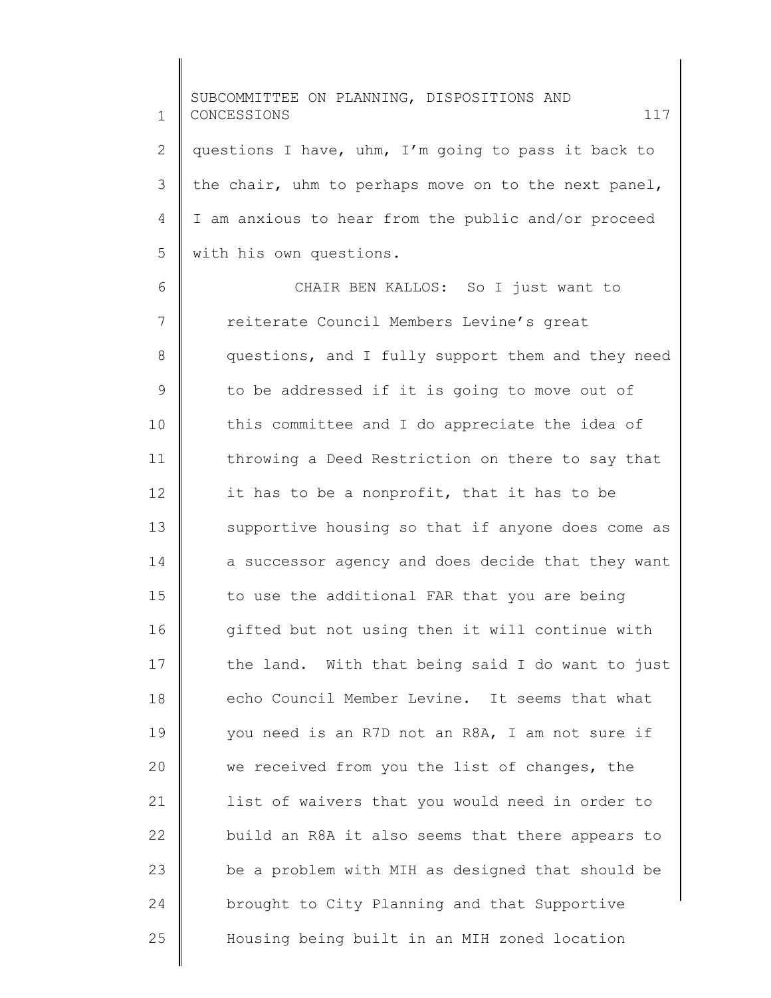1 2 3 4 5 6 7 8 9 10 11 12 13 14 15 16 17 18 19 20 21 22 23 24 SUBCOMMITTEE ON PLANNING, DISPOSITIONS AND CONCESSIONS 117 questions I have, uhm, I'm going to pass it back to the chair, uhm to perhaps move on to the next panel, I am anxious to hear from the public and/or proceed with his own questions. CHAIR BEN KALLOS: So I just want to reiterate Council Members Levine's great questions, and I fully support them and they need to be addressed if it is going to move out of this committee and I do appreciate the idea of throwing a Deed Restriction on there to say that it has to be a nonprofit, that it has to be supportive housing so that if anyone does come as a successor agency and does decide that they want to use the additional FAR that you are being gifted but not using then it will continue with the land. With that being said I do want to just echo Council Member Levine. It seems that what you need is an R7D not an R8A, I am not sure if we received from you the list of changes, the list of waivers that you would need in order to build an R8A it also seems that there appears to be a problem with MIH as designed that should be brought to City Planning and that Supportive

Housing being built in an MIH zoned location

25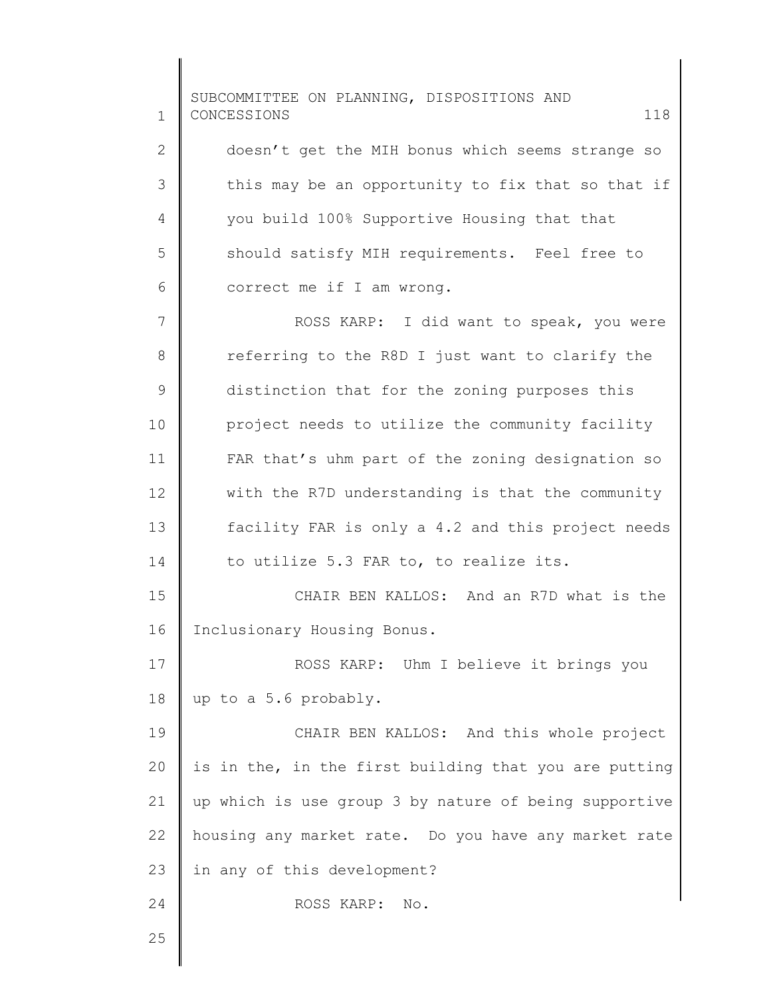2 3 4 5 6 doesn't get the MIH bonus which seems strange so this may be an opportunity to fix that so that if you build 100% Supportive Housing that that should satisfy MIH requirements. Feel free to correct me if I am wrong.

7 8 9 10 11 12 13 14 ROSS KARP: I did want to speak, you were referring to the R8D I just want to clarify the distinction that for the zoning purposes this project needs to utilize the community facility FAR that's uhm part of the zoning designation so with the R7D understanding is that the community facility FAR is only a 4.2 and this project needs to utilize 5.3 FAR to, to realize its.

15 16 CHAIR BEN KALLOS: And an R7D what is the Inclusionary Housing Bonus.

17 18 ROSS KARP: Uhm I believe it brings you up to a 5.6 probably.

19 20 21 22 23 CHAIR BEN KALLOS: And this whole project is in the, in the first building that you are putting up which is use group 3 by nature of being supportive housing any market rate. Do you have any market rate in any of this development?

ROSS KARP: No.

25

24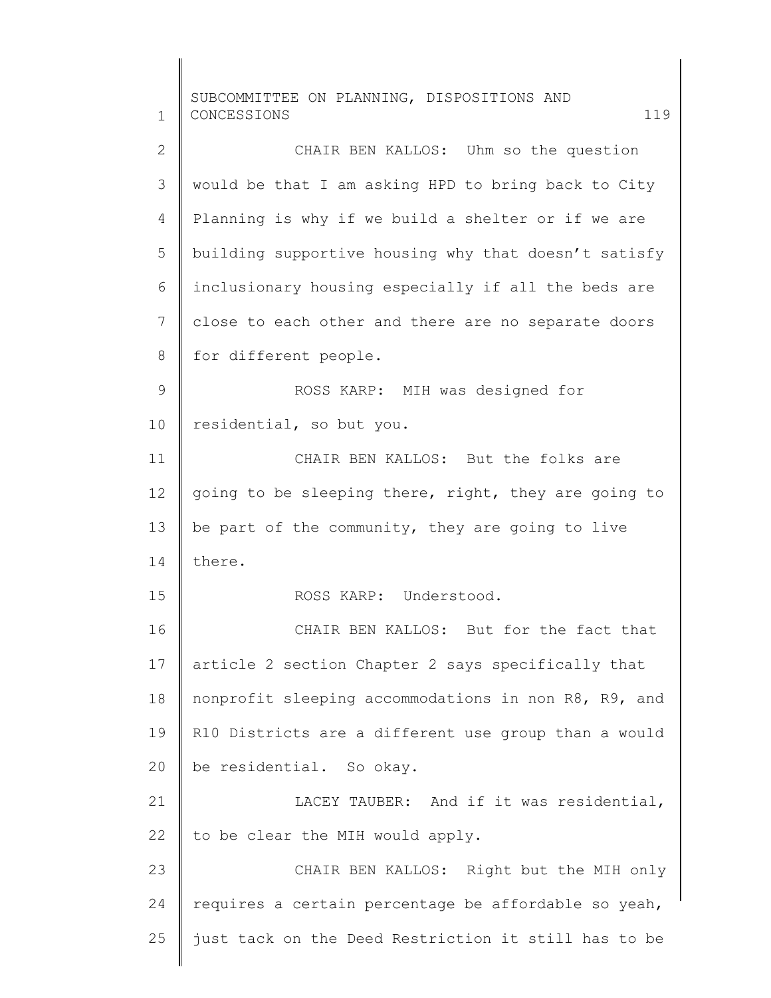1 2 3 4 5 6 7 8 9 10 11 12 13 14 15 16 17 18 19 20 21 22 23 24 25 SUBCOMMITTEE ON PLANNING, DISPOSITIONS AND CONCESSIONS 119 CHAIR BEN KALLOS: Uhm so the question would be that I am asking HPD to bring back to City Planning is why if we build a shelter or if we are building supportive housing why that doesn't satisfy inclusionary housing especially if all the beds are close to each other and there are no separate doors for different people. ROSS KARP: MIH was designed for residential, so but you. CHAIR BEN KALLOS: But the folks are going to be sleeping there, right, they are going to be part of the community, they are going to live there. ROSS KARP: Understood. CHAIR BEN KALLOS: But for the fact that article 2 section Chapter 2 says specifically that nonprofit sleeping accommodations in non R8, R9, and R10 Districts are a different use group than a would be residential. So okay. LACEY TAUBER: And if it was residential, to be clear the MIH would apply. CHAIR BEN KALLOS: Right but the MIH only requires a certain percentage be affordable so yeah, just tack on the Deed Restriction it still has to be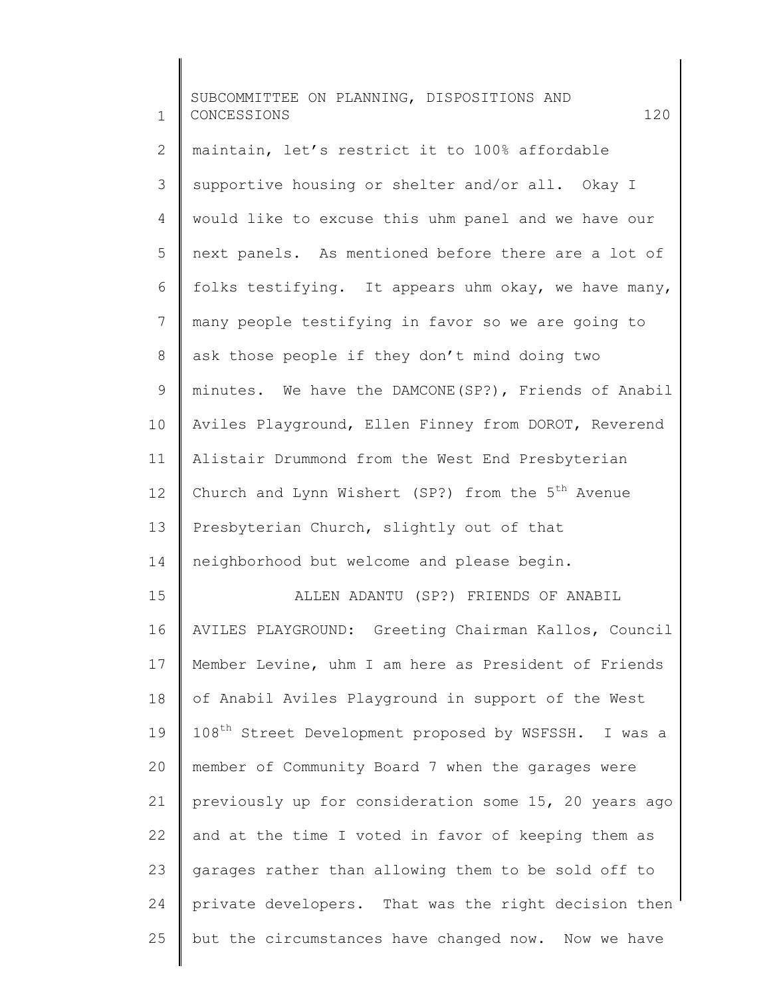1 2 3 4 5 6 7 8 9 10 11 12 13 14 15 16 17 18 19 20 21 22 23 24 25 SUBCOMMITTEE ON PLANNING, DISPOSITIONS AND CONCESSIONS 120 maintain, let's restrict it to 100% affordable supportive housing or shelter and/or all. Okay I would like to excuse this uhm panel and we have our next panels. As mentioned before there are a lot of folks testifying. It appears uhm okay, we have many, many people testifying in favor so we are going to ask those people if they don't mind doing two minutes. We have the DAMCONE(SP?), Friends of Anabil Aviles Playground, Ellen Finney from DOROT, Reverend Alistair Drummond from the West End Presbyterian Church and Lynn Wishert (SP?) from the  $5<sup>th</sup>$  Avenue Presbyterian Church, slightly out of that neighborhood but welcome and please begin. ALLEN ADANTU (SP?) FRIENDS OF ANABIL AVILES PLAYGROUND: Greeting Chairman Kallos, Council Member Levine, uhm I am here as President of Friends of Anabil Aviles Playground in support of the West 108<sup>th</sup> Street Development proposed by WSFSSH. I was a member of Community Board 7 when the garages were previously up for consideration some 15, 20 years ago and at the time I voted in favor of keeping them as garages rather than allowing them to be sold off to private developers. That was the right decision then but the circumstances have changed now. Now we have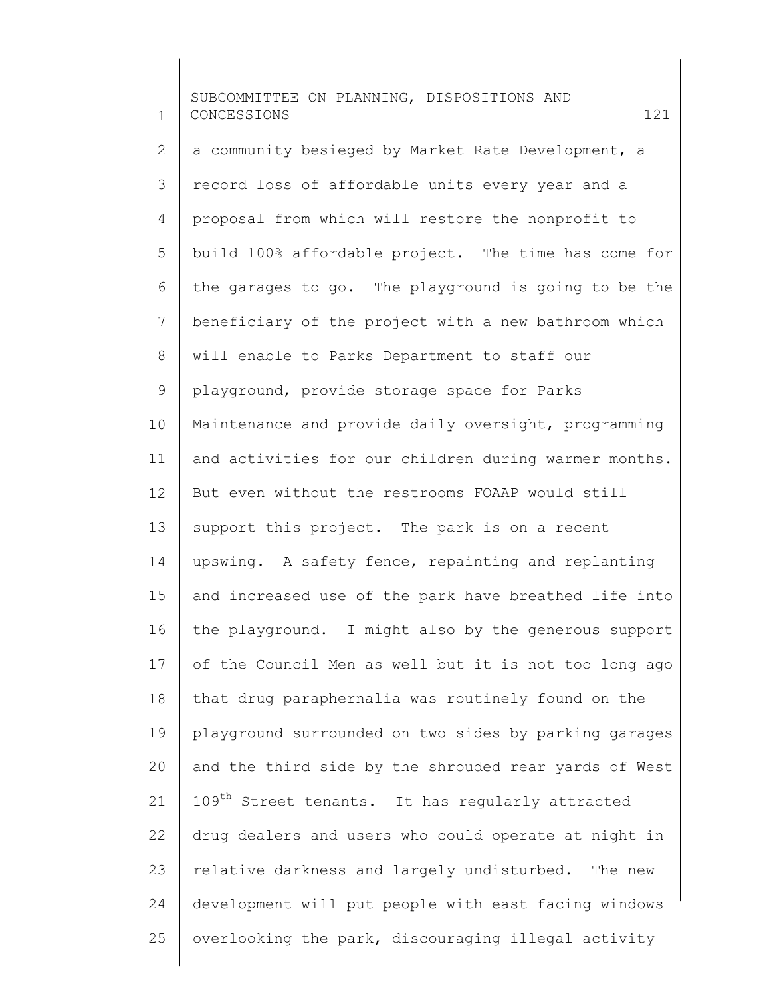1

2 3 4 5 6 7 8 9 10 11 12 13 14 15 16 17 18 19 20 21 22 23 24 25 a community besieged by Market Rate Development, a record loss of affordable units every year and a proposal from which will restore the nonprofit to build 100% affordable project. The time has come for the garages to go. The playground is going to be the beneficiary of the project with a new bathroom which will enable to Parks Department to staff our playground, provide storage space for Parks Maintenance and provide daily oversight, programming and activities for our children during warmer months. But even without the restrooms FOAAP would still support this project. The park is on a recent upswing. A safety fence, repainting and replanting and increased use of the park have breathed life into the playground. I might also by the generous support of the Council Men as well but it is not too long ago that drug paraphernalia was routinely found on the playground surrounded on two sides by parking garages and the third side by the shrouded rear yards of West 109<sup>th</sup> Street tenants. It has regularly attracted drug dealers and users who could operate at night in relative darkness and largely undisturbed. The new development will put people with east facing windows overlooking the park, discouraging illegal activity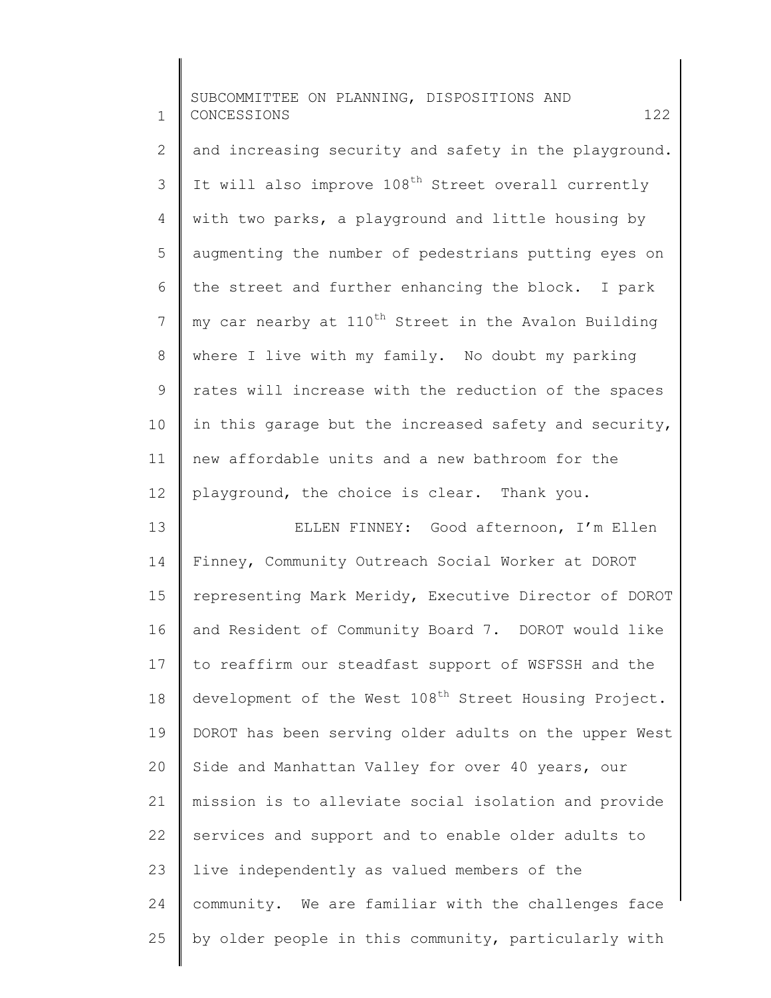2 3 4 5 6 7 8 9 10 11 12 and increasing security and safety in the playground. It will also improve 108<sup>th</sup> Street overall currently with two parks, a playground and little housing by augmenting the number of pedestrians putting eyes on the street and further enhancing the block. I park my car nearby at  $110^{th}$  Street in the Avalon Building where I live with my family. No doubt my parking rates will increase with the reduction of the spaces in this garage but the increased safety and security, new affordable units and a new bathroom for the playground, the choice is clear. Thank you.

13 14 15 16 17 18 19 20 21 22 23 24 25 ELLEN FINNEY: Good afternoon, I'm Ellen Finney, Community Outreach Social Worker at DOROT representing Mark Meridy, Executive Director of DOROT and Resident of Community Board 7. DOROT would like to reaffirm our steadfast support of WSFSSH and the development of the West 108<sup>th</sup> Street Housing Project. DOROT has been serving older adults on the upper West Side and Manhattan Valley for over 40 years, our mission is to alleviate social isolation and provide services and support and to enable older adults to live independently as valued members of the community. We are familiar with the challenges face by older people in this community, particularly with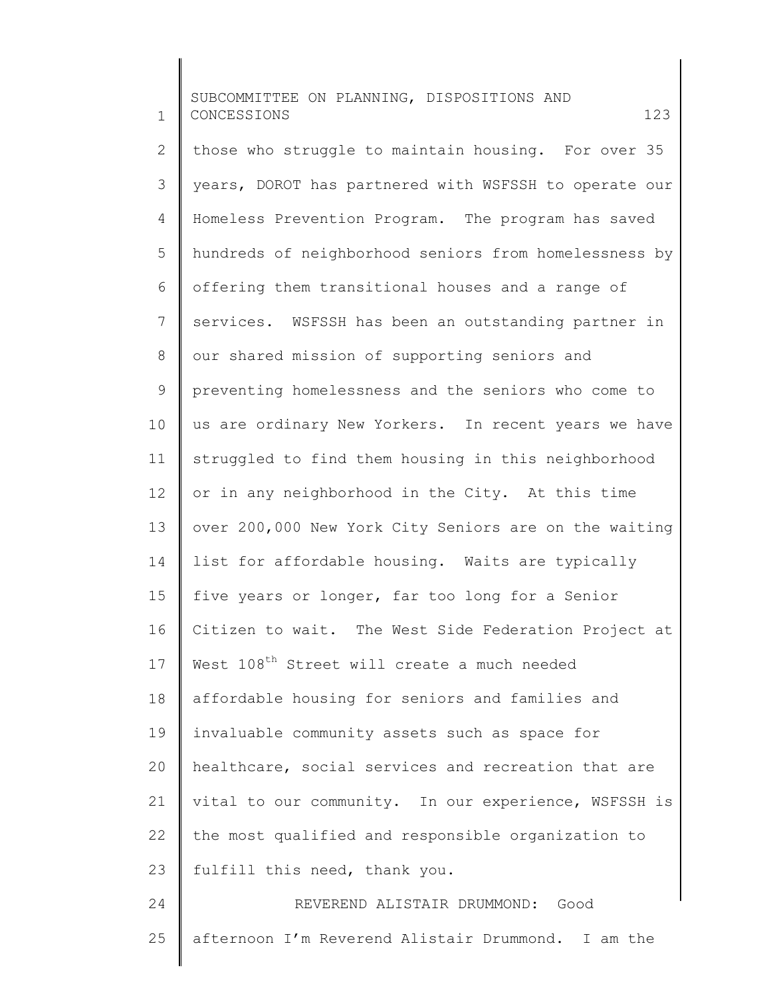1

2 3 4 5 6 7 8 9 10 11 12 13 14 15 16 17 18 19 20 21 22 23 24 those who struggle to maintain housing. For over 35 years, DOROT has partnered with WSFSSH to operate our Homeless Prevention Program. The program has saved hundreds of neighborhood seniors from homelessness by offering them transitional houses and a range of services. WSFSSH has been an outstanding partner in our shared mission of supporting seniors and preventing homelessness and the seniors who come to us are ordinary New Yorkers. In recent years we have struggled to find them housing in this neighborhood or in any neighborhood in the City. At this time over 200,000 New York City Seniors are on the waiting list for affordable housing. Waits are typically five years or longer, far too long for a Senior Citizen to wait. The West Side Federation Project at West  $108<sup>th</sup>$  Street will create a much needed affordable housing for seniors and families and invaluable community assets such as space for healthcare, social services and recreation that are vital to our community. In our experience, WSFSSH is the most qualified and responsible organization to fulfill this need, thank you. REVEREND ALISTAIR DRUMMOND: Good

25 afternoon I'm Reverend Alistair Drummond. I am the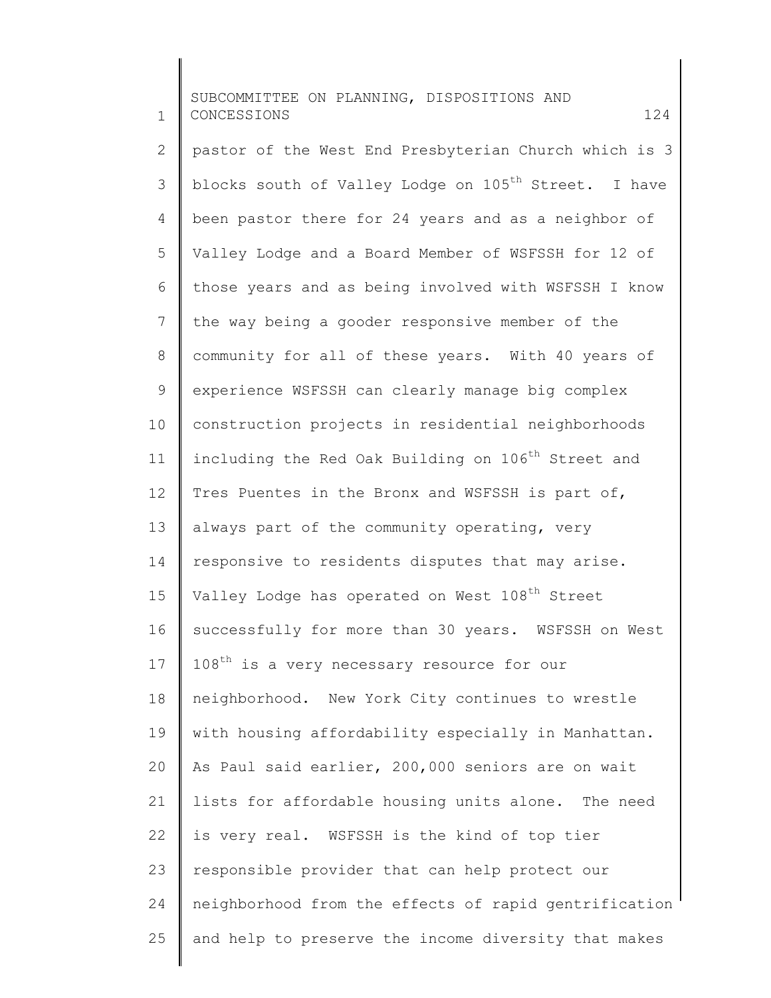1

2 3 4 5 6 7 8 9 10 11 12 13 14 15 16 17 18 19 20 21 22 23 24 25 pastor of the West End Presbyterian Church which is 3 blocks south of Valley Lodge on  $105<sup>th</sup>$  Street. I have been pastor there for 24 years and as a neighbor of Valley Lodge and a Board Member of WSFSSH for 12 of those years and as being involved with WSFSSH I know the way being a gooder responsive member of the community for all of these years. With 40 years of experience WSFSSH can clearly manage big complex construction projects in residential neighborhoods including the Red Oak Building on 106<sup>th</sup> Street and Tres Puentes in the Bronx and WSFSSH is part of, always part of the community operating, very responsive to residents disputes that may arise. Valley Lodge has operated on West 108<sup>th</sup> Street successfully for more than 30 years. WSFSSH on West 108<sup>th</sup> is a very necessary resource for our neighborhood. New York City continues to wrestle with housing affordability especially in Manhattan. As Paul said earlier, 200,000 seniors are on wait lists for affordable housing units alone. The need is very real. WSFSSH is the kind of top tier responsible provider that can help protect our neighborhood from the effects of rapid gentrification and help to preserve the income diversity that makes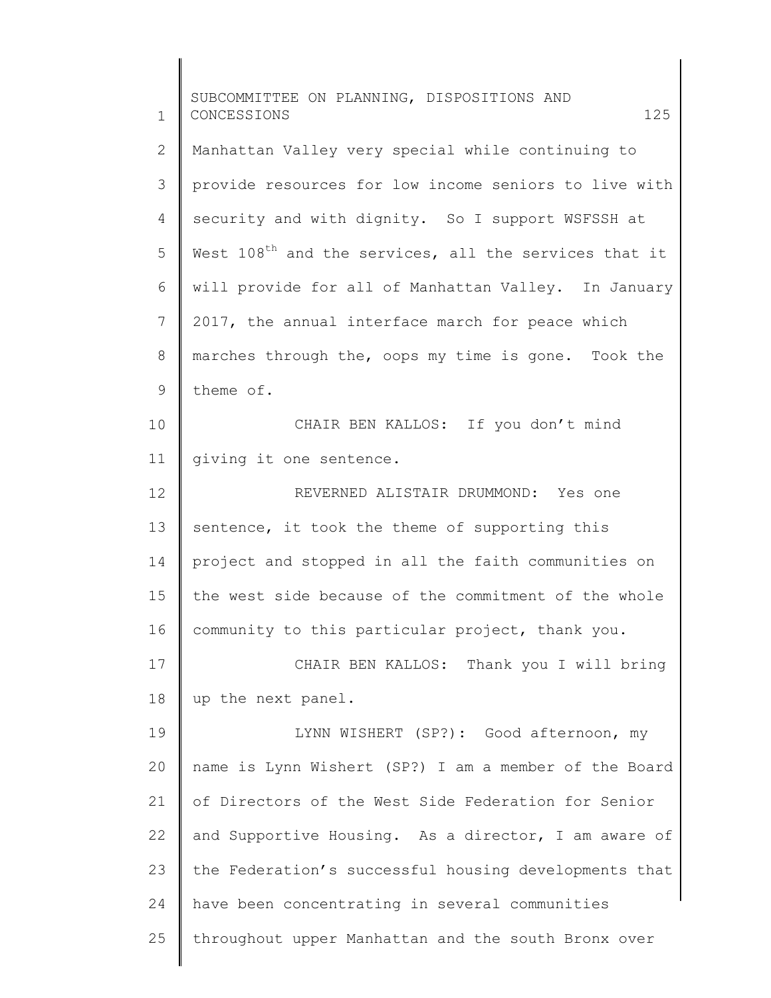1 2 3 4 5 6 7 8 9 10 11 12 13 14 15 16 17 18 19 20 21 22 23 24 25 SUBCOMMITTEE ON PLANNING, DISPOSITIONS AND CONCESSIONS 125 Manhattan Valley very special while continuing to provide resources for low income seniors to live with security and with dignity. So I support WSFSSH at West  $108<sup>th</sup>$  and the services, all the services that it will provide for all of Manhattan Valley. In January 2017, the annual interface march for peace which marches through the, oops my time is gone. Took the theme of. CHAIR BEN KALLOS: If you don't mind giving it one sentence. REVERNED ALISTAIR DRUMMOND: Yes one sentence, it took the theme of supporting this project and stopped in all the faith communities on the west side because of the commitment of the whole community to this particular project, thank you. CHAIR BEN KALLOS: Thank you I will bring up the next panel. LYNN WISHERT (SP?): Good afternoon, my name is Lynn Wishert (SP?) I am a member of the Board of Directors of the West Side Federation for Senior and Supportive Housing. As a director, I am aware of the Federation's successful housing developments that have been concentrating in several communities throughout upper Manhattan and the south Bronx over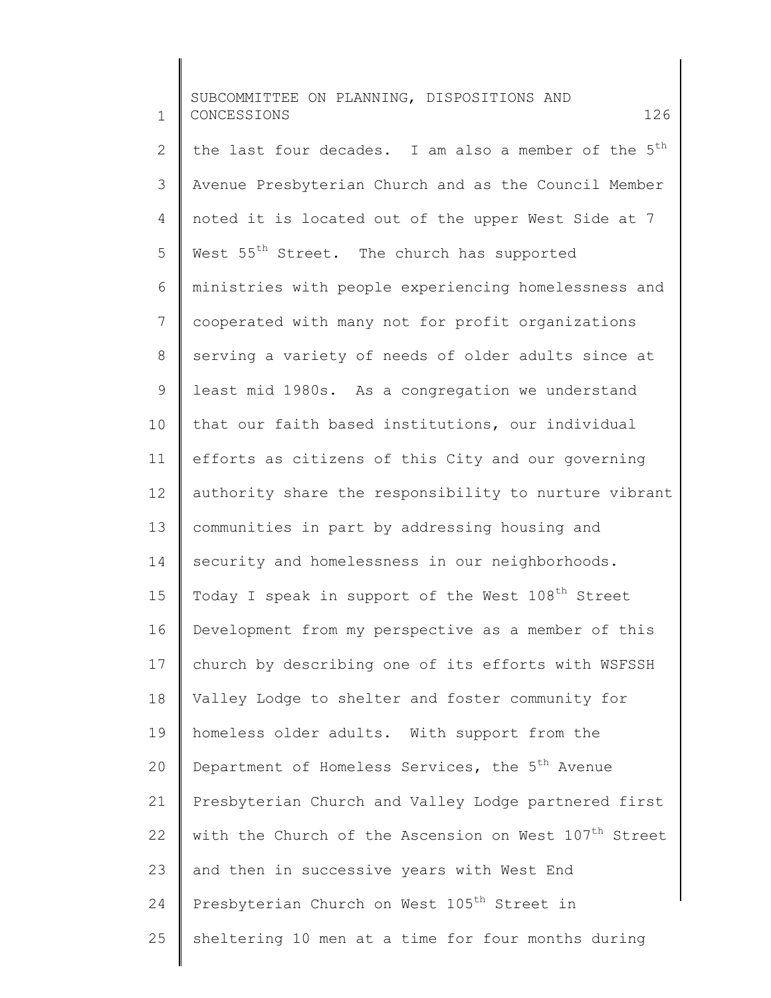1

2 3 4 5 6 7 8 9 10 11 12 13 14 15 16 17 18 19 20 21 22 23 24 25 the last four decades. I am also a member of the  $5<sup>th</sup>$ Avenue Presbyterian Church and as the Council Member noted it is located out of the upper West Side at 7 West 55<sup>th</sup> Street. The church has supported ministries with people experiencing homelessness and cooperated with many not for profit organizations serving a variety of needs of older adults since at least mid 1980s. As a congregation we understand that our faith based institutions, our individual efforts as citizens of this City and our governing authority share the responsibility to nurture vibrant communities in part by addressing housing and security and homelessness in our neighborhoods. Today I speak in support of the West 108<sup>th</sup> Street Development from my perspective as a member of this church by describing one of its efforts with WSFSSH Valley Lodge to shelter and foster community for homeless older adults. With support from the Department of Homeless Services, the  $5<sup>th</sup>$  Avenue Presbyterian Church and Valley Lodge partnered first with the Church of the Ascension on West 107<sup>th</sup> Street and then in successive years with West End Presbyterian Church on West 105<sup>th</sup> Street in sheltering 10 men at a time for four months during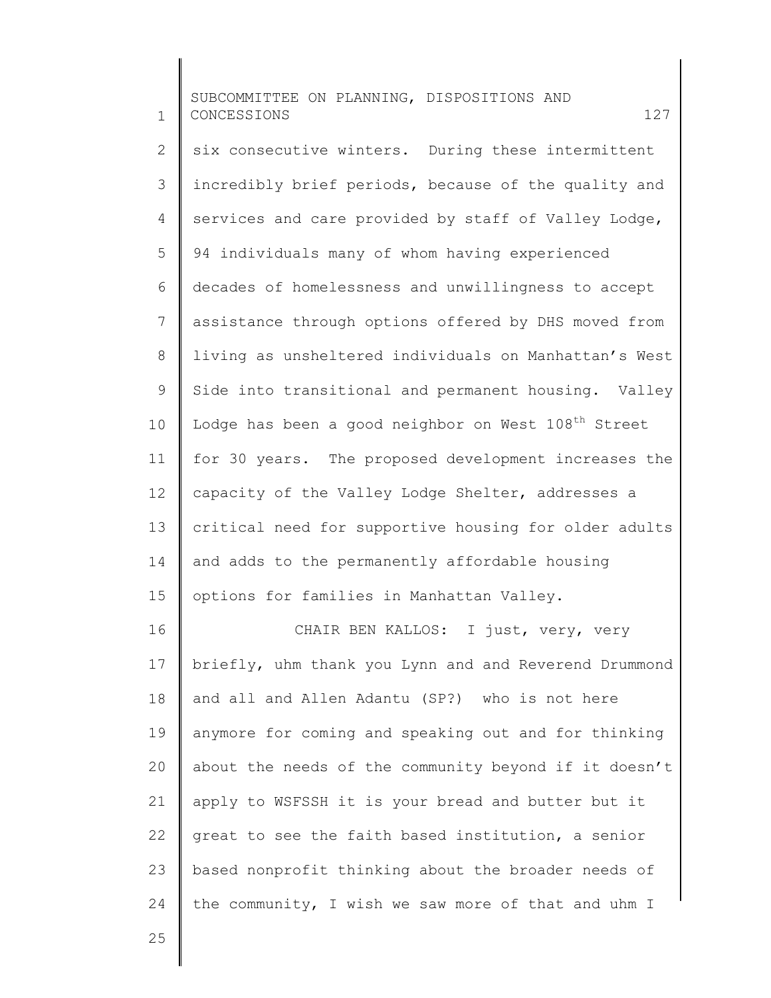2 3 4 5 6 7 8 9 10 11 12 13 14 15 six consecutive winters. During these intermittent incredibly brief periods, because of the quality and services and care provided by staff of Valley Lodge, 94 individuals many of whom having experienced decades of homelessness and unwillingness to accept assistance through options offered by DHS moved from living as unsheltered individuals on Manhattan's West Side into transitional and permanent housing. Valley Lodge has been a good neighbor on West  $108<sup>th</sup>$  Street for 30 years. The proposed development increases the capacity of the Valley Lodge Shelter, addresses a critical need for supportive housing for older adults and adds to the permanently affordable housing options for families in Manhattan Valley.

16 17 18 19 20 21 22 23 24 CHAIR BEN KALLOS: I just, very, very briefly, uhm thank you Lynn and and Reverend Drummond and all and Allen Adantu (SP?) who is not here anymore for coming and speaking out and for thinking about the needs of the community beyond if it doesn't apply to WSFSSH it is your bread and butter but it great to see the faith based institution, a senior based nonprofit thinking about the broader needs of the community, I wish we saw more of that and uhm I

25

1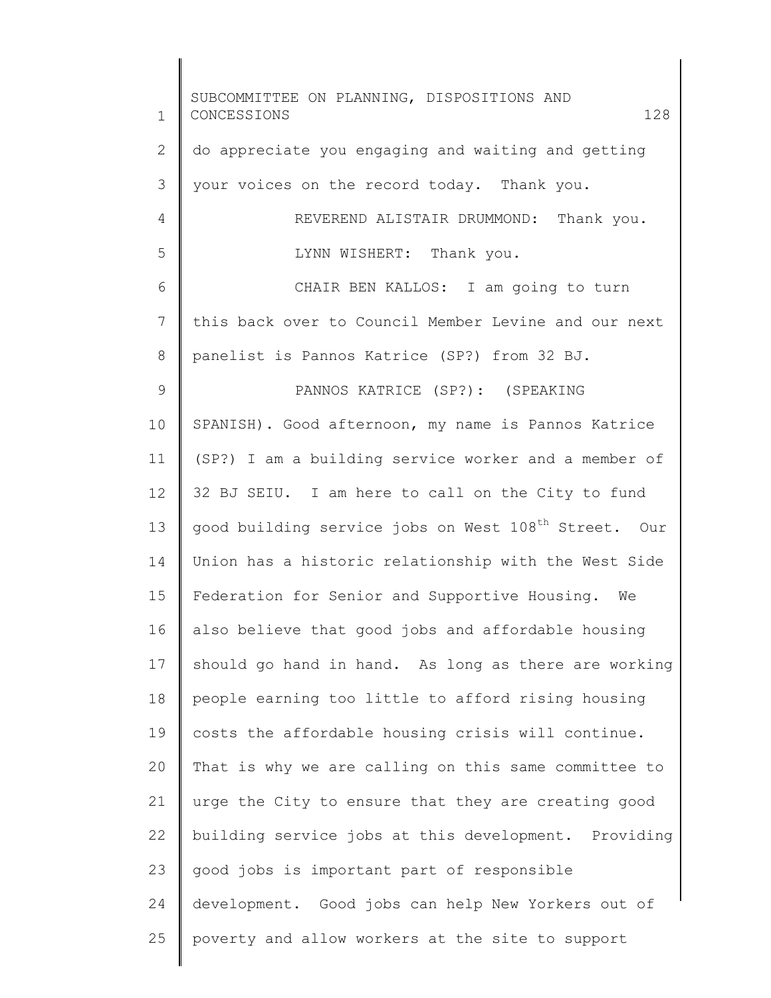1 2 3 4 5 6 7 8 9 10 11 12 13 14 15 16 17 18 19 20 21 22 23 24 25 SUBCOMMITTEE ON PLANNING, DISPOSITIONS AND CONCESSIONS 128 do appreciate you engaging and waiting and getting your voices on the record today. Thank you. REVEREND ALISTAIR DRUMMOND: Thank you. LYNN WISHERT: Thank you. CHAIR BEN KALLOS: I am going to turn this back over to Council Member Levine and our next panelist is Pannos Katrice (SP?) from 32 BJ. PANNOS KATRICE (SP?): (SPEAKING SPANISH). Good afternoon, my name is Pannos Katrice (SP?) I am a building service worker and a member of 32 BJ SEIU. I am here to call on the City to fund good building service jobs on West 108<sup>th</sup> Street. Our Union has a historic relationship with the West Side Federation for Senior and Supportive Housing. We also believe that good jobs and affordable housing should go hand in hand. As long as there are working people earning too little to afford rising housing costs the affordable housing crisis will continue. That is why we are calling on this same committee to urge the City to ensure that they are creating good building service jobs at this development. Providing good jobs is important part of responsible development. Good jobs can help New Yorkers out of poverty and allow workers at the site to support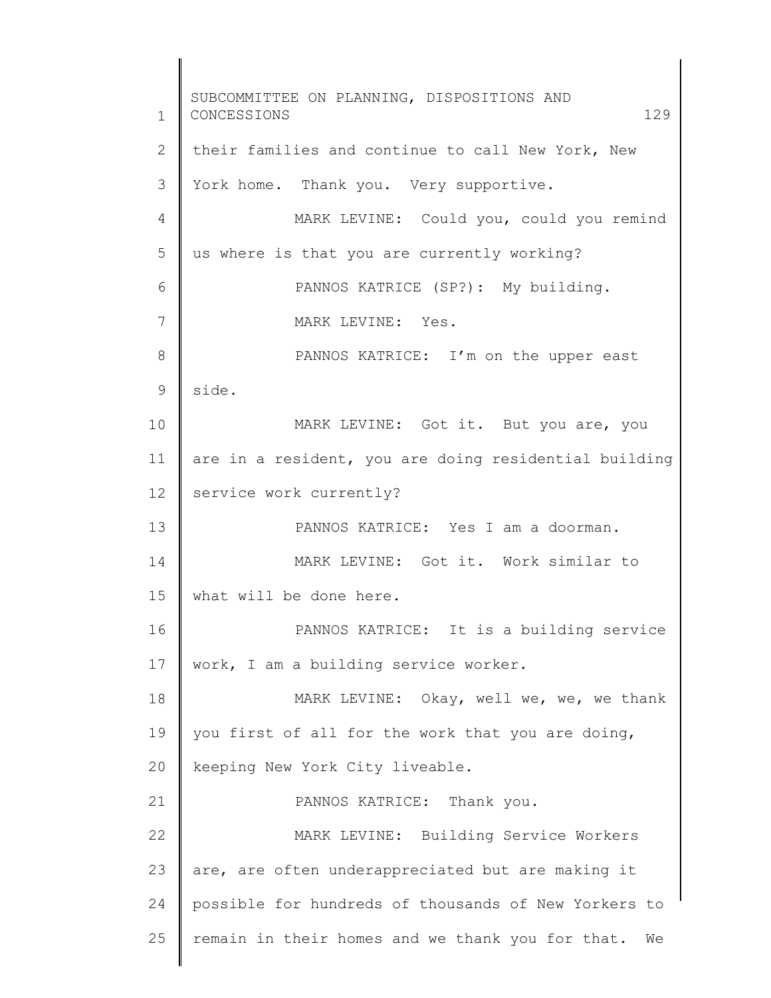1 2 3 4 5 6 7 8 9 10 11 12 13 14 15 16 17 18 19 20 21 22 23 24 25 SUBCOMMITTEE ON PLANNING, DISPOSITIONS AND CONCESSIONS 129 their families and continue to call New York, New York home. Thank you. Very supportive. MARK LEVINE: Could you, could you remind us where is that you are currently working? PANNOS KATRICE (SP?): My building. MARK LEVINE: Yes. PANNOS KATRICE: I'm on the upper east side. MARK LEVINE: Got it. But you are, you are in a resident, you are doing residential building service work currently? PANNOS KATRICE: Yes I am a doorman. MARK LEVINE: Got it. Work similar to what will be done here. PANNOS KATRICE: It is a building service work, I am a building service worker. MARK LEVINE: Okay, well we, we, we thank you first of all for the work that you are doing, keeping New York City liveable. PANNOS KATRICE: Thank you. MARK LEVINE: Building Service Workers are, are often underappreciated but are making it possible for hundreds of thousands of New Yorkers to remain in their homes and we thank you for that. We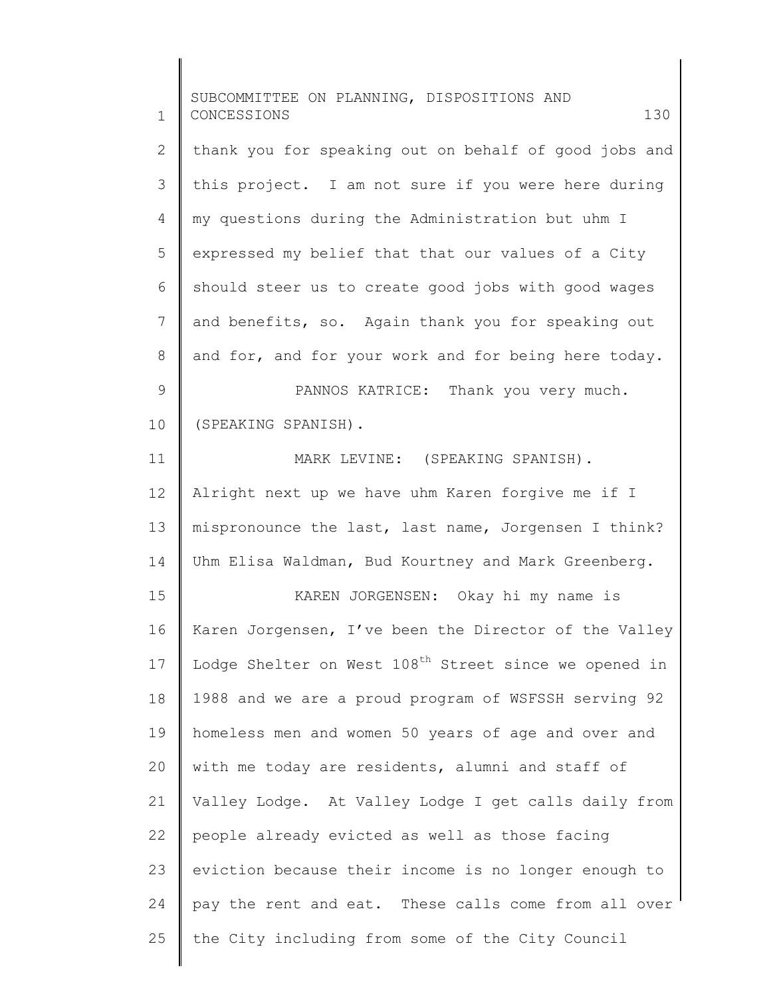1 2 3 4 5 6 7 8 9 10 11 12 13 14 15 16 17 18 19 20 21 22 23 24 25 SUBCOMMITTEE ON PLANNING, DISPOSITIONS AND CONCESSIONS 130 thank you for speaking out on behalf of good jobs and this project. I am not sure if you were here during my questions during the Administration but uhm I expressed my belief that that our values of a City should steer us to create good jobs with good wages and benefits, so. Again thank you for speaking out and for, and for your work and for being here today. PANNOS KATRICE: Thank you very much. (SPEAKING SPANISH). MARK LEVINE: (SPEAKING SPANISH). Alright next up we have uhm Karen forgive me if I mispronounce the last, last name, Jorgensen I think? Uhm Elisa Waldman, Bud Kourtney and Mark Greenberg. KAREN JORGENSEN: Okay hi my name is Karen Jorgensen, I've been the Director of the Valley Lodge Shelter on West 108<sup>th</sup> Street since we opened in 1988 and we are a proud program of WSFSSH serving 92 homeless men and women 50 years of age and over and with me today are residents, alumni and staff of Valley Lodge. At Valley Lodge I get calls daily from people already evicted as well as those facing eviction because their income is no longer enough to pay the rent and eat. These calls come from all over the City including from some of the City Council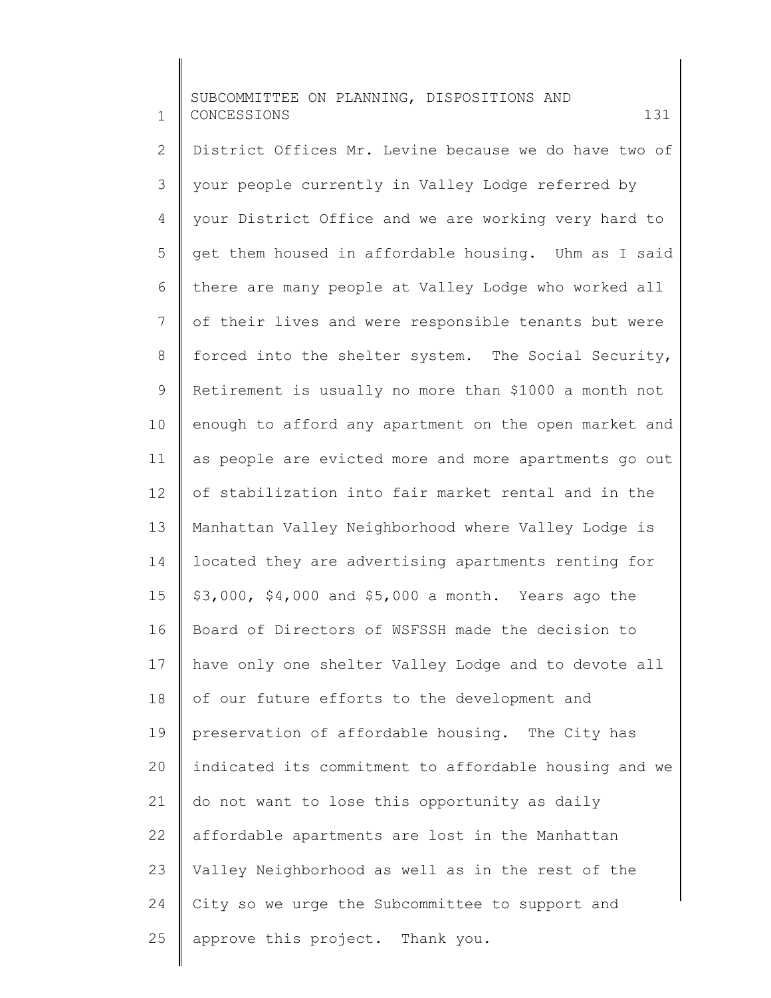1

2 3 4 5 6 7 8 9 10 11 12 13 14 15 16 17 18 19 20 21 22 23 24 25 District Offices Mr. Levine because we do have two of your people currently in Valley Lodge referred by your District Office and we are working very hard to get them housed in affordable housing. Uhm as I said there are many people at Valley Lodge who worked all of their lives and were responsible tenants but were forced into the shelter system. The Social Security, Retirement is usually no more than \$1000 a month not enough to afford any apartment on the open market and as people are evicted more and more apartments go out of stabilization into fair market rental and in the Manhattan Valley Neighborhood where Valley Lodge is located they are advertising apartments renting for \$3,000, \$4,000 and \$5,000 a month. Years ago the Board of Directors of WSFSSH made the decision to have only one shelter Valley Lodge and to devote all of our future efforts to the development and preservation of affordable housing. The City has indicated its commitment to affordable housing and we do not want to lose this opportunity as daily affordable apartments are lost in the Manhattan Valley Neighborhood as well as in the rest of the City so we urge the Subcommittee to support and approve this project. Thank you.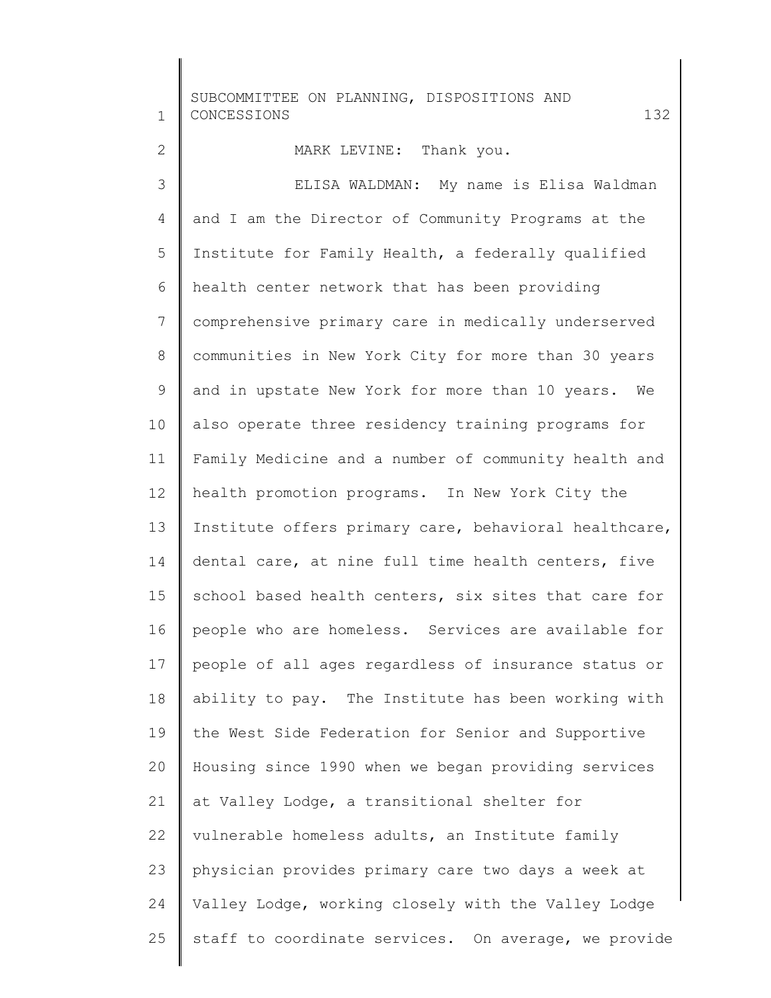1

2

MARK LEVINE: Thank you.

3 4 5 6 7 8 9 10 11 12 13 14 15 16 17 18 19 20 21 22 23 24 25 ELISA WALDMAN: My name is Elisa Waldman and I am the Director of Community Programs at the Institute for Family Health, a federally qualified health center network that has been providing comprehensive primary care in medically underserved communities in New York City for more than 30 years and in upstate New York for more than 10 years. We also operate three residency training programs for Family Medicine and a number of community health and health promotion programs. In New York City the Institute offers primary care, behavioral healthcare, dental care, at nine full time health centers, five school based health centers, six sites that care for people who are homeless. Services are available for people of all ages regardless of insurance status or ability to pay. The Institute has been working with the West Side Federation for Senior and Supportive Housing since 1990 when we began providing services at Valley Lodge, a transitional shelter for vulnerable homeless adults, an Institute family physician provides primary care two days a week at Valley Lodge, working closely with the Valley Lodge staff to coordinate services. On average, we provide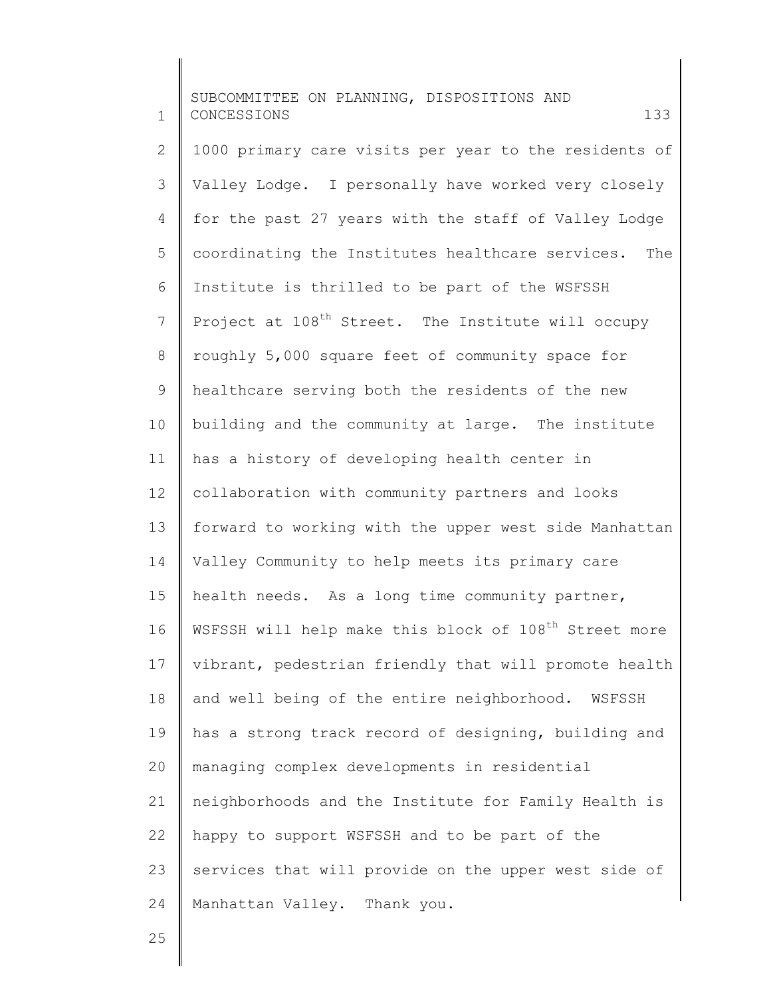1 2 3 4 5 6 7 8 9 10 11 12 13 14 15 16 17 18 19 20 21 22 23 24 SUBCOMMITTEE ON PLANNING, DISPOSITIONS AND CONCESSIONS 133 1000 primary care visits per year to the residents of Valley Lodge. I personally have worked very closely for the past 27 years with the staff of Valley Lodge coordinating the Institutes healthcare services. The Institute is thrilled to be part of the WSFSSH Project at 108<sup>th</sup> Street. The Institute will occupy roughly 5,000 square feet of community space for healthcare serving both the residents of the new building and the community at large. The institute has a history of developing health center in collaboration with community partners and looks forward to working with the upper west side Manhattan Valley Community to help meets its primary care health needs. As a long time community partner, WSFSSH will help make this block of 108<sup>th</sup> Street more vibrant, pedestrian friendly that will promote health and well being of the entire neighborhood. WSFSSH has a strong track record of designing, building and managing complex developments in residential neighborhoods and the Institute for Family Health is happy to support WSFSSH and to be part of the services that will provide on the upper west side of Manhattan Valley. Thank you.

25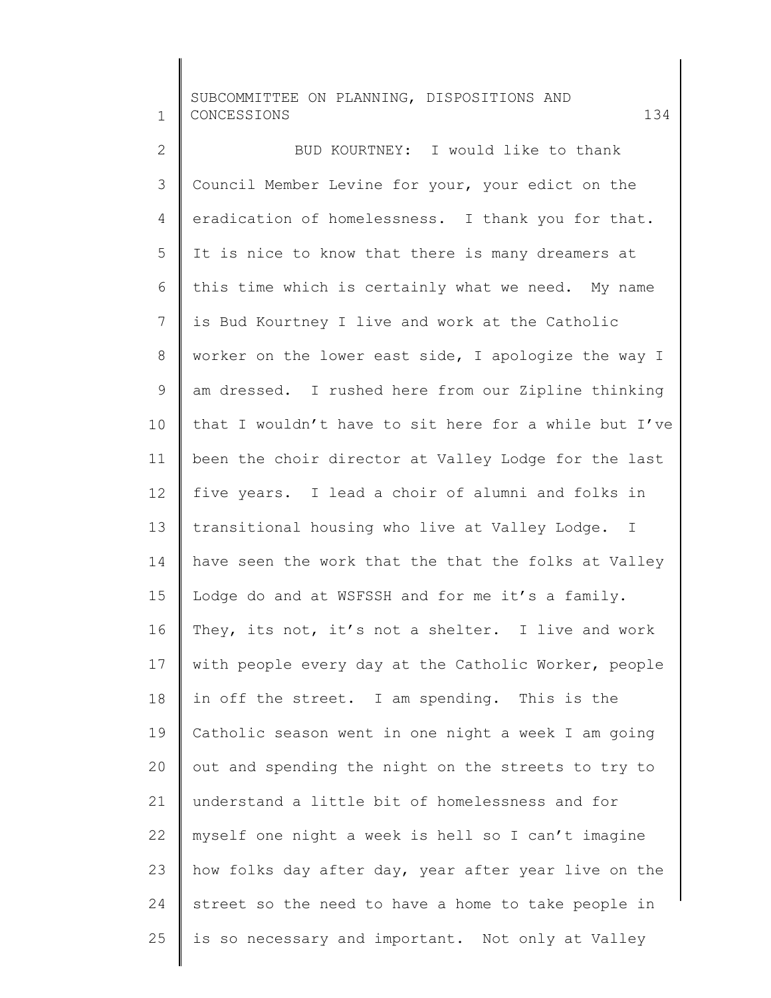1

2 3 4 5 6 7 8 9 10 11 12 13 14 15 16 17 18 19 20 21 22 23 24 25 BUD KOURTNEY: I would like to thank Council Member Levine for your, your edict on the eradication of homelessness. I thank you for that. It is nice to know that there is many dreamers at this time which is certainly what we need. My name is Bud Kourtney I live and work at the Catholic worker on the lower east side, I apologize the way I am dressed. I rushed here from our Zipline thinking that I wouldn't have to sit here for a while but I've been the choir director at Valley Lodge for the last five years. I lead a choir of alumni and folks in transitional housing who live at Valley Lodge. I have seen the work that the that the folks at Valley Lodge do and at WSFSSH and for me it's a family. They, its not, it's not a shelter. I live and work with people every day at the Catholic Worker, people in off the street. I am spending. This is the Catholic season went in one night a week I am going out and spending the night on the streets to try to understand a little bit of homelessness and for myself one night a week is hell so I can't imagine how folks day after day, year after year live on the street so the need to have a home to take people in is so necessary and important. Not only at Valley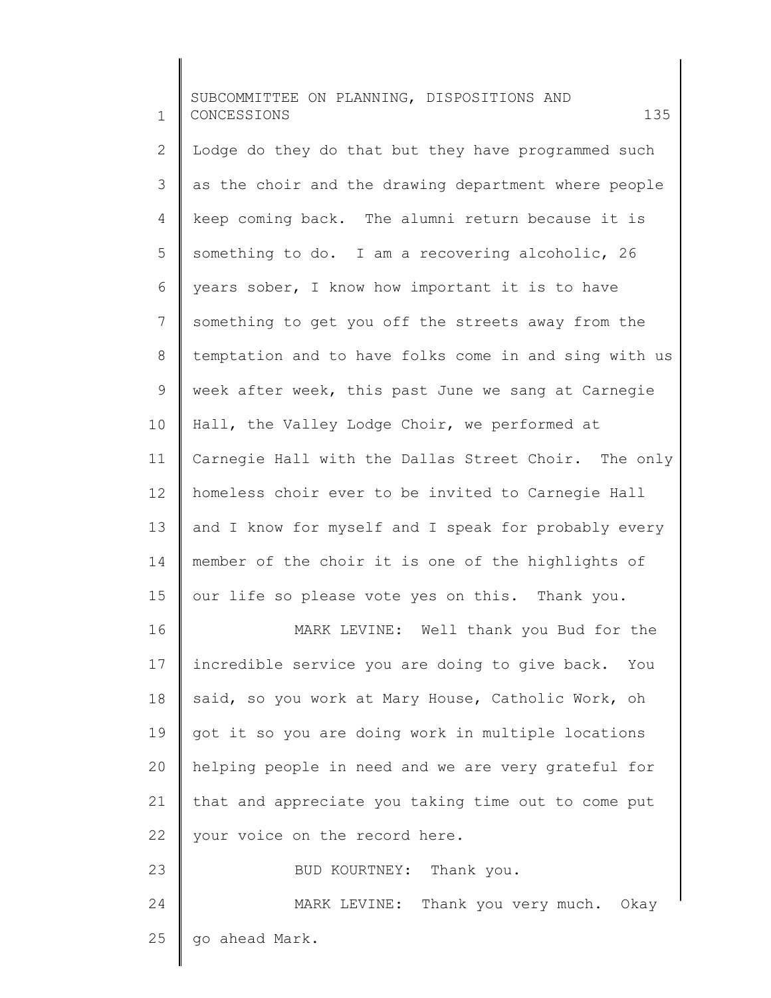1

2 3 4 5 6 7 8 9 10 11 12 13 14 15 Lodge do they do that but they have programmed such as the choir and the drawing department where people keep coming back. The alumni return because it is something to do. I am a recovering alcoholic, 26 years sober, I know how important it is to have something to get you off the streets away from the temptation and to have folks come in and sing with us week after week, this past June we sang at Carnegie Hall, the Valley Lodge Choir, we performed at Carnegie Hall with the Dallas Street Choir. The only homeless choir ever to be invited to Carnegie Hall and I know for myself and I speak for probably every member of the choir it is one of the highlights of our life so please vote yes on this. Thank you.

16 17 18 19 20 21 22 23 MARK LEVINE: Well thank you Bud for the incredible service you are doing to give back. You said, so you work at Mary House, Catholic Work, oh got it so you are doing work in multiple locations helping people in need and we are very grateful for that and appreciate you taking time out to come put your voice on the record here. BUD KOURTNEY: Thank you.

24 25 MARK LEVINE: Thank you very much. Okay go ahead Mark.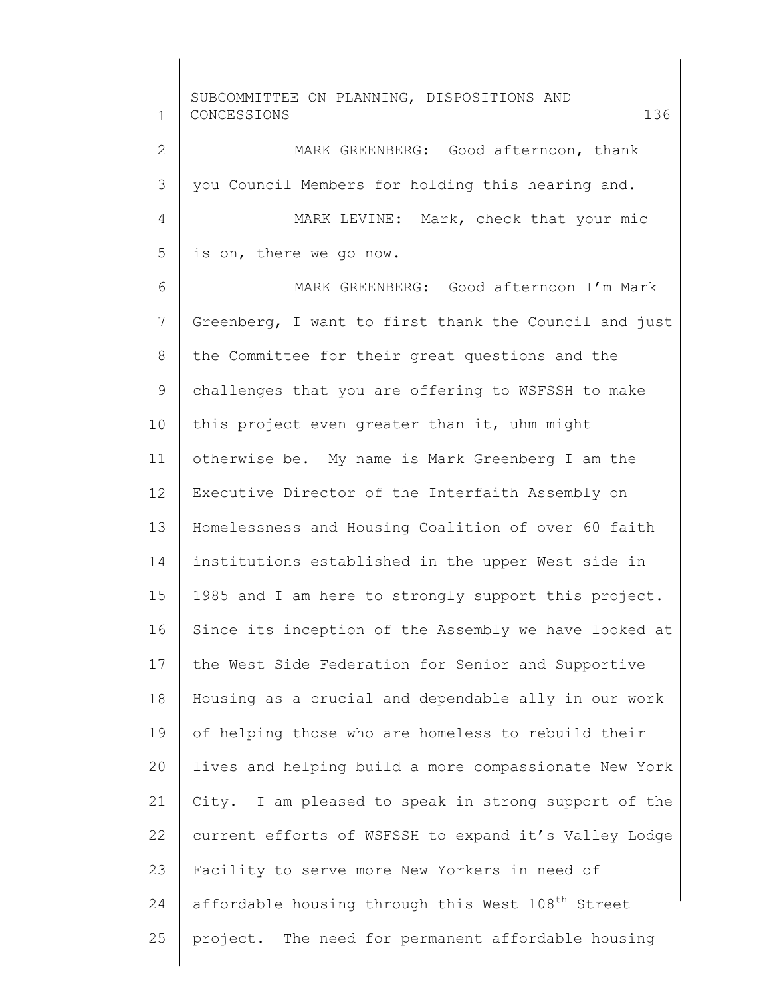1 2 3 4 5 6 7 8 9 10 11 12 13 14 15 16 17 18 19 20 21 22 23 24 25 SUBCOMMITTEE ON PLANNING, DISPOSITIONS AND CONCESSIONS 136 MARK GREENBERG: Good afternoon, thank you Council Members for holding this hearing and. MARK LEVINE: Mark, check that your mic is on, there we go now. MARK GREENBERG: Good afternoon I'm Mark Greenberg, I want to first thank the Council and just the Committee for their great questions and the challenges that you are offering to WSFSSH to make this project even greater than it, uhm might otherwise be. My name is Mark Greenberg I am the Executive Director of the Interfaith Assembly on Homelessness and Housing Coalition of over 60 faith institutions established in the upper West side in 1985 and I am here to strongly support this project. Since its inception of the Assembly we have looked at the West Side Federation for Senior and Supportive Housing as a crucial and dependable ally in our work of helping those who are homeless to rebuild their lives and helping build a more compassionate New York City. I am pleased to speak in strong support of the current efforts of WSFSSH to expand it's Valley Lodge Facility to serve more New Yorkers in need of affordable housing through this West 108<sup>th</sup> Street project. The need for permanent affordable housing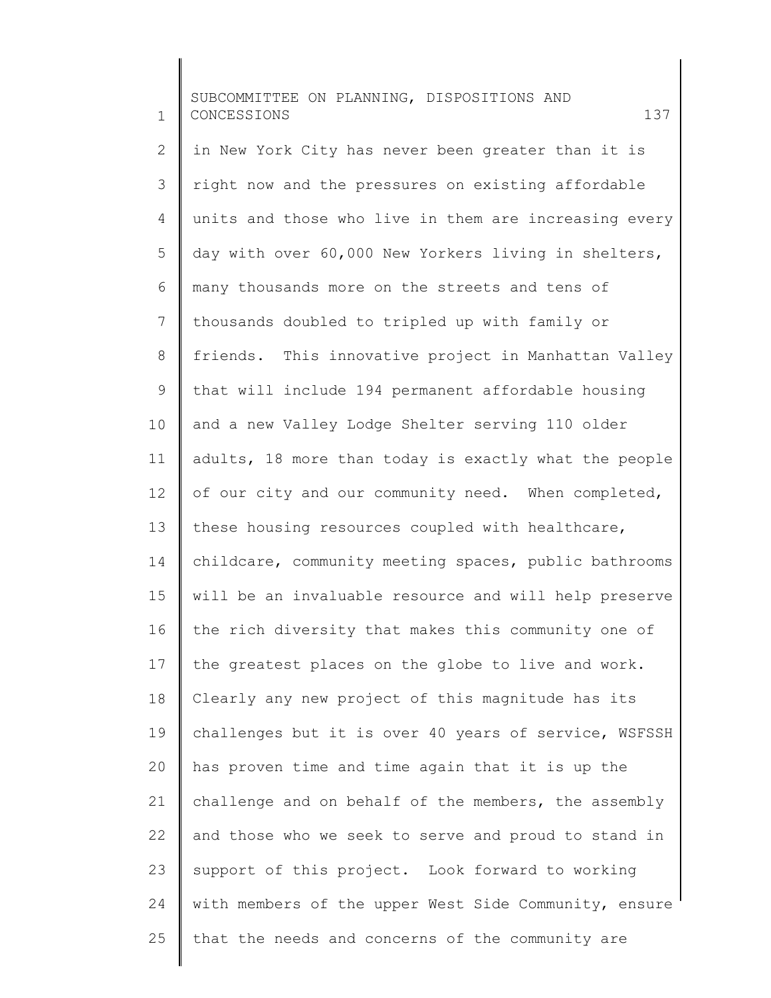1

2 3 4 5 6 7 8 9 10 11 12 13 14 15 16 17 18 19 20 21 22 23 24 25 in New York City has never been greater than it is right now and the pressures on existing affordable units and those who live in them are increasing every day with over 60,000 New Yorkers living in shelters, many thousands more on the streets and tens of thousands doubled to tripled up with family or friends. This innovative project in Manhattan Valley that will include 194 permanent affordable housing and a new Valley Lodge Shelter serving 110 older adults, 18 more than today is exactly what the people of our city and our community need. When completed, these housing resources coupled with healthcare, childcare, community meeting spaces, public bathrooms will be an invaluable resource and will help preserve the rich diversity that makes this community one of the greatest places on the globe to live and work. Clearly any new project of this magnitude has its challenges but it is over 40 years of service, WSFSSH has proven time and time again that it is up the challenge and on behalf of the members, the assembly and those who we seek to serve and proud to stand in support of this project. Look forward to working with members of the upper West Side Community, ensure that the needs and concerns of the community are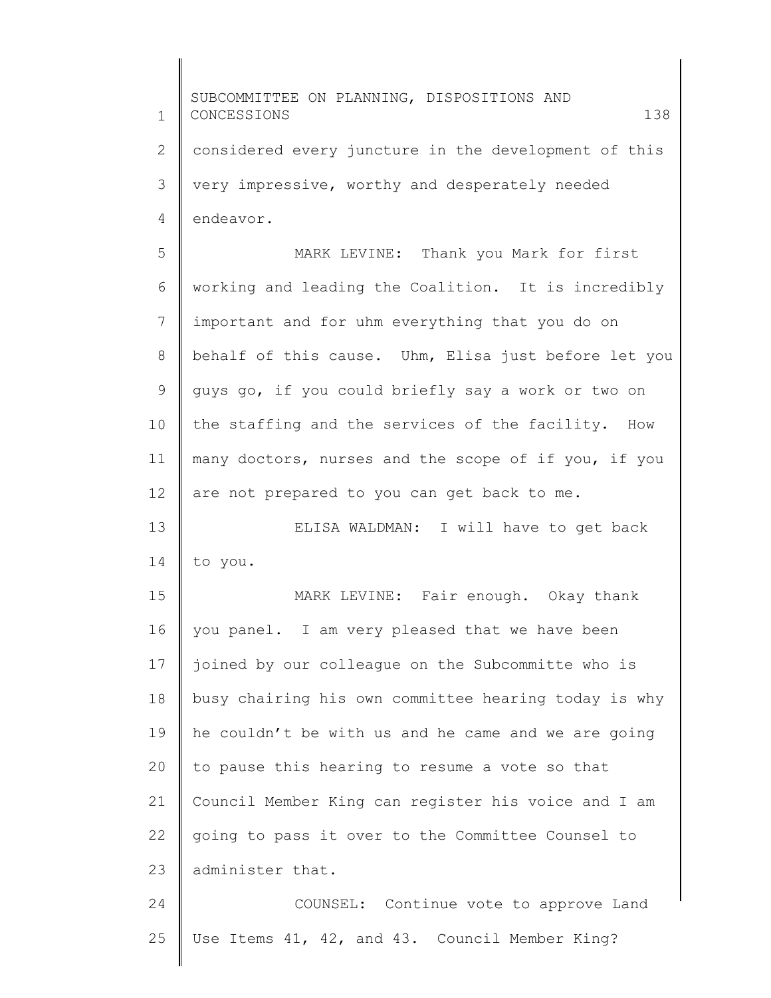1 2 3 4 5 6 7 8 9 10 11 12 13 14 15 16 17 18 19 20 21 22 23 24 25 SUBCOMMITTEE ON PLANNING, DISPOSITIONS AND CONCESSIONS 138 considered every juncture in the development of this very impressive, worthy and desperately needed endeavor. MARK LEVINE: Thank you Mark for first working and leading the Coalition. It is incredibly important and for uhm everything that you do on behalf of this cause. Uhm, Elisa just before let you guys go, if you could briefly say a work or two on the staffing and the services of the facility. How many doctors, nurses and the scope of if you, if you are not prepared to you can get back to me. ELISA WALDMAN: I will have to get back to you. MARK LEVINE: Fair enough. Okay thank you panel. I am very pleased that we have been joined by our colleague on the Subcommitte who is busy chairing his own committee hearing today is why he couldn't be with us and he came and we are going to pause this hearing to resume a vote so that Council Member King can register his voice and I am going to pass it over to the Committee Counsel to administer that. COUNSEL: Continue vote to approve Land Use Items 41, 42, and 43. Council Member King?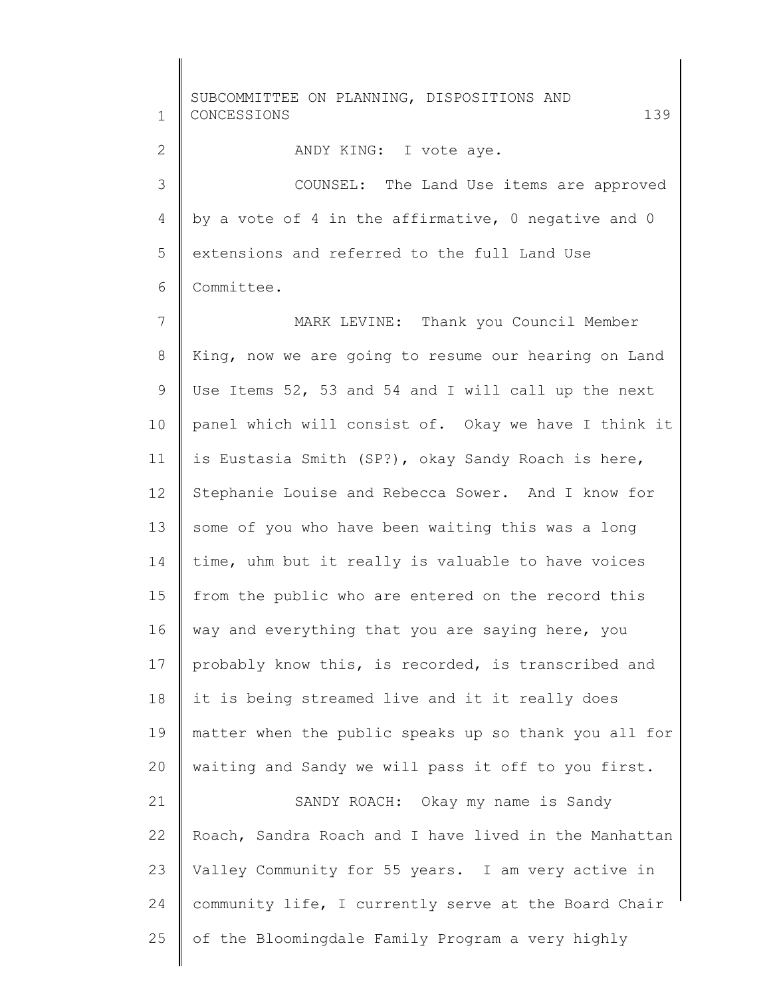1 2 3 4 5 6 7 8 9 10 11 12 13 14 15 16 17 18 SUBCOMMITTEE ON PLANNING, DISPOSITIONS AND CONCESSIONS 139 ANDY KING: I vote aye. COUNSEL: The Land Use items are approved by a vote of 4 in the affirmative, 0 negative and 0 extensions and referred to the full Land Use Committee. MARK LEVINE: Thank you Council Member King, now we are going to resume our hearing on Land Use Items 52, 53 and 54 and I will call up the next panel which will consist of. Okay we have I think it is Eustasia Smith (SP?), okay Sandy Roach is here, Stephanie Louise and Rebecca Sower. And I know for some of you who have been waiting this was a long time, uhm but it really is valuable to have voices from the public who are entered on the record this way and everything that you are saying here, you probably know this, is recorded, is transcribed and it is being streamed live and it it really does

19 20 matter when the public speaks up so thank you all for waiting and Sandy we will pass it off to you first.

21 22 23 24 25 SANDY ROACH: Okay my name is Sandy Roach, Sandra Roach and I have lived in the Manhattan Valley Community for 55 years. I am very active in community life, I currently serve at the Board Chair of the Bloomingdale Family Program a very highly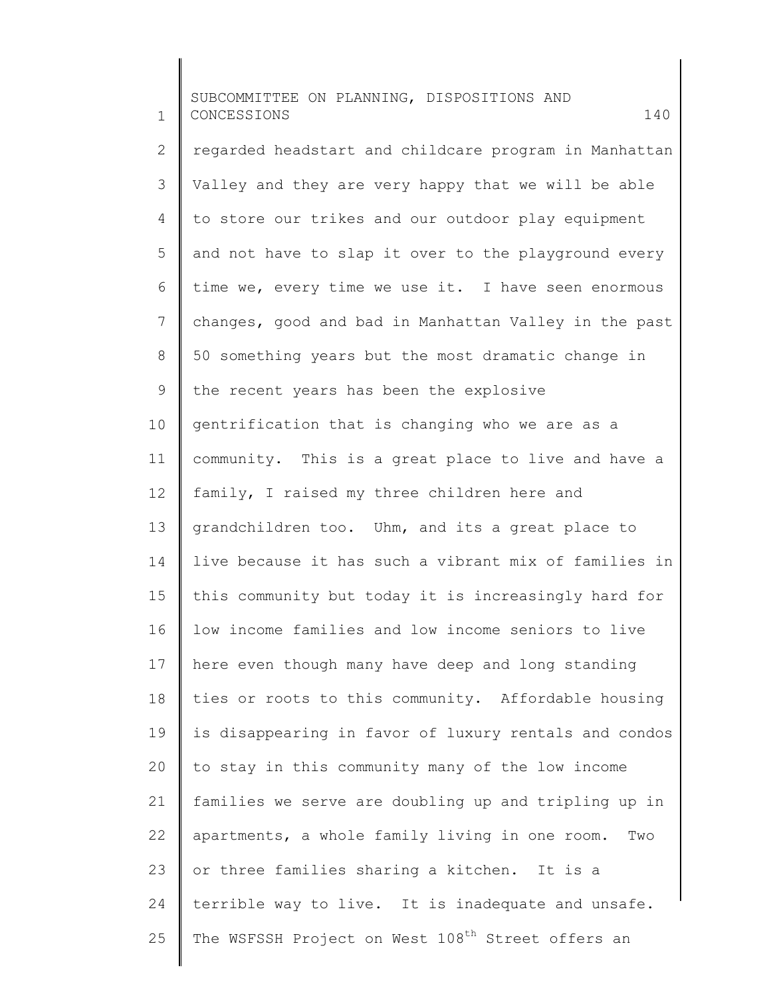1

2 3 4 5 6 7 8 9 10 11 12 13 14 15 16 17 18 19 20 21 22 23 24 25 regarded headstart and childcare program in Manhattan Valley and they are very happy that we will be able to store our trikes and our outdoor play equipment and not have to slap it over to the playground every time we, every time we use it. I have seen enormous changes, good and bad in Manhattan Valley in the past 50 something years but the most dramatic change in the recent years has been the explosive gentrification that is changing who we are as a community. This is a great place to live and have a family, I raised my three children here and grandchildren too. Uhm, and its a great place to live because it has such a vibrant mix of families in this community but today it is increasingly hard for low income families and low income seniors to live here even though many have deep and long standing ties or roots to this community. Affordable housing is disappearing in favor of luxury rentals and condos to stay in this community many of the low income families we serve are doubling up and tripling up in apartments, a whole family living in one room. Two or three families sharing a kitchen. It is a terrible way to live. It is inadequate and unsafe. The WSFSSH Project on West 108<sup>th</sup> Street offers an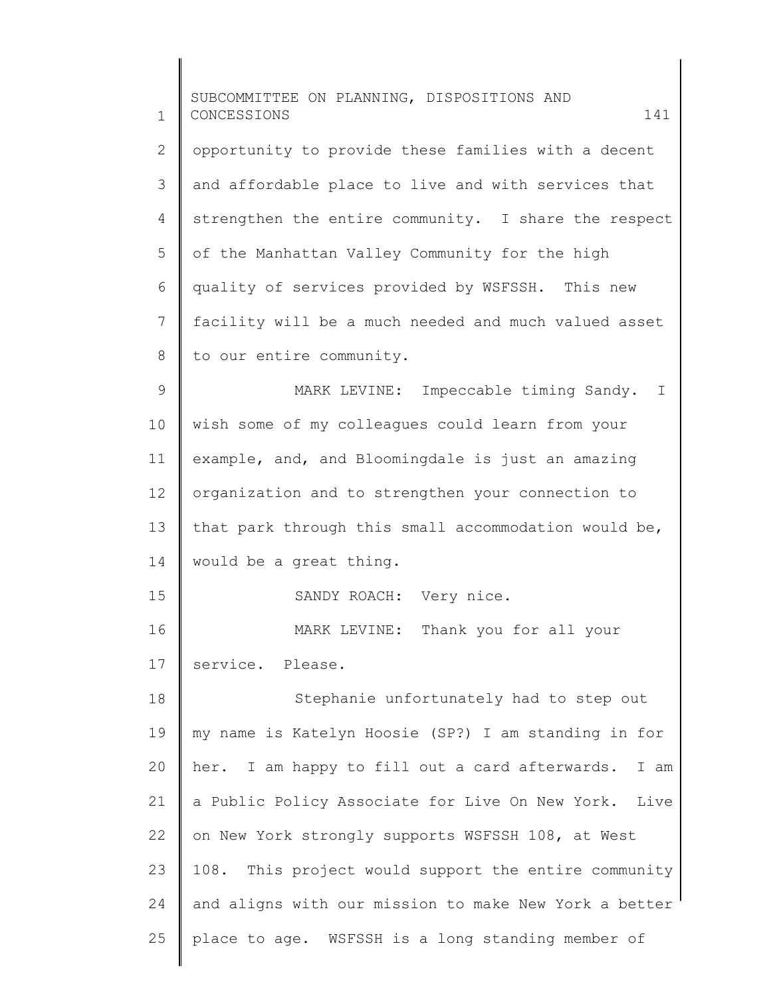| $\mathbf 1$   | SUBCOMMITTEE ON PLANNING, DISPOSITIONS AND<br>141<br>CONCESSIONS |
|---------------|------------------------------------------------------------------|
| $\mathbf{2}$  | opportunity to provide these families with a decent              |
| 3             | and affordable place to live and with services that              |
| 4             | strengthen the entire community. I share the respect             |
| 5             | of the Manhattan Valley Community for the high                   |
| 6             | quality of services provided by WSFSSH. This new                 |
| 7             | facility will be a much needed and much valued asset             |
| 8             | to our entire community.                                         |
| $\mathcal{G}$ | MARK LEVINE: Impeccable timing Sandy.<br>$\mathbb{I}$            |
| 10            | wish some of my colleagues could learn from your                 |
| 11            | example, and, and Bloomingdale is just an amazing                |
| 12            | organization and to strengthen your connection to                |
| 13            | that park through this small accommodation would be,             |
| 14            | would be a great thing.                                          |
| 15            | SANDY ROACH: Very nice.                                          |
| 16            | MARK LEVINE: Thank you for all your                              |
| 17            | service. Please.                                                 |
| 18            | Stephanie unfortunately had to step out                          |
| 19            | my name is Katelyn Hoosie (SP?) I am standing in for             |
| 20            | her. I am happy to fill out a card afterwards.<br>I am           |
| 21            | a Public Policy Associate for Live On New York. Live             |
| 22            | on New York strongly supports WSFSSH 108, at West                |
| 23            | 108. This project would support the entire community             |
| 24            | and aligns with our mission to make New York a better            |
| 25            | place to age. WSFSSH is a long standing member of                |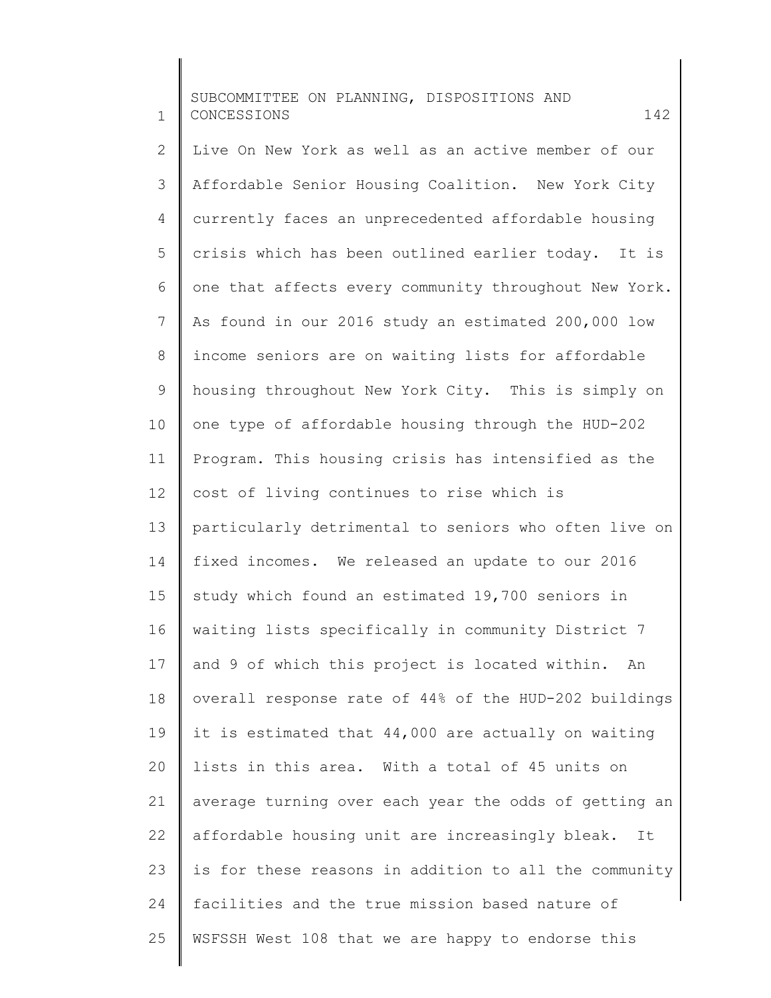1

2 3 4 5 6 7 8 9 10 11 12 13 14 15 16 17 18 19 20 21 22 23 24 25 Live On New York as well as an active member of our Affordable Senior Housing Coalition. New York City currently faces an unprecedented affordable housing crisis which has been outlined earlier today. It is one that affects every community throughout New York. As found in our 2016 study an estimated 200,000 low income seniors are on waiting lists for affordable housing throughout New York City. This is simply on one type of affordable housing through the HUD-202 Program. This housing crisis has intensified as the cost of living continues to rise which is particularly detrimental to seniors who often live on fixed incomes. We released an update to our 2016 study which found an estimated 19,700 seniors in waiting lists specifically in community District 7 and 9 of which this project is located within. An overall response rate of 44% of the HUD-202 buildings it is estimated that 44,000 are actually on waiting lists in this area. With a total of 45 units on average turning over each year the odds of getting an affordable housing unit are increasingly bleak. It is for these reasons in addition to all the community facilities and the true mission based nature of WSFSSH West 108 that we are happy to endorse this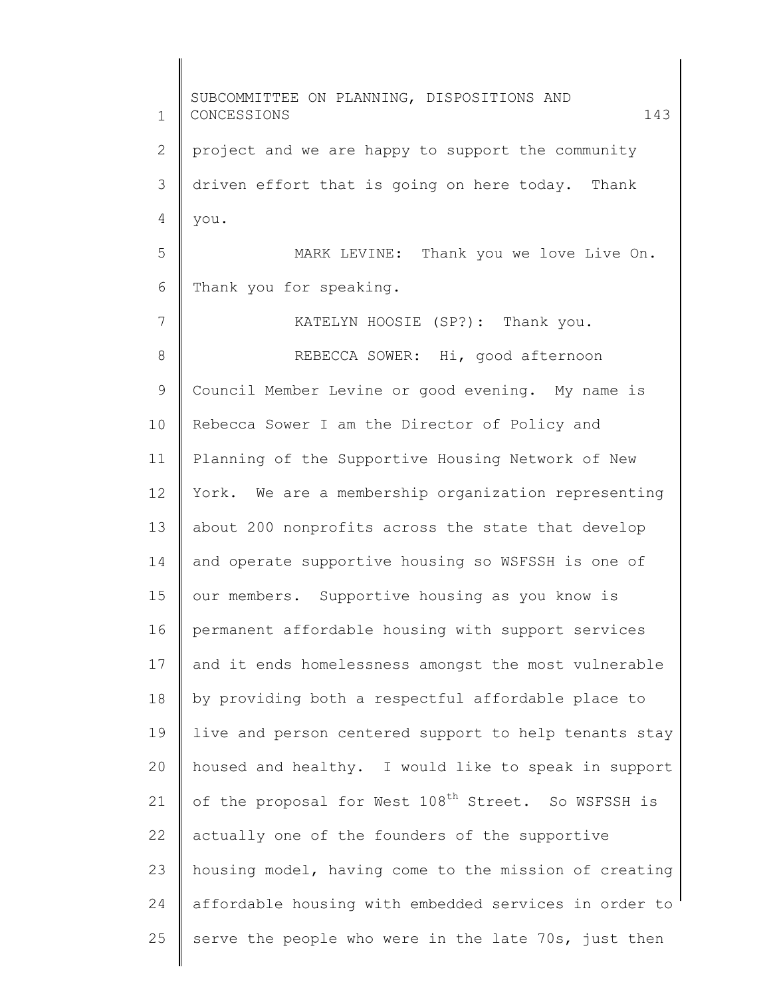1 2 3 4 5 6 7 8 9 10 11 12 13 14 15 16 17 18 19 20 21 22 23 24 25 SUBCOMMITTEE ON PLANNING, DISPOSITIONS AND CONCESSIONS 143 project and we are happy to support the community driven effort that is going on here today. Thank you. MARK LEVINE: Thank you we love Live On. Thank you for speaking. KATELYN HOOSIE (SP?): Thank you. REBECCA SOWER: Hi, good afternoon Council Member Levine or good evening. My name is Rebecca Sower I am the Director of Policy and Planning of the Supportive Housing Network of New York. We are a membership organization representing about 200 nonprofits across the state that develop and operate supportive housing so WSFSSH is one of our members. Supportive housing as you know is permanent affordable housing with support services and it ends homelessness amongst the most vulnerable by providing both a respectful affordable place to live and person centered support to help tenants stay housed and healthy. I would like to speak in support of the proposal for West 108<sup>th</sup> Street. So WSFSSH is actually one of the founders of the supportive housing model, having come to the mission of creating affordable housing with embedded services in order to serve the people who were in the late 70s, just then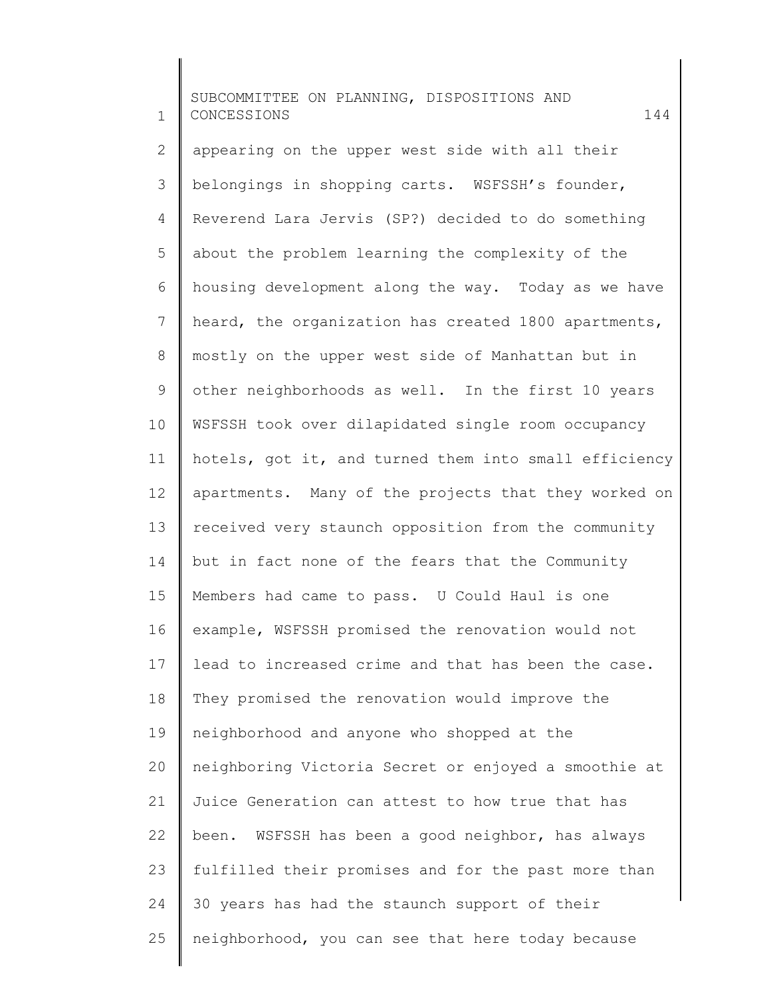1

2 3 4 5 6 7 8 9 10 11 12 13 14 15 16 17 18 19 20 21 22 23 24 25 appearing on the upper west side with all their belongings in shopping carts. WSFSSH's founder, Reverend Lara Jervis (SP?) decided to do something about the problem learning the complexity of the housing development along the way. Today as we have heard, the organization has created 1800 apartments, mostly on the upper west side of Manhattan but in other neighborhoods as well. In the first 10 years WSFSSH took over dilapidated single room occupancy hotels, got it, and turned them into small efficiency apartments. Many of the projects that they worked on received very staunch opposition from the community but in fact none of the fears that the Community Members had came to pass. U Could Haul is one example, WSFSSH promised the renovation would not lead to increased crime and that has been the case. They promised the renovation would improve the neighborhood and anyone who shopped at the neighboring Victoria Secret or enjoyed a smoothie at Juice Generation can attest to how true that has been. WSFSSH has been a good neighbor, has always fulfilled their promises and for the past more than 30 years has had the staunch support of their neighborhood, you can see that here today because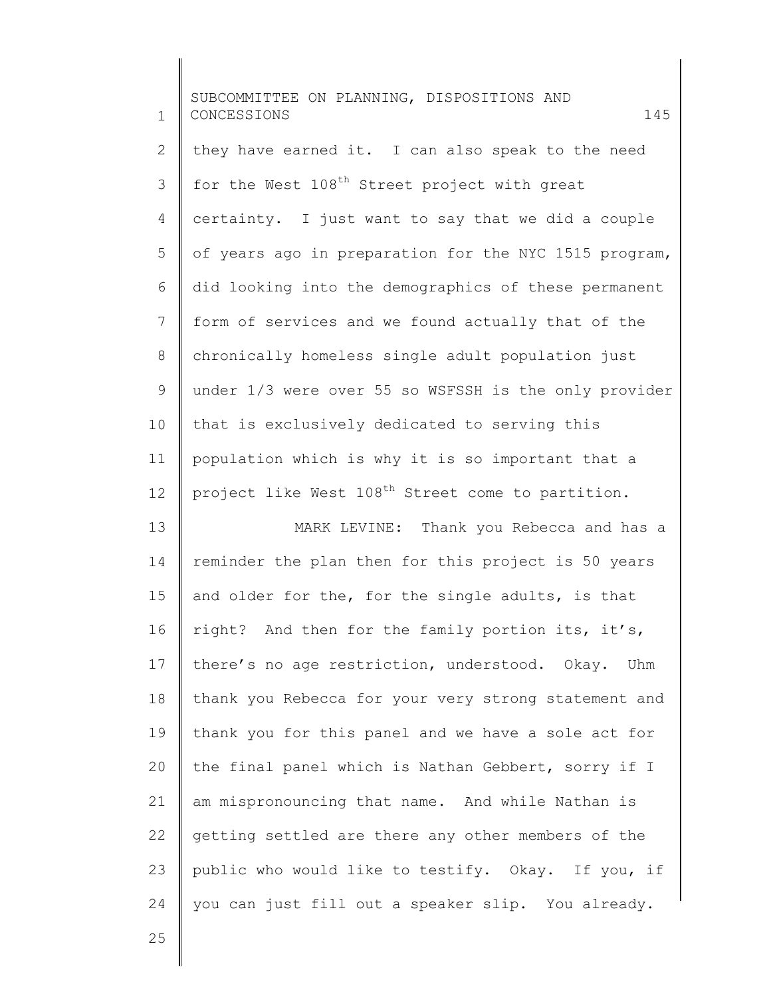1 SUBCOMMITTEE ON PLANNING, DISPOSITIONS AND CONCESSIONS 145

2 3 4 5 6 7 8 9 10 11 12 they have earned it. I can also speak to the need for the West  $108<sup>th</sup>$  Street project with great certainty. I just want to say that we did a couple of years ago in preparation for the NYC 1515 program, did looking into the demographics of these permanent form of services and we found actually that of the chronically homeless single adult population just under 1/3 were over 55 so WSFSSH is the only provider that is exclusively dedicated to serving this population which is why it is so important that a project like West 108<sup>th</sup> Street come to partition.

13 14 15 16 17 18 19 20 21 22 23 24 MARK LEVINE: Thank you Rebecca and has a reminder the plan then for this project is 50 years and older for the, for the single adults, is that right? And then for the family portion its, it's, there's no age restriction, understood. Okay. Uhm thank you Rebecca for your very strong statement and thank you for this panel and we have a sole act for the final panel which is Nathan Gebbert, sorry if I am mispronouncing that name. And while Nathan is getting settled are there any other members of the public who would like to testify. Okay. If you, if you can just fill out a speaker slip. You already.

25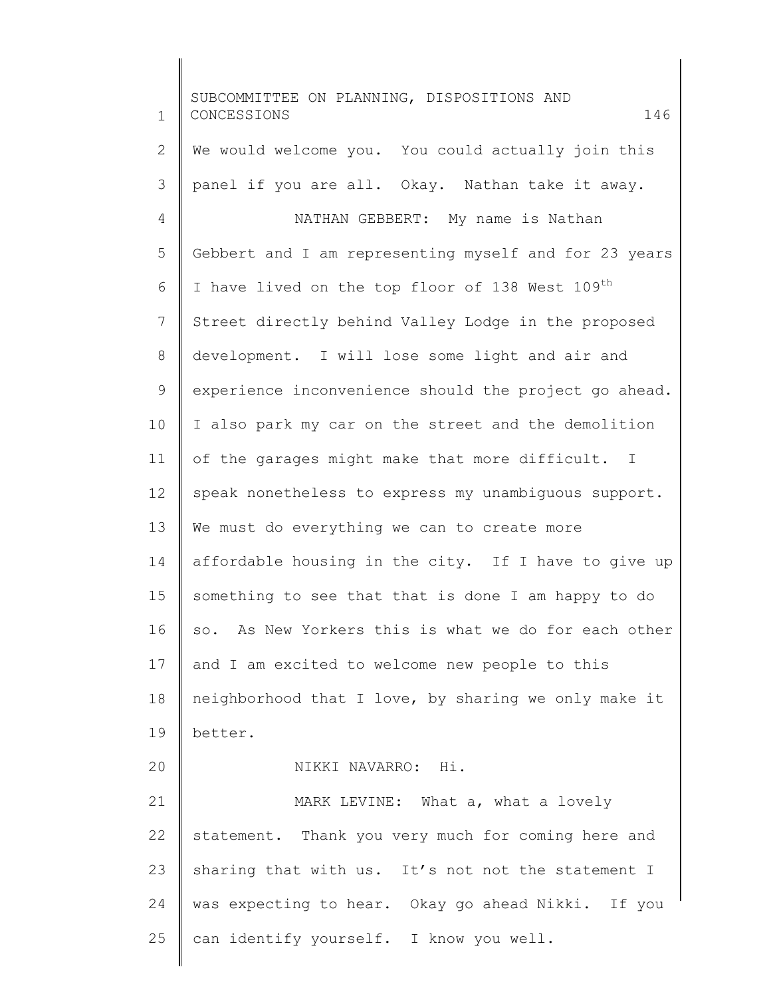1 2 3 4 5 6 7 8 9 10 11 12 13 14 15 16 17 18 19 20 21 22 23 24 25 SUBCOMMITTEE ON PLANNING, DISPOSITIONS AND CONCESSIONS 146 We would welcome you. You could actually join this panel if you are all. Okay. Nathan take it away. NATHAN GEBBERT: My name is Nathan Gebbert and I am representing myself and for 23 years I have lived on the top floor of 138 West 109<sup>th</sup> Street directly behind Valley Lodge in the proposed development. I will lose some light and air and experience inconvenience should the project go ahead. I also park my car on the street and the demolition of the garages might make that more difficult. I speak nonetheless to express my unambiguous support. We must do everything we can to create more affordable housing in the city. If I have to give up something to see that that is done I am happy to do so. As New Yorkers this is what we do for each other and I am excited to welcome new people to this neighborhood that I love, by sharing we only make it better. NIKKI NAVARRO: Hi. MARK LEVINE: What a, what a lovely statement. Thank you very much for coming here and sharing that with us. It's not not the statement I was expecting to hear. Okay go ahead Nikki. If you can identify yourself. I know you well.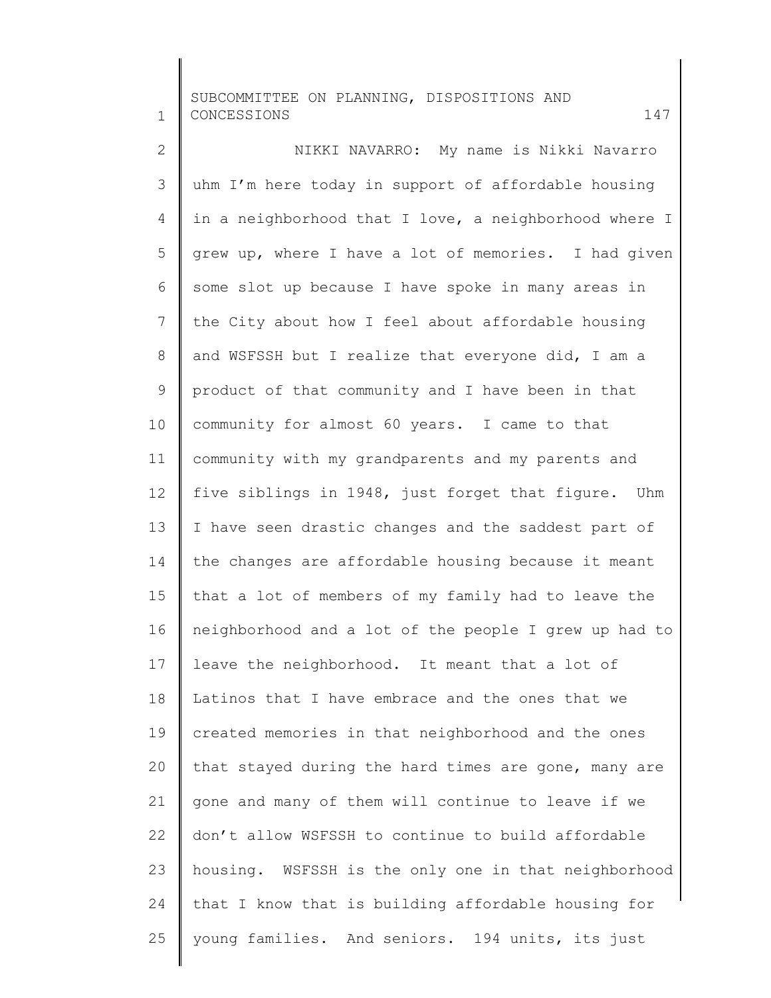SUBCOMMITTEE ON PLANNING, DISPOSITIONS AND CONCESSIONS 147

1

2 3 4 5 6 7 8 9 10 11 12 13 14 15 16 17 18 19 20 21 22 23 24 25 NIKKI NAVARRO: My name is Nikki Navarro uhm I'm here today in support of affordable housing in a neighborhood that I love, a neighborhood where I grew up, where I have a lot of memories. I had given some slot up because I have spoke in many areas in the City about how I feel about affordable housing and WSFSSH but I realize that everyone did, I am a product of that community and I have been in that community for almost 60 years. I came to that community with my grandparents and my parents and five siblings in 1948, just forget that figure. Uhm I have seen drastic changes and the saddest part of the changes are affordable housing because it meant that a lot of members of my family had to leave the neighborhood and a lot of the people I grew up had to leave the neighborhood. It meant that a lot of Latinos that I have embrace and the ones that we created memories in that neighborhood and the ones that stayed during the hard times are gone, many are gone and many of them will continue to leave if we don't allow WSFSSH to continue to build affordable housing. WSFSSH is the only one in that neighborhood that I know that is building affordable housing for young families. And seniors. 194 units, its just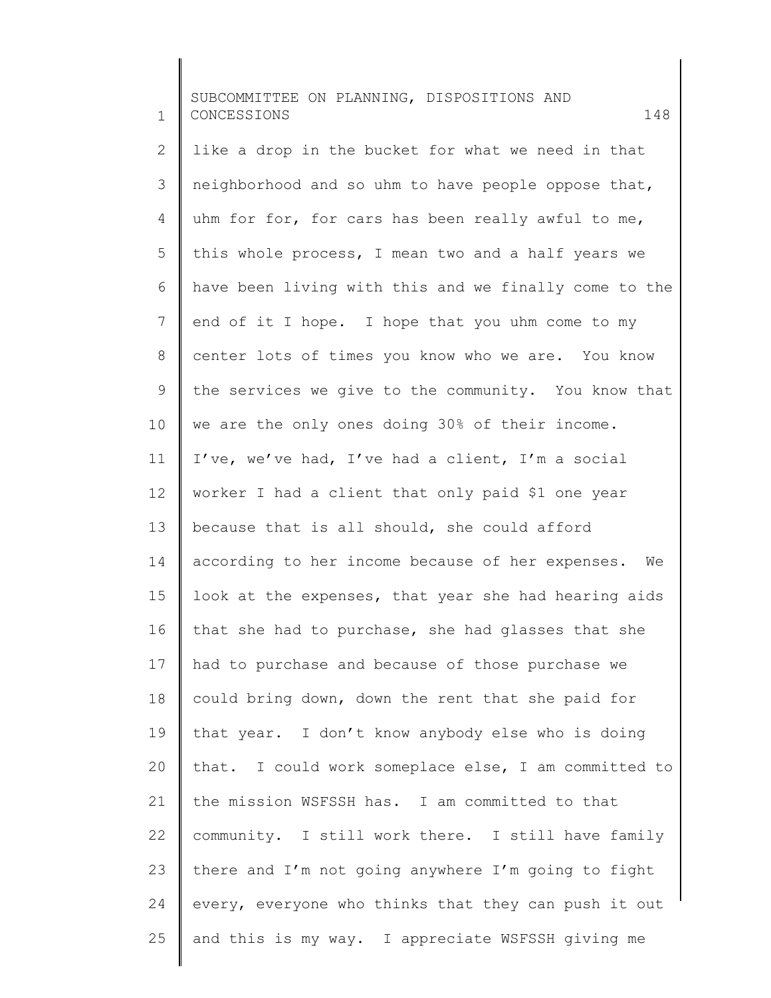SUBCOMMITTEE ON PLANNING, DISPOSITIONS AND CONCESSIONS 148

1

2 3 4 5 6 7 8 9 10 11 12 13 14 15 16 17 18 19 20 21 22 23 24 25 like a drop in the bucket for what we need in that neighborhood and so uhm to have people oppose that, uhm for for, for cars has been really awful to me, this whole process, I mean two and a half years we have been living with this and we finally come to the end of it I hope. I hope that you uhm come to my center lots of times you know who we are. You know the services we give to the community. You know that we are the only ones doing 30% of their income. I've, we've had, I've had a client, I'm a social worker I had a client that only paid \$1 one year because that is all should, she could afford according to her income because of her expenses. We look at the expenses, that year she had hearing aids that she had to purchase, she had glasses that she had to purchase and because of those purchase we could bring down, down the rent that she paid for that year. I don't know anybody else who is doing that. I could work someplace else, I am committed to the mission WSFSSH has. I am committed to that community. I still work there. I still have family there and I'm not going anywhere I'm going to fight every, everyone who thinks that they can push it out and this is my way. I appreciate WSFSSH giving me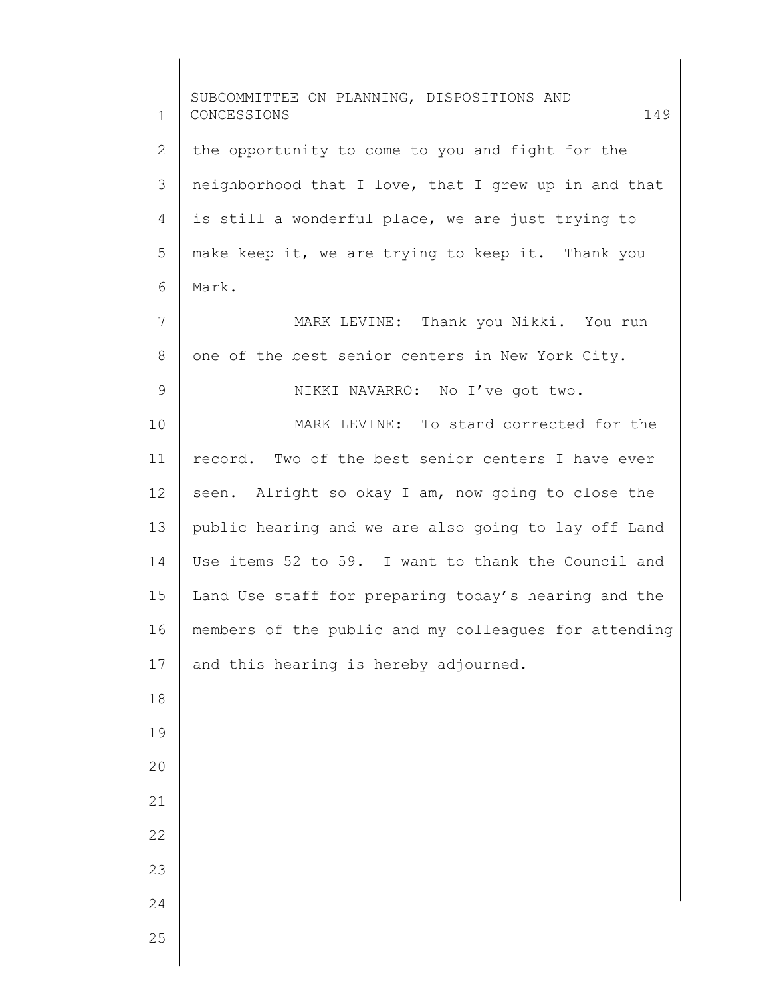| $\mathbf 1$ | SUBCOMMITTEE ON PLANNING, DISPOSITIONS AND<br>149<br>CONCESSIONS |
|-------------|------------------------------------------------------------------|
| 2           | the opportunity to come to you and fight for the                 |
| 3           | neighborhood that I love, that I grew up in and that             |
| 4           | is still a wonderful place, we are just trying to                |
| 5           | make keep it, we are trying to keep it. Thank you                |
| 6           | Mark.                                                            |
| 7           | MARK LEVINE: Thank you Nikki. You run                            |
| 8           | one of the best senior centers in New York City.                 |
| 9           | NIKKI NAVARRO: No I've got two.                                  |
| 10          | MARK LEVINE: To stand corrected for the                          |
| 11          | record. Two of the best senior centers I have ever               |
| 12          | seen. Alright so okay I am, now going to close the               |
| 13          | public hearing and we are also going to lay off Land             |
| 14          | Use items 52 to 59. I want to thank the Council and              |
| 15          | Land Use staff for preparing today's hearing and the             |
| 16          | members of the public and my colleagues for attending            |
| 17          | and this hearing is hereby adjourned.                            |
| 18          |                                                                  |
| 19          |                                                                  |
| 20          |                                                                  |
| 21          |                                                                  |
| 22          |                                                                  |
| 23          |                                                                  |
| 24          |                                                                  |
| 25          |                                                                  |
|             |                                                                  |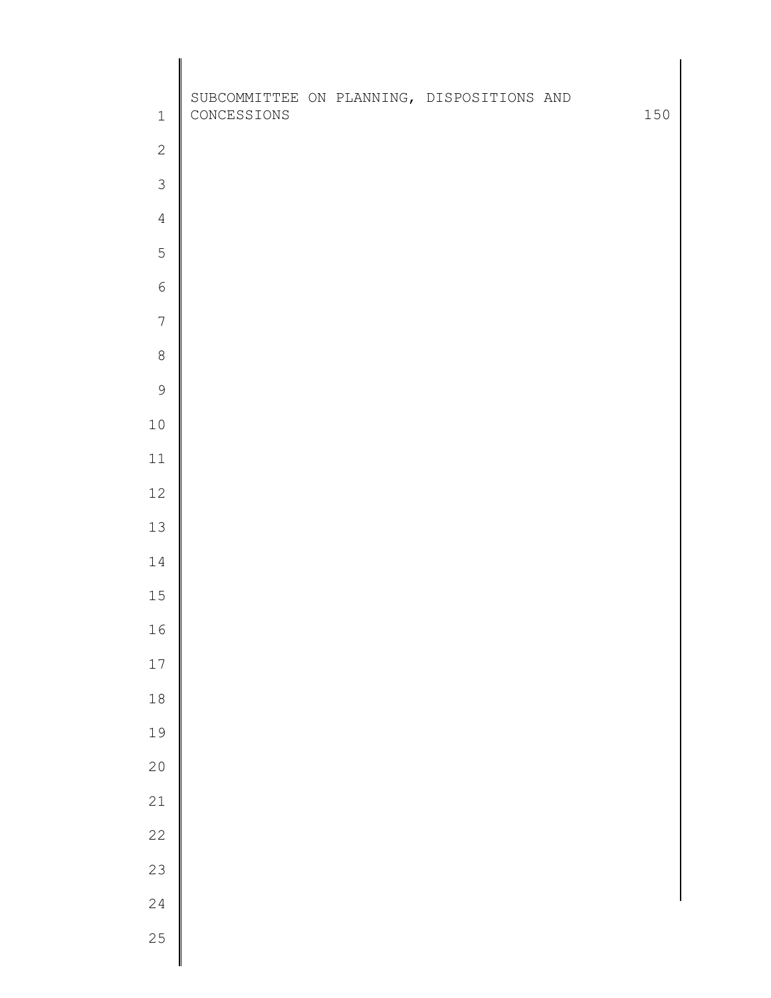| $\mathbf 1$      | CONCESSIONS |  | SUBCOMMITTEE ON PLANNING, DISPOSITIONS AND | 150 |
|------------------|-------------|--|--------------------------------------------|-----|
| $\sqrt{2}$       |             |  |                                            |     |
| $\mathfrak{Z}$   |             |  |                                            |     |
| $\sqrt{4}$       |             |  |                                            |     |
| 5                |             |  |                                            |     |
| $\sqrt{6}$       |             |  |                                            |     |
| $\boldsymbol{7}$ |             |  |                                            |     |
| $\,8\,$          |             |  |                                            |     |
| $\mathcal{G}$    |             |  |                                            |     |
| $10$             |             |  |                                            |     |
| $11\,$           |             |  |                                            |     |
| $12$             |             |  |                                            |     |
| $13\,$           |             |  |                                            |     |
| $1\,4$           |             |  |                                            |     |
| $15\,$           |             |  |                                            |     |
| 16               |             |  |                                            |     |
| 17               |             |  |                                            |     |
| $18$             |             |  |                                            |     |
| 19               |             |  |                                            |     |
| 20               |             |  |                                            |     |
| $21$             |             |  |                                            |     |
| 22               |             |  |                                            |     |
| 23               |             |  |                                            |     |
| 24               |             |  |                                            |     |
| 25               |             |  |                                            |     |